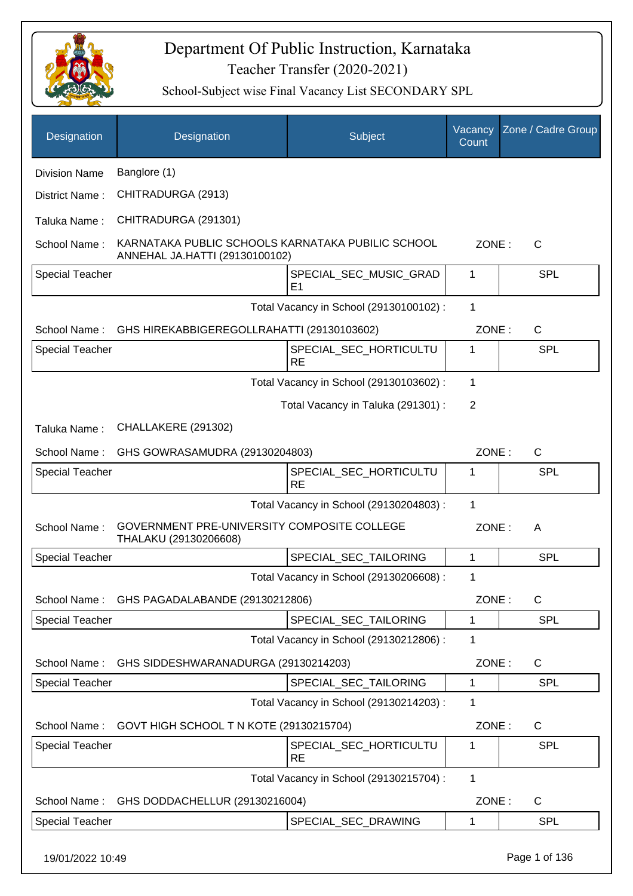

| Designation            | Designation                                                                         | Subject                                  | Vacancy<br>Count | Zone / Cadre Group |
|------------------------|-------------------------------------------------------------------------------------|------------------------------------------|------------------|--------------------|
| <b>Division Name</b>   | Banglore (1)                                                                        |                                          |                  |                    |
| District Name:         | CHITRADURGA (2913)                                                                  |                                          |                  |                    |
| Taluka Name:           | CHITRADURGA (291301)                                                                |                                          |                  |                    |
| School Name:           | KARNATAKA PUBLIC SCHOOLS KARNATAKA PUBILIC SCHOOL<br>ANNEHAL JA.HATTI (29130100102) |                                          | ZONE:            | $\mathsf{C}$       |
| <b>Special Teacher</b> |                                                                                     | SPECIAL_SEC_MUSIC_GRAD<br>E <sub>1</sub> | 1                | <b>SPL</b>         |
|                        |                                                                                     | Total Vacancy in School (29130100102) :  | 1                |                    |
| School Name:           | GHS HIREKABBIGEREGOLLRAHATTI (29130103602)                                          |                                          | ZONE:            | $\mathsf{C}$       |
| <b>Special Teacher</b> |                                                                                     | SPECIAL_SEC_HORTICULTU<br><b>RE</b>      | 1                | <b>SPL</b>         |
|                        |                                                                                     | Total Vacancy in School (29130103602) :  | 1                |                    |
|                        |                                                                                     | Total Vacancy in Taluka (291301) :       | $\overline{2}$   |                    |
| Taluka Name:           | CHALLAKERE (291302)                                                                 |                                          |                  |                    |
| School Name:           | GHS GOWRASAMUDRA (29130204803)                                                      |                                          | ZONE:            | $\mathsf{C}$       |
| <b>Special Teacher</b> |                                                                                     | SPECIAL_SEC_HORTICULTU<br><b>RE</b>      | 1                | <b>SPL</b>         |
|                        |                                                                                     | Total Vacancy in School (29130204803) :  | 1                |                    |
| School Name:           | GOVERNMENT PRE-UNIVERSITY COMPOSITE COLLEGE<br>THALAKU (29130206608)                |                                          | ZONE:            | A                  |
| <b>Special Teacher</b> |                                                                                     | SPECIAL_SEC_TAILORING                    | 1                | <b>SPL</b>         |
|                        |                                                                                     | Total Vacancy in School (29130206608) :  | 1                |                    |
| School Name:           | GHS PAGADALABANDE (29130212806)                                                     |                                          | ZONE:            | $\mathsf{C}$       |
| Special Teacher        |                                                                                     | SPECIAL_SEC_TAILORING                    | 1                | <b>SPL</b>         |
|                        |                                                                                     | Total Vacancy in School (29130212806) :  | 1                |                    |
| School Name:           | GHS SIDDESHWARANADURGA (29130214203)                                                |                                          | ZONE:            | C                  |
| <b>Special Teacher</b> |                                                                                     | SPECIAL_SEC_TAILORING                    | 1                | <b>SPL</b>         |
|                        |                                                                                     | Total Vacancy in School (29130214203) :  | 1                |                    |
| School Name:           | GOVT HIGH SCHOOL T N KOTE (29130215704)                                             |                                          | ZONE:            | C                  |
| <b>Special Teacher</b> |                                                                                     | SPECIAL_SEC_HORTICULTU<br><b>RE</b>      | 1                | <b>SPL</b>         |
|                        |                                                                                     | Total Vacancy in School (29130215704) :  | 1                |                    |
| School Name:           | GHS DODDACHELLUR (29130216004)                                                      |                                          | ZONE:            | C                  |
| <b>Special Teacher</b> |                                                                                     | SPECIAL_SEC_DRAWING                      | 1                | <b>SPL</b>         |
| 19/01/2022 10:49       |                                                                                     |                                          |                  | Page 1 of 136      |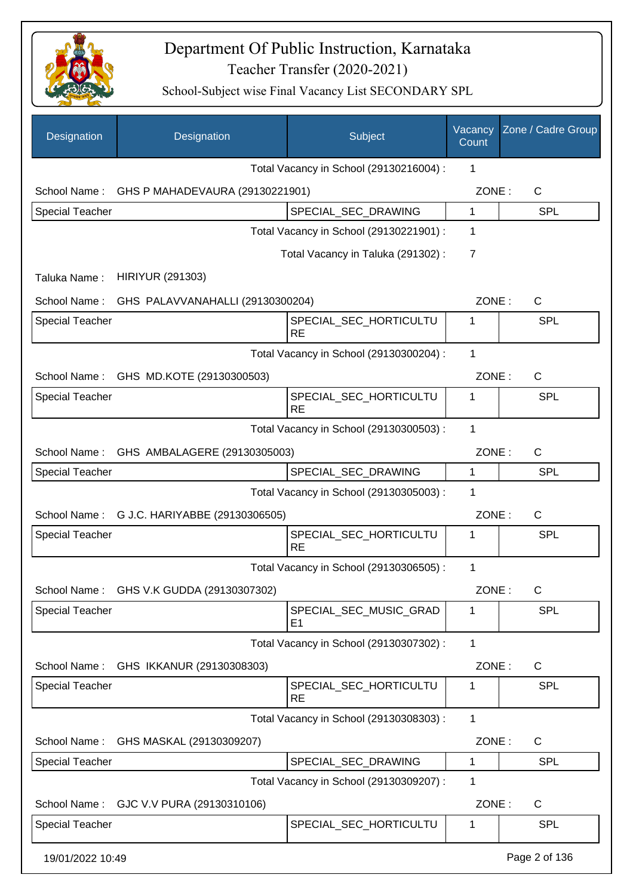

| Designation            | Designation                                  | Subject                                 | Vacancy<br>Count | Zone / Cadre Group |
|------------------------|----------------------------------------------|-----------------------------------------|------------------|--------------------|
|                        |                                              | Total Vacancy in School (29130216004) : | 1                |                    |
|                        | School Name: GHS P MAHADEVAURA (29130221901) |                                         | ZONE:            | $\mathsf{C}$       |
| Special Teacher        |                                              | SPECIAL_SEC_DRAWING                     | 1                | <b>SPL</b>         |
|                        |                                              | Total Vacancy in School (29130221901) : | 1                |                    |
|                        |                                              | Total Vacancy in Taluka (291302):       | 7                |                    |
| Taluka Name:           | <b>HIRIYUR (291303)</b>                      |                                         |                  |                    |
| School Name:           | GHS PALAVVANAHALLI (29130300204)             |                                         | ZONE:            | $\mathsf{C}$       |
| <b>Special Teacher</b> |                                              | SPECIAL_SEC_HORTICULTU<br><b>RE</b>     | 1                | <b>SPL</b>         |
|                        |                                              | Total Vacancy in School (29130300204) : | 1                |                    |
| School Name:           | GHS MD.KOTE (29130300503)                    |                                         | ZONE:            | $\mathsf{C}$       |
| <b>Special Teacher</b> |                                              | SPECIAL_SEC_HORTICULTU<br><b>RE</b>     | 1                | <b>SPL</b>         |
|                        |                                              | Total Vacancy in School (29130300503) : | 1                |                    |
|                        | School Name: GHS AMBALAGERE (29130305003)    |                                         | ZONE:            | $\mathsf{C}$       |
| <b>Special Teacher</b> |                                              | SPECIAL_SEC_DRAWING                     | 1                | <b>SPL</b>         |
|                        |                                              | Total Vacancy in School (29130305003) : | 1                |                    |
|                        | School Name: G J.C. HARIYABBE (29130306505)  |                                         | ZONE:            | $\mathsf{C}$       |
| <b>Special Teacher</b> |                                              | SPECIAL_SEC_HORTICULTU<br><b>RE</b>     | 1                | <b>SPL</b>         |
|                        |                                              | Total Vacancy in School (29130306505) : | $\mathbf 1$      |                    |
|                        | School Name: GHS V.K GUDDA (29130307302)     |                                         | ZONE:            | C                  |
| <b>Special Teacher</b> |                                              | SPECIAL_SEC_MUSIC_GRAD<br>E1            | 1                | <b>SPL</b>         |
|                        |                                              | Total Vacancy in School (29130307302) : | 1                |                    |
| School Name:           | GHS IKKANUR (29130308303)                    |                                         | ZONE:            | C                  |
| <b>Special Teacher</b> |                                              | SPECIAL_SEC_HORTICULTU<br><b>RE</b>     | 1                | <b>SPL</b>         |
|                        |                                              | Total Vacancy in School (29130308303) : | 1                |                    |
| School Name:           | GHS MASKAL (29130309207)                     |                                         | ZONE:            | C                  |
| Special Teacher        |                                              | SPECIAL_SEC_DRAWING                     | 1                | <b>SPL</b>         |
|                        |                                              | Total Vacancy in School (29130309207) : | 1                |                    |
| School Name:           | GJC V.V PURA (29130310106)                   |                                         | ZONE:            | C                  |
| <b>Special Teacher</b> |                                              | SPECIAL_SEC_HORTICULTU                  | 1                | <b>SPL</b>         |
| 19/01/2022 10:49       |                                              |                                         |                  | Page 2 of 136      |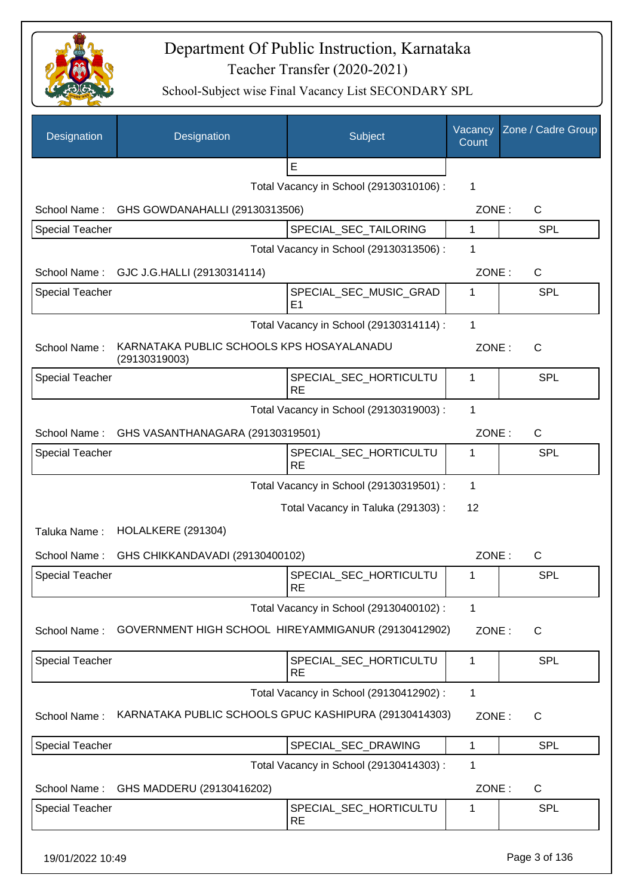

| Designation            | Designation                                                | Subject                                  | Vacancy<br>Count | Zone / Cadre Group |
|------------------------|------------------------------------------------------------|------------------------------------------|------------------|--------------------|
|                        |                                                            | E                                        |                  |                    |
|                        |                                                            | Total Vacancy in School (29130310106) :  | 1                |                    |
| School Name:           | GHS GOWDANAHALLI (29130313506)                             |                                          | ZONE:            | $\mathsf{C}$       |
| <b>Special Teacher</b> |                                                            | SPECIAL_SEC_TAILORING                    | 1                | <b>SPL</b>         |
|                        |                                                            | Total Vacancy in School (29130313506) :  | 1                |                    |
| School Name:           | GJC J.G.HALLI (29130314114)                                |                                          | ZONE:            | $\mathsf{C}$       |
| <b>Special Teacher</b> |                                                            | SPECIAL_SEC_MUSIC_GRAD<br>E <sub>1</sub> | 1                | SPL                |
|                        |                                                            | Total Vacancy in School (29130314114) :  | $\mathbf{1}$     |                    |
| School Name:           | KARNATAKA PUBLIC SCHOOLS KPS HOSAYALANADU<br>(29130319003) |                                          | ZONE:            | $\mathsf{C}$       |
| <b>Special Teacher</b> |                                                            | SPECIAL_SEC_HORTICULTU<br><b>RE</b>      | 1                | <b>SPL</b>         |
|                        |                                                            | Total Vacancy in School (29130319003) :  | 1                |                    |
|                        | School Name: GHS VASANTHANAGARA (29130319501)              |                                          | ZONE:            | $\mathsf{C}$       |
| <b>Special Teacher</b> |                                                            | SPECIAL_SEC_HORTICULTU<br><b>RE</b>      | 1                | <b>SPL</b>         |
|                        |                                                            | Total Vacancy in School (29130319501) :  | 1                |                    |
|                        |                                                            | Total Vacancy in Taluka (291303):        | 12               |                    |
| Taluka Name:           | HOLALKERE (291304)                                         |                                          |                  |                    |
| School Name:           | GHS CHIKKANDAVADI (29130400102)                            |                                          | ZONE:            | $\mathsf{C}$       |
| <b>Special Teacher</b> |                                                            | SPECIAL_SEC_HORTICULTU<br>RE             | 1                | SPL                |
|                        |                                                            | Total Vacancy in School (29130400102) :  | 1                |                    |
| School Name:           | GOVERNMENT HIGH SCHOOL HIREYAMMIGANUR (29130412902)        |                                          | ZONE:            | $\mathsf{C}$       |
| <b>Special Teacher</b> |                                                            | SPECIAL SEC HORTICULTU<br><b>RE</b>      | 1                | <b>SPL</b>         |
|                        |                                                            | Total Vacancy in School (29130412902) :  | $\mathbf{1}$     |                    |
| School Name:           | KARNATAKA PUBLIC SCHOOLS GPUC KASHIPURA (29130414303)      |                                          | ZONE:            | $\mathsf{C}$       |
| <b>Special Teacher</b> |                                                            | SPECIAL_SEC_DRAWING                      | $\mathbf{1}$     | <b>SPL</b>         |
|                        |                                                            | Total Vacancy in School (29130414303) :  | 1                |                    |
| School Name:           | GHS MADDERU (29130416202)                                  |                                          | ZONE:            | C                  |
| <b>Special Teacher</b> |                                                            | SPECIAL_SEC_HORTICULTU<br><b>RE</b>      | 1                | <b>SPL</b>         |
| 19/01/2022 10:49       |                                                            |                                          |                  | Page 3 of 136      |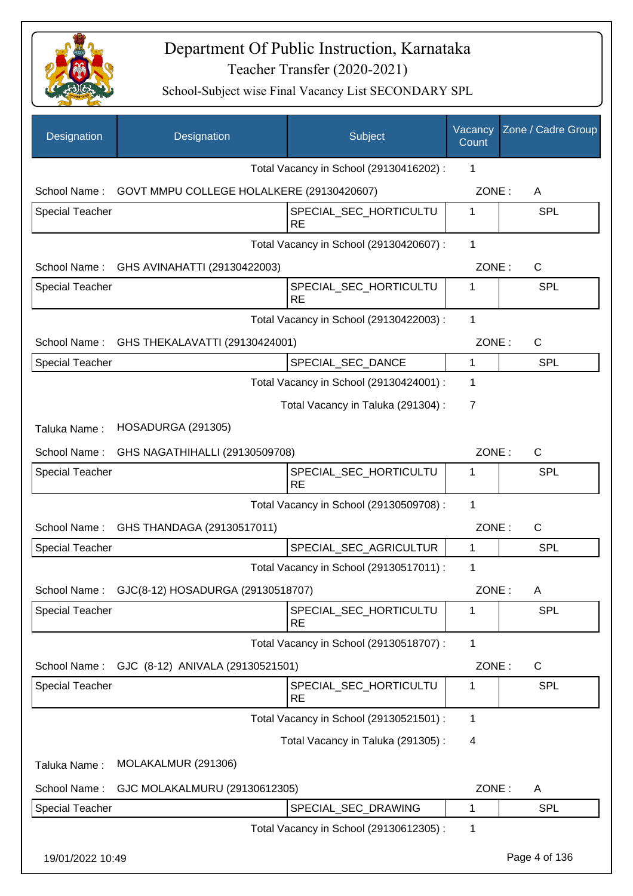

| Designation            | Designation                                            | Subject                                 | Vacancy<br>Count | Zone / Cadre Group |
|------------------------|--------------------------------------------------------|-----------------------------------------|------------------|--------------------|
|                        |                                                        | Total Vacancy in School (29130416202):  | 1                |                    |
|                        | School Name: GOVT MMPU COLLEGE HOLALKERE (29130420607) |                                         | ZONE:            | A                  |
| <b>Special Teacher</b> |                                                        | SPECIAL_SEC_HORTICULTU<br><b>RE</b>     | 1                | <b>SPL</b>         |
|                        |                                                        | Total Vacancy in School (29130420607) : | 1                |                    |
|                        | School Name: GHS AVINAHATTI (29130422003)              |                                         | ZONE:            | $\mathsf{C}$       |
| <b>Special Teacher</b> |                                                        | SPECIAL_SEC_HORTICULTU<br><b>RE</b>     | 1                | <b>SPL</b>         |
|                        |                                                        | Total Vacancy in School (29130422003) : | $\mathbf 1$      |                    |
|                        | School Name: GHS THEKALAVATTI (29130424001)            |                                         | ZONE:            | $\mathsf{C}$       |
| <b>Special Teacher</b> |                                                        | SPECIAL_SEC_DANCE                       | 1                | <b>SPL</b>         |
|                        |                                                        | Total Vacancy in School (29130424001) : | 1                |                    |
|                        |                                                        | Total Vacancy in Taluka (291304) :      | $\overline{7}$   |                    |
| Taluka Name:           | HOSADURGA (291305)                                     |                                         |                  |                    |
| School Name:           | GHS NAGATHIHALLI (29130509708)                         |                                         | ZONE:            | $\mathsf{C}$       |
| <b>Special Teacher</b> |                                                        | SPECIAL_SEC_HORTICULTU<br><b>RE</b>     | 1                | <b>SPL</b>         |
|                        |                                                        | Total Vacancy in School (29130509708) : | 1                |                    |
|                        | School Name: GHS THANDAGA (29130517011)                |                                         | ZONE:            | $\mathsf{C}$       |
| <b>Special Teacher</b> |                                                        | SPECIAL_SEC_AGRICULTUR                  | 1                | <b>SPL</b>         |
|                        |                                                        | Total Vacancy in School (29130517011) : | 1                |                    |
| School Name:           | GJC(8-12) HOSADURGA (29130518707)                      |                                         | ZONE:            | Α                  |
| <b>Special Teacher</b> |                                                        | SPECIAL_SEC_HORTICULTU<br><b>RE</b>     | 1                | <b>SPL</b>         |
|                        |                                                        | Total Vacancy in School (29130518707) : | 1                |                    |
| School Name:           | GJC (8-12) ANIVALA (29130521501)                       |                                         | ZONE:            | C                  |
| <b>Special Teacher</b> |                                                        | SPECIAL_SEC_HORTICULTU<br><b>RE</b>     | 1                | <b>SPL</b>         |
|                        |                                                        | Total Vacancy in School (29130521501) : | 1                |                    |
|                        |                                                        | Total Vacancy in Taluka (291305):       | 4                |                    |
| Taluka Name:           | MOLAKALMUR (291306)                                    |                                         |                  |                    |
| School Name:           | GJC MOLAKALMURU (29130612305)                          |                                         | ZONE:            | A                  |
| <b>Special Teacher</b> |                                                        | SPECIAL_SEC_DRAWING                     | 1                | <b>SPL</b>         |
|                        |                                                        | Total Vacancy in School (29130612305) : | 1                |                    |
| 19/01/2022 10:49       |                                                        |                                         |                  | Page 4 of 136      |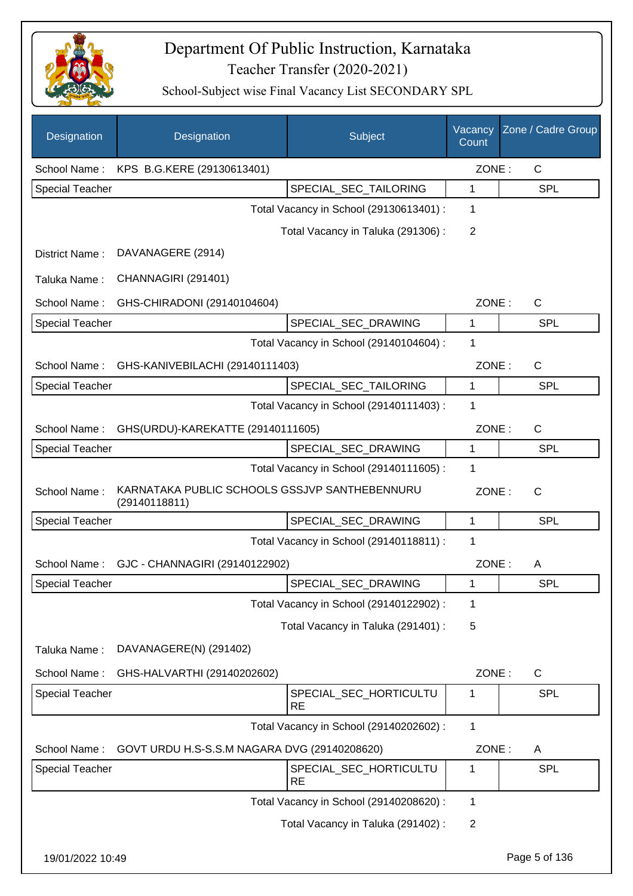

| Designation            | Designation                                                    | Subject                                 | Vacancy<br>Count | Zone / Cadre Group |
|------------------------|----------------------------------------------------------------|-----------------------------------------|------------------|--------------------|
| School Name:           | KPS B.G.KERE (29130613401)                                     |                                         | ZONE:            | $\mathsf{C}$       |
| <b>Special Teacher</b> |                                                                | SPECIAL SEC TAILORING                   | 1                | <b>SPL</b>         |
|                        |                                                                | Total Vacancy in School (29130613401) : | 1                |                    |
|                        |                                                                | Total Vacancy in Taluka (291306):       | $\overline{2}$   |                    |
| District Name:         | DAVANAGERE (2914)                                              |                                         |                  |                    |
| Taluka Name:           | CHANNAGIRI (291401)                                            |                                         |                  |                    |
| School Name:           | GHS-CHIRADONI (29140104604)                                    |                                         | ZONE:            | $\mathsf{C}$       |
| Special Teacher        |                                                                | SPECIAL_SEC_DRAWING                     | 1                | <b>SPL</b>         |
|                        |                                                                | Total Vacancy in School (29140104604) : | 1                |                    |
| School Name:           | GHS-KANIVEBILACHI (29140111403)                                |                                         | ZONE:            | $\mathsf{C}$       |
| <b>Special Teacher</b> |                                                                | SPECIAL SEC TAILORING                   | 1                | SPL                |
|                        |                                                                | Total Vacancy in School (29140111403) : | 1                |                    |
| School Name:           | GHS(URDU)-KAREKATTE (29140111605)                              |                                         | ZONE:            | $\mathsf{C}$       |
| <b>Special Teacher</b> |                                                                | SPECIAL_SEC_DRAWING                     | 1                | <b>SPL</b>         |
|                        |                                                                | Total Vacancy in School (29140111605) : | 1                |                    |
| School Name:           | KARNATAKA PUBLIC SCHOOLS GSSJVP SANTHEBENNURU<br>(29140118811) |                                         | ZONE:            | $\mathsf{C}$       |
| <b>Special Teacher</b> |                                                                | SPECIAL_SEC_DRAWING                     | 1                | <b>SPL</b>         |
|                        |                                                                | Total Vacancy in School (29140118811) : | 1                |                    |
| School Name:           | GJC - CHANNAGIRI (29140122902)                                 |                                         | ZONE:            | A                  |
| Special Teacher        |                                                                | SPECIAL_SEC_DRAWING                     | 1                | <b>SPL</b>         |
|                        |                                                                | Total Vacancy in School (29140122902) : | 1                |                    |
|                        |                                                                | Total Vacancy in Taluka (291401) :      | 5                |                    |
| Taluka Name:           | DAVANAGERE(N) (291402)                                         |                                         |                  |                    |
| School Name:           | GHS-HALVARTHI (29140202602)                                    |                                         | ZONE:            | $\mathsf{C}$       |
| Special Teacher        |                                                                | SPECIAL_SEC_HORTICULTU<br><b>RE</b>     | 1                | <b>SPL</b>         |
|                        |                                                                | Total Vacancy in School (29140202602) : | 1                |                    |
| School Name:           | GOVT URDU H.S-S.S.M NAGARA DVG (29140208620)                   |                                         | ZONE:            | A                  |
| Special Teacher        |                                                                | SPECIAL_SEC_HORTICULTU<br><b>RE</b>     | 1                | <b>SPL</b>         |
|                        |                                                                | Total Vacancy in School (29140208620) : | 1                |                    |
|                        |                                                                | Total Vacancy in Taluka (291402) :      | $\overline{2}$   |                    |
| 19/01/2022 10:49       |                                                                |                                         |                  | Page 5 of 136      |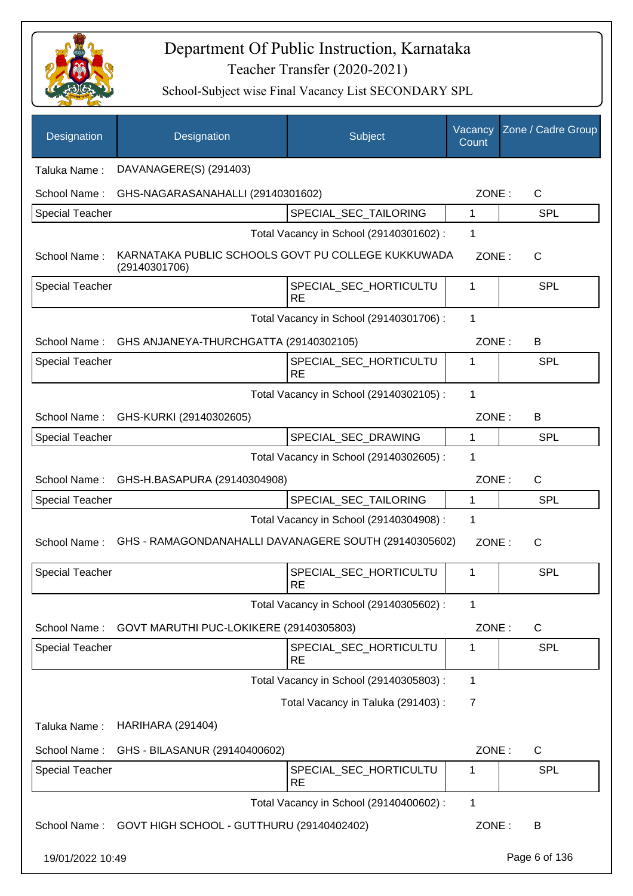

| Designation            | Designation                                                         | Subject                                 | Vacancy<br>Count | Zone / Cadre Group |  |  |  |
|------------------------|---------------------------------------------------------------------|-----------------------------------------|------------------|--------------------|--|--|--|
| Taluka Name:           | DAVANAGERE(S) (291403)                                              |                                         |                  |                    |  |  |  |
| School Name:           | GHS-NAGARASANAHALLI (29140301602)                                   |                                         | ZONE:            | $\mathsf{C}$       |  |  |  |
| <b>Special Teacher</b> |                                                                     | SPECIAL_SEC_TAILORING                   | 1                | <b>SPL</b>         |  |  |  |
|                        |                                                                     | Total Vacancy in School (29140301602) : | 1                |                    |  |  |  |
| School Name:           | KARNATAKA PUBLIC SCHOOLS GOVT PU COLLEGE KUKKUWADA<br>(29140301706) |                                         | ZONE:            | C                  |  |  |  |
| <b>Special Teacher</b> |                                                                     | SPECIAL_SEC_HORTICULTU<br>RE            | 1                | <b>SPL</b>         |  |  |  |
|                        |                                                                     | Total Vacancy in School (29140301706) : | 1                |                    |  |  |  |
|                        | School Name: GHS ANJANEYA-THURCHGATTA (29140302105)                 |                                         | ZONE:            | B                  |  |  |  |
| Special Teacher        |                                                                     | SPECIAL SEC HORTICULTU<br><b>RE</b>     | 1                | <b>SPL</b>         |  |  |  |
|                        |                                                                     | Total Vacancy in School (29140302105) : | 1                |                    |  |  |  |
| School Name:           | GHS-KURKI (29140302605)                                             |                                         | ZONE:            | B                  |  |  |  |
| <b>Special Teacher</b> |                                                                     | SPECIAL_SEC_DRAWING                     | 1                | <b>SPL</b>         |  |  |  |
|                        |                                                                     | Total Vacancy in School (29140302605) : | 1                |                    |  |  |  |
| School Name:           | GHS-H.BASAPURA (29140304908)                                        |                                         | ZONE:            | C                  |  |  |  |
| <b>Special Teacher</b> |                                                                     | SPECIAL_SEC_TAILORING                   | 1                | <b>SPL</b>         |  |  |  |
|                        |                                                                     | Total Vacancy in School (29140304908) : | 1                |                    |  |  |  |
| School Name:           | GHS - RAMAGONDANAHALLI DAVANAGERE SOUTH (29140305602)               |                                         | ZONE:            | C                  |  |  |  |
| <b>Special Teacher</b> |                                                                     | SPECIAL SEC HORTICULTU<br><b>RE</b>     | 1                | SPL                |  |  |  |
|                        |                                                                     | Total Vacancy in School (29140305602) : | 1                |                    |  |  |  |
| School Name:           | GOVT MARUTHI PUC-LOKIKERE (29140305803)                             |                                         | ZONE:            | C                  |  |  |  |
| <b>Special Teacher</b> |                                                                     | SPECIAL_SEC_HORTICULTU<br><b>RE</b>     | 1                | <b>SPL</b>         |  |  |  |
|                        |                                                                     | Total Vacancy in School (29140305803) : | 1                |                    |  |  |  |
|                        |                                                                     | Total Vacancy in Taluka (291403) :      | 7                |                    |  |  |  |
| Taluka Name:           | <b>HARIHARA (291404)</b>                                            |                                         |                  |                    |  |  |  |
| School Name:           | GHS - BILASANUR (29140400602)                                       |                                         | ZONE:            | C                  |  |  |  |
| <b>Special Teacher</b> |                                                                     | SPECIAL_SEC_HORTICULTU<br>RE            | 1                | <b>SPL</b>         |  |  |  |
|                        |                                                                     | Total Vacancy in School (29140400602) : | 1                |                    |  |  |  |
|                        | School Name: GOVT HIGH SCHOOL - GUTTHURU (29140402402)              |                                         | ZONE:            | B                  |  |  |  |
| 19/01/2022 10:49       |                                                                     |                                         |                  | Page 6 of 136      |  |  |  |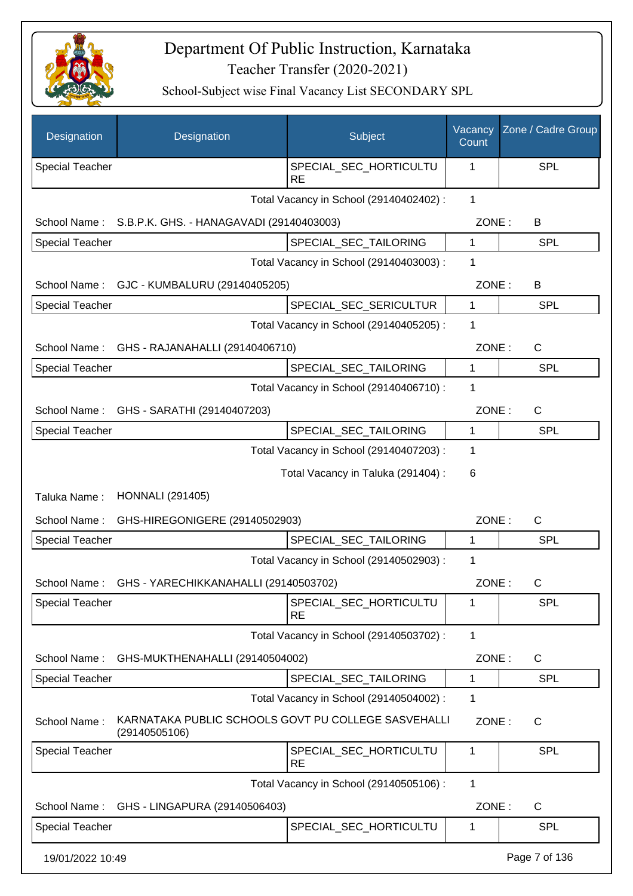

| Designation            | Designation                                                          | Subject                                 | Vacancy<br>Count | Zone / Cadre Group |
|------------------------|----------------------------------------------------------------------|-----------------------------------------|------------------|--------------------|
| <b>Special Teacher</b> |                                                                      | SPECIAL_SEC_HORTICULTU<br><b>RE</b>     | 1                | SPL                |
|                        |                                                                      | Total Vacancy in School (29140402402) : | $\mathbf{1}$     |                    |
| School Name:           | S.B.P.K. GHS. - HANAGAVADI (29140403003)                             |                                         | ZONE:            | B                  |
| Special Teacher        |                                                                      | SPECIAL_SEC_TAILORING                   | 1                | <b>SPL</b>         |
|                        |                                                                      | Total Vacancy in School (29140403003) : | 1                |                    |
| School Name:           | GJC - KUMBALURU (29140405205)                                        |                                         | ZONE:            | B                  |
| Special Teacher        |                                                                      | SPECIAL_SEC_SERICULTUR                  | $\mathbf{1}$     | <b>SPL</b>         |
|                        |                                                                      | Total Vacancy in School (29140405205) : | 1                |                    |
| School Name:           | GHS - RAJANAHALLI (29140406710)                                      |                                         | ZONE:            | C                  |
| <b>Special Teacher</b> |                                                                      | SPECIAL_SEC_TAILORING                   | $\mathbf{1}$     | <b>SPL</b>         |
|                        |                                                                      | Total Vacancy in School (29140406710) : | 1                |                    |
| School Name:           | GHS - SARATHI (29140407203)                                          |                                         | ZONE:            | $\mathsf{C}$       |
| <b>Special Teacher</b> |                                                                      | SPECIAL_SEC_TAILORING                   | $\mathbf{1}$     | <b>SPL</b>         |
|                        |                                                                      | Total Vacancy in School (29140407203) : | 1                |                    |
|                        |                                                                      | Total Vacancy in Taluka (291404) :      | 6                |                    |
| Taluka Name:           | <b>HONNALI</b> (291405)                                              |                                         |                  |                    |
| School Name:           | GHS-HIREGONIGERE (29140502903)                                       |                                         | ZONE:            | C                  |
| Special Teacher        |                                                                      | SPECIAL_SEC_TAILORING                   | $\mathbf{1}$     | <b>SPL</b>         |
|                        |                                                                      | Total Vacancy in School (29140502903) : | 1                |                    |
| School Name:           | GHS - YARECHIKKANAHALLI (29140503702)                                |                                         | ZONE:            | C                  |
| <b>Special Teacher</b> |                                                                      | SPECIAL_SEC_HORTICULTU<br><b>RE</b>     | 1                | SPL                |
|                        |                                                                      | Total Vacancy in School (29140503702) : | 1                |                    |
| School Name:           | GHS-MUKTHENAHALLI (29140504002)                                      |                                         | ZONE:            | C                  |
| <b>Special Teacher</b> |                                                                      | SPECIAL_SEC_TAILORING                   | 1                | <b>SPL</b>         |
|                        |                                                                      | Total Vacancy in School (29140504002) : | 1                |                    |
| School Name:           | KARNATAKA PUBLIC SCHOOLS GOVT PU COLLEGE SASVEHALLI<br>(29140505106) |                                         | ZONE:            | $\mathsf{C}$       |
| Special Teacher        |                                                                      | SPECIAL_SEC_HORTICULTU<br><b>RE</b>     | 1                | <b>SPL</b>         |
|                        |                                                                      | Total Vacancy in School (29140505106) : | 1                |                    |
| School Name:           | GHS - LINGAPURA (29140506403)                                        |                                         | ZONE:            | $\mathsf{C}$       |
| <b>Special Teacher</b> |                                                                      | SPECIAL_SEC_HORTICULTU                  | 1                | SPL                |
| 19/01/2022 10:49       |                                                                      |                                         |                  | Page 7 of 136      |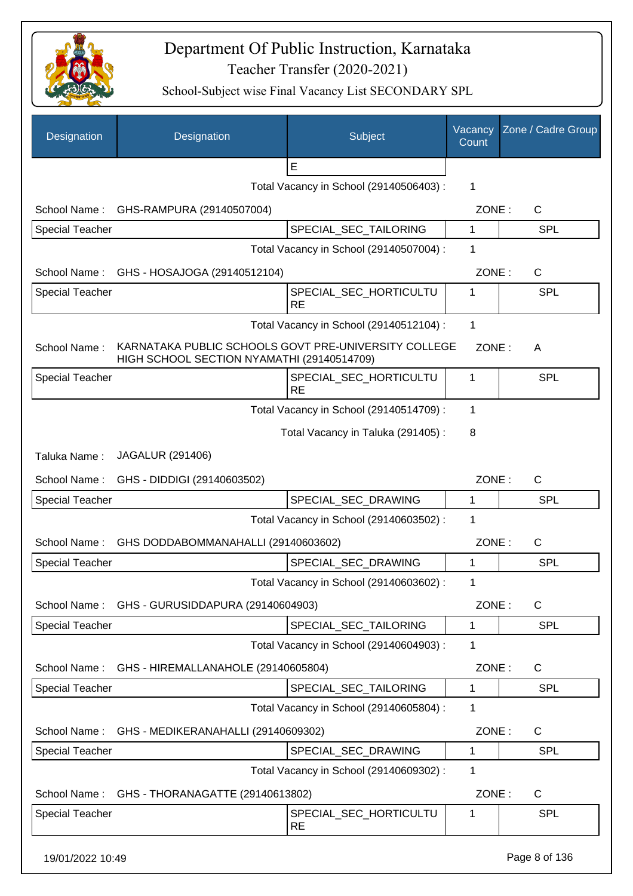

| Designation            | Designation                                                                                        | Subject                                 | Vacancy<br>Count | Zone / Cadre Group |
|------------------------|----------------------------------------------------------------------------------------------------|-----------------------------------------|------------------|--------------------|
|                        |                                                                                                    | E                                       |                  |                    |
|                        |                                                                                                    | Total Vacancy in School (29140506403) : | 1                |                    |
|                        | School Name: GHS-RAMPURA (29140507004)                                                             |                                         | ZONE:            | C                  |
| <b>Special Teacher</b> |                                                                                                    | SPECIAL_SEC_TAILORING                   | 1                | <b>SPL</b>         |
|                        |                                                                                                    | Total Vacancy in School (29140507004) : | 1                |                    |
| School Name:           | GHS - HOSAJOGA (29140512104)                                                                       |                                         | ZONE:            | C                  |
| <b>Special Teacher</b> |                                                                                                    | SPECIAL_SEC_HORTICULTU<br><b>RE</b>     | 1                | SPL                |
|                        |                                                                                                    | Total Vacancy in School (29140512104) : | 1                |                    |
| School Name:           | KARNATAKA PUBLIC SCHOOLS GOVT PRE-UNIVERSITY COLLEGE<br>HIGH SCHOOL SECTION NYAMATHI (29140514709) |                                         | ZONE:            | A                  |
| <b>Special Teacher</b> |                                                                                                    | SPECIAL SEC HORTICULTU<br><b>RE</b>     | 1                | <b>SPL</b>         |
|                        |                                                                                                    | Total Vacancy in School (29140514709) : | 1                |                    |
|                        |                                                                                                    | Total Vacancy in Taluka (291405):       | 8                |                    |
| Taluka Name:           | <b>JAGALUR (291406)</b>                                                                            |                                         |                  |                    |
| School Name:           | GHS - DIDDIGI (29140603502)                                                                        |                                         | ZONE:            | C                  |
| <b>Special Teacher</b> |                                                                                                    | SPECIAL_SEC_DRAWING                     | 1                | <b>SPL</b>         |
|                        |                                                                                                    | Total Vacancy in School (29140603502) : | 1                |                    |
| School Name:           | GHS DODDABOMMANAHALLI (29140603602)                                                                |                                         | ZONE:            | $\mathsf{C}$       |
| <b>Special Teacher</b> |                                                                                                    | SPECIAL_SEC_DRAWING                     | 1                | <b>SPL</b>         |
|                        |                                                                                                    | Total Vacancy in School (29140603602) : | 1                |                    |
|                        | School Name: GHS - GURUSIDDAPURA (29140604903)                                                     |                                         | ZONE:            | C                  |
| Special Teacher        |                                                                                                    | SPECIAL_SEC_TAILORING                   | 1                | <b>SPL</b>         |
|                        |                                                                                                    | Total Vacancy in School (29140604903) : | 1                |                    |
| School Name:           | GHS - HIREMALLANAHOLE (29140605804)                                                                |                                         | ZONE:            | C                  |
| Special Teacher        |                                                                                                    | SPECIAL_SEC_TAILORING                   | 1                | <b>SPL</b>         |
|                        |                                                                                                    | Total Vacancy in School (29140605804) : | $\mathbf 1$      |                    |
| School Name:           | GHS - MEDIKERANAHALLI (29140609302)                                                                |                                         | ZONE:            | C                  |
| Special Teacher        |                                                                                                    | SPECIAL_SEC_DRAWING                     | 1                | <b>SPL</b>         |
|                        |                                                                                                    | Total Vacancy in School (29140609302) : | 1                |                    |
| School Name:           | GHS - THORANAGATTE (29140613802)                                                                   |                                         | ZONE:            | C                  |
| <b>Special Teacher</b> |                                                                                                    | SPECIAL_SEC_HORTICULTU<br><b>RE</b>     | 1                | <b>SPL</b>         |
| 19/01/2022 10:49       |                                                                                                    |                                         |                  | Page 8 of 136      |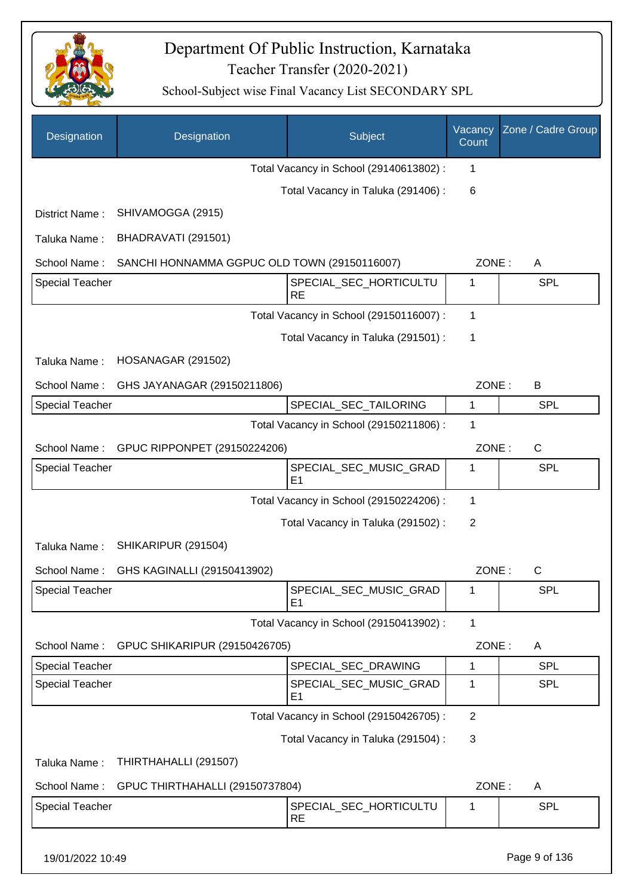

| Designation            | Designation                                  | <b>Subject</b>                           | Vacancy<br>Count | Zone / Cadre Group |
|------------------------|----------------------------------------------|------------------------------------------|------------------|--------------------|
|                        |                                              | Total Vacancy in School (29140613802) :  | 1                |                    |
|                        |                                              | Total Vacancy in Taluka (291406) :       | 6                |                    |
| District Name:         | SHIVAMOGGA (2915)                            |                                          |                  |                    |
| Taluka Name:           | BHADRAVATI (291501)                          |                                          |                  |                    |
| School Name:           | SANCHI HONNAMMA GGPUC OLD TOWN (29150116007) |                                          | ZONE:            | A                  |
| <b>Special Teacher</b> |                                              | SPECIAL_SEC_HORTICULTU<br><b>RE</b>      | 1                | SPL                |
|                        |                                              | Total Vacancy in School (29150116007):   | 1                |                    |
|                        |                                              | Total Vacancy in Taluka (291501) :       | 1                |                    |
| Taluka Name:           | HOSANAGAR (291502)                           |                                          |                  |                    |
| School Name:           | GHS JAYANAGAR (29150211806)                  |                                          | ZONE:            | B                  |
| <b>Special Teacher</b> |                                              | SPECIAL_SEC_TAILORING                    | 1                | <b>SPL</b>         |
|                        |                                              | Total Vacancy in School (29150211806) :  | 1                |                    |
| School Name:           | GPUC RIPPONPET (29150224206)                 |                                          | ZONE:            | $\mathsf{C}$       |
| <b>Special Teacher</b> |                                              | SPECIAL_SEC_MUSIC_GRAD<br>E1             | 1                | SPL                |
|                        |                                              | Total Vacancy in School (29150224206) :  | 1                |                    |
|                        |                                              | Total Vacancy in Taluka (291502) :       | 2                |                    |
| Taluka Name:           | SHIKARIPUR (291504)                          |                                          |                  |                    |
| School Name:           | GHS KAGINALLI (29150413902)                  |                                          | ZONE:            | $\mathsf{C}$       |
| Special Teacher        |                                              | SPECIAL_SEC_MUSIC_GRAD<br>E <sub>1</sub> | 1                | SPL                |
|                        |                                              | Total Vacancy in School (29150413902) :  | 1                |                    |
| School Name:           | GPUC SHIKARIPUR (29150426705)                |                                          | ZONE:            | A                  |
| <b>Special Teacher</b> |                                              | SPECIAL_SEC_DRAWING                      | 1                | <b>SPL</b>         |
| <b>Special Teacher</b> |                                              | SPECIAL_SEC_MUSIC_GRAD<br>E <sub>1</sub> | 1                | <b>SPL</b>         |
|                        |                                              | Total Vacancy in School (29150426705) :  | $\overline{2}$   |                    |
|                        |                                              | Total Vacancy in Taluka (291504) :       | 3                |                    |
| Taluka Name:           | THIRTHAHALLI (291507)                        |                                          |                  |                    |
| School Name:           | GPUC THIRTHAHALLI (29150737804)              |                                          | ZONE:            | A                  |
| Special Teacher        |                                              | SPECIAL_SEC_HORTICULTU<br><b>RE</b>      | 1                | <b>SPL</b>         |
| 19/01/2022 10:49       |                                              |                                          |                  | Page 9 of 136      |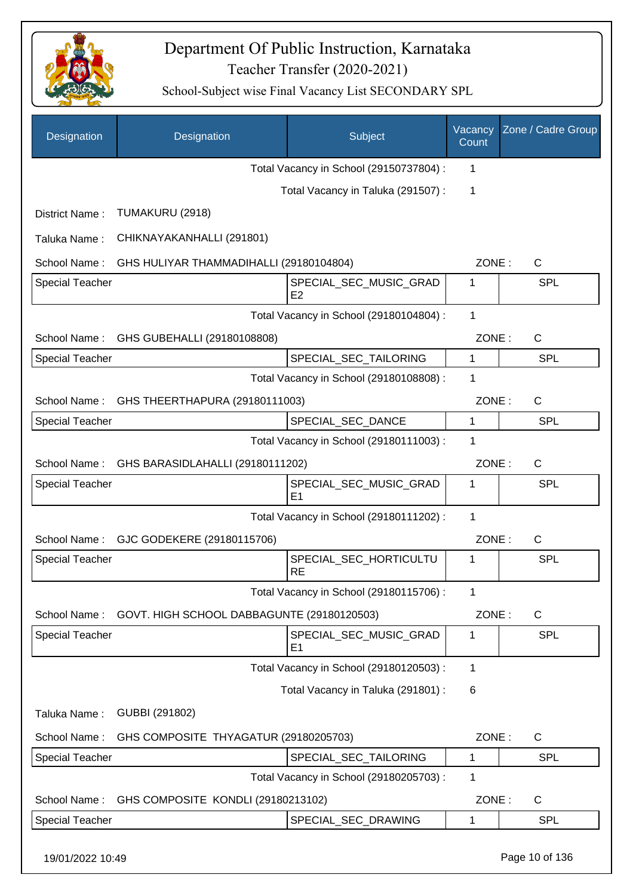

| Designation            | Designation                                | Subject                                  | Vacancy<br>Count | Zone / Cadre Group |
|------------------------|--------------------------------------------|------------------------------------------|------------------|--------------------|
|                        |                                            | Total Vacancy in School (29150737804) :  | 1                |                    |
|                        |                                            | Total Vacancy in Taluka (291507) :       | 1                |                    |
| District Name:         | TUMAKURU (2918)                            |                                          |                  |                    |
| Taluka Name:           | CHIKNAYAKANHALLI (291801)                  |                                          |                  |                    |
| School Name:           | GHS HULIYAR THAMMADIHALLI (29180104804)    |                                          | ZONE:            | C                  |
| <b>Special Teacher</b> |                                            | SPECIAL_SEC_MUSIC_GRAD<br>E <sub>2</sub> | 1                | <b>SPL</b>         |
|                        |                                            | Total Vacancy in School (29180104804) :  | 1                |                    |
| School Name:           | GHS GUBEHALLI (29180108808)                |                                          | ZONE:            | C                  |
| <b>Special Teacher</b> |                                            | SPECIAL_SEC_TAILORING                    | $\mathbf{1}$     | <b>SPL</b>         |
|                        |                                            | Total Vacancy in School (29180108808) :  | 1                |                    |
| School Name:           | GHS THEERTHAPURA (29180111003)             |                                          | ZONE:            | $\mathsf{C}$       |
| <b>Special Teacher</b> |                                            | SPECIAL_SEC_DANCE                        | 1                | SPL                |
|                        |                                            | Total Vacancy in School (29180111003) :  | 1                |                    |
| School Name:           | GHS BARASIDLAHALLI (29180111202)           |                                          | ZONE:            | $\mathsf{C}$       |
| <b>Special Teacher</b> |                                            | SPECIAL_SEC_MUSIC_GRAD<br>E <sub>1</sub> | 1                | <b>SPL</b>         |
|                        |                                            | Total Vacancy in School (29180111202) :  | 1                |                    |
|                        | School Name: GJC GODEKERE (29180115706)    |                                          | ZONE:            | C                  |
| Special Teacher        |                                            | SPECIAL_SEC_HORTICULTU<br><b>RE</b>      | 1                | <b>SPL</b>         |
|                        |                                            | Total Vacancy in School (29180115706) :  | 1                |                    |
| School Name:           | GOVT. HIGH SCHOOL DABBAGUNTE (29180120503) |                                          | ZONE:            | $\mathsf{C}$       |
| <b>Special Teacher</b> |                                            | SPECIAL_SEC_MUSIC_GRAD<br>E <sub>1</sub> | 1                | <b>SPL</b>         |
|                        |                                            | Total Vacancy in School (29180120503) :  | 1                |                    |
|                        |                                            | Total Vacancy in Taluka (291801) :       | 6                |                    |
| Taluka Name:           | GUBBI (291802)                             |                                          |                  |                    |
| School Name:           | GHS COMPOSITE THYAGATUR (29180205703)      |                                          | ZONE:            | $\mathsf{C}$       |
| Special Teacher        |                                            | SPECIAL_SEC_TAILORING                    | 1                | <b>SPL</b>         |
|                        |                                            | Total Vacancy in School (29180205703) :  | 1                |                    |
| School Name:           | GHS COMPOSITE KONDLI (29180213102)         |                                          | ZONE:            | $\mathsf{C}$       |
| Special Teacher        |                                            | SPECIAL_SEC_DRAWING                      | 1                | <b>SPL</b>         |
| 19/01/2022 10:49       |                                            |                                          |                  | Page 10 of 136     |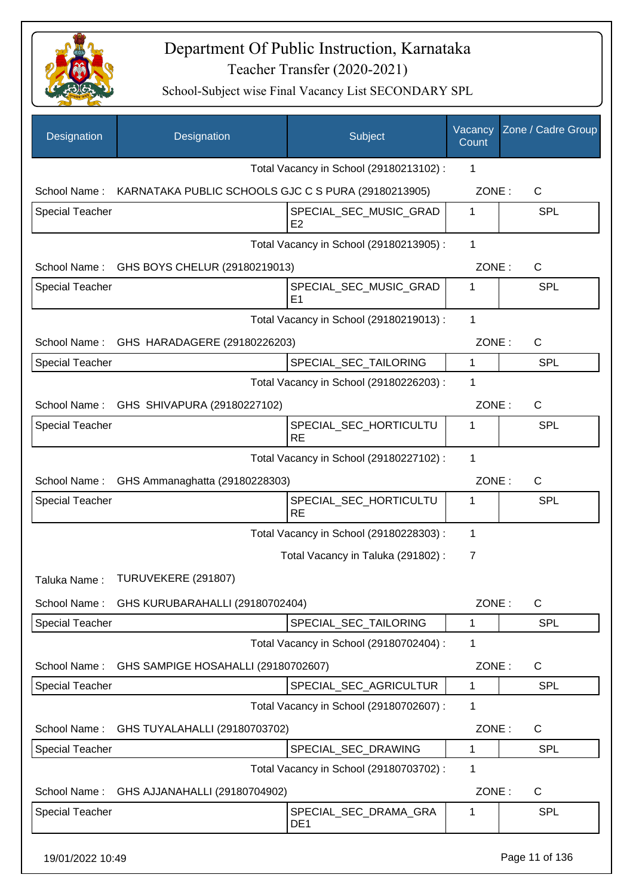

| Designation            | Designation                                                      | Subject                                  | Vacancy<br>Count | Zone / Cadre Group |
|------------------------|------------------------------------------------------------------|------------------------------------------|------------------|--------------------|
|                        |                                                                  | Total Vacancy in School (29180213102) :  | 1                |                    |
|                        | School Name: KARNATAKA PUBLIC SCHOOLS GJC C S PURA (29180213905) |                                          | ZONE:            | $\mathsf{C}$       |
| Special Teacher        |                                                                  | SPECIAL_SEC_MUSIC_GRAD<br>E <sub>2</sub> | 1                | <b>SPL</b>         |
|                        |                                                                  | Total Vacancy in School (29180213905) :  | 1                |                    |
|                        | School Name: GHS BOYS CHELUR (29180219013)                       |                                          | ZONE:            | C                  |
| <b>Special Teacher</b> |                                                                  | SPECIAL_SEC_MUSIC_GRAD<br>E <sub>1</sub> | $\mathbf 1$      | <b>SPL</b>         |
|                        |                                                                  | Total Vacancy in School (29180219013) :  | 1                |                    |
|                        | School Name: GHS HARADAGERE (29180226203)                        |                                          | ZONE:            | $\mathsf{C}$       |
| <b>Special Teacher</b> |                                                                  | SPECIAL_SEC_TAILORING                    | $\mathbf{1}$     | <b>SPL</b>         |
|                        |                                                                  | Total Vacancy in School (29180226203) :  | 1                |                    |
|                        | School Name: GHS SHIVAPURA (29180227102)                         |                                          | ZONE:            | $\mathsf{C}$       |
| Special Teacher        |                                                                  | SPECIAL_SEC_HORTICULTU<br><b>RE</b>      | $\mathbf 1$      | <b>SPL</b>         |
|                        |                                                                  | Total Vacancy in School (29180227102) :  | 1                |                    |
| School Name:           | GHS Ammanaghatta (29180228303)                                   |                                          | ZONE:            | $\mathsf{C}$       |
| Special Teacher        |                                                                  | SPECIAL_SEC_HORTICULTU<br><b>RE</b>      | 1                | <b>SPL</b>         |
|                        |                                                                  | Total Vacancy in School (29180228303) :  | 1                |                    |
|                        |                                                                  | Total Vacancy in Taluka (291802) :       | 7                |                    |
| Taluka Name:           | TURUVEKERE (291807)                                              |                                          |                  |                    |
|                        | School Name: GHS KURUBARAHALLI (29180702404)                     |                                          | ZONE:            | $\mathsf{C}$       |
| <b>Special Teacher</b> |                                                                  | SPECIAL_SEC_TAILORING                    | 1                | <b>SPL</b>         |
|                        |                                                                  | Total Vacancy in School (29180702404) :  | 1                |                    |
| School Name:           | GHS SAMPIGE HOSAHALLI (29180702607)                              |                                          | ZONE:            | C                  |
| Special Teacher        |                                                                  | SPECIAL SEC AGRICULTUR                   | 1                | <b>SPL</b>         |
|                        |                                                                  | Total Vacancy in School (29180702607) :  | 1                |                    |
| School Name:           | GHS TUYALAHALLI (29180703702)                                    |                                          | ZONE:            | C                  |
| <b>Special Teacher</b> |                                                                  | SPECIAL_SEC_DRAWING                      | 1                | SPL                |
|                        |                                                                  | Total Vacancy in School (29180703702) :  | 1                |                    |
| School Name:           | GHS AJJANAHALLI (29180704902)                                    |                                          | ZONE:            | $\mathsf{C}$       |
| Special Teacher        |                                                                  | SPECIAL_SEC_DRAMA_GRA<br>DE <sub>1</sub> | 1                | SPL                |
| 19/01/2022 10:49       |                                                                  |                                          |                  | Page 11 of 136     |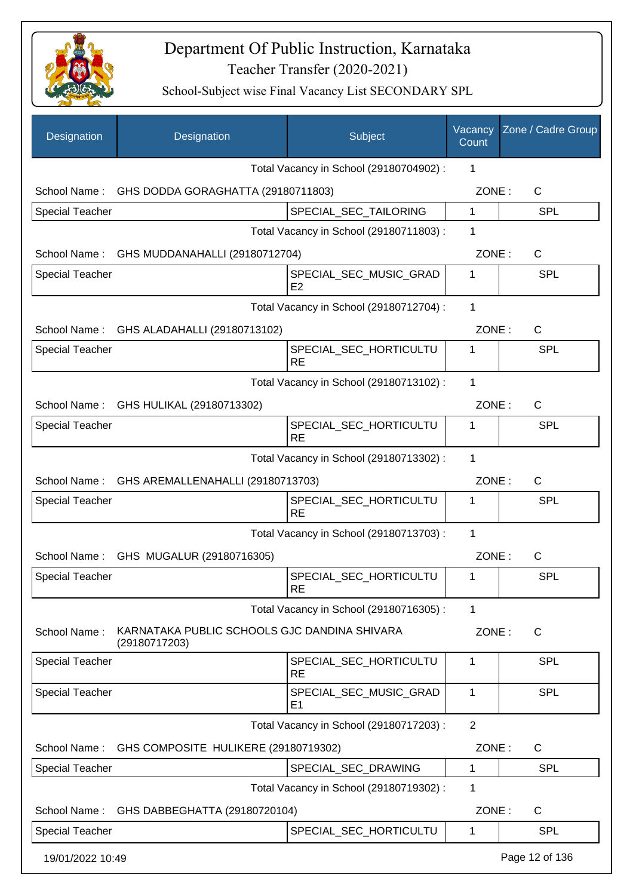

| Designation            | Designation                                                   | Subject                                  | Vacancy<br>Count | Zone / Cadre Group |
|------------------------|---------------------------------------------------------------|------------------------------------------|------------------|--------------------|
|                        |                                                               | Total Vacancy in School (29180704902) :  | 1                |                    |
|                        | School Name: GHS DODDA GORAGHATTA (29180711803)               |                                          | ZONE:            | C                  |
| <b>Special Teacher</b> |                                                               | SPECIAL_SEC_TAILORING                    | $\mathbf{1}$     | <b>SPL</b>         |
|                        |                                                               | Total Vacancy in School (29180711803) :  | 1                |                    |
|                        | School Name: GHS MUDDANAHALLI (29180712704)                   |                                          | ZONE:            | $\mathsf{C}$       |
| <b>Special Teacher</b> |                                                               | SPECIAL_SEC_MUSIC_GRAD<br>E <sub>2</sub> | 1                | <b>SPL</b>         |
|                        |                                                               | Total Vacancy in School (29180712704) :  | 1                |                    |
|                        | School Name: GHS ALADAHALLI (29180713102)                     |                                          | ZONE:            | $\mathsf{C}$       |
| <b>Special Teacher</b> |                                                               | SPECIAL_SEC_HORTICULTU<br><b>RE</b>      | 1                | <b>SPL</b>         |
|                        |                                                               | Total Vacancy in School (29180713102) :  | $\mathbf{1}$     |                    |
|                        | School Name: GHS HULIKAL (29180713302)                        |                                          | ZONE:            | C                  |
| <b>Special Teacher</b> |                                                               | SPECIAL_SEC_HORTICULTU<br><b>RE</b>      | 1                | SPL                |
|                        |                                                               | Total Vacancy in School (29180713302) :  | 1                |                    |
|                        | School Name: GHS AREMALLENAHALLI (29180713703)                |                                          | ZONE:            | $\mathsf{C}$       |
| <b>Special Teacher</b> |                                                               | SPECIAL_SEC_HORTICULTU<br><b>RE</b>      | 1                | SPL                |
|                        |                                                               | Total Vacancy in School (29180713703) :  | 1                |                    |
|                        | School Name: GHS MUGALUR (29180716305)                        |                                          | ZONE:            | $\mathsf{C}$       |
| <b>Special Teacher</b> |                                                               | SPECIAL_SEC_HORTICULTU<br><b>RE</b>      | 1                | <b>SPL</b>         |
|                        |                                                               | Total Vacancy in School (29180716305) :  | 1                |                    |
| School Name:           | KARNATAKA PUBLIC SCHOOLS GJC DANDINA SHIVARA<br>(29180717203) |                                          | ZONE:            | C                  |
| <b>Special Teacher</b> |                                                               | SPECIAL_SEC_HORTICULTU<br><b>RE</b>      | 1                | SPL                |
| <b>Special Teacher</b> |                                                               | SPECIAL_SEC_MUSIC_GRAD<br>E <sub>1</sub> | 1                | <b>SPL</b>         |
|                        |                                                               | Total Vacancy in School (29180717203) :  | $\overline{2}$   |                    |
| School Name:           | GHS COMPOSITE HULIKERE (29180719302)                          |                                          | ZONE:            | $\mathsf C$        |
| <b>Special Teacher</b> |                                                               | SPECIAL_SEC_DRAWING                      | 1                | <b>SPL</b>         |
|                        |                                                               | Total Vacancy in School (29180719302) :  | 1                |                    |
| School Name:           | GHS DABBEGHATTA (29180720104)                                 |                                          | ZONE:            | C                  |
| <b>Special Teacher</b> |                                                               | SPECIAL_SEC_HORTICULTU                   | 1                | <b>SPL</b>         |
| 19/01/2022 10:49       |                                                               |                                          |                  | Page 12 of 136     |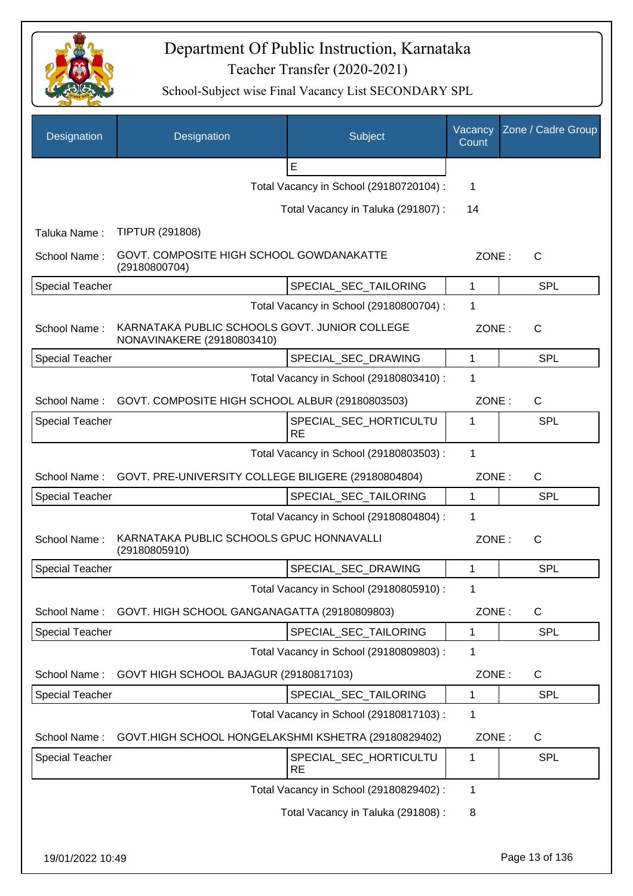

| Designation            | Designation                                                                 | Subject                                 | Vacancy<br>Count | Zone / Cadre Group |
|------------------------|-----------------------------------------------------------------------------|-----------------------------------------|------------------|--------------------|
|                        |                                                                             | E                                       |                  |                    |
|                        |                                                                             | Total Vacancy in School (29180720104) : | 1                |                    |
|                        |                                                                             | Total Vacancy in Taluka (291807):       | 14               |                    |
| Taluka Name:           | <b>TIPTUR (291808)</b>                                                      |                                         |                  |                    |
| School Name:           | GOVT. COMPOSITE HIGH SCHOOL GOWDANAKATTE<br>(29180800704)                   |                                         | ZONE:            | C                  |
| <b>Special Teacher</b> |                                                                             | SPECIAL_SEC_TAILORING                   | 1                | <b>SPL</b>         |
|                        |                                                                             | Total Vacancy in School (29180800704) : | 1                |                    |
| School Name:           | KARNATAKA PUBLIC SCHOOLS GOVT. JUNIOR COLLEGE<br>NONAVINAKERE (29180803410) |                                         | ZONE:            | $\mathsf{C}$       |
| <b>Special Teacher</b> |                                                                             | SPECIAL_SEC_DRAWING                     | $\mathbf{1}$     | SPL                |
|                        |                                                                             | Total Vacancy in School (29180803410) : | 1                |                    |
| School Name:           | GOVT. COMPOSITE HIGH SCHOOL ALBUR (29180803503)                             |                                         | ZONE:            | C                  |
| <b>Special Teacher</b> |                                                                             | SPECIAL_SEC_HORTICULTU<br><b>RE</b>     | 1                | SPL                |
|                        |                                                                             | Total Vacancy in School (29180803503) : | 1                |                    |
| School Name:           | GOVT. PRE-UNIVERSITY COLLEGE BILIGERE (29180804804)                         |                                         | ZONE:            | C                  |
| <b>Special Teacher</b> |                                                                             | SPECIAL_SEC_TAILORING                   | $\mathbf 1$      | SPL                |
|                        |                                                                             | Total Vacancy in School (29180804804) : | 1                |                    |
| School Name:           | KARNATAKA PUBLIC SCHOOLS GPUC HONNAVALLI<br>(29180805910)                   |                                         | ZONE:            | $\mathsf{C}$       |
| <b>Special Teacher</b> |                                                                             | SPECIAL_SEC_DRAWING                     | 1                | SPL                |
|                        |                                                                             | Total Vacancy in School (29180805910) : | 1                |                    |
| School Name:           | GOVT. HIGH SCHOOL GANGANAGATTA (29180809803)                                |                                         | ZONE:            | $\mathsf{C}$       |
| <b>Special Teacher</b> |                                                                             | SPECIAL SEC TAILORING                   | 1                | <b>SPL</b>         |
|                        |                                                                             | Total Vacancy in School (29180809803) : | 1                |                    |
| School Name:           | GOVT HIGH SCHOOL BAJAGUR (29180817103)                                      |                                         | ZONE:            | C                  |
| <b>Special Teacher</b> |                                                                             | SPECIAL SEC TAILORING                   | 1                | SPL                |
|                        |                                                                             | Total Vacancy in School (29180817103) : | 1                |                    |
| School Name:           | GOVT.HIGH SCHOOL HONGELAKSHMI KSHETRA (29180829402)                         |                                         | ZONE:            | C                  |
| Special Teacher        |                                                                             | SPECIAL_SEC_HORTICULTU<br><b>RE</b>     | $\mathbf 1$      | SPL                |
|                        |                                                                             | Total Vacancy in School (29180829402) : | 1                |                    |
|                        |                                                                             | Total Vacancy in Taluka (291808):       | 8                |                    |
| 19/01/2022 10:49       |                                                                             |                                         |                  | Page 13 of 136     |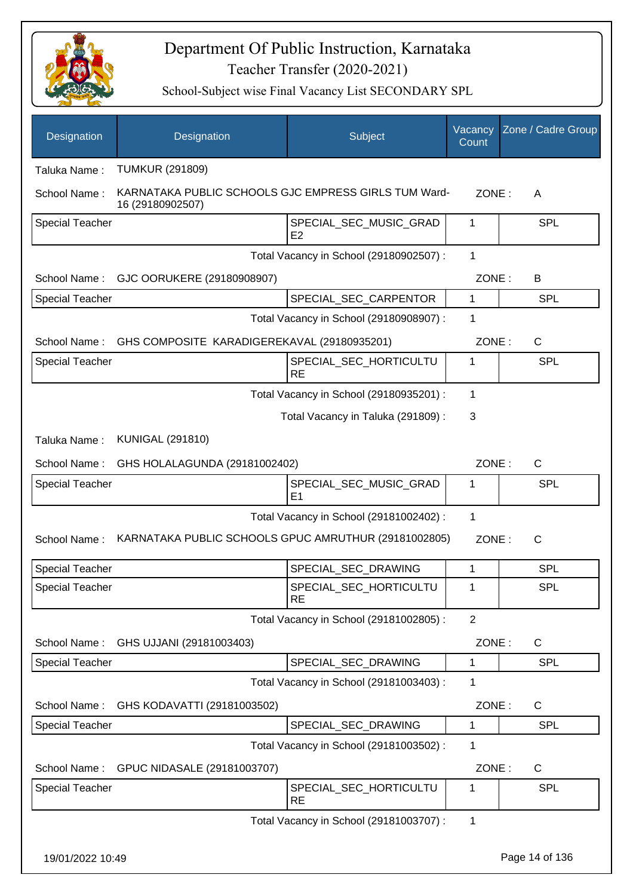

| Designation            | Designation                                                              | <b>Subject</b>                           | Vacancy<br>Count | Zone / Cadre Group |
|------------------------|--------------------------------------------------------------------------|------------------------------------------|------------------|--------------------|
| Taluka Name:           | <b>TUMKUR (291809)</b>                                                   |                                          |                  |                    |
| School Name:           | KARNATAKA PUBLIC SCHOOLS GJC EMPRESS GIRLS TUM Ward-<br>16 (29180902507) |                                          | ZONE:            | A                  |
| <b>Special Teacher</b> |                                                                          | SPECIAL_SEC_MUSIC_GRAD<br>E <sub>2</sub> | 1                | <b>SPL</b>         |
|                        |                                                                          | Total Vacancy in School (29180902507) :  | 1                |                    |
| School Name:           | GJC OORUKERE (29180908907)                                               |                                          | ZONE:            | B                  |
| <b>Special Teacher</b> |                                                                          | SPECIAL_SEC_CARPENTOR                    | 1                | <b>SPL</b>         |
|                        |                                                                          | Total Vacancy in School (29180908907) :  | 1                |                    |
| School Name:           | GHS COMPOSITE KARADIGEREKAVAL (29180935201)                              |                                          | ZONE:            | C                  |
| <b>Special Teacher</b> |                                                                          | SPECIAL SEC HORTICULTU<br><b>RE</b>      | 1                | <b>SPL</b>         |
|                        |                                                                          | Total Vacancy in School (29180935201) :  | 1                |                    |
|                        |                                                                          | Total Vacancy in Taluka (291809):        | 3                |                    |
| Taluka Name:           | <b>KUNIGAL (291810)</b>                                                  |                                          |                  |                    |
| School Name:           | GHS HOLALAGUNDA (29181002402)                                            |                                          | ZONE:            | C                  |
| <b>Special Teacher</b> |                                                                          | SPECIAL_SEC_MUSIC_GRAD<br>E <sub>1</sub> | 1                | SPL                |
|                        |                                                                          | Total Vacancy in School (29181002402) :  | 1                |                    |
| School Name:           | KARNATAKA PUBLIC SCHOOLS GPUC AMRUTHUR (29181002805)                     |                                          | ZONE:            | C                  |
| <b>Special Teacher</b> |                                                                          | SPECIAL_SEC_DRAWING                      | 1                | <b>SPL</b>         |
| Special Teacher        |                                                                          | SPECIAL_SEC_HORTICULTU<br><b>RE</b>      | 1                | <b>SPL</b>         |
|                        |                                                                          | Total Vacancy in School (29181002805) :  | $\overline{2}$   |                    |
| School Name:           | GHS UJJANI (29181003403)                                                 |                                          | ZONE:            | C                  |
| Special Teacher        |                                                                          | SPECIAL_SEC_DRAWING                      | 1                | <b>SPL</b>         |
|                        |                                                                          | Total Vacancy in School (29181003403) :  | 1                |                    |
| School Name:           | GHS KODAVATTI (29181003502)                                              |                                          | ZONE:            | C                  |
| <b>Special Teacher</b> |                                                                          | SPECIAL_SEC_DRAWING                      | 1                | <b>SPL</b>         |
|                        |                                                                          | Total Vacancy in School (29181003502) :  | 1                |                    |
| School Name:           | GPUC NIDASALE (29181003707)                                              |                                          | ZONE:            | C                  |
| <b>Special Teacher</b> |                                                                          | SPECIAL_SEC_HORTICULTU<br><b>RE</b>      | 1                | <b>SPL</b>         |
|                        |                                                                          | Total Vacancy in School (29181003707) :  | 1                |                    |
| 19/01/2022 10:49       |                                                                          |                                          |                  | Page 14 of 136     |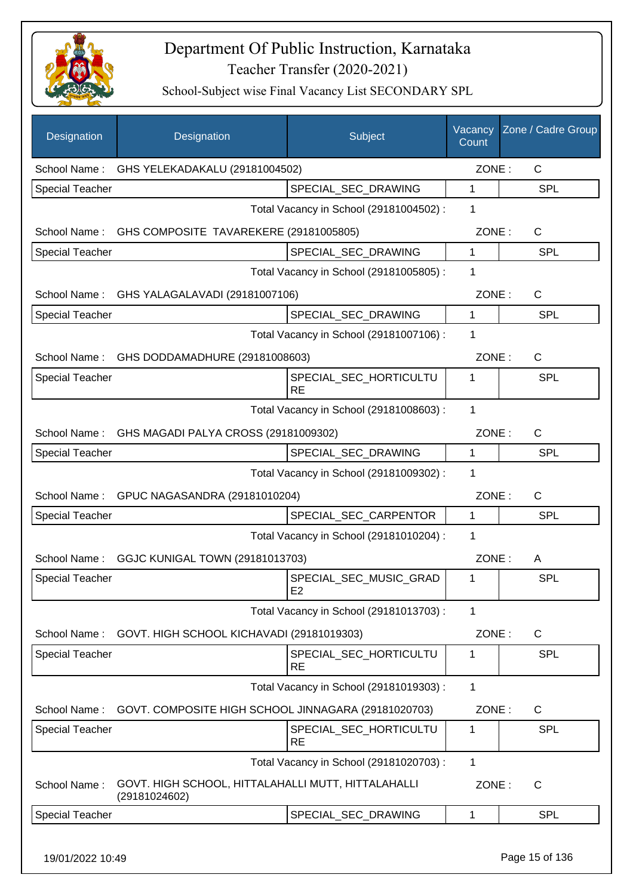

School-Subject wise Final Vacancy List SECONDARY SPL

| Designation            | Designation                                                         | Subject                                  | Vacancy<br>Count | Zone / Cadre Group |
|------------------------|---------------------------------------------------------------------|------------------------------------------|------------------|--------------------|
|                        | School Name: GHS YELEKADAKALU (29181004502)                         |                                          | ZONE:            | $\mathsf{C}$       |
| <b>Special Teacher</b> |                                                                     | SPECIAL_SEC_DRAWING                      | 1                | <b>SPL</b>         |
|                        |                                                                     | Total Vacancy in School (29181004502) :  | 1                |                    |
|                        | School Name: GHS COMPOSITE TAVAREKERE (29181005805)                 |                                          | ZONE:            | $\mathsf{C}$       |
| <b>Special Teacher</b> |                                                                     | SPECIAL_SEC_DRAWING                      | 1                | <b>SPL</b>         |
|                        |                                                                     | Total Vacancy in School (29181005805) :  | 1                |                    |
|                        | School Name: GHS YALAGALAVADI (29181007106)                         |                                          | ZONE:            | C                  |
| <b>Special Teacher</b> |                                                                     | SPECIAL_SEC_DRAWING                      | 1                | <b>SPL</b>         |
|                        |                                                                     | Total Vacancy in School (29181007106) :  | 1                |                    |
|                        | School Name: GHS DODDAMADHURE (29181008603)                         |                                          | ZONE:            | $\mathsf{C}$       |
| <b>Special Teacher</b> |                                                                     | SPECIAL SEC HORTICULTU<br><b>RE</b>      | 1                | <b>SPL</b>         |
|                        |                                                                     | Total Vacancy in School (29181008603) :  | $\mathbf{1}$     |                    |
|                        | School Name: GHS MAGADI PALYA CROSS (29181009302)                   |                                          | ZONE:            | $\mathsf{C}$       |
| Special Teacher        |                                                                     | SPECIAL_SEC_DRAWING                      | 1                | SPL                |
|                        |                                                                     | Total Vacancy in School (29181009302) :  | 1                |                    |
|                        | School Name: GPUC NAGASANDRA (29181010204)                          |                                          | ZONE:            | $\mathsf{C}$       |
| Special Teacher        |                                                                     | SPECIAL_SEC_CARPENTOR                    | 1                | <b>SPL</b>         |
|                        |                                                                     | Total Vacancy in School (29181010204) :  | 1                |                    |
| School Name:           | GGJC KUNIGAL TOWN (29181013703)                                     |                                          | ZONE:            | A                  |
| <b>Special Teacher</b> |                                                                     | SPECIAL_SEC_MUSIC_GRAD<br>E <sub>2</sub> | 1                | <b>SPL</b>         |
|                        |                                                                     | Total Vacancy in School (29181013703) :  | 1                |                    |
|                        | School Name: GOVT. HIGH SCHOOL KICHAVADI (29181019303)              |                                          | ZONE:            | $\mathsf{C}$       |
| Special Teacher        |                                                                     | SPECIAL_SEC_HORTICULTU<br><b>RE</b>      | 1                | <b>SPL</b>         |
|                        |                                                                     | Total Vacancy in School (29181019303) :  | 1                |                    |
| School Name:           | GOVT. COMPOSITE HIGH SCHOOL JINNAGARA (29181020703)                 |                                          | ZONE:            | C                  |
| Special Teacher        |                                                                     | SPECIAL_SEC_HORTICULTU<br><b>RE</b>      | 1                | <b>SPL</b>         |
|                        |                                                                     | Total Vacancy in School (29181020703) :  | 1                |                    |
| School Name:           | GOVT. HIGH SCHOOL, HITTALAHALLI MUTT, HITTALAHALLI<br>(29181024602) |                                          | ZONE:            | $\mathsf{C}$       |
| Special Teacher        |                                                                     | SPECIAL_SEC_DRAWING                      | 1                | <b>SPL</b>         |
|                        |                                                                     |                                          |                  |                    |

19/01/2022 10:49 Page 15 of 136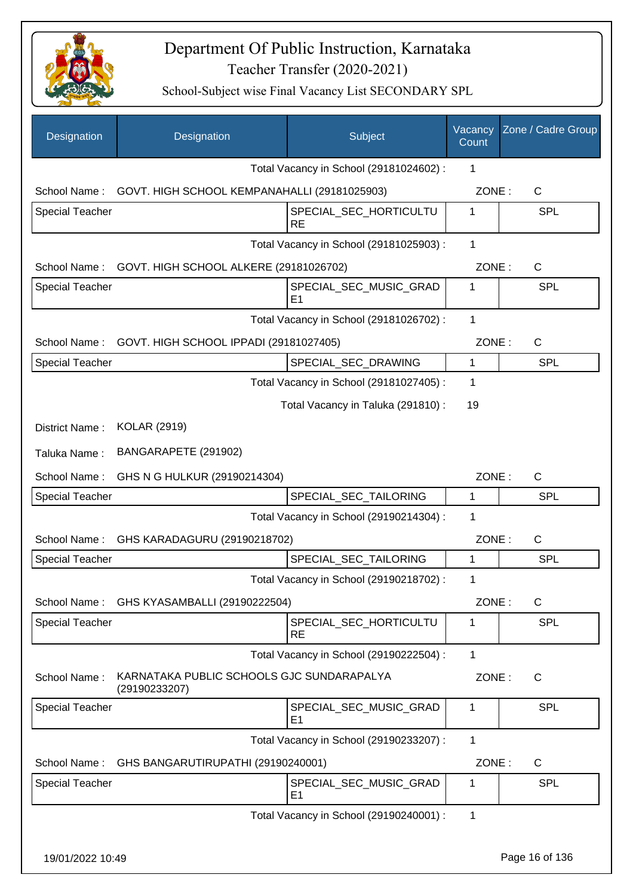

| Designation            | Designation                                                | Subject                                  | Vacancy<br>Count | Zone / Cadre Group |
|------------------------|------------------------------------------------------------|------------------------------------------|------------------|--------------------|
|                        |                                                            | Total Vacancy in School (29181024602) :  | 1                |                    |
|                        | School Name: GOVT. HIGH SCHOOL KEMPANAHALLI (29181025903)  |                                          | ZONE:            | C                  |
| <b>Special Teacher</b> |                                                            | SPECIAL_SEC_HORTICULTU<br><b>RE</b>      | 1                | <b>SPL</b>         |
|                        |                                                            | Total Vacancy in School (29181025903) :  | 1                |                    |
|                        | School Name: GOVT. HIGH SCHOOL ALKERE (29181026702)        |                                          | ZONE:            | C                  |
| Special Teacher        |                                                            | SPECIAL_SEC_MUSIC_GRAD<br>E <sub>1</sub> | 1                | <b>SPL</b>         |
|                        |                                                            | Total Vacancy in School (29181026702) :  | 1                |                    |
|                        | School Name: GOVT. HIGH SCHOOL IPPADI (29181027405)        |                                          | ZONE:            | C                  |
| <b>Special Teacher</b> |                                                            | SPECIAL_SEC_DRAWING                      | 1                | <b>SPL</b>         |
|                        |                                                            | Total Vacancy in School (29181027405) :  | 1                |                    |
|                        |                                                            | Total Vacancy in Taluka (291810) :       | 19               |                    |
| District Name:         | <b>KOLAR (2919)</b>                                        |                                          |                  |                    |
| Taluka Name:           | BANGARAPETE (291902)                                       |                                          |                  |                    |
| School Name:           | GHS N G HULKUR (29190214304)                               |                                          | ZONE:            | C                  |
| <b>Special Teacher</b> |                                                            | SPECIAL_SEC_TAILORING                    | 1                | <b>SPL</b>         |
|                        |                                                            | Total Vacancy in School (29190214304) :  | 1                |                    |
| School Name:           | GHS KARADAGURU (29190218702)                               |                                          | ZONE:            | C                  |
| <b>Special Teacher</b> |                                                            | SPECIAL_SEC_TAILORING                    | 1                | <b>SPL</b>         |
|                        |                                                            | Total Vacancy in School (29190218702) :  | 1                |                    |
|                        | School Name: GHS KYASAMBALLI (29190222504)                 |                                          | ZONE:            | C                  |
| Special Teacher        |                                                            | SPECIAL_SEC_HORTICULTU<br><b>RE</b>      | 1                | <b>SPL</b>         |
|                        |                                                            | Total Vacancy in School (29190222504) :  | 1                |                    |
| School Name:           | KARNATAKA PUBLIC SCHOOLS GJC SUNDARAPALYA<br>(29190233207) |                                          | ZONE:            | $\mathsf{C}$       |
| <b>Special Teacher</b> |                                                            | SPECIAL_SEC_MUSIC_GRAD<br>E <sub>1</sub> | 1                | <b>SPL</b>         |
|                        |                                                            | Total Vacancy in School (29190233207) :  | 1                |                    |
| School Name:           | GHS BANGARUTIRUPATHI (29190240001)                         |                                          | ZONE:            | C                  |
| <b>Special Teacher</b> |                                                            | SPECIAL_SEC_MUSIC_GRAD<br>E <sub>1</sub> | 1                | <b>SPL</b>         |
|                        |                                                            | Total Vacancy in School (29190240001) :  | 1                |                    |
| 19/01/2022 10:49       |                                                            |                                          |                  | Page 16 of 136     |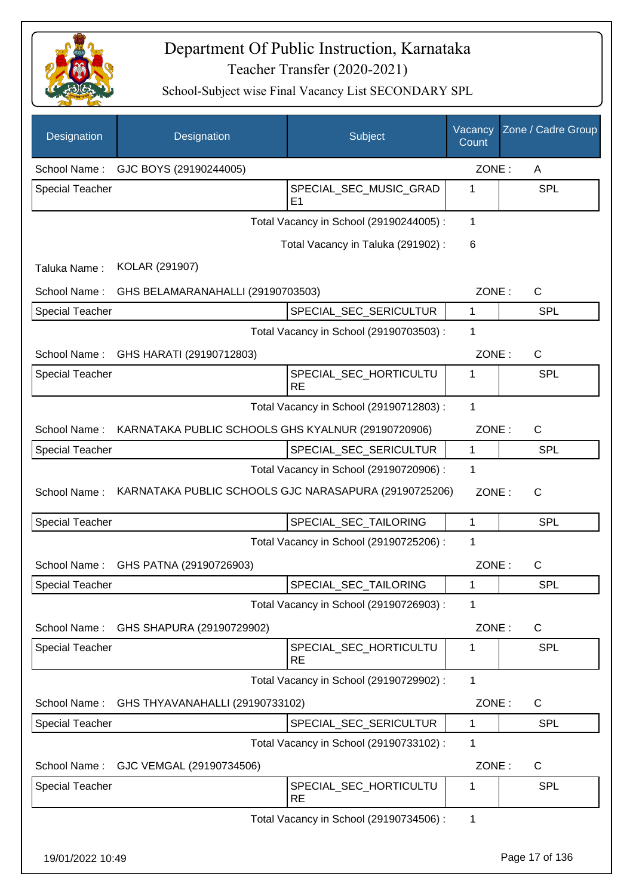

| Designation            | Designation                                           | Subject                                 | Vacancy<br>Count | Zone / Cadre Group |
|------------------------|-------------------------------------------------------|-----------------------------------------|------------------|--------------------|
| School Name:           | GJC BOYS (29190244005)                                |                                         | ZONE:            | A                  |
| <b>Special Teacher</b> |                                                       | SPECIAL_SEC_MUSIC_GRAD<br>E1            | 1                | <b>SPL</b>         |
|                        |                                                       | Total Vacancy in School (29190244005) : | 1                |                    |
|                        |                                                       | Total Vacancy in Taluka (291902) :      | 6                |                    |
| Taluka Name:           | KOLAR (291907)                                        |                                         |                  |                    |
| School Name:           | GHS BELAMARANAHALLI (29190703503)                     |                                         | ZONE:            | C                  |
| Special Teacher        |                                                       | SPECIAL_SEC_SERICULTUR                  | 1                | <b>SPL</b>         |
|                        |                                                       | Total Vacancy in School (29190703503) : | 1                |                    |
| School Name:           | GHS HARATI (29190712803)                              |                                         | ZONE:            | C                  |
| Special Teacher        |                                                       | SPECIAL_SEC_HORTICULTU<br><b>RE</b>     | 1                | <b>SPL</b>         |
|                        |                                                       | Total Vacancy in School (29190712803) : | 1                |                    |
| School Name:           | KARNATAKA PUBLIC SCHOOLS GHS KYALNUR (29190720906)    |                                         | ZONE:            | $\mathsf{C}$       |
| <b>Special Teacher</b> |                                                       | SPECIAL_SEC_SERICULTUR                  | $\mathbf 1$      | <b>SPL</b>         |
|                        |                                                       | Total Vacancy in School (29190720906) : | 1                |                    |
| School Name:           | KARNATAKA PUBLIC SCHOOLS GJC NARASAPURA (29190725206) |                                         | ZONE:            | $\mathsf{C}$       |
| <b>Special Teacher</b> |                                                       | SPECIAL_SEC_TAILORING                   | 1                | <b>SPL</b>         |
|                        |                                                       | Total Vacancy in School (29190725206) : | 1                |                    |
| School Name:           | GHS PATNA (29190726903)                               |                                         | ZONE:            | С                  |
| Special Teacher        |                                                       | SPECIAL_SEC_TAILORING                   | 1                | <b>SPL</b>         |
|                        |                                                       | Total Vacancy in School (29190726903):  | 1                |                    |
| School Name:           | GHS SHAPURA (29190729902)                             |                                         | ZONE:            | C                  |
| Special Teacher        |                                                       | SPECIAL_SEC_HORTICULTU<br><b>RE</b>     | 1                | <b>SPL</b>         |
|                        |                                                       | Total Vacancy in School (29190729902) : | 1                |                    |
| School Name:           | GHS THYAVANAHALLI (29190733102)                       |                                         | ZONE:            | $\mathsf{C}$       |
| <b>Special Teacher</b> |                                                       | SPECIAL_SEC_SERICULTUR                  | 1                | <b>SPL</b>         |
|                        |                                                       | Total Vacancy in School (29190733102) : | 1                |                    |
| School Name:           | GJC VEMGAL (29190734506)                              |                                         | ZONE:            | $\mathsf{C}$       |
| Special Teacher        |                                                       | SPECIAL_SEC_HORTICULTU<br><b>RE</b>     | 1                | <b>SPL</b>         |
|                        |                                                       | Total Vacancy in School (29190734506) : | $\mathbf 1$      |                    |
| 19/01/2022 10:49       |                                                       |                                         |                  | Page 17 of 136     |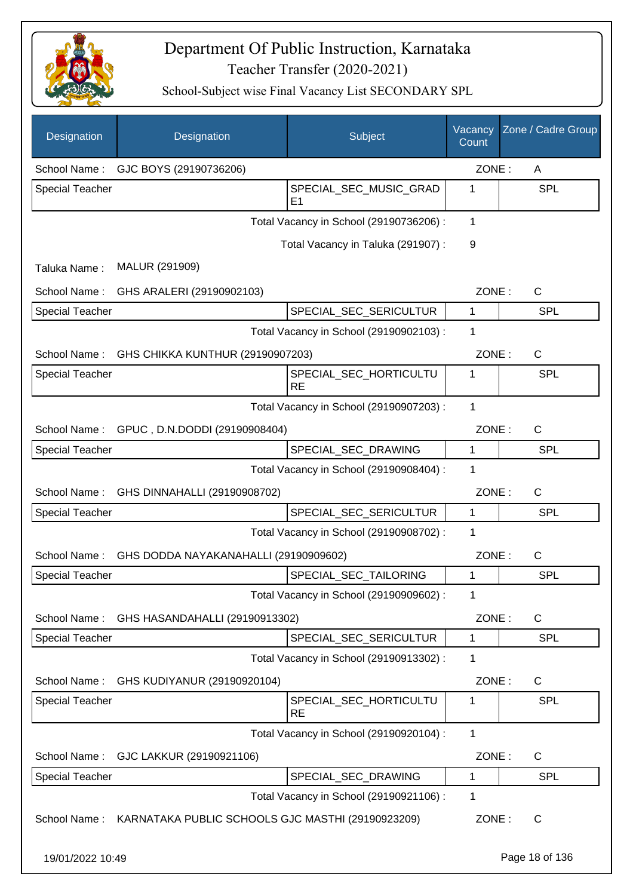

School-Subject wise Final Vacancy List SECONDARY SPL

| Designation            | Designation                                                    | Subject                                 | Vacancy<br>Count | Zone / Cadre Group |
|------------------------|----------------------------------------------------------------|-----------------------------------------|------------------|--------------------|
| School Name:           | GJC BOYS (29190736206)                                         |                                         | ZONE:            | A                  |
| <b>Special Teacher</b> |                                                                | SPECIAL_SEC_MUSIC_GRAD<br>E1            | 1                | <b>SPL</b>         |
|                        |                                                                | Total Vacancy in School (29190736206) : | 1                |                    |
|                        |                                                                | Total Vacancy in Taluka (291907) :      | 9                |                    |
| Taluka Name:           | MALUR (291909)                                                 |                                         |                  |                    |
| School Name:           | GHS ARALERI (29190902103)                                      |                                         | ZONE:            | $\mathsf{C}$       |
| <b>Special Teacher</b> |                                                                | SPECIAL_SEC_SERICULTUR                  | $\mathbf{1}$     | <b>SPL</b>         |
|                        |                                                                | Total Vacancy in School (29190902103) : | 1                |                    |
| School Name:           | GHS CHIKKA KUNTHUR (29190907203)                               |                                         | ZONE:            | C                  |
| <b>Special Teacher</b> |                                                                | SPECIAL_SEC_HORTICULTU<br><b>RE</b>     | 1                | <b>SPL</b>         |
|                        |                                                                | Total Vacancy in School (29190907203) : | 1                |                    |
| School Name:           | GPUC, D.N.DODDI (29190908404)                                  |                                         | ZONE:            | $\mathsf{C}$       |
| <b>Special Teacher</b> |                                                                | SPECIAL_SEC_DRAWING                     | $\mathbf 1$      | <b>SPL</b>         |
|                        |                                                                | Total Vacancy in School (29190908404) : | 1                |                    |
| School Name:           | GHS DINNAHALLI (29190908702)                                   |                                         | ZONE:            | $\mathsf{C}$       |
| <b>Special Teacher</b> |                                                                | SPECIAL_SEC_SERICULTUR                  | $\mathbf{1}$     | <b>SPL</b>         |
|                        |                                                                | Total Vacancy in School (29190908702) : | 1                |                    |
| School Name:           | GHS DODDA NAYAKANAHALLI (29190909602)                          |                                         | ZONE:            | $\mathsf{C}$       |
| <b>Special Teacher</b> |                                                                | SPECIAL_SEC_TAILORING                   | 1                | <b>SPL</b>         |
|                        |                                                                | Total Vacancy in School (29190909602) : | 1                |                    |
| School Name:           | GHS HASANDAHALLI (29190913302)                                 |                                         | ZONE:            | C                  |
| Special Teacher        |                                                                | SPECIAL_SEC_SERICULTUR                  | 1                | <b>SPL</b>         |
|                        |                                                                | Total Vacancy in School (29190913302) : | $\mathbf{1}$     |                    |
| School Name:           | GHS KUDIYANUR (29190920104)                                    |                                         | ZONE:            | C                  |
| <b>Special Teacher</b> |                                                                | SPECIAL_SEC_HORTICULTU<br><b>RE</b>     | $\mathbf{1}$     | <b>SPL</b>         |
|                        |                                                                | Total Vacancy in School (29190920104) : | 1                |                    |
| School Name:           | GJC LAKKUR (29190921106)                                       |                                         | ZONE:            | C                  |
| <b>Special Teacher</b> |                                                                | SPECIAL_SEC_DRAWING                     | $\mathbf{1}$     | <b>SPL</b>         |
|                        |                                                                | Total Vacancy in School (29190921106) : | 1                |                    |
|                        | School Name: KARNATAKA PUBLIC SCHOOLS GJC MASTHI (29190923209) |                                         | ZONE:            | C                  |

19/01/2022 10:49 Page 18 of 136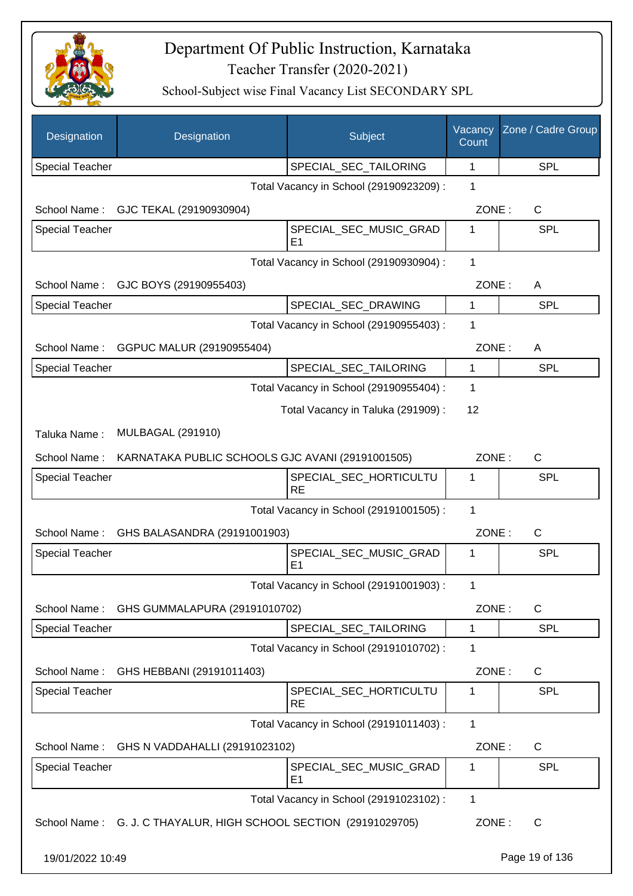

| Designation            | Designation                                                      | Subject                                  | Vacancy<br>Count | Zone / Cadre Group |
|------------------------|------------------------------------------------------------------|------------------------------------------|------------------|--------------------|
| <b>Special Teacher</b> |                                                                  | SPECIAL_SEC_TAILORING                    | 1                | SPL                |
|                        |                                                                  | Total Vacancy in School (29190923209) :  | 1                |                    |
| School Name:           | GJC TEKAL (29190930904)                                          |                                          | ZONE:            | $\mathsf{C}$       |
| <b>Special Teacher</b> |                                                                  | SPECIAL_SEC_MUSIC_GRAD<br>E <sub>1</sub> | 1                | SPL                |
|                        |                                                                  | Total Vacancy in School (29190930904) :  | 1                |                    |
| School Name:           | GJC BOYS (29190955403)                                           |                                          | ZONE:            | A                  |
| <b>Special Teacher</b> |                                                                  | SPECIAL_SEC_DRAWING                      | 1                | SPL                |
|                        |                                                                  | Total Vacancy in School (29190955403) :  | 1                |                    |
| School Name:           | GGPUC MALUR (29190955404)                                        |                                          | ZONE:            | A                  |
| <b>Special Teacher</b> |                                                                  | SPECIAL SEC TAILORING                    | 1                | <b>SPL</b>         |
|                        |                                                                  | Total Vacancy in School (29190955404) :  | 1                |                    |
|                        |                                                                  | Total Vacancy in Taluka (291909) :       | 12               |                    |
| Taluka Name:           | <b>MULBAGAL (291910)</b>                                         |                                          |                  |                    |
| School Name:           | KARNATAKA PUBLIC SCHOOLS GJC AVANI (29191001505)                 |                                          | ZONE:            | $\mathsf{C}$       |
| Special Teacher        |                                                                  | SPECIAL_SEC_HORTICULTU<br><b>RE</b>      | 1                | <b>SPL</b>         |
|                        |                                                                  | Total Vacancy in School (29191001505) :  | 1                |                    |
| School Name:           | GHS BALASANDRA (29191001903)                                     |                                          | ZONE:            | $\mathsf{C}$       |
| <b>Special Teacher</b> |                                                                  | SPECIAL_SEC_MUSIC_GRAD<br>E <sub>1</sub> | 1                | SPL                |
|                        |                                                                  | Total Vacancy in School (29191001903) :  | 1                |                    |
| School Name:           | GHS GUMMALAPURA (29191010702)                                    |                                          | ZONE:            | C                  |
| <b>Special Teacher</b> |                                                                  | SPECIAL_SEC_TAILORING                    | $\mathbf 1$      | <b>SPL</b>         |
|                        |                                                                  | Total Vacancy in School (29191010702) :  | 1                |                    |
| School Name:           | GHS HEBBANI (29191011403)                                        |                                          | ZONE:            | C                  |
| Special Teacher        |                                                                  | SPECIAL_SEC_HORTICULTU<br><b>RE</b>      | 1                | <b>SPL</b>         |
|                        |                                                                  | Total Vacancy in School (29191011403) :  | 1                |                    |
| School Name:           | GHS N VADDAHALLI (29191023102)                                   |                                          | ZONE:            | C                  |
| Special Teacher        |                                                                  | SPECIAL_SEC_MUSIC_GRAD<br>E <sub>1</sub> | 1                | <b>SPL</b>         |
|                        |                                                                  | Total Vacancy in School (29191023102) :  | 1                |                    |
|                        | School Name: G. J. C THAYALUR, HIGH SCHOOL SECTION (29191029705) |                                          | ZONE:            | C                  |
| 19/01/2022 10:49       |                                                                  |                                          |                  | Page 19 of 136     |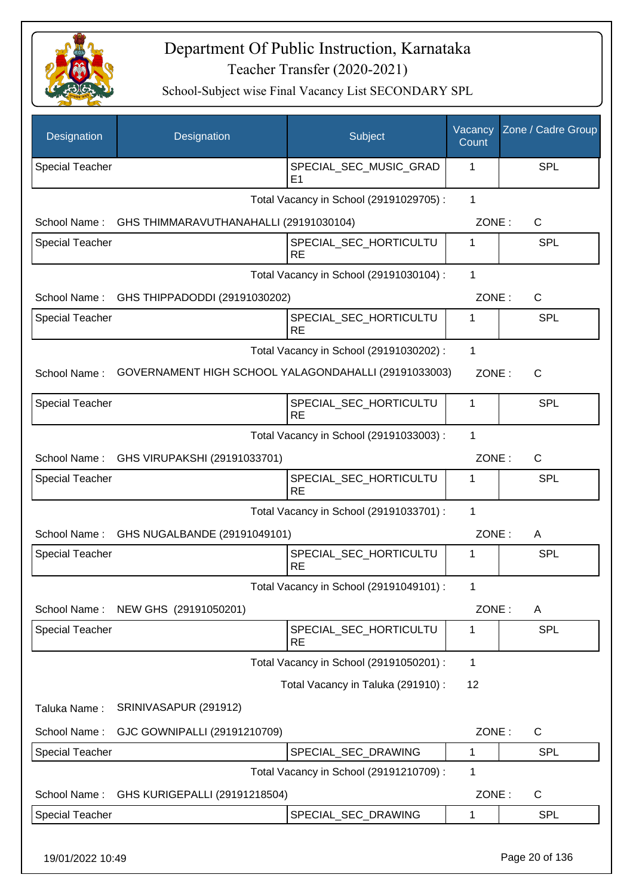

| Designation            | Designation                                          | <b>Subject</b>                           | Vacancy<br>Count | Zone / Cadre Group |
|------------------------|------------------------------------------------------|------------------------------------------|------------------|--------------------|
| <b>Special Teacher</b> |                                                      | SPECIAL_SEC_MUSIC_GRAD<br>E <sub>1</sub> | 1                | SPL                |
|                        |                                                      | Total Vacancy in School (29191029705) :  | $\mathbf{1}$     |                    |
| School Name:           | GHS THIMMARAVUTHANAHALLI (29191030104)               |                                          | ZONE:            | $\mathsf{C}$       |
| <b>Special Teacher</b> |                                                      | SPECIAL_SEC_HORTICULTU<br><b>RE</b>      | 1                | SPL                |
|                        |                                                      | Total Vacancy in School (29191030104) :  | $\mathbf 1$      |                    |
| School Name:           | GHS THIPPADODDI (29191030202)                        |                                          | ZONE:            | C                  |
| <b>Special Teacher</b> |                                                      | SPECIAL_SEC_HORTICULTU<br><b>RE</b>      | 1                | <b>SPL</b>         |
|                        |                                                      | Total Vacancy in School (29191030202) :  | $\mathbf 1$      |                    |
| School Name:           | GOVERNAMENT HIGH SCHOOL YALAGONDAHALLI (29191033003) |                                          | ZONE:            | C                  |
| <b>Special Teacher</b> |                                                      | SPECIAL_SEC_HORTICULTU<br><b>RE</b>      | 1                | SPL                |
|                        |                                                      | Total Vacancy in School (29191033003) :  | 1                |                    |
| School Name:           | GHS VIRUPAKSHI (29191033701)                         |                                          | ZONE:            | $\mathsf{C}$       |
| <b>Special Teacher</b> |                                                      | SPECIAL_SEC_HORTICULTU<br><b>RE</b>      | 1                | SPL                |
|                        |                                                      | Total Vacancy in School (29191033701) :  | $\mathbf{1}$     |                    |
| School Name:           | GHS NUGALBANDE (29191049101)                         |                                          | ZONE:            | A                  |
| <b>Special Teacher</b> |                                                      | SPECIAL_SEC_HORTICULTU<br><b>RE</b>      | 1                | <b>SPL</b>         |
|                        |                                                      | Total Vacancy in School (29191049101) :  | 1                |                    |
| School Name:           | NEW GHS (29191050201)                                |                                          | ZONE:            | A                  |
| <b>Special Teacher</b> |                                                      | SPECIAL_SEC_HORTICULTU<br><b>RE</b>      | 1                | SPL                |
|                        |                                                      | Total Vacancy in School (29191050201) :  | $\mathbf{1}$     |                    |
|                        |                                                      | Total Vacancy in Taluka (291910):        | 12               |                    |
| Taluka Name:           | SRINIVASAPUR (291912)                                |                                          |                  |                    |
| School Name:           | GJC GOWNIPALLI (29191210709)                         |                                          | ZONE:            | C                  |
| <b>Special Teacher</b> |                                                      | SPECIAL_SEC_DRAWING                      | 1                | <b>SPL</b>         |
|                        |                                                      | Total Vacancy in School (29191210709) :  | $\mathbf 1$      |                    |
| School Name:           | GHS KURIGEPALLI (29191218504)                        |                                          | ZONE:            | C                  |
| <b>Special Teacher</b> |                                                      | SPECIAL_SEC_DRAWING                      | 1                | <b>SPL</b>         |
| 19/01/2022 10:49       |                                                      |                                          |                  | Page 20 of 136     |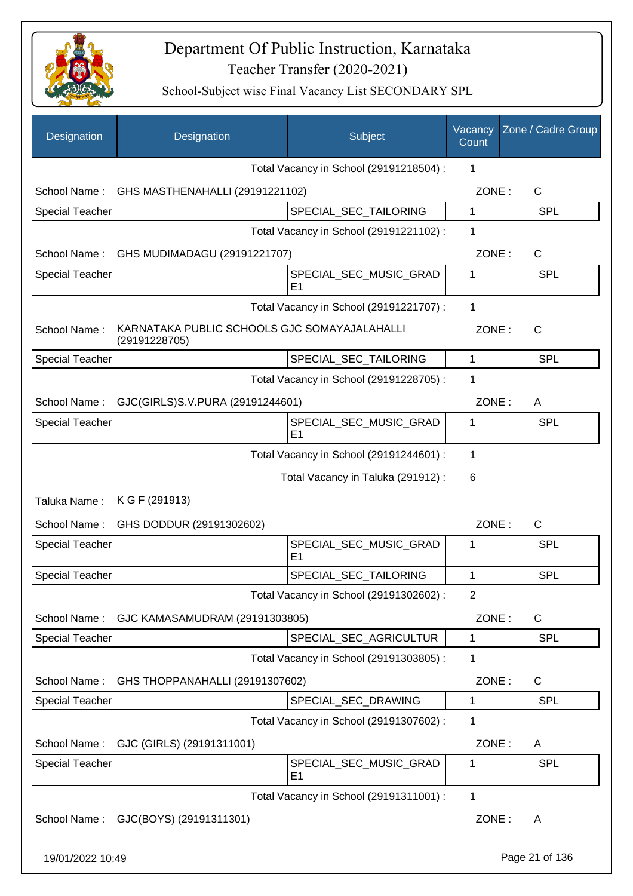

| Designation            | Designation                                                   | Subject                                  | Vacancy<br>Count | Zone / Cadre Group |
|------------------------|---------------------------------------------------------------|------------------------------------------|------------------|--------------------|
|                        |                                                               | Total Vacancy in School (29191218504) :  | 1                |                    |
|                        | School Name: GHS MASTHENAHALLI (29191221102)                  |                                          | ZONE:            | $\mathsf{C}$       |
| Special Teacher        |                                                               | SPECIAL_SEC_TAILORING                    | 1                | <b>SPL</b>         |
|                        |                                                               | Total Vacancy in School (29191221102) :  | 1                |                    |
|                        | School Name: GHS MUDIMADAGU (29191221707)                     |                                          | ZONE:            | $\mathsf{C}$       |
| <b>Special Teacher</b> |                                                               | SPECIAL_SEC_MUSIC_GRAD<br>E <sub>1</sub> | 1                | <b>SPL</b>         |
|                        |                                                               | Total Vacancy in School (29191221707) :  | 1                |                    |
| School Name:           | KARNATAKA PUBLIC SCHOOLS GJC SOMAYAJALAHALLI<br>(29191228705) |                                          | ZONE:            | $\mathsf{C}$       |
| <b>Special Teacher</b> |                                                               | SPECIAL_SEC_TAILORING                    | 1                | <b>SPL</b>         |
|                        |                                                               | Total Vacancy in School (29191228705) :  | 1                |                    |
| School Name:           | GJC(GIRLS)S.V.PURA (29191244601)                              |                                          | ZONE:            | A                  |
| <b>Special Teacher</b> |                                                               | SPECIAL_SEC_MUSIC_GRAD<br>E <sub>1</sub> | 1                | <b>SPL</b>         |
|                        |                                                               | Total Vacancy in School (29191244601) :  | 1                |                    |
|                        |                                                               | Total Vacancy in Taluka (291912) :       | 6                |                    |
| Taluka Name:           | K G F (291913)                                                |                                          |                  |                    |
| School Name:           | GHS DODDUR (29191302602)                                      |                                          | ZONE:            | $\mathsf{C}$       |
| <b>Special Teacher</b> |                                                               | SPECIAL SEC MUSIC GRAD<br>E <sub>1</sub> | 1                | <b>SPL</b>         |
| <b>Special Teacher</b> |                                                               | SPECIAL_SEC_TAILORING                    | 1                | SPL                |
|                        |                                                               | Total Vacancy in School (29191302602) :  | $\overline{2}$   |                    |
| School Name:           | GJC KAMASAMUDRAM (29191303805)                                |                                          | ZONE:            | $\mathsf{C}$       |
| <b>Special Teacher</b> |                                                               | SPECIAL_SEC_AGRICULTUR                   | $\mathbf{1}$     | <b>SPL</b>         |
|                        |                                                               | Total Vacancy in School (29191303805) :  | 1                |                    |
| School Name:           | GHS THOPPANAHALLI (29191307602)                               |                                          | ZONE:            | C                  |
| Special Teacher        |                                                               | SPECIAL_SEC_DRAWING                      | 1                | <b>SPL</b>         |
|                        |                                                               | Total Vacancy in School (29191307602) :  | 1                |                    |
| School Name:           | GJC (GIRLS) (29191311001)                                     |                                          | ZONE:            | A                  |
| <b>Special Teacher</b> |                                                               | SPECIAL_SEC_MUSIC_GRAD<br>E1             | 1                | <b>SPL</b>         |
|                        |                                                               | Total Vacancy in School (29191311001) :  | 1                |                    |
| School Name:           | GJC(BOYS) (29191311301)                                       |                                          | ZONE:            | A                  |
| 19/01/2022 10:49       |                                                               |                                          |                  | Page 21 of 136     |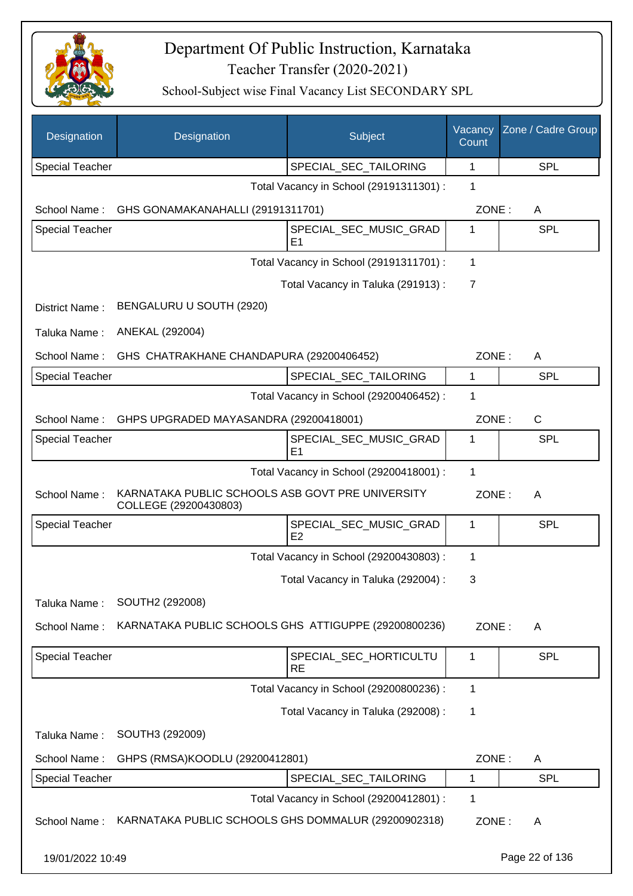

| Designation            | Designation                                                               | Subject                                  | Vacancy<br>Count | Zone / Cadre Group |
|------------------------|---------------------------------------------------------------------------|------------------------------------------|------------------|--------------------|
| <b>Special Teacher</b> |                                                                           | SPECIAL_SEC_TAILORING                    | 1                | SPL                |
|                        |                                                                           | Total Vacancy in School (29191311301) :  | 1                |                    |
| School Name:           | GHS GONAMAKANAHALLI (29191311701)                                         |                                          | ZONE:            | A                  |
| <b>Special Teacher</b> |                                                                           | SPECIAL_SEC_MUSIC_GRAD<br>E1             | 1                | SPL                |
|                        |                                                                           | Total Vacancy in School (29191311701) :  | 1                |                    |
|                        |                                                                           | Total Vacancy in Taluka (291913) :       | $\overline{7}$   |                    |
| District Name:         | BENGALURU U SOUTH (2920)                                                  |                                          |                  |                    |
| Taluka Name:           | ANEKAL (292004)                                                           |                                          |                  |                    |
| School Name:           | GHS CHATRAKHANE CHANDAPURA (29200406452)                                  |                                          | ZONE:            | Α                  |
| <b>Special Teacher</b> |                                                                           | SPECIAL_SEC_TAILORING                    | 1                | SPL                |
|                        |                                                                           | Total Vacancy in School (29200406452) :  | 1                |                    |
| School Name:           | GHPS UPGRADED MAYASANDRA (29200418001)                                    |                                          | ZONE:            | C                  |
| <b>Special Teacher</b> |                                                                           | SPECIAL_SEC_MUSIC_GRAD<br>E <sub>1</sub> | 1                | SPL                |
|                        |                                                                           | Total Vacancy in School (29200418001) :  | $\mathbf 1$      |                    |
| School Name:           | KARNATAKA PUBLIC SCHOOLS ASB GOVT PRE UNIVERSITY<br>COLLEGE (29200430803) |                                          | ZONE:            | A                  |
| <b>Special Teacher</b> |                                                                           | SPECIAL_SEC_MUSIC_GRAD<br>E <sub>2</sub> | 1                | SPL                |
|                        |                                                                           | Total Vacancy in School (29200430803) :  | 1                |                    |
|                        |                                                                           | Total Vacancy in Taluka (292004) :       | 3                |                    |
| Taluka Name:           | SOUTH2 (292008)                                                           |                                          |                  |                    |
| School Name:           | KARNATAKA PUBLIC SCHOOLS GHS ATTIGUPPE (29200800236)                      |                                          | ZONE:            | A                  |
| Special Teacher        |                                                                           | SPECIAL_SEC_HORTICULTU<br><b>RE</b>      | $\mathbf{1}$     | SPL                |
|                        |                                                                           | Total Vacancy in School (29200800236) :  | 1                |                    |
|                        |                                                                           | Total Vacancy in Taluka (292008) :       | 1                |                    |
| Taluka Name:           | SOUTH3 (292009)                                                           |                                          |                  |                    |
| School Name:           | GHPS (RMSA)KOODLU (29200412801)                                           |                                          | ZONE:            | A                  |
| <b>Special Teacher</b> |                                                                           | SPECIAL_SEC_TAILORING                    | 1                | <b>SPL</b>         |
|                        |                                                                           | Total Vacancy in School (29200412801) :  | 1                |                    |
| School Name:           | KARNATAKA PUBLIC SCHOOLS GHS DOMMALUR (29200902318)                       |                                          | ZONE:            | A                  |
| 19/01/2022 10:49       |                                                                           |                                          |                  | Page 22 of 136     |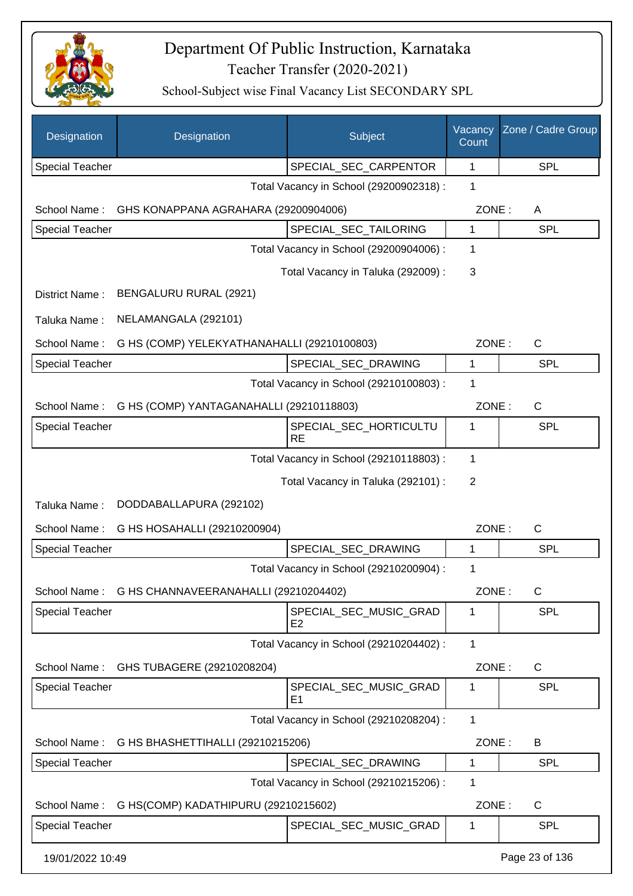

| Designation            | Designation                                 | Subject                                  | Vacancy<br>Count | Zone / Cadre Group |
|------------------------|---------------------------------------------|------------------------------------------|------------------|--------------------|
| <b>Special Teacher</b> |                                             | SPECIAL_SEC_CARPENTOR                    | 1                | <b>SPL</b>         |
|                        |                                             | Total Vacancy in School (29200902318) :  | 1                |                    |
| School Name:           | GHS KONAPPANA AGRAHARA (29200904006)        |                                          | ZONE:            | A                  |
| <b>Special Teacher</b> |                                             | SPECIAL_SEC_TAILORING                    | 1                | <b>SPL</b>         |
|                        |                                             | Total Vacancy in School (29200904006) :  | 1                |                    |
|                        |                                             | Total Vacancy in Taluka (292009) :       | 3                |                    |
| District Name:         | BENGALURU RURAL (2921)                      |                                          |                  |                    |
| Taluka Name:           | NELAMANGALA (292101)                        |                                          |                  |                    |
| School Name:           | G HS (COMP) YELEKYATHANAHALLI (29210100803) |                                          | ZONE:            | $\mathsf{C}$       |
| <b>Special Teacher</b> |                                             | SPECIAL SEC DRAWING                      | 1                | <b>SPL</b>         |
|                        |                                             | Total Vacancy in School (29210100803) :  | 1                |                    |
| School Name:           | G HS (COMP) YANTAGANAHALLI (29210118803)    |                                          | ZONE:            | $\mathsf{C}$       |
| <b>Special Teacher</b> |                                             | SPECIAL_SEC_HORTICULTU<br><b>RE</b>      | 1                | <b>SPL</b>         |
|                        |                                             | Total Vacancy in School (29210118803) :  | 1                |                    |
|                        |                                             | Total Vacancy in Taluka (292101) :       | 2                |                    |
| Taluka Name:           | DODDABALLAPURA (292102)                     |                                          |                  |                    |
| School Name:           | G HS HOSAHALLI (29210200904)                |                                          | ZONE:            | $\mathsf{C}$       |
| <b>Special Teacher</b> |                                             | SPECIAL_SEC_DRAWING                      | 1                | <b>SPL</b>         |
|                        |                                             | Total Vacancy in School (29210200904) :  | 1                |                    |
| School Name:           | G HS CHANNAVEERANAHALLI (29210204402)       |                                          | ZONE:            | C                  |
| <b>Special Teacher</b> |                                             | SPECIAL SEC MUSIC GRAD<br>E <sub>2</sub> | 1                | <b>SPL</b>         |
|                        |                                             | Total Vacancy in School (29210204402) :  | $\mathbf{1}$     |                    |
| School Name:           | GHS TUBAGERE (29210208204)                  |                                          | ZONE:            | C                  |
| <b>Special Teacher</b> |                                             | SPECIAL_SEC_MUSIC_GRAD<br>E <sub>1</sub> | 1                | <b>SPL</b>         |
|                        |                                             | Total Vacancy in School (29210208204) :  | $\mathbf{1}$     |                    |
| School Name:           | G HS BHASHETTIHALLI (29210215206)           |                                          | ZONE:            | B                  |
| <b>Special Teacher</b> |                                             | SPECIAL_SEC_DRAWING                      | 1                | <b>SPL</b>         |
|                        |                                             | Total Vacancy in School (29210215206) :  | 1                |                    |
| School Name:           | G HS(COMP) KADATHIPURU (29210215602)        |                                          | ZONE:            | C                  |
| <b>Special Teacher</b> |                                             | SPECIAL_SEC_MUSIC_GRAD                   | 1                | <b>SPL</b>         |
| 19/01/2022 10:49       |                                             |                                          |                  | Page 23 of 136     |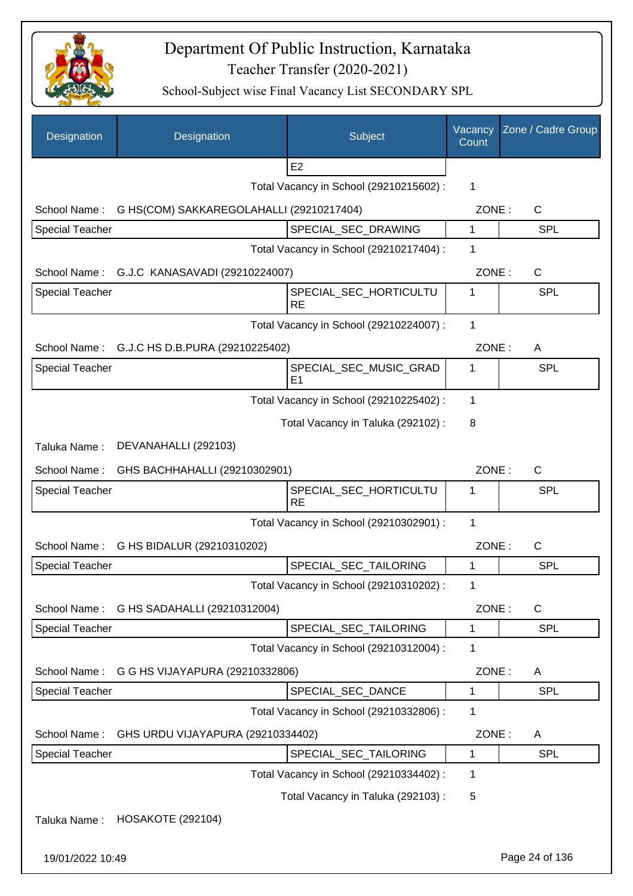

| Designation            | Designation                                  | Subject                                  | Vacancy<br>Count | Zone / Cadre Group |
|------------------------|----------------------------------------------|------------------------------------------|------------------|--------------------|
|                        |                                              | E <sub>2</sub>                           |                  |                    |
|                        |                                              | Total Vacancy in School (29210215602) :  | 1                |                    |
| School Name:           | G HS(COM) SAKKAREGOLAHALLI (29210217404)     |                                          | ZONE:            | $\mathsf{C}$       |
| <b>Special Teacher</b> |                                              | SPECIAL_SEC_DRAWING                      | 1                | <b>SPL</b>         |
|                        |                                              | Total Vacancy in School (29210217404) :  | 1                |                    |
|                        | School Name: G.J.C KANASAVADI (29210224007)  |                                          | ZONE:            | C                  |
| <b>Special Teacher</b> |                                              | SPECIAL_SEC_HORTICULTU<br><b>RE</b>      | 1                | <b>SPL</b>         |
|                        |                                              | Total Vacancy in School (29210224007) :  | 1                |                    |
|                        | School Name: G.J.C HS D.B.PURA (29210225402) |                                          | ZONE:            | A                  |
| <b>Special Teacher</b> |                                              | SPECIAL_SEC_MUSIC_GRAD<br>E <sub>1</sub> | 1                | <b>SPL</b>         |
|                        |                                              | Total Vacancy in School (29210225402) :  | 1                |                    |
|                        |                                              | Total Vacancy in Taluka (292102) :       | 8                |                    |
| Taluka Name:           | DEVANAHALLI (292103)                         |                                          |                  |                    |
| School Name:           | GHS BACHHAHALLI (29210302901)                |                                          | ZONE:            | C                  |
| <b>Special Teacher</b> |                                              | SPECIAL_SEC_HORTICULTU<br><b>RE</b>      | 1                | <b>SPL</b>         |
|                        |                                              | Total Vacancy in School (29210302901) :  | 1                |                    |
|                        | School Name: G HS BIDALUR (29210310202)      |                                          | ZONE:            | C                  |
| Special Teacher        |                                              | SPECIAL_SEC_TAILORING                    | 1                | SPL                |
|                        |                                              | Total Vacancy in School (29210310202) :  | 1                |                    |
| School Name:           | G HS SADAHALLI (29210312004)                 |                                          | ZONE:            | C                  |
| Special Teacher        |                                              | SPECIAL SEC TAILORING                    | 1                | <b>SPL</b>         |
|                        |                                              | Total Vacancy in School (29210312004) :  | 1                |                    |
| School Name:           | G G HS VIJAYAPURA (29210332806)              |                                          | ZONE:            | A                  |
| <b>Special Teacher</b> |                                              | SPECIAL_SEC_DANCE                        | 1                | <b>SPL</b>         |
|                        |                                              | Total Vacancy in School (29210332806) :  | 1                |                    |
| School Name:           | GHS URDU VIJAYAPURA (29210334402)            |                                          | ZONE:            | A                  |
| <b>Special Teacher</b> |                                              | SPECIAL_SEC_TAILORING                    | 1                | <b>SPL</b>         |
|                        |                                              | Total Vacancy in School (29210334402) :  | 1                |                    |
|                        |                                              | Total Vacancy in Taluka (292103):        | 5                |                    |
| Taluka Name:           | <b>HOSAKOTE (292104)</b>                     |                                          |                  |                    |
| 19/01/2022 10:49       |                                              |                                          |                  | Page 24 of 136     |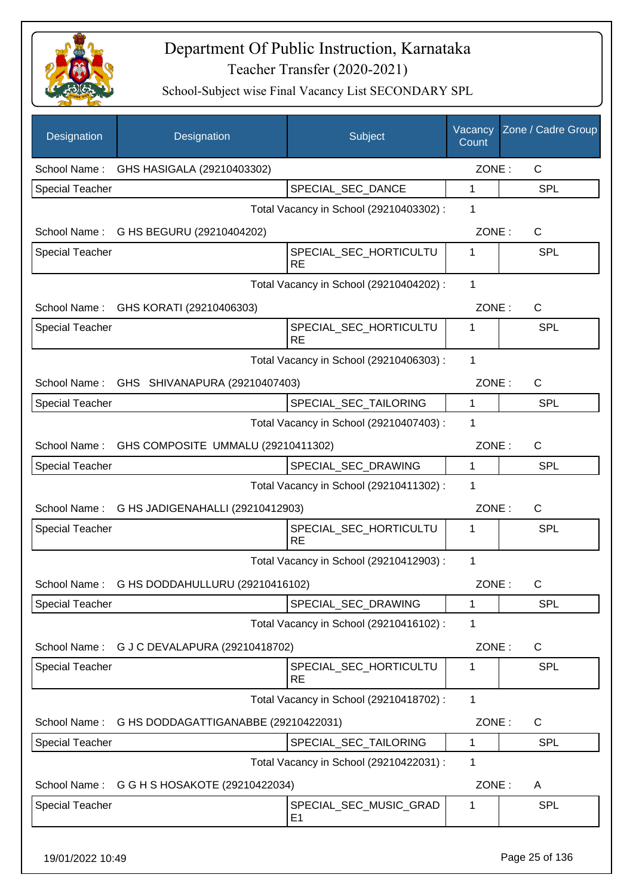

| Designation            | Designation                                     | Subject                                  | Vacancy<br>Count | Zone / Cadre Group |
|------------------------|-------------------------------------------------|------------------------------------------|------------------|--------------------|
| School Name:           | GHS HASIGALA (29210403302)                      |                                          | ZONE:            | C                  |
| <b>Special Teacher</b> |                                                 | SPECIAL_SEC_DANCE                        | $\mathbf{1}$     | <b>SPL</b>         |
|                        |                                                 | Total Vacancy in School (29210403302) :  | 1                |                    |
| School Name:           | G HS BEGURU (29210404202)                       |                                          | ZONE:            | C                  |
| <b>Special Teacher</b> |                                                 | SPECIAL SEC HORTICULTU<br><b>RE</b>      | 1                | <b>SPL</b>         |
|                        |                                                 | Total Vacancy in School (29210404202) :  | 1                |                    |
|                        | School Name: GHS KORATI (29210406303)           |                                          | ZONE:            | C                  |
| <b>Special Teacher</b> |                                                 | SPECIAL_SEC_HORTICULTU<br><b>RE</b>      | 1                | SPL                |
|                        |                                                 | Total Vacancy in School (29210406303) :  | 1                |                    |
|                        | School Name: GHS SHIVANAPURA (29210407403)      |                                          | ZONE:            | $\mathsf{C}$       |
| <b>Special Teacher</b> |                                                 | SPECIAL SEC TAILORING                    | $\mathbf{1}$     | SPL                |
|                        |                                                 | Total Vacancy in School (29210407403) :  | 1                |                    |
|                        | School Name: GHS COMPOSITE UMMALU (29210411302) |                                          | ZONE:            | $\mathsf{C}$       |
| <b>Special Teacher</b> |                                                 | SPECIAL_SEC_DRAWING                      | $\mathbf{1}$     | <b>SPL</b>         |
|                        |                                                 | Total Vacancy in School (29210411302) :  | 1                |                    |
|                        | School Name: G HS JADIGENAHALLI (29210412903)   |                                          | ZONE:            | C                  |
| <b>Special Teacher</b> |                                                 | SPECIAL_SEC_HORTICULTU<br><b>RE</b>      | 1                | SPL                |
|                        |                                                 | Total Vacancy in School (29210412903) :  | $\mathbf{1}$     |                    |
|                        | School Name: G HS DODDAHULLURU (29210416102)    |                                          | ZONE:            | C.                 |
| <b>Special Teacher</b> |                                                 | SPECIAL_SEC_DRAWING                      | 1                | SPL                |
|                        |                                                 | Total Vacancy in School (29210416102) :  | 1                |                    |
| School Name:           | G J C DEVALAPURA (29210418702)                  |                                          | ZONE:            | C                  |
| <b>Special Teacher</b> |                                                 | SPECIAL_SEC_HORTICULTU<br><b>RE</b>      | 1                | <b>SPL</b>         |
|                        |                                                 | Total Vacancy in School (29210418702) :  | 1                |                    |
| School Name:           | G HS DODDAGATTIGANABBE (29210422031)            |                                          | ZONE:            | C                  |
| <b>Special Teacher</b> |                                                 | SPECIAL_SEC_TAILORING                    | 1                | <b>SPL</b>         |
|                        |                                                 | Total Vacancy in School (29210422031) :  | 1                |                    |
|                        | School Name: G G H S HOSAKOTE (29210422034)     |                                          | ZONE:            | A                  |
| <b>Special Teacher</b> |                                                 | SPECIAL_SEC_MUSIC_GRAD<br>E <sub>1</sub> | 1                | <b>SPL</b>         |
| 19/01/2022 10:49       |                                                 |                                          |                  | Page 25 of 136     |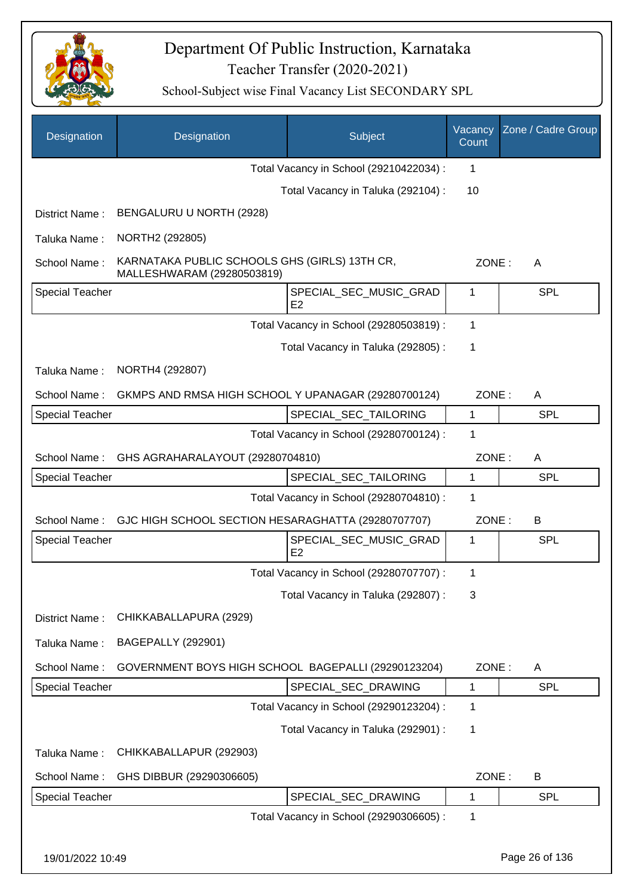

| Designation            | Designation                                                                 | Subject                                 | Vacancy<br>Count | Zone / Cadre Group |
|------------------------|-----------------------------------------------------------------------------|-----------------------------------------|------------------|--------------------|
|                        |                                                                             | Total Vacancy in School (29210422034) : | 1                |                    |
|                        |                                                                             | Total Vacancy in Taluka (292104) :      | 10               |                    |
| District Name:         | BENGALURU U NORTH (2928)                                                    |                                         |                  |                    |
| Taluka Name:           | NORTH2 (292805)                                                             |                                         |                  |                    |
| School Name:           | KARNATAKA PUBLIC SCHOOLS GHS (GIRLS) 13TH CR,<br>MALLESHWARAM (29280503819) |                                         | ZONE:            | A                  |
| <b>Special Teacher</b> |                                                                             | SPECIAL_SEC_MUSIC_GRAD<br>E2            | 1                | <b>SPL</b>         |
|                        |                                                                             | Total Vacancy in School (29280503819) : | 1                |                    |
|                        |                                                                             | Total Vacancy in Taluka (292805) :      | 1                |                    |
| Taluka Name:           | NORTH4 (292807)                                                             |                                         |                  |                    |
| School Name:           | GKMPS AND RMSA HIGH SCHOOL Y UPANAGAR (29280700124)                         |                                         | ZONE:            | A                  |
| <b>Special Teacher</b> |                                                                             | SPECIAL_SEC_TAILORING                   | 1                | <b>SPL</b>         |
|                        |                                                                             | Total Vacancy in School (29280700124) : | 1                |                    |
| School Name:           | GHS AGRAHARALAYOUT (29280704810)                                            |                                         | ZONE:            | A                  |
| <b>Special Teacher</b> |                                                                             | SPECIAL_SEC_TAILORING                   | 1                | <b>SPL</b>         |
|                        |                                                                             | Total Vacancy in School (29280704810) : | 1                |                    |
| School Name:           | GJC HIGH SCHOOL SECTION HESARAGHATTA (29280707707)                          |                                         | ZONE:            | B                  |
| <b>Special Teacher</b> |                                                                             | SPECIAL SEC MUSIC GRAD<br>E2            | 1                | <b>SPL</b>         |
|                        |                                                                             | Total Vacancy in School (29280707707) : | 1                |                    |
|                        |                                                                             | Total Vacancy in Taluka (292807) :      | 3                |                    |
| District Name:         | CHIKKABALLAPURA (2929)                                                      |                                         |                  |                    |
| Taluka Name:           | <b>BAGEPALLY (292901)</b>                                                   |                                         |                  |                    |
| School Name:           | GOVERNMENT BOYS HIGH SCHOOL BAGEPALLI (29290123204)                         |                                         | ZONE:            | A                  |
| <b>Special Teacher</b> |                                                                             | SPECIAL_SEC_DRAWING                     | 1                | <b>SPL</b>         |
|                        |                                                                             | Total Vacancy in School (29290123204) : | 1                |                    |
|                        |                                                                             | Total Vacancy in Taluka (292901) :      | 1                |                    |
| Taluka Name:           | CHIKKABALLAPUR (292903)                                                     |                                         |                  |                    |
| School Name:           | GHS DIBBUR (29290306605)                                                    |                                         | ZONE:            | B                  |
| Special Teacher        |                                                                             | SPECIAL_SEC_DRAWING                     | 1                | <b>SPL</b>         |
|                        |                                                                             | Total Vacancy in School (29290306605) : | 1                |                    |
| 19/01/2022 10:49       |                                                                             |                                         |                  | Page 26 of 136     |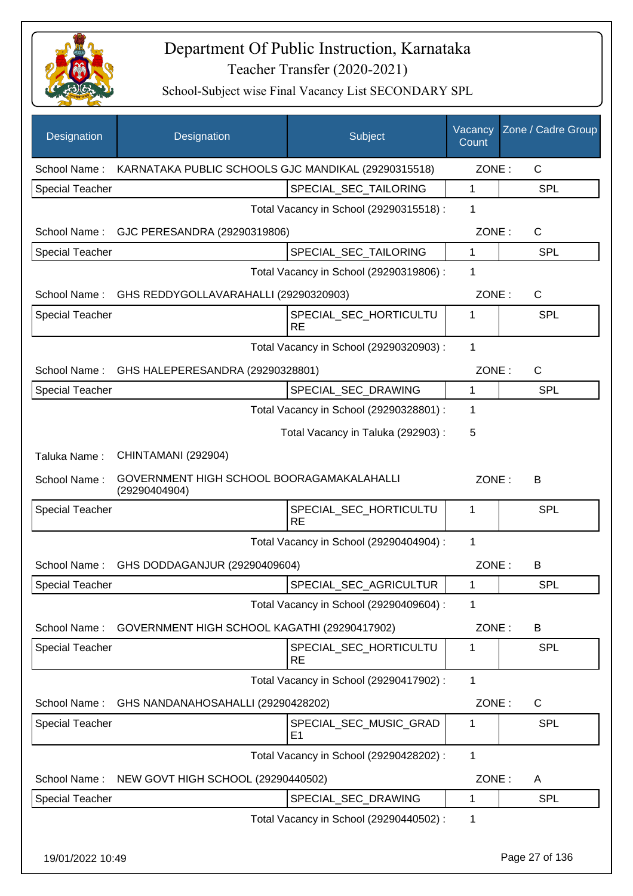

| Designation            | Designation                                                | Subject                                  | Vacancy<br>Count | Zone / Cadre Group |
|------------------------|------------------------------------------------------------|------------------------------------------|------------------|--------------------|
| School Name:           | KARNATAKA PUBLIC SCHOOLS GJC MANDIKAL (29290315518)        |                                          | ZONE:            | $\mathsf{C}$       |
| <b>Special Teacher</b> |                                                            | SPECIAL_SEC_TAILORING                    | 1                | <b>SPL</b>         |
|                        |                                                            | Total Vacancy in School (29290315518) :  | 1                |                    |
| School Name:           | GJC PERESANDRA (29290319806)                               |                                          | ZONE:            | C                  |
| <b>Special Teacher</b> |                                                            | SPECIAL_SEC_TAILORING                    | 1                | <b>SPL</b>         |
|                        |                                                            | Total Vacancy in School (29290319806) :  | 1                |                    |
| School Name:           | GHS REDDYGOLLAVARAHALLI (29290320903)                      |                                          | ZONE:            | $\mathsf{C}$       |
| <b>Special Teacher</b> |                                                            | SPECIAL_SEC_HORTICULTU<br><b>RE</b>      | 1                | SPL                |
|                        |                                                            | Total Vacancy in School (29290320903) :  | 1                |                    |
| School Name:           | GHS HALEPERESANDRA (29290328801)                           |                                          | ZONE:            | $\mathsf{C}$       |
| <b>Special Teacher</b> |                                                            | SPECIAL_SEC_DRAWING                      | $\mathbf{1}$     | SPL                |
|                        |                                                            | Total Vacancy in School (29290328801) :  | 1                |                    |
|                        |                                                            | Total Vacancy in Taluka (292903):        | 5                |                    |
| Taluka Name:           | CHINTAMANI (292904)                                        |                                          |                  |                    |
| School Name:           | GOVERNMENT HIGH SCHOOL BOORAGAMAKALAHALLI<br>(29290404904) |                                          | ZONE:            | B                  |
| <b>Special Teacher</b> |                                                            | SPECIAL_SEC_HORTICULTU<br><b>RE</b>      | 1                | <b>SPL</b>         |
|                        |                                                            | Total Vacancy in School (29290404904) :  | 1                |                    |
| School Name:           | GHS DODDAGANJUR (29290409604)                              |                                          | ZONE:            | B                  |
| Special Teacher        |                                                            | SPECIAL_SEC_AGRICULTUR                   | 1                | <b>SPL</b>         |
|                        |                                                            | Total Vacancy in School (29290409604) :  | $\mathbf 1$      |                    |
|                        | School Name: GOVERNMENT HIGH SCHOOL KAGATHI (29290417902)  |                                          | ZONE:            | B                  |
| <b>Special Teacher</b> |                                                            | SPECIAL SEC HORTICULTU<br><b>RE</b>      | 1                | <b>SPL</b>         |
|                        |                                                            | Total Vacancy in School (29290417902) :  | 1                |                    |
| School Name:           | GHS NANDANAHOSAHALLI (29290428202)                         |                                          | ZONE:            | C                  |
| <b>Special Teacher</b> |                                                            | SPECIAL_SEC_MUSIC_GRAD<br>E <sub>1</sub> | 1                | <b>SPL</b>         |
|                        |                                                            | Total Vacancy in School (29290428202) :  | $\mathbf{1}$     |                    |
| School Name:           | NEW GOVT HIGH SCHOOL (29290440502)                         |                                          | ZONE:            | A                  |
| <b>Special Teacher</b> |                                                            | SPECIAL_SEC_DRAWING                      | 1                | <b>SPL</b>         |
|                        |                                                            | Total Vacancy in School (29290440502) :  | 1                |                    |
| 19/01/2022 10:49       |                                                            |                                          |                  | Page 27 of 136     |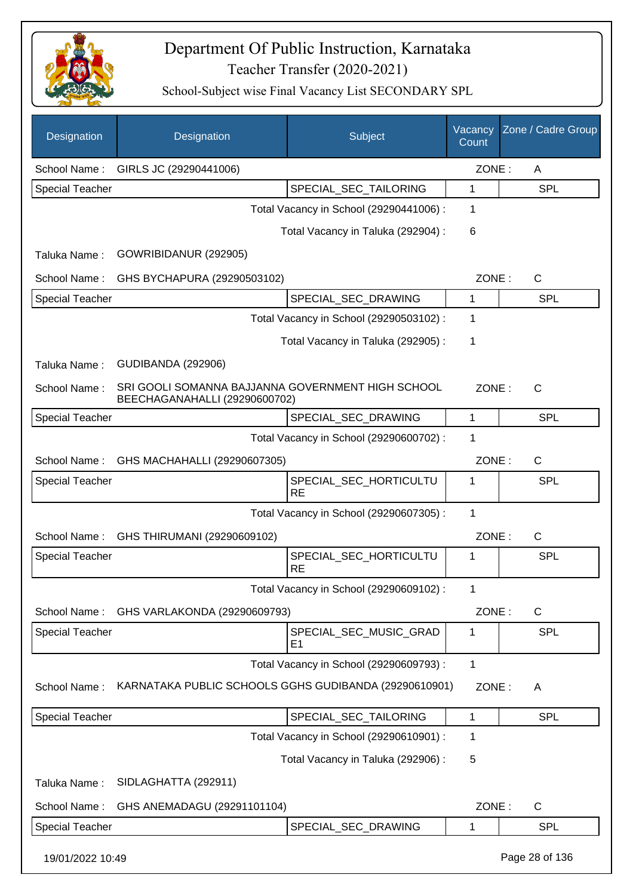

| Designation            | Designation                                                                        | Subject                                  | Vacancy<br>Count | Zone / Cadre Group |
|------------------------|------------------------------------------------------------------------------------|------------------------------------------|------------------|--------------------|
| School Name:           | GIRLS JC (29290441006)                                                             |                                          | ZONE:            | A                  |
| <b>Special Teacher</b> |                                                                                    | SPECIAL SEC TAILORING                    | 1                | <b>SPL</b>         |
|                        |                                                                                    | Total Vacancy in School (29290441006) :  | 1                |                    |
|                        |                                                                                    | Total Vacancy in Taluka (292904) :       | $\,6$            |                    |
| Taluka Name:           | GOWRIBIDANUR (292905)                                                              |                                          |                  |                    |
| School Name:           | GHS BYCHAPURA (29290503102)                                                        |                                          | ZONE:            | $\mathsf{C}$       |
| Special Teacher        |                                                                                    | SPECIAL_SEC_DRAWING                      | 1                | <b>SPL</b>         |
|                        |                                                                                    | Total Vacancy in School (29290503102) :  | 1                |                    |
|                        |                                                                                    | Total Vacancy in Taluka (292905):        | 1                |                    |
| Taluka Name:           | <b>GUDIBANDA (292906)</b>                                                          |                                          |                  |                    |
| School Name:           | SRI GOOLI SOMANNA BAJJANNA GOVERNMENT HIGH SCHOOL<br>BEECHAGANAHALLI (29290600702) |                                          | ZONE:            | $\mathsf{C}$       |
| <b>Special Teacher</b> |                                                                                    | SPECIAL_SEC_DRAWING                      | 1                | <b>SPL</b>         |
|                        |                                                                                    | Total Vacancy in School (29290600702) :  | 1                |                    |
| School Name:           | GHS MACHAHALLI (29290607305)                                                       |                                          | ZONE:            | C                  |
| <b>Special Teacher</b> |                                                                                    | SPECIAL_SEC_HORTICULTU<br><b>RE</b>      | 1                | <b>SPL</b>         |
|                        |                                                                                    | Total Vacancy in School (29290607305) :  | 1                |                    |
| School Name:           | GHS THIRUMANI (29290609102)                                                        |                                          | ZONE:            | C                  |
| <b>Special Teacher</b> |                                                                                    | SPECIAL_SEC_HORTICULTU<br><b>RE</b>      | 1                | <b>SPL</b>         |
|                        |                                                                                    | Total Vacancy in School (29290609102) :  |                  |                    |
| School Name:           | GHS VARLAKONDA (29290609793)                                                       |                                          | ZONE:            | C                  |
| <b>Special Teacher</b> |                                                                                    | SPECIAL_SEC_MUSIC_GRAD<br>E <sub>1</sub> | 1                | <b>SPL</b>         |
|                        |                                                                                    | Total Vacancy in School (29290609793) :  | 1                |                    |
| School Name:           | KARNATAKA PUBLIC SCHOOLS GGHS GUDIBANDA (29290610901)                              |                                          | ZONE:            | A                  |
| <b>Special Teacher</b> |                                                                                    | SPECIAL_SEC_TAILORING                    | $\mathbf 1$      | <b>SPL</b>         |
|                        |                                                                                    | Total Vacancy in School (29290610901) :  | 1                |                    |
|                        |                                                                                    | Total Vacancy in Taluka (292906) :       | 5                |                    |
| Taluka Name:           | SIDLAGHATTA (292911)                                                               |                                          |                  |                    |
| School Name:           | GHS ANEMADAGU (29291101104)                                                        |                                          | ZONE:            | $\mathsf{C}$       |
| Special Teacher        |                                                                                    | SPECIAL_SEC_DRAWING                      | 1                | <b>SPL</b>         |
| 19/01/2022 10:49       |                                                                                    |                                          |                  | Page 28 of 136     |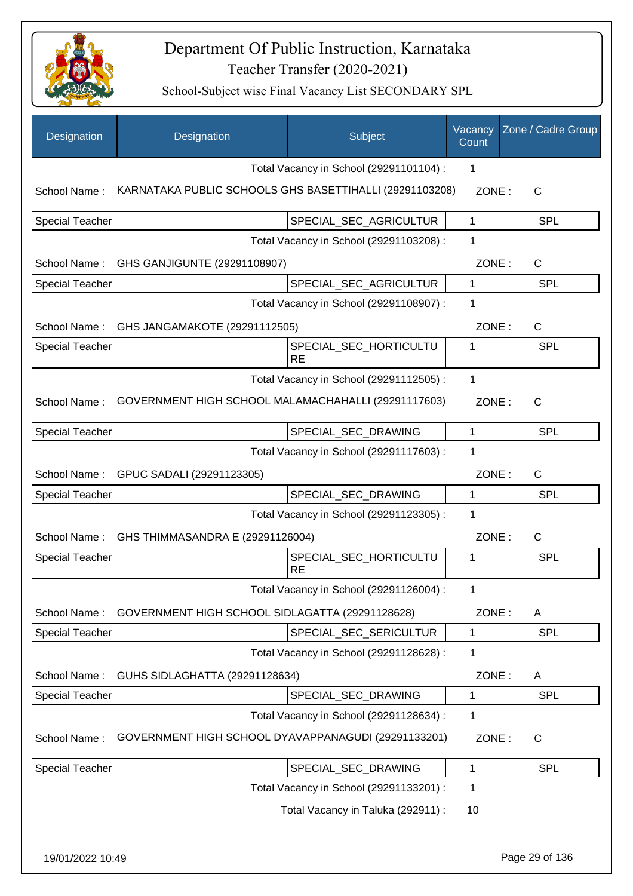

| Designation            | Designation                                             | Subject                                 | Vacancy<br>Count | Zone / Cadre Group |
|------------------------|---------------------------------------------------------|-----------------------------------------|------------------|--------------------|
|                        |                                                         | Total Vacancy in School (29291101104) : | 1                |                    |
| School Name:           | KARNATAKA PUBLIC SCHOOLS GHS BASETTIHALLI (29291103208) |                                         | ZONE:            | C                  |
| <b>Special Teacher</b> |                                                         | SPECIAL SEC AGRICULTUR                  | 1                | <b>SPL</b>         |
|                        |                                                         | Total Vacancy in School (29291103208) : | 1                |                    |
| School Name:           | GHS GANJIGUNTE (29291108907)                            |                                         | ZONE:            | $\mathsf{C}$       |
| <b>Special Teacher</b> |                                                         | SPECIAL_SEC_AGRICULTUR                  | 1                | <b>SPL</b>         |
|                        |                                                         | Total Vacancy in School (29291108907) : | 1                |                    |
| School Name:           | GHS JANGAMAKOTE (29291112505)                           |                                         | ZONE:            | $\mathsf{C}$       |
| <b>Special Teacher</b> |                                                         | SPECIAL_SEC_HORTICULTU<br><b>RE</b>     | 1                | <b>SPL</b>         |
|                        |                                                         | Total Vacancy in School (29291112505) : | $\mathbf{1}$     |                    |
| School Name:           | GOVERNMENT HIGH SCHOOL MALAMACHAHALLI (29291117603)     |                                         | ZONE:            | $\mathsf{C}$       |
| <b>Special Teacher</b> |                                                         | SPECIAL_SEC_DRAWING                     | $\mathbf{1}$     | SPL                |
|                        |                                                         | Total Vacancy in School (29291117603) : | 1                |                    |
| School Name:           | GPUC SADALI (29291123305)                               |                                         | ZONE:            | $\mathsf{C}$       |
| <b>Special Teacher</b> |                                                         | SPECIAL_SEC_DRAWING                     | 1                | <b>SPL</b>         |
|                        |                                                         | Total Vacancy in School (29291123305) : | 1                |                    |
| School Name:           | GHS THIMMASANDRA E (29291126004)                        |                                         | ZONE:            | C                  |
| <b>Special Teacher</b> |                                                         | SPECIAL SEC HORTICULTU<br><b>RE</b>     | 1                | <b>SPL</b>         |
|                        |                                                         | Total Vacancy in School (29291126004) : | 1                |                    |
| School Name:           | GOVERNMENT HIGH SCHOOL SIDLAGATTA (29291128628)         |                                         | ZONE:            | A                  |
| <b>Special Teacher</b> |                                                         | SPECIAL_SEC_SERICULTUR                  | 1                | <b>SPL</b>         |
|                        |                                                         | Total Vacancy in School (29291128628) : | 1                |                    |
| School Name:           | GUHS SIDLAGHATTA (29291128634)                          |                                         | ZONE:            | A                  |
| Special Teacher        |                                                         | SPECIAL SEC DRAWING                     | 1                | <b>SPL</b>         |
|                        |                                                         | Total Vacancy in School (29291128634) : | 1                |                    |
| School Name:           | GOVERNMENT HIGH SCHOOL DYAVAPPANAGUDI (29291133201)     |                                         | ZONE:            | C                  |
| <b>Special Teacher</b> |                                                         | SPECIAL SEC DRAWING                     | 1                | <b>SPL</b>         |
|                        |                                                         | Total Vacancy in School (29291133201) : | 1                |                    |
|                        |                                                         | Total Vacancy in Taluka (292911) :      | 10               |                    |
|                        |                                                         |                                         |                  |                    |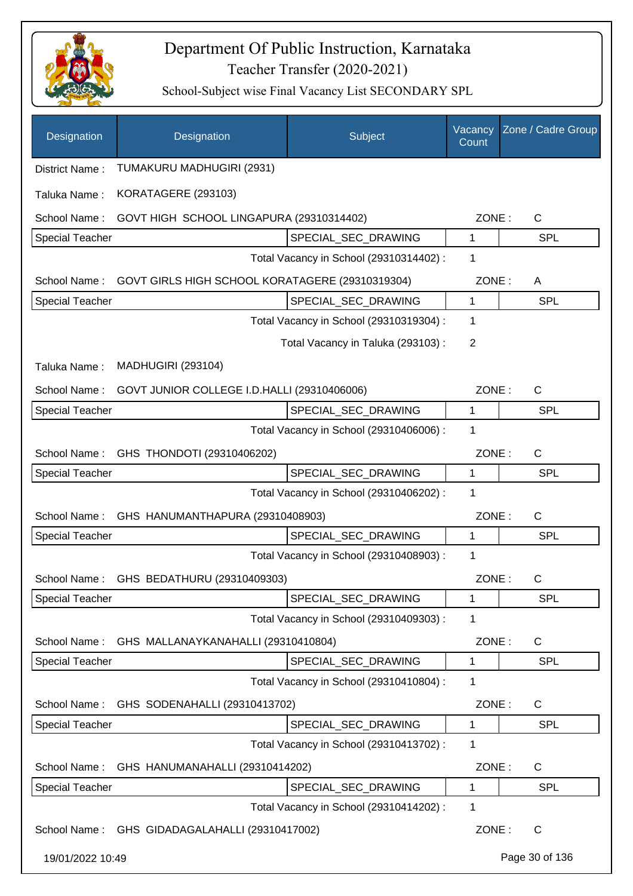

| Designation            | Designation                                     | Subject                                 | Vacancy<br>Count | Zone / Cadre Group |
|------------------------|-------------------------------------------------|-----------------------------------------|------------------|--------------------|
| District Name:         | TUMAKURU MADHUGIRI (2931)                       |                                         |                  |                    |
| Taluka Name:           | KORATAGERE (293103)                             |                                         |                  |                    |
| School Name:           | GOVT HIGH SCHOOL LINGAPURA (29310314402)        |                                         | ZONE:            | C                  |
| <b>Special Teacher</b> |                                                 | SPECIAL_SEC_DRAWING                     | 1                | <b>SPL</b>         |
|                        |                                                 | Total Vacancy in School (29310314402) : | 1                |                    |
| School Name:           | GOVT GIRLS HIGH SCHOOL KORATAGERE (29310319304) |                                         | ZONE:            | A                  |
| <b>Special Teacher</b> |                                                 | SPECIAL_SEC_DRAWING                     | 1                | <b>SPL</b>         |
|                        |                                                 | Total Vacancy in School (29310319304) : | 1                |                    |
|                        |                                                 | Total Vacancy in Taluka (293103):       | 2                |                    |
| Taluka Name:           | <b>MADHUGIRI (293104)</b>                       |                                         |                  |                    |
| School Name:           | GOVT JUNIOR COLLEGE I.D.HALLI (29310406006)     |                                         | ZONE:            | C                  |
| <b>Special Teacher</b> |                                                 | SPECIAL_SEC_DRAWING                     | 1                | <b>SPL</b>         |
|                        |                                                 | Total Vacancy in School (29310406006) : | 1                |                    |
| School Name:           | GHS THONDOTI (29310406202)                      |                                         | ZONE:            | $\mathsf{C}$       |
| <b>Special Teacher</b> |                                                 | SPECIAL_SEC_DRAWING                     | 1                | <b>SPL</b>         |
|                        |                                                 | Total Vacancy in School (29310406202) : | 1                |                    |
| School Name:           | GHS HANUMANTHAPURA (29310408903)                |                                         | ZONE:            | $\mathsf{C}$       |
| <b>Special Teacher</b> |                                                 | SPECIAL_SEC_DRAWING                     | 1                | <b>SPL</b>         |
|                        |                                                 | Total Vacancy in School (29310408903) : | 1                |                    |
| School Name:           | GHS BEDATHURU (29310409303)                     |                                         | ZONE:            | $\mathsf C$        |
| <b>Special Teacher</b> |                                                 | SPECIAL_SEC_DRAWING                     | 1                | SPL                |
|                        |                                                 | Total Vacancy in School (29310409303) : | 1                |                    |
| School Name:           | GHS MALLANAYKANAHALLI (29310410804)             |                                         | ZONE:            | C                  |
| <b>Special Teacher</b> |                                                 | SPECIAL_SEC_DRAWING                     | 1                | <b>SPL</b>         |
|                        |                                                 | Total Vacancy in School (29310410804) : | 1                |                    |
| School Name:           | GHS SODENAHALLI (29310413702)                   |                                         | ZONE:            | C                  |
| <b>Special Teacher</b> |                                                 | SPECIAL_SEC_DRAWING                     | 1                | <b>SPL</b>         |
|                        |                                                 | Total Vacancy in School (29310413702) : | 1                |                    |
| School Name:           | GHS HANUMANAHALLI (29310414202)                 |                                         | ZONE:            | C                  |
| <b>Special Teacher</b> |                                                 | SPECIAL_SEC_DRAWING                     | 1                | SPL                |
|                        |                                                 | Total Vacancy in School (29310414202) : | 1                |                    |
| School Name:           | GHS GIDADAGALAHALLI (29310417002)               |                                         | ZONE:            | $\mathsf{C}$       |
| 19/01/2022 10:49       |                                                 |                                         |                  | Page 30 of 136     |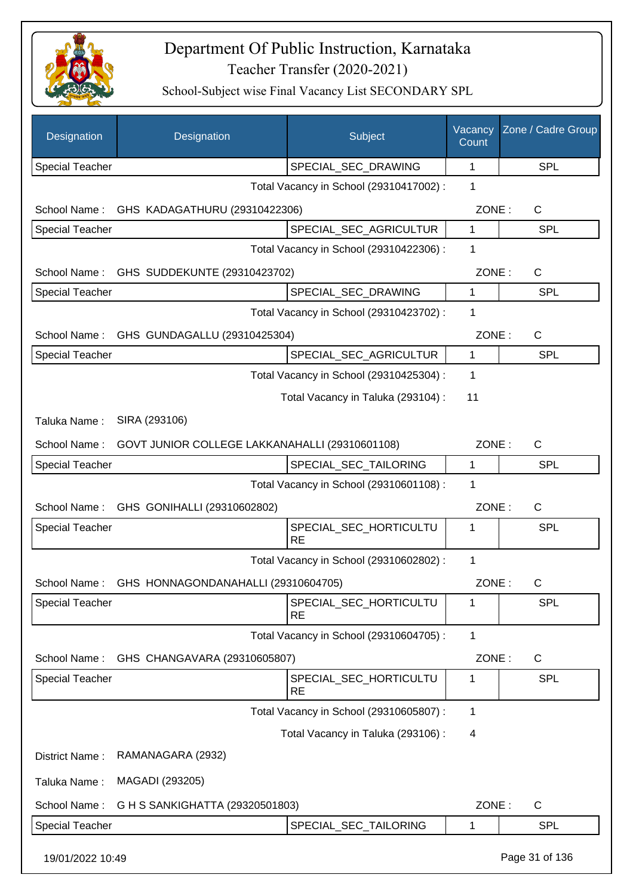

| Designation            | Designation                                    | Subject                                 | Vacancy<br>Count | Zone / Cadre Group |
|------------------------|------------------------------------------------|-----------------------------------------|------------------|--------------------|
| <b>Special Teacher</b> |                                                | SPECIAL_SEC_DRAWING                     | 1                | SPL                |
|                        |                                                | Total Vacancy in School (29310417002) : | 1                |                    |
| School Name:           | GHS KADAGATHURU (29310422306)                  |                                         | ZONE:            | C                  |
| <b>Special Teacher</b> |                                                | SPECIAL SEC AGRICULTUR                  | 1                | <b>SPL</b>         |
|                        |                                                | Total Vacancy in School (29310422306) : | 1                |                    |
| School Name:           | GHS SUDDEKUNTE (29310423702)                   |                                         | ZONE:            | C                  |
| <b>Special Teacher</b> |                                                | SPECIAL_SEC_DRAWING                     | 1                | <b>SPL</b>         |
|                        |                                                | Total Vacancy in School (29310423702) : | 1                |                    |
|                        | School Name: GHS GUNDAGALLU (29310425304)      |                                         | ZONE:            | C                  |
| <b>Special Teacher</b> |                                                | SPECIAL_SEC_AGRICULTUR                  | $\mathbf{1}$     | <b>SPL</b>         |
|                        |                                                | Total Vacancy in School (29310425304) : | 1                |                    |
|                        |                                                | Total Vacancy in Taluka (293104) :      | 11               |                    |
| Taluka Name:           | SIRA (293106)                                  |                                         |                  |                    |
| School Name:           | GOVT JUNIOR COLLEGE LAKKANAHALLI (29310601108) |                                         | ZONE:            | C                  |
| Special Teacher        |                                                | SPECIAL_SEC_TAILORING                   | 1                | <b>SPL</b>         |
|                        |                                                | Total Vacancy in School (29310601108) : | 1                |                    |
| School Name:           | GHS GONIHALLI (29310602802)                    |                                         | ZONE:            | C                  |
| Special Teacher        |                                                | SPECIAL_SEC_HORTICULTU<br><b>RE</b>     | 1                | <b>SPL</b>         |
|                        |                                                | Total Vacancy in School (29310602802) : | 1                |                    |
| School Name:           | GHS HONNAGONDANAHALLI (29310604705)            |                                         | ZONE:            | C                  |
| <b>Special Teacher</b> |                                                | SPECIAL SEC HORTICULTU<br><b>RE</b>     | 1                | SPL                |
|                        |                                                | Total Vacancy in School (29310604705) : | 1                |                    |
| School Name:           | GHS CHANGAVARA (29310605807)                   |                                         | ZONE:            | C                  |
| <b>Special Teacher</b> |                                                | SPECIAL_SEC_HORTICULTU<br>RE            | 1                | SPL                |
|                        |                                                | Total Vacancy in School (29310605807) : | 1                |                    |
|                        |                                                | Total Vacancy in Taluka (293106):       | 4                |                    |
| District Name:         | RAMANAGARA (2932)                              |                                         |                  |                    |
| Taluka Name:           | MAGADI (293205)                                |                                         |                  |                    |
| School Name:           | G H S SANKIGHATTA (29320501803)                |                                         | ZONE:            | C                  |
| <b>Special Teacher</b> |                                                | SPECIAL_SEC_TAILORING                   | 1                | <b>SPL</b>         |
| 19/01/2022 10:49       |                                                |                                         |                  | Page 31 of 136     |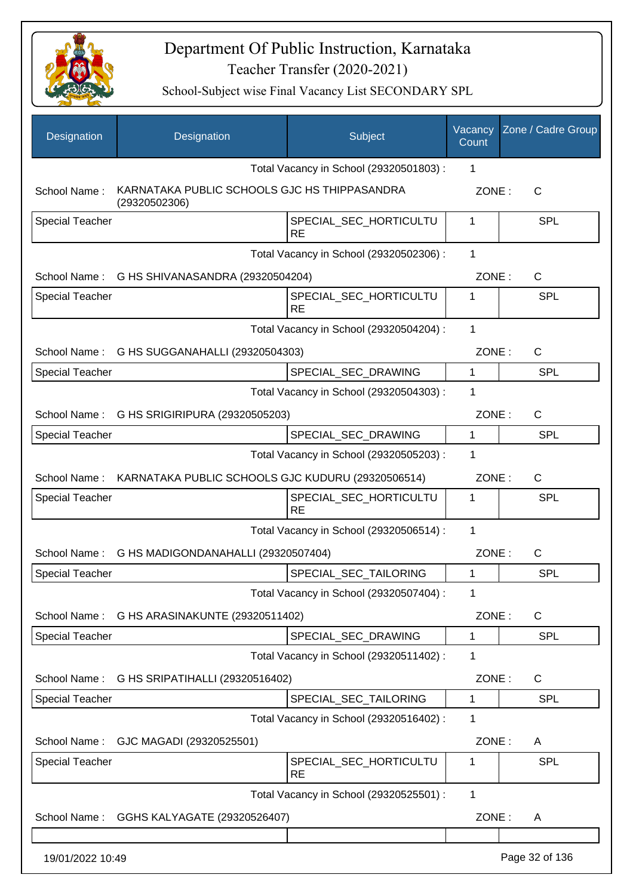

| Designation            | Designation                                                   | Subject                                 | Vacancy<br>Count | Zone / Cadre Group |
|------------------------|---------------------------------------------------------------|-----------------------------------------|------------------|--------------------|
|                        |                                                               | Total Vacancy in School (29320501803) : | 1                |                    |
| School Name:           | KARNATAKA PUBLIC SCHOOLS GJC HS THIPPASANDRA<br>(29320502306) |                                         | ZONE:            | C                  |
| <b>Special Teacher</b> |                                                               | SPECIAL_SEC_HORTICULTU<br><b>RE</b>     | 1                | <b>SPL</b>         |
|                        |                                                               | Total Vacancy in School (29320502306) : | $\mathbf 1$      |                    |
|                        | School Name: G HS SHIVANASANDRA (29320504204)                 |                                         | ZONE:            | C                  |
| <b>Special Teacher</b> |                                                               | SPECIAL_SEC_HORTICULTU<br><b>RE</b>     | 1                | <b>SPL</b>         |
|                        |                                                               | Total Vacancy in School (29320504204) : | 1                |                    |
|                        | School Name: G HS SUGGANAHALLI (29320504303)                  |                                         | ZONE:            | $\mathsf{C}$       |
| <b>Special Teacher</b> |                                                               | SPECIAL SEC DRAWING                     | 1                | <b>SPL</b>         |
|                        |                                                               | Total Vacancy in School (29320504303) : | 1                |                    |
|                        | School Name: G HS SRIGIRIPURA (29320505203)                   |                                         | ZONE:            | $\mathsf{C}$       |
| <b>Special Teacher</b> |                                                               | SPECIAL_SEC_DRAWING                     | 1                | <b>SPL</b>         |
|                        |                                                               | Total Vacancy in School (29320505203) : | 1                |                    |
| School Name:           | KARNATAKA PUBLIC SCHOOLS GJC KUDURU (29320506514)             |                                         | ZONE:            | $\mathsf{C}$       |
| <b>Special Teacher</b> |                                                               | SPECIAL_SEC_HORTICULTU<br><b>RE</b>     | 1                | <b>SPL</b>         |
|                        |                                                               | Total Vacancy in School (29320506514) : | 1                |                    |
| School Name:           | G HS MADIGONDANAHALLI (29320507404)                           |                                         | ZONE:            | C                  |
| <b>Special Teacher</b> |                                                               | SPECIAL_SEC_TAILORING                   | 1                | <b>SPL</b>         |
|                        |                                                               | Total Vacancy in School (29320507404) : | 1                |                    |
| School Name:           | G HS ARASINAKUNTE (29320511402)                               |                                         | ZONE:            | C                  |
| Special Teacher        |                                                               | SPECIAL_SEC_DRAWING                     | 1                | <b>SPL</b>         |
|                        |                                                               | Total Vacancy in School (29320511402) : | 1                |                    |
| School Name:           | G HS SRIPATIHALLI (29320516402)                               |                                         | ZONE:            | C                  |
| Special Teacher        |                                                               | SPECIAL_SEC_TAILORING                   | 1                | <b>SPL</b>         |
|                        |                                                               | Total Vacancy in School (29320516402) : | 1                |                    |
| School Name:           | GJC MAGADI (29320525501)                                      |                                         | ZONE:            | A                  |
| <b>Special Teacher</b> |                                                               | SPECIAL_SEC_HORTICULTU<br><b>RE</b>     | 1                | <b>SPL</b>         |
|                        |                                                               | Total Vacancy in School (29320525501) : | $\mathbf{1}$     |                    |
| School Name:           | GGHS KALYAGATE (29320526407)                                  |                                         | ZONE:            | A                  |
|                        |                                                               |                                         |                  |                    |
| 19/01/2022 10:49       |                                                               |                                         |                  | Page 32 of 136     |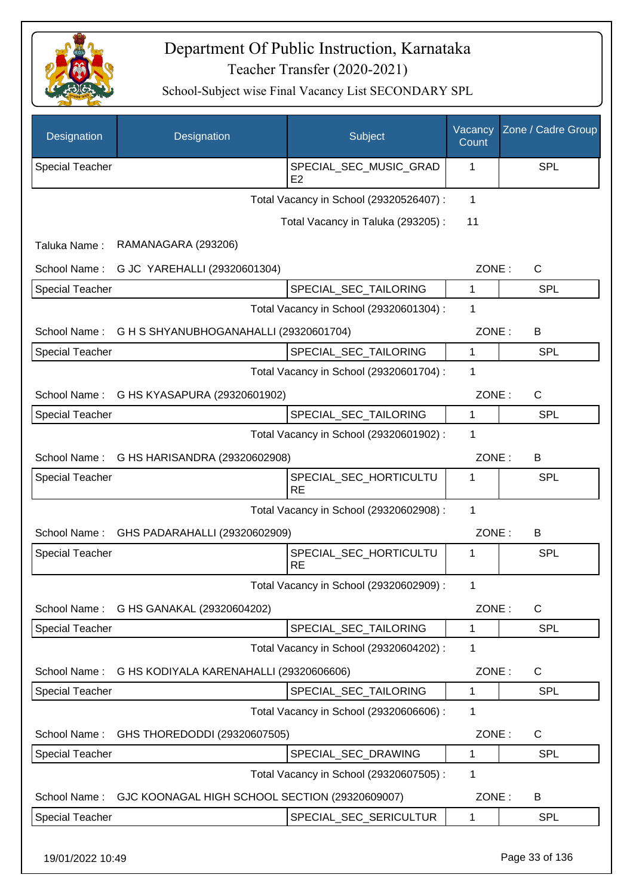

| Designation            | Designation                                    | Subject                                  | Vacancy<br>Count | Zone / Cadre Group |
|------------------------|------------------------------------------------|------------------------------------------|------------------|--------------------|
| <b>Special Teacher</b> |                                                | SPECIAL_SEC_MUSIC_GRAD<br>E <sub>2</sub> | 1                | <b>SPL</b>         |
|                        |                                                | Total Vacancy in School (29320526407) :  | $\mathbf{1}$     |                    |
|                        |                                                | Total Vacancy in Taluka (293205):        | 11               |                    |
| Taluka Name:           | RAMANAGARA (293206)                            |                                          |                  |                    |
| School Name:           | G JC YAREHALLI (29320601304)                   |                                          | ZONE:            | $\mathsf C$        |
| <b>Special Teacher</b> |                                                | SPECIAL_SEC_TAILORING                    | 1                | <b>SPL</b>         |
|                        |                                                | Total Vacancy in School (29320601304) :  | 1                |                    |
| School Name:           | G H S SHYANUBHOGANAHALLI (29320601704)         |                                          | ZONE:            | B                  |
| <b>Special Teacher</b> |                                                | SPECIAL_SEC_TAILORING                    | $\mathbf{1}$     | <b>SPL</b>         |
|                        |                                                | Total Vacancy in School (29320601704) :  | 1                |                    |
|                        | School Name: G HS KYASAPURA (29320601902)      |                                          | ZONE:            | $\mathsf{C}$       |
| <b>Special Teacher</b> |                                                | SPECIAL_SEC_TAILORING                    | 1                | SPL                |
|                        |                                                | Total Vacancy in School (29320601902) :  | 1                |                    |
| School Name:           | G HS HARISANDRA (29320602908)                  |                                          | ZONE:            | B                  |
| <b>Special Teacher</b> |                                                | SPECIAL_SEC_HORTICULTU<br><b>RE</b>      | 1                | <b>SPL</b>         |
|                        |                                                | Total Vacancy in School (29320602908) :  | 1                |                    |
| School Name:           | GHS PADARAHALLI (29320602909)                  |                                          | ZONE:            | B                  |
| <b>Special Teacher</b> |                                                | SPECIAL_SEC_HORTICULTU<br><b>RE</b>      | 1                | <b>SPL</b>         |
|                        |                                                | Total Vacancy in School (29320602909) :  | 1                |                    |
| School Name:           | G HS GANAKAL (29320604202)                     |                                          | ZONE:            | $\mathsf{C}$       |
| Special Teacher        |                                                | SPECIAL_SEC_TAILORING                    | 1                | SPL                |
|                        |                                                | Total Vacancy in School (29320604202) :  | 1                |                    |
| School Name:           | G HS KODIYALA KARENAHALLI (29320606606)        |                                          | ZONE:            | C                  |
| <b>Special Teacher</b> |                                                | SPECIAL_SEC_TAILORING                    | 1                | SPL                |
|                        |                                                | Total Vacancy in School (29320606606) :  | 1                |                    |
| School Name:           | GHS THOREDODDI (29320607505)                   |                                          | ZONE:            | C                  |
| <b>Special Teacher</b> |                                                | SPECIAL_SEC_DRAWING                      | 1                | <b>SPL</b>         |
|                        |                                                | Total Vacancy in School (29320607505) :  | 1                |                    |
| School Name:           | GJC KOONAGAL HIGH SCHOOL SECTION (29320609007) |                                          | ZONE:            | B                  |
| <b>Special Teacher</b> |                                                | SPECIAL_SEC_SERICULTUR                   | 1                | SPL                |
|                        |                                                |                                          |                  |                    |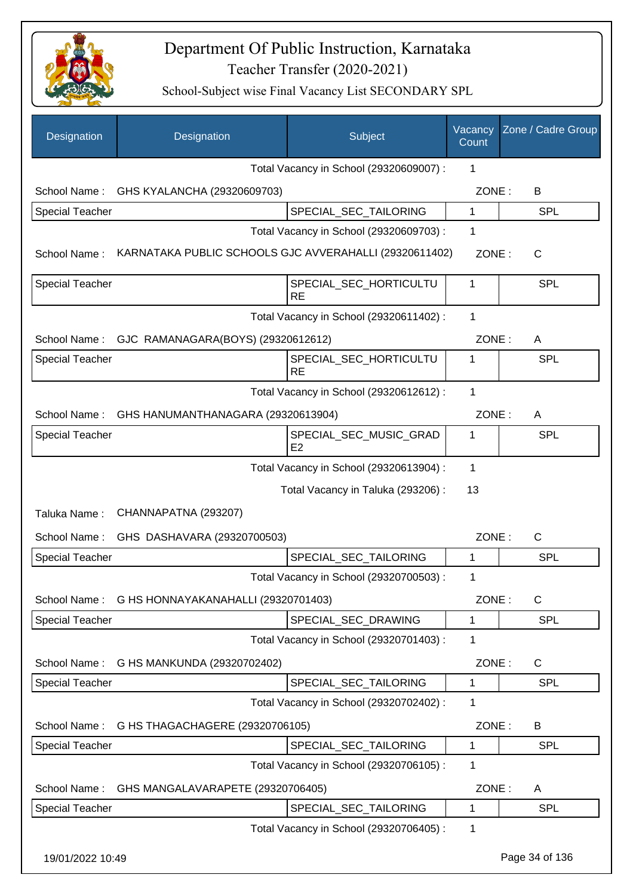

| Designation            | Designation                                            | Subject                                  | Vacancy<br>Count | Zone / Cadre Group |
|------------------------|--------------------------------------------------------|------------------------------------------|------------------|--------------------|
|                        |                                                        | Total Vacancy in School (29320609007) :  | 1                |                    |
| School Name:           | GHS KYALANCHA (29320609703)                            |                                          | ZONE:            | B                  |
| Special Teacher        |                                                        | SPECIAL_SEC_TAILORING                    | $\mathbf{1}$     | <b>SPL</b>         |
|                        |                                                        | Total Vacancy in School (29320609703) :  | 1                |                    |
| School Name:           | KARNATAKA PUBLIC SCHOOLS GJC AVVERAHALLI (29320611402) |                                          | ZONE:            | $\mathsf{C}$       |
| <b>Special Teacher</b> |                                                        | SPECIAL_SEC_HORTICULTU<br><b>RE</b>      | 1                | <b>SPL</b>         |
|                        |                                                        | Total Vacancy in School (29320611402) :  | 1                |                    |
| School Name:           | GJC RAMANAGARA(BOYS) (29320612612)                     |                                          | ZONE:            | A                  |
| <b>Special Teacher</b> |                                                        | SPECIAL_SEC_HORTICULTU<br><b>RE</b>      | 1                | <b>SPL</b>         |
|                        |                                                        | Total Vacancy in School (29320612612) :  | 1                |                    |
| School Name:           | GHS HANUMANTHANAGARA (29320613904)                     |                                          | ZONE:            | A                  |
| <b>Special Teacher</b> |                                                        | SPECIAL_SEC_MUSIC_GRAD<br>E <sub>2</sub> | 1                | SPL                |
|                        |                                                        | Total Vacancy in School (29320613904) :  | 1                |                    |
|                        |                                                        | Total Vacancy in Taluka (293206) :       | 13               |                    |
| Taluka Name:           | CHANNAPATNA (293207)                                   |                                          |                  |                    |
| School Name:           | GHS DASHAVARA (29320700503)                            |                                          | ZONE:            | C                  |
| <b>Special Teacher</b> |                                                        | SPECIAL_SEC_TAILORING                    | 1                | <b>SPL</b>         |
|                        |                                                        | Total Vacancy in School (29320700503) :  | 1                |                    |
|                        | School Name: G HS HONNAYAKANAHALLI (29320701403)       |                                          | ZONE:            | C                  |
| <b>Special Teacher</b> |                                                        | SPECIAL SEC DRAWING                      | $\mathbf{1}$     | SPL                |
|                        |                                                        | Total Vacancy in School (29320701403) :  | 1                |                    |
| School Name:           | G HS MANKUNDA (29320702402)                            |                                          | ZONE:            | $\mathsf{C}$       |
| Special Teacher        |                                                        | SPECIAL SEC TAILORING                    | 1                | <b>SPL</b>         |
|                        |                                                        | Total Vacancy in School (29320702402) :  | 1                |                    |
| School Name:           | G HS THAGACHAGERE (29320706105)                        |                                          | ZONE:            | B                  |
| <b>Special Teacher</b> |                                                        | SPECIAL_SEC_TAILORING                    | $\mathbf 1$      | <b>SPL</b>         |
|                        |                                                        | Total Vacancy in School (29320706105) :  | 1                |                    |
| School Name:           | GHS MANGALAVARAPETE (29320706405)                      |                                          | ZONE:            | Α                  |
| <b>Special Teacher</b> |                                                        | SPECIAL_SEC_TAILORING                    | 1                | SPL                |
|                        |                                                        | Total Vacancy in School (29320706405) :  | $\mathbf 1$      |                    |
| 19/01/2022 10:49       |                                                        |                                          |                  | Page 34 of 136     |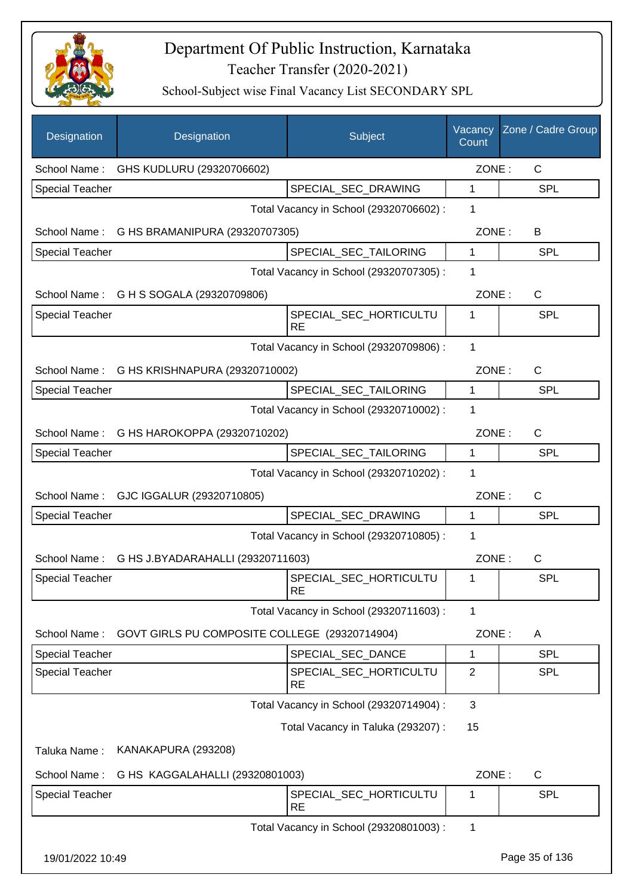

| Designation            | Designation                                   | Subject                                 | Vacancy<br>Count | Zone / Cadre Group |
|------------------------|-----------------------------------------------|-----------------------------------------|------------------|--------------------|
| School Name:           | GHS KUDLURU (29320706602)                     |                                         | ZONE:            | C                  |
| <b>Special Teacher</b> |                                               | SPECIAL_SEC_DRAWING                     | 1                | SPL                |
|                        |                                               | Total Vacancy in School (29320706602) : | 1                |                    |
| School Name:           | G HS BRAMANIPURA (29320707305)                |                                         | ZONE:            | В                  |
| <b>Special Teacher</b> |                                               | SPECIAL_SEC_TAILORING                   | 1                | <b>SPL</b>         |
|                        |                                               | Total Vacancy in School (29320707305) : | 1                |                    |
| School Name:           | G H S SOGALA (29320709806)                    |                                         | ZONE:            | $\mathsf C$        |
| <b>Special Teacher</b> |                                               | SPECIAL_SEC_HORTICULTU<br><b>RE</b>     | 1                | <b>SPL</b>         |
|                        |                                               | Total Vacancy in School (29320709806) : | 1                |                    |
|                        | School Name: G HS KRISHNAPURA (29320710002)   |                                         | ZONE:            | $\mathsf{C}$       |
| <b>Special Teacher</b> |                                               | SPECIAL_SEC_TAILORING                   | 1                | <b>SPL</b>         |
|                        |                                               | Total Vacancy in School (29320710002) : | 1                |                    |
|                        | School Name: G HS HAROKOPPA (29320710202)     |                                         | ZONE:            | $\mathsf{C}$       |
| <b>Special Teacher</b> |                                               | SPECIAL_SEC_TAILORING                   | 1                | SPL                |
|                        |                                               | Total Vacancy in School (29320710202) : | 1                |                    |
| School Name:           | GJC IGGALUR (29320710805)                     |                                         | ZONE:            | C                  |
| <b>Special Teacher</b> |                                               | SPECIAL_SEC_DRAWING                     | 1                | <b>SPL</b>         |
|                        |                                               | Total Vacancy in School (29320710805) : | 1                |                    |
| School Name:           | G HS J.BYADARAHALLI (29320711603)             |                                         | ZONE:            | C                  |
| <b>Special Teacher</b> |                                               | SPECIAL SEC HORTICULTU<br><b>RE</b>     | 1                | SPL                |
|                        |                                               | Total Vacancy in School (29320711603) : | 1                |                    |
| School Name:           | GOVT GIRLS PU COMPOSITE COLLEGE (29320714904) |                                         | ZONE:            | A                  |
| <b>Special Teacher</b> |                                               | SPECIAL_SEC_DANCE                       | 1                | <b>SPL</b>         |
| <b>Special Teacher</b> |                                               | SPECIAL SEC HORTICULTU<br><b>RE</b>     | 2                | <b>SPL</b>         |
|                        |                                               | Total Vacancy in School (29320714904) : | 3                |                    |
|                        |                                               | Total Vacancy in Taluka (293207) :      | 15               |                    |
| Taluka Name:           | KANAKAPURA (293208)                           |                                         |                  |                    |
| School Name:           | G HS KAGGALAHALLI (29320801003)               |                                         | ZONE:            | $\mathsf C$        |
| <b>Special Teacher</b> |                                               | SPECIAL_SEC_HORTICULTU<br><b>RE</b>     | 1                | <b>SPL</b>         |
|                        |                                               | Total Vacancy in School (29320801003) : | 1                |                    |
| 19/01/2022 10:49       |                                               |                                         |                  | Page 35 of 136     |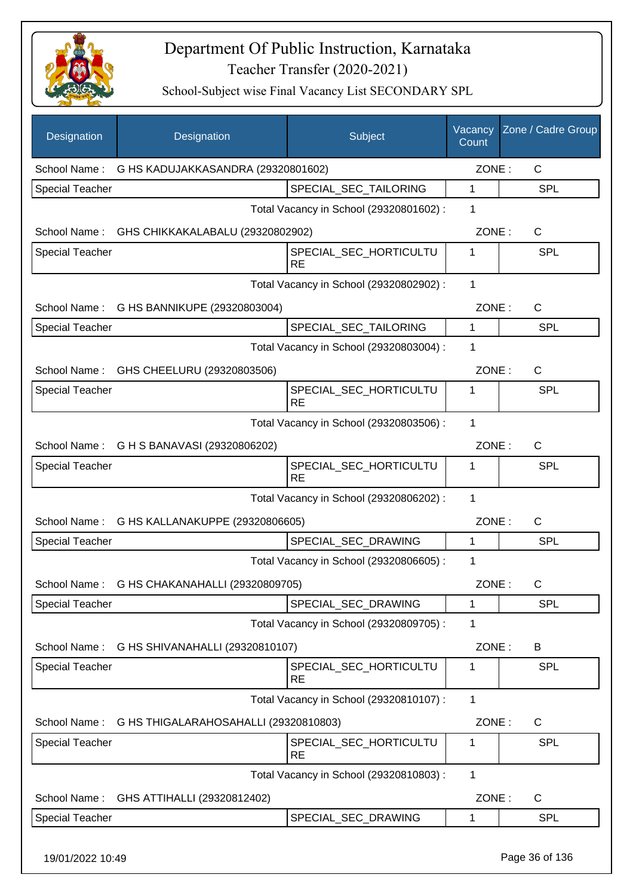

| Designation            | Designation                                        | Subject                                 | Vacancy<br>Count | Zone / Cadre Group |
|------------------------|----------------------------------------------------|-----------------------------------------|------------------|--------------------|
| School Name:           | G HS KADUJAKKASANDRA (29320801602)                 |                                         | ZONE:            | C                  |
| <b>Special Teacher</b> |                                                    | SPECIAL_SEC_TAILORING                   | 1                | <b>SPL</b>         |
|                        |                                                    | Total Vacancy in School (29320801602) : | 1                |                    |
| School Name:           | GHS CHIKKAKALABALU (29320802902)                   |                                         | ZONE:            | $\mathsf C$        |
| <b>Special Teacher</b> |                                                    | SPECIAL_SEC_HORTICULTU<br><b>RE</b>     | 1                | <b>SPL</b>         |
|                        |                                                    | Total Vacancy in School (29320802902) : | 1                |                    |
| School Name:           | G HS BANNIKUPE (29320803004)                       |                                         | ZONE:            | $\mathsf{C}$       |
| <b>Special Teacher</b> |                                                    | SPECIAL SEC TAILORING                   | $\mathbf{1}$     | <b>SPL</b>         |
|                        |                                                    | Total Vacancy in School (29320803004) : | 1                |                    |
|                        | School Name: GHS CHEELURU (29320803506)            |                                         | ZONE:            | $\mathsf{C}$       |
| <b>Special Teacher</b> |                                                    | SPECIAL_SEC_HORTICULTU<br>RE            | 1                | <b>SPL</b>         |
|                        |                                                    | Total Vacancy in School (29320803506) : | $\mathbf{1}$     |                    |
|                        | School Name: G H S BANAVASI (29320806202)          |                                         | ZONE:            | $\mathsf{C}$       |
| <b>Special Teacher</b> |                                                    | SPECIAL_SEC_HORTICULTU<br><b>RE</b>     | 1                | SPL                |
|                        |                                                    | Total Vacancy in School (29320806202) : | 1                |                    |
|                        | School Name: G HS KALLANAKUPPE (29320806605)       |                                         | ZONE:            | C                  |
| <b>Special Teacher</b> |                                                    | SPECIAL_SEC_DRAWING                     | 1                | <b>SPL</b>         |
|                        |                                                    | Total Vacancy in School (29320806605) : | 1                |                    |
|                        | School Name: G HS CHAKANAHALLI (29320809705)       |                                         | ZONE:            | C                  |
| <b>Special Teacher</b> |                                                    | SPECIAL_SEC_DRAWING                     | 1                | <b>SPL</b>         |
|                        |                                                    | Total Vacancy in School (29320809705) : | 1                |                    |
| School Name:           | G HS SHIVANAHALLI (29320810107)                    |                                         | ZONE:            | B                  |
| <b>Special Teacher</b> |                                                    | SPECIAL_SEC_HORTICULTU<br><b>RE</b>     | 1                | SPL                |
|                        |                                                    | Total Vacancy in School (29320810107) : | 1                |                    |
|                        | School Name: G HS THIGALARAHOSAHALLI (29320810803) |                                         | ZONE:            | $\mathsf{C}$       |
| <b>Special Teacher</b> |                                                    | SPECIAL_SEC_HORTICULTU<br><b>RE</b>     | 1                | <b>SPL</b>         |
|                        |                                                    | Total Vacancy in School (29320810803) : | 1                |                    |
| School Name:           | GHS ATTIHALLI (29320812402)                        |                                         | ZONE:            | $\mathsf{C}$       |
| <b>Special Teacher</b> |                                                    | SPECIAL_SEC_DRAWING                     | 1                | SPL                |
| 19/01/2022 10:49       |                                                    |                                         |                  | Page 36 of 136     |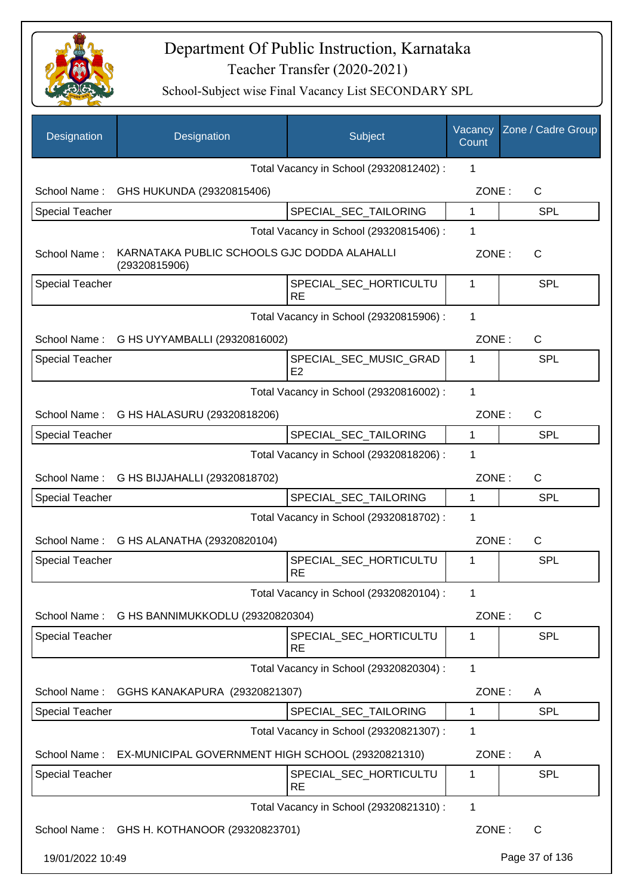

| Designation            | Designation                                                  | Subject                                  | Vacancy<br>Count | Zone / Cadre Group |
|------------------------|--------------------------------------------------------------|------------------------------------------|------------------|--------------------|
|                        |                                                              | Total Vacancy in School (29320812402) :  | 1                |                    |
| School Name:           | GHS HUKUNDA (29320815406)                                    |                                          | ZONE:            | $\mathsf{C}$       |
| <b>Special Teacher</b> |                                                              | SPECIAL_SEC_TAILORING                    | $\mathbf{1}$     | <b>SPL</b>         |
|                        |                                                              | Total Vacancy in School (29320815406) :  | 1                |                    |
| School Name:           | KARNATAKA PUBLIC SCHOOLS GJC DODDA ALAHALLI<br>(29320815906) |                                          | ZONE:            | C                  |
| <b>Special Teacher</b> |                                                              | SPECIAL_SEC_HORTICULTU<br><b>RE</b>      | 1                | <b>SPL</b>         |
|                        |                                                              | Total Vacancy in School (29320815906) :  | 1                |                    |
|                        | School Name: G HS UYYAMBALLI (29320816002)                   |                                          | ZONE:            | $\mathsf{C}$       |
| <b>Special Teacher</b> |                                                              | SPECIAL SEC MUSIC GRAD<br>E <sub>2</sub> | 1                | <b>SPL</b>         |
|                        |                                                              | Total Vacancy in School (29320816002) :  | 1                |                    |
|                        | School Name: G HS HALASURU (29320818206)                     |                                          | ZONE:            | $\mathsf{C}$       |
| <b>Special Teacher</b> |                                                              | SPECIAL_SEC_TAILORING                    | $\mathbf 1$      | <b>SPL</b>         |
|                        |                                                              | Total Vacancy in School (29320818206) :  | 1                |                    |
| School Name:           | G HS BIJJAHALLI (29320818702)                                |                                          | ZONE:            | C                  |
| <b>Special Teacher</b> |                                                              | SPECIAL_SEC_TAILORING                    | 1                | <b>SPL</b>         |
|                        |                                                              | Total Vacancy in School (29320818702) :  | 1                |                    |
| School Name:           | G HS ALANATHA (29320820104)                                  |                                          | ZONE:            | $\mathsf{C}$       |
| <b>Special Teacher</b> |                                                              | SPECIAL SEC HORTICULTU<br><b>RE</b>      | 1                | <b>SPL</b>         |
|                        |                                                              | Total Vacancy in School (29320820104) :  | 1                |                    |
| School Name:           | G HS BANNIMUKKODLU (29320820304)                             |                                          | ZONE:            | C                  |
| <b>Special Teacher</b> |                                                              | SPECIAL SEC HORTICULTU<br><b>RE</b>      | $\mathbf 1$      | <b>SPL</b>         |
|                        |                                                              | Total Vacancy in School (29320820304) :  | 1                |                    |
| School Name:           | GGHS KANAKAPURA (29320821307)                                |                                          | ZONE:            | A                  |
| <b>Special Teacher</b> |                                                              | SPECIAL_SEC_TAILORING                    | 1                | <b>SPL</b>         |
|                        |                                                              | Total Vacancy in School (29320821307) :  | 1                |                    |
| School Name:           | EX-MUNICIPAL GOVERNMENT HIGH SCHOOL (29320821310)            |                                          | ZONE:            | A                  |
| Special Teacher        |                                                              | SPECIAL_SEC_HORTICULTU<br><b>RE</b>      | 1                | <b>SPL</b>         |
|                        |                                                              | Total Vacancy in School (29320821310) :  | 1                |                    |
| School Name:           | GHS H. KOTHANOOR (29320823701)                               |                                          | ZONE:            | $\mathsf{C}$       |
| 19/01/2022 10:49       |                                                              |                                          |                  | Page 37 of 136     |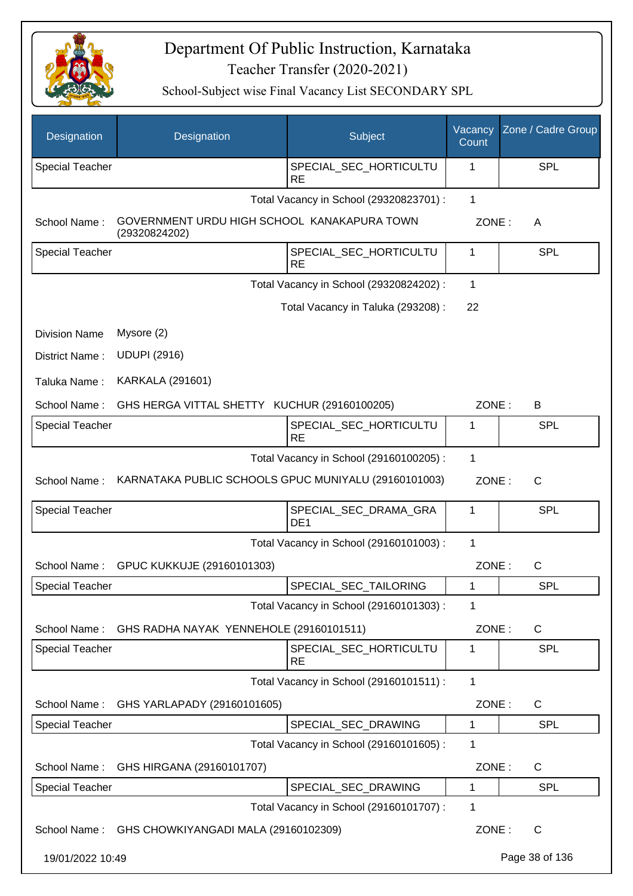

| Designation            | Designation                                                  | Subject                                  | Vacancy<br>Count | Zone / Cadre Group |
|------------------------|--------------------------------------------------------------|------------------------------------------|------------------|--------------------|
| <b>Special Teacher</b> |                                                              | SPECIAL_SEC_HORTICULTU<br><b>RE</b>      | 1                | SPL                |
|                        |                                                              | Total Vacancy in School (29320823701) :  | 1                |                    |
| School Name:           | GOVERNMENT URDU HIGH SCHOOL KANAKAPURA TOWN<br>(29320824202) |                                          | ZONE:            | A                  |
| <b>Special Teacher</b> |                                                              | SPECIAL_SEC_HORTICULTU<br><b>RE</b>      | 1                | <b>SPL</b>         |
|                        |                                                              | Total Vacancy in School (29320824202) :  | 1                |                    |
|                        |                                                              | Total Vacancy in Taluka (293208) :       | 22               |                    |
| <b>Division Name</b>   | Mysore (2)                                                   |                                          |                  |                    |
| District Name:         | <b>UDUPI (2916)</b>                                          |                                          |                  |                    |
| Taluka Name:           | <b>KARKALA (291601)</b>                                      |                                          |                  |                    |
| School Name:           | GHS HERGA VITTAL SHETTY KUCHUR (29160100205)                 |                                          | ZONE:            | B                  |
| <b>Special Teacher</b> |                                                              | SPECIAL_SEC_HORTICULTU<br><b>RE</b>      | 1                | <b>SPL</b>         |
|                        |                                                              | Total Vacancy in School (29160100205) :  | 1                |                    |
| School Name:           | KARNATAKA PUBLIC SCHOOLS GPUC MUNIYALU (29160101003)         |                                          | ZONE:            | $\mathsf{C}$       |
| Special Teacher        |                                                              | SPECIAL_SEC_DRAMA_GRA<br>DE <sub>1</sub> | 1                | SPL                |
|                        |                                                              | Total Vacancy in School (29160101003) :  | 1                |                    |
| School Name:           | GPUC KUKKUJE (29160101303)                                   |                                          | ZONE:            | $\mathsf C$        |
| Special Teacher        |                                                              | SPECIAL_SEC_TAILORING                    | 1                | <b>SPL</b>         |
|                        |                                                              | Total Vacancy in School (29160101303) :  | 1                |                    |
| School Name:           | GHS RADHA NAYAK YENNEHOLE (29160101511)                      |                                          | ZONE:            | C                  |
| <b>Special Teacher</b> |                                                              | SPECIAL_SEC_HORTICULTU<br><b>RE</b>      | 1                | <b>SPL</b>         |
|                        |                                                              | Total Vacancy in School (29160101511) :  | 1                |                    |
| School Name:           | GHS YARLAPADY (29160101605)                                  |                                          | ZONE:            | C                  |
| <b>Special Teacher</b> |                                                              | SPECIAL_SEC_DRAWING                      | 1                | <b>SPL</b>         |
|                        |                                                              | Total Vacancy in School (29160101605) :  | 1                |                    |
| School Name:           | GHS HIRGANA (29160101707)                                    |                                          | ZONE:            | C                  |
| Special Teacher        |                                                              | SPECIAL_SEC_DRAWING                      | 1                | <b>SPL</b>         |
|                        |                                                              | Total Vacancy in School (29160101707) :  | 1                |                    |
|                        | School Name: GHS CHOWKIYANGADI MALA (29160102309)            |                                          | ZONE:            | C                  |
| 19/01/2022 10:49       |                                                              |                                          |                  | Page 38 of 136     |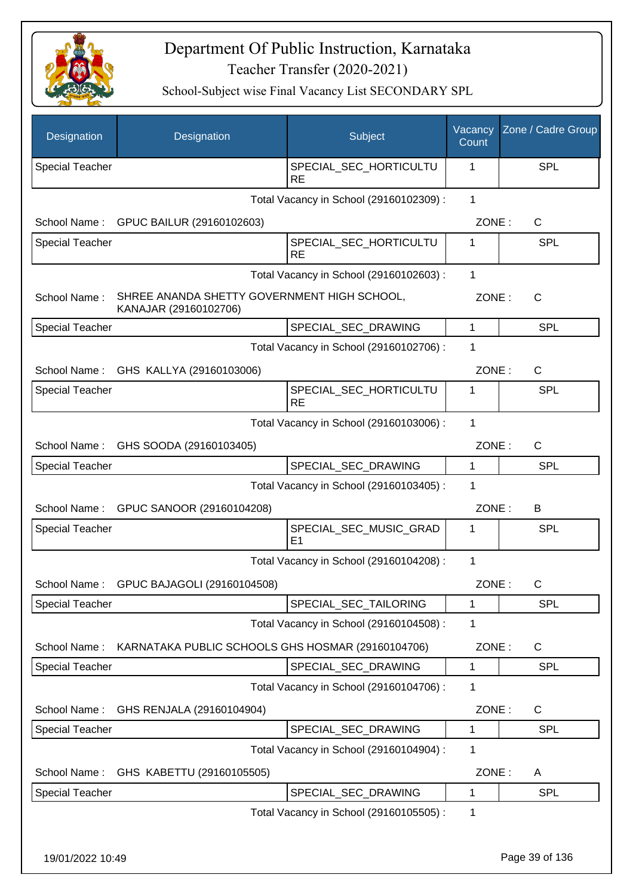

| Designation            | Designation                                                          | Subject                                  | Vacancy<br>Count | Zone / Cadre Group |
|------------------------|----------------------------------------------------------------------|------------------------------------------|------------------|--------------------|
| <b>Special Teacher</b> |                                                                      | SPECIAL_SEC_HORTICULTU<br><b>RE</b>      | 1                | <b>SPL</b>         |
|                        |                                                                      | Total Vacancy in School (29160102309) :  | 1                |                    |
| School Name:           | GPUC BAILUR (29160102603)                                            |                                          | ZONE:            | C                  |
| Special Teacher        |                                                                      | SPECIAL_SEC_HORTICULTU<br><b>RE</b>      | 1                | <b>SPL</b>         |
|                        |                                                                      | Total Vacancy in School (29160102603) :  | $\mathbf{1}$     |                    |
| School Name:           | SHREE ANANDA SHETTY GOVERNMENT HIGH SCHOOL,<br>KANAJAR (29160102706) |                                          | ZONE:            | C                  |
| <b>Special Teacher</b> |                                                                      | SPECIAL_SEC_DRAWING                      | $\mathbf{1}$     | <b>SPL</b>         |
|                        |                                                                      | Total Vacancy in School (29160102706) :  | 1                |                    |
|                        | School Name: GHS KALLYA (29160103006)                                |                                          | ZONE:            | C                  |
| <b>Special Teacher</b> |                                                                      | SPECIAL_SEC_HORTICULTU<br><b>RE</b>      | 1                | SPL                |
|                        |                                                                      | Total Vacancy in School (29160103006) :  | 1                |                    |
| School Name:           | GHS SOODA (29160103405)                                              |                                          | ZONE:            | C                  |
| Special Teacher        |                                                                      | SPECIAL_SEC_DRAWING                      | $\mathbf 1$      | <b>SPL</b>         |
|                        |                                                                      | Total Vacancy in School (29160103405) :  | 1                |                    |
| School Name:           | GPUC SANOOR (29160104208)                                            |                                          | ZONE:            | B                  |
| <b>Special Teacher</b> |                                                                      | SPECIAL_SEC_MUSIC_GRAD<br>E <sub>1</sub> | 1                | <b>SPL</b>         |
|                        |                                                                      | Total Vacancy in School (29160104208) :  | 1                |                    |
| School Name:           | GPUC BAJAGOLI (29160104508)                                          |                                          | ZONE:            | С                  |
| <b>Special Teacher</b> |                                                                      | SPECIAL_SEC_TAILORING                    | $\mathbf 1$      | <b>SPL</b>         |
|                        |                                                                      | Total Vacancy in School (29160104508) :  | 1                |                    |
| School Name:           | KARNATAKA PUBLIC SCHOOLS GHS HOSMAR (29160104706)                    |                                          | ZONE:            | C                  |
| Special Teacher        |                                                                      | SPECIAL_SEC_DRAWING                      | 1                | <b>SPL</b>         |
|                        |                                                                      | Total Vacancy in School (29160104706) :  | 1                |                    |
| School Name:           | GHS RENJALA (29160104904)                                            |                                          | ZONE:            | C                  |
| <b>Special Teacher</b> |                                                                      | SPECIAL_SEC_DRAWING                      | 1                | <b>SPL</b>         |
|                        |                                                                      | Total Vacancy in School (29160104904) :  | 1                |                    |
| School Name:           | GHS KABETTU (29160105505)                                            |                                          | ZONE:            | A                  |
| <b>Special Teacher</b> |                                                                      | SPECIAL_SEC_DRAWING                      | $\mathbf 1$      | <b>SPL</b>         |
|                        |                                                                      | Total Vacancy in School (29160105505) :  | 1                |                    |
| 19/01/2022 10:49       |                                                                      |                                          |                  | Page 39 of 136     |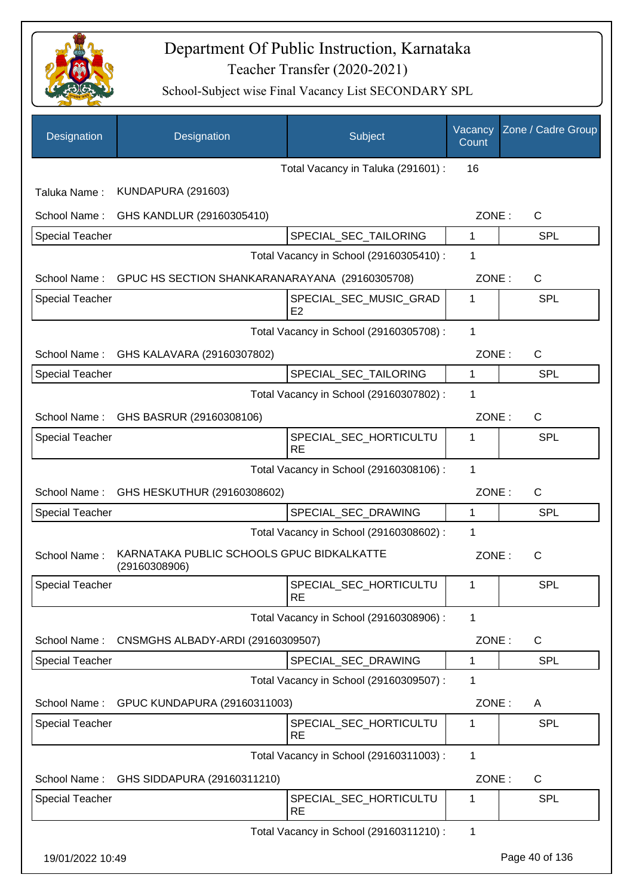

| Designation            | Designation                                                | Subject                                  | Vacancy<br>Count | Zone / Cadre Group |
|------------------------|------------------------------------------------------------|------------------------------------------|------------------|--------------------|
|                        |                                                            | Total Vacancy in Taluka (291601) :       | 16               |                    |
| Taluka Name:           | <b>KUNDAPURA (291603)</b>                                  |                                          |                  |                    |
| School Name:           | GHS KANDLUR (29160305410)                                  |                                          | ZONE:            | $\mathsf{C}$       |
| <b>Special Teacher</b> |                                                            | SPECIAL_SEC_TAILORING                    | 1                | <b>SPL</b>         |
|                        |                                                            | Total Vacancy in School (29160305410) :  | 1                |                    |
| School Name:           | GPUC HS SECTION SHANKARANARAYANA (29160305708)             |                                          | ZONE:            | $\mathsf{C}$       |
| <b>Special Teacher</b> |                                                            | SPECIAL_SEC_MUSIC_GRAD<br>E <sub>2</sub> | 1                | SPL                |
|                        |                                                            | Total Vacancy in School (29160305708) :  | 1                |                    |
| School Name:           | GHS KALAVARA (29160307802)                                 |                                          | ZONE:            | C                  |
| <b>Special Teacher</b> |                                                            | SPECIAL_SEC_TAILORING                    | $\mathbf{1}$     | <b>SPL</b>         |
|                        |                                                            | Total Vacancy in School (29160307802) :  | 1                |                    |
| School Name:           | GHS BASRUR (29160308106)                                   |                                          | ZONE:            | $\mathsf{C}$       |
| <b>Special Teacher</b> |                                                            | SPECIAL_SEC_HORTICULTU<br><b>RE</b>      | 1                | SPL                |
|                        |                                                            | Total Vacancy in School (29160308106) :  | 1                |                    |
| School Name:           | GHS HESKUTHUR (29160308602)                                |                                          | ZONE:            | $\mathsf{C}$       |
| <b>Special Teacher</b> |                                                            | SPECIAL_SEC_DRAWING                      | $\mathbf{1}$     | <b>SPL</b>         |
|                        |                                                            | Total Vacancy in School (29160308602) :  | 1                |                    |
| School Name:           | KARNATAKA PUBLIC SCHOOLS GPUC BIDKALKATTE<br>(29160308906) |                                          | ZONE:            | $\mathsf{C}$       |
| Special Teacher        |                                                            | SPECIAL_SEC_HORTICULTU<br><b>RE</b>      | $\mathbf 1$      | <b>SPL</b>         |
|                        |                                                            | Total Vacancy in School (29160308906) :  | 1                |                    |
| School Name:           | CNSMGHS ALBADY-ARDI (29160309507)                          |                                          | ZONE:            | C                  |
| Special Teacher        |                                                            | SPECIAL_SEC_DRAWING                      | 1                | <b>SPL</b>         |
|                        |                                                            | Total Vacancy in School (29160309507) :  | 1                |                    |
| School Name:           | GPUC KUNDAPURA (29160311003)                               |                                          | ZONE:            | A                  |
| <b>Special Teacher</b> |                                                            | SPECIAL_SEC_HORTICULTU<br><b>RE</b>      | 1                | <b>SPL</b>         |
|                        |                                                            | Total Vacancy in School (29160311003) :  | 1                |                    |
| School Name:           | GHS SIDDAPURA (29160311210)                                |                                          | ZONE:            | C                  |
| <b>Special Teacher</b> |                                                            | SPECIAL_SEC_HORTICULTU<br><b>RE</b>      | 1                | <b>SPL</b>         |
|                        |                                                            | Total Vacancy in School (29160311210) :  | 1                |                    |
| 19/01/2022 10:49       |                                                            |                                          |                  | Page 40 of 136     |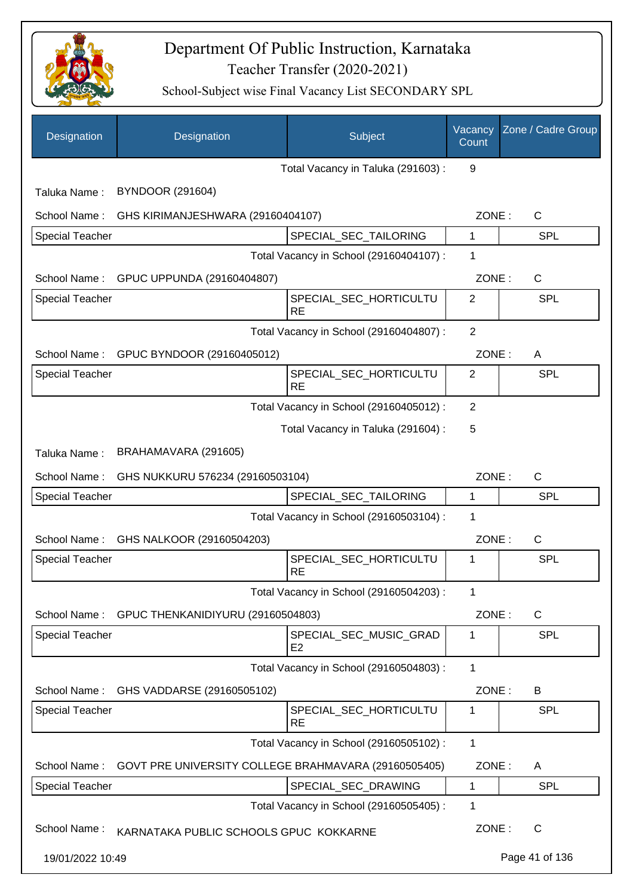

| Designation            | Designation                                          | Subject                                  | Vacancy<br>Count | Zone / Cadre Group |
|------------------------|------------------------------------------------------|------------------------------------------|------------------|--------------------|
|                        |                                                      | Total Vacancy in Taluka (291603) :       | 9                |                    |
| Taluka Name:           | BYNDOOR (291604)                                     |                                          |                  |                    |
| School Name:           | GHS KIRIMANJESHWARA (29160404107)                    |                                          | ZONE:            | C                  |
| Special Teacher        |                                                      | SPECIAL_SEC_TAILORING                    | 1                | <b>SPL</b>         |
|                        |                                                      | Total Vacancy in School (29160404107) :  | 1                |                    |
| School Name:           | GPUC UPPUNDA (29160404807)                           |                                          | ZONE:            | C                  |
| <b>Special Teacher</b> |                                                      | SPECIAL_SEC_HORTICULTU<br><b>RE</b>      | 2                | <b>SPL</b>         |
|                        |                                                      | Total Vacancy in School (29160404807) :  | $\overline{2}$   |                    |
| School Name:           | GPUC BYNDOOR (29160405012)                           |                                          | ZONE:            | A                  |
| Special Teacher        |                                                      | SPECIAL_SEC_HORTICULTU<br><b>RE</b>      | $\overline{2}$   | <b>SPL</b>         |
|                        |                                                      | Total Vacancy in School (29160405012) :  | $\overline{2}$   |                    |
|                        |                                                      | Total Vacancy in Taluka (291604) :       | 5                |                    |
| Taluka Name:           | BRAHAMAVARA (291605)                                 |                                          |                  |                    |
| School Name:           | GHS NUKKURU 576234 (29160503104)                     |                                          | ZONE:            | $\mathsf{C}$       |
| <b>Special Teacher</b> |                                                      | SPECIAL_SEC_TAILORING                    | 1                | <b>SPL</b>         |
|                        |                                                      | Total Vacancy in School (29160503104) :  | 1                |                    |
| School Name:           | GHS NALKOOR (29160504203)                            |                                          | ZONE:            | $\mathsf{C}$       |
| <b>Special Teacher</b> |                                                      | SPECIAL_SEC_HORTICULTU<br><b>RE</b>      | 1                | SPL                |
|                        |                                                      | Total Vacancy in School (29160504203) :  | 1                |                    |
| School Name:           | GPUC THENKANIDIYURU (29160504803)                    |                                          | ZONE:            | $\mathsf C$        |
| <b>Special Teacher</b> |                                                      | SPECIAL_SEC_MUSIC_GRAD<br>E <sub>2</sub> | 1                | <b>SPL</b>         |
|                        |                                                      | Total Vacancy in School (29160504803) :  | 1                |                    |
| School Name:           | GHS VADDARSE (29160505102)                           |                                          | ZONE:            | B                  |
| <b>Special Teacher</b> |                                                      | SPECIAL_SEC_HORTICULTU<br><b>RE</b>      | 1                | <b>SPL</b>         |
|                        |                                                      | Total Vacancy in School (29160505102) :  | $\mathbf{1}$     |                    |
| School Name:           | GOVT PRE UNIVERSITY COLLEGE BRAHMAVARA (29160505405) |                                          | ZONE:            | A                  |
| Special Teacher        |                                                      | SPECIAL_SEC_DRAWING                      | 1                | <b>SPL</b>         |
|                        |                                                      | Total Vacancy in School (29160505405) :  | 1                |                    |
| School Name:           | KARNATAKA PUBLIC SCHOOLS GPUC KOKKARNE               |                                          | ZONE:            | $\mathsf{C}$       |
| 19/01/2022 10:49       |                                                      |                                          |                  | Page 41 of 136     |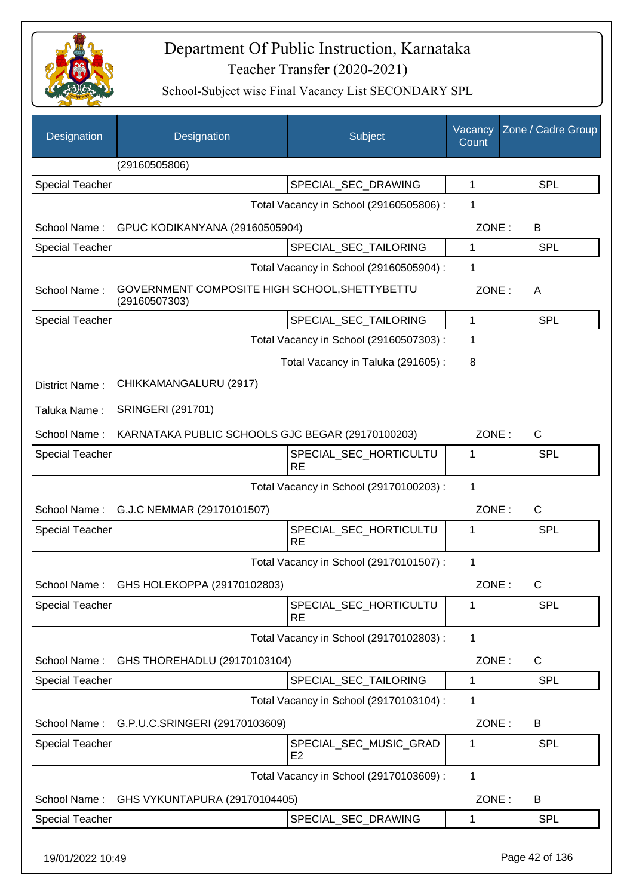

| Designation            | Designation                                                    | Subject                                  | Vacancy<br>Count | Zone / Cadre Group |
|------------------------|----------------------------------------------------------------|------------------------------------------|------------------|--------------------|
|                        | (29160505806)                                                  |                                          |                  |                    |
| <b>Special Teacher</b> |                                                                | SPECIAL_SEC_DRAWING                      | 1                | SPL                |
|                        |                                                                | Total Vacancy in School (29160505806) :  | 1                |                    |
| School Name:           | GPUC KODIKANYANA (29160505904)                                 |                                          | ZONE:            | B                  |
| <b>Special Teacher</b> |                                                                | SPECIAL_SEC_TAILORING                    | 1                | <b>SPL</b>         |
|                        |                                                                | Total Vacancy in School (29160505904) :  | 1                |                    |
| School Name:           | GOVERNMENT COMPOSITE HIGH SCHOOL, SHETTYBETTU<br>(29160507303) |                                          | ZONE:            | A                  |
| <b>Special Teacher</b> |                                                                | SPECIAL_SEC_TAILORING                    | $\mathbf{1}$     | <b>SPL</b>         |
|                        |                                                                | Total Vacancy in School (29160507303) :  | 1                |                    |
|                        |                                                                | Total Vacancy in Taluka (291605):        | 8                |                    |
| District Name:         | CHIKKAMANGALURU (2917)                                         |                                          |                  |                    |
| Taluka Name:           | <b>SRINGERI (291701)</b>                                       |                                          |                  |                    |
| School Name:           | KARNATAKA PUBLIC SCHOOLS GJC BEGAR (29170100203)               |                                          | ZONE:            | C                  |
| <b>Special Teacher</b> |                                                                | SPECIAL_SEC_HORTICULTU<br><b>RE</b>      | 1                | SPL                |
|                        |                                                                | Total Vacancy in School (29170100203) :  | 1                |                    |
| School Name:           | G.J.C NEMMAR (29170101507)                                     |                                          | ZONE:            | $\mathsf C$        |
| <b>Special Teacher</b> |                                                                | SPECIAL_SEC_HORTICULTU<br><b>RE</b>      | 1                | SPL                |
|                        |                                                                | Total Vacancy in School (29170101507) :  | 1                |                    |
| School Name:           | GHS HOLEKOPPA (29170102803)                                    |                                          | ZONE:            | С                  |
| <b>Special Teacher</b> |                                                                | SPECIAL_SEC_HORTICULTU<br><b>RE</b>      | 1                | SPL                |
|                        |                                                                | Total Vacancy in School (29170102803) :  | 1                |                    |
| School Name:           | GHS THOREHADLU (29170103104)                                   |                                          | ZONE:            | $\mathsf{C}$       |
| <b>Special Teacher</b> |                                                                | SPECIAL SEC TAILORING                    | 1                | <b>SPL</b>         |
|                        |                                                                | Total Vacancy in School (29170103104) :  | 1                |                    |
|                        | School Name: G.P.U.C.SRINGERI (29170103609)                    |                                          | ZONE:            | B                  |
| <b>Special Teacher</b> |                                                                | SPECIAL_SEC_MUSIC_GRAD<br>E <sub>2</sub> | 1                | SPL                |
|                        |                                                                | Total Vacancy in School (29170103609) :  | 1                |                    |
| School Name:           | GHS VYKUNTAPURA (29170104405)                                  |                                          | ZONE:            | B                  |
| <b>Special Teacher</b> |                                                                | SPECIAL_SEC_DRAWING                      | 1                | SPL                |
| 19/01/2022 10:49       |                                                                |                                          |                  | Page 42 of 136     |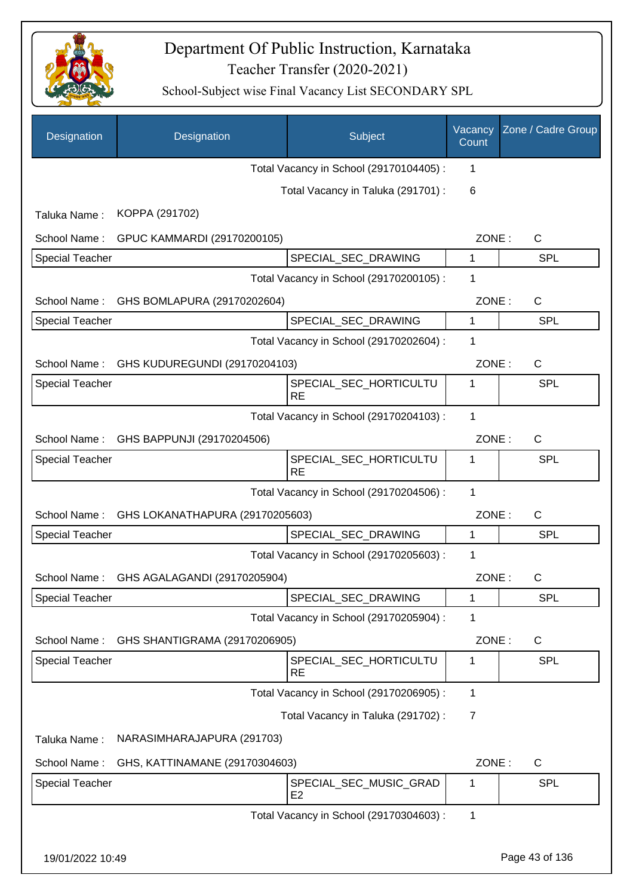

| Designation            | Designation                     | Subject                                  | Vacancy<br>Count | Zone / Cadre Group |
|------------------------|---------------------------------|------------------------------------------|------------------|--------------------|
|                        |                                 | Total Vacancy in School (29170104405) :  | 1                |                    |
|                        |                                 | Total Vacancy in Taluka (291701) :       | 6                |                    |
| Taluka Name:           | KOPPA (291702)                  |                                          |                  |                    |
| School Name:           | GPUC KAMMARDI (29170200105)     |                                          | ZONE:            | $\mathsf{C}$       |
| <b>Special Teacher</b> |                                 | SPECIAL_SEC_DRAWING                      | 1                | <b>SPL</b>         |
|                        |                                 | Total Vacancy in School (29170200105) :  | 1                |                    |
| School Name:           | GHS BOMLAPURA (29170202604)     |                                          | ZONE:            | $\mathsf{C}$       |
| <b>Special Teacher</b> |                                 | SPECIAL SEC DRAWING                      | 1                | <b>SPL</b>         |
|                        |                                 | Total Vacancy in School (29170202604) :  | 1                |                    |
| School Name:           | GHS KUDUREGUNDI (29170204103)   |                                          | ZONE:            | C                  |
| <b>Special Teacher</b> |                                 | SPECIAL_SEC_HORTICULTU<br><b>RE</b>      | 1                | <b>SPL</b>         |
|                        |                                 | Total Vacancy in School (29170204103) :  | $\mathbf{1}$     |                    |
| School Name:           | GHS BAPPUNJI (29170204506)      |                                          | ZONE:            | $\mathsf{C}$       |
| <b>Special Teacher</b> |                                 | SPECIAL_SEC_HORTICULTU<br><b>RE</b>      | 1                | SPL                |
|                        |                                 | Total Vacancy in School (29170204506) :  | 1                |                    |
| School Name:           | GHS LOKANATHAPURA (29170205603) |                                          | ZONE:            | $\mathsf{C}$       |
| <b>Special Teacher</b> |                                 | SPECIAL_SEC_DRAWING                      | 1                | <b>SPL</b>         |
|                        |                                 | Total Vacancy in School (29170205603) :  | 1                |                    |
| School Name:           | GHS AGALAGANDI (29170205904)    |                                          | ZONE:            | $\mathsf{C}$       |
| <b>Special Teacher</b> |                                 | SPECIAL_SEC_DRAWING                      | 1                | <b>SPL</b>         |
|                        |                                 | Total Vacancy in School (29170205904) :  | 1                |                    |
| School Name:           | GHS SHANTIGRAMA (29170206905)   |                                          | ZONE:            | $\mathsf{C}$       |
| <b>Special Teacher</b> |                                 | SPECIAL_SEC_HORTICULTU<br><b>RE</b>      | 1                | <b>SPL</b>         |
|                        |                                 | Total Vacancy in School (29170206905) :  | 1                |                    |
|                        |                                 | Total Vacancy in Taluka (291702):        | 7                |                    |
| Taluka Name:           | NARASIMHARAJAPURA (291703)      |                                          |                  |                    |
| School Name:           | GHS, KATTINAMANE (29170304603)  |                                          | ZONE:            | $\mathsf{C}$       |
| Special Teacher        |                                 | SPECIAL_SEC_MUSIC_GRAD<br>E <sub>2</sub> | 1                | <b>SPL</b>         |
|                        |                                 | Total Vacancy in School (29170304603) :  | 1                |                    |
| 19/01/2022 10:49       |                                 |                                          |                  | Page 43 of 136     |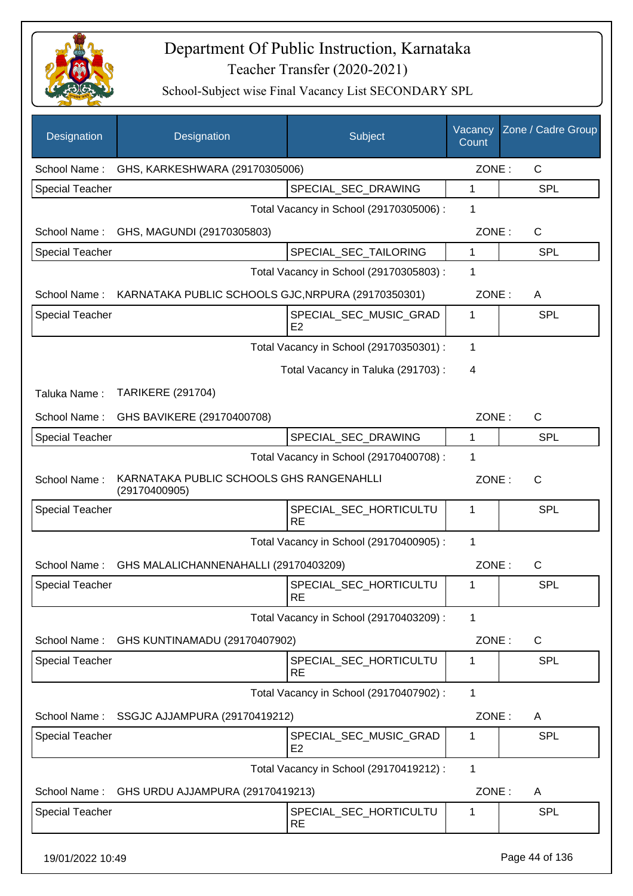

| Designation            | Designation                                               | Subject                                  | Vacancy<br>Count | Zone / Cadre Group |
|------------------------|-----------------------------------------------------------|------------------------------------------|------------------|--------------------|
| School Name:           | GHS, KARKESHWARA (29170305006)                            |                                          | ZONE:            | $\mathsf{C}$       |
| <b>Special Teacher</b> |                                                           | SPECIAL_SEC_DRAWING                      | 1                | <b>SPL</b>         |
|                        |                                                           | Total Vacancy in School (29170305006) :  | 1                |                    |
| School Name:           | GHS, MAGUNDI (29170305803)                                |                                          | ZONE:            | $\mathsf{C}$       |
| <b>Special Teacher</b> |                                                           | SPECIAL_SEC_TAILORING                    | 1                | <b>SPL</b>         |
|                        |                                                           | Total Vacancy in School (29170305803) :  | 1                |                    |
| School Name:           | KARNATAKA PUBLIC SCHOOLS GJC, NRPURA (29170350301)        |                                          | ZONE:            | A                  |
| <b>Special Teacher</b> |                                                           | SPECIAL_SEC_MUSIC_GRAD<br>E <sub>2</sub> | 1                | SPL                |
|                        |                                                           | Total Vacancy in School (29170350301) :  | 1                |                    |
|                        |                                                           | Total Vacancy in Taluka (291703):        | 4                |                    |
| Taluka Name:           | <b>TARIKERE (291704)</b>                                  |                                          |                  |                    |
| School Name:           | GHS BAVIKERE (29170400708)                                |                                          | ZONE:            | $\mathsf{C}$       |
| <b>Special Teacher</b> |                                                           | SPECIAL_SEC_DRAWING                      | 1                | <b>SPL</b>         |
|                        |                                                           | Total Vacancy in School (29170400708) :  | 1                |                    |
| School Name:           | KARNATAKA PUBLIC SCHOOLS GHS RANGENAHLLI<br>(29170400905) |                                          | ZONE:            | $\mathsf{C}$       |
| <b>Special Teacher</b> |                                                           | SPECIAL_SEC_HORTICULTU<br><b>RE</b>      | 1                | SPL                |
|                        |                                                           | Total Vacancy in School (29170400905) :  | 1                |                    |
| School Name:           | GHS MALALICHANNENAHALLI (29170403209)                     |                                          | ZONE:            | C                  |
| Special Teacher        |                                                           | SPECIAL_SEC_HORTICULTU<br><b>RE</b>      | 1                | <b>SPL</b>         |
|                        |                                                           | Total Vacancy in School (29170403209) :  | 1                |                    |
| School Name:           | GHS KUNTINAMADU (29170407902)                             |                                          | ZONE:            | C                  |
| <b>Special Teacher</b> |                                                           | SPECIAL_SEC_HORTICULTU<br><b>RE</b>      | 1                | <b>SPL</b>         |
|                        |                                                           | Total Vacancy in School (29170407902) :  | $\mathbf{1}$     |                    |
| School Name:           | SSGJC AJJAMPURA (29170419212)                             |                                          | ZONE:            | A                  |
| <b>Special Teacher</b> |                                                           | SPECIAL_SEC_MUSIC_GRAD<br>E <sub>2</sub> | 1                | <b>SPL</b>         |
|                        |                                                           | Total Vacancy in School (29170419212) :  | $\mathbf 1$      |                    |
| School Name:           | GHS URDU AJJAMPURA (29170419213)                          |                                          | ZONE:            | A                  |
| <b>Special Teacher</b> |                                                           | SPECIAL_SEC_HORTICULTU<br><b>RE</b>      | 1                | <b>SPL</b>         |
| 19/01/2022 10:49       |                                                           |                                          |                  | Page 44 of 136     |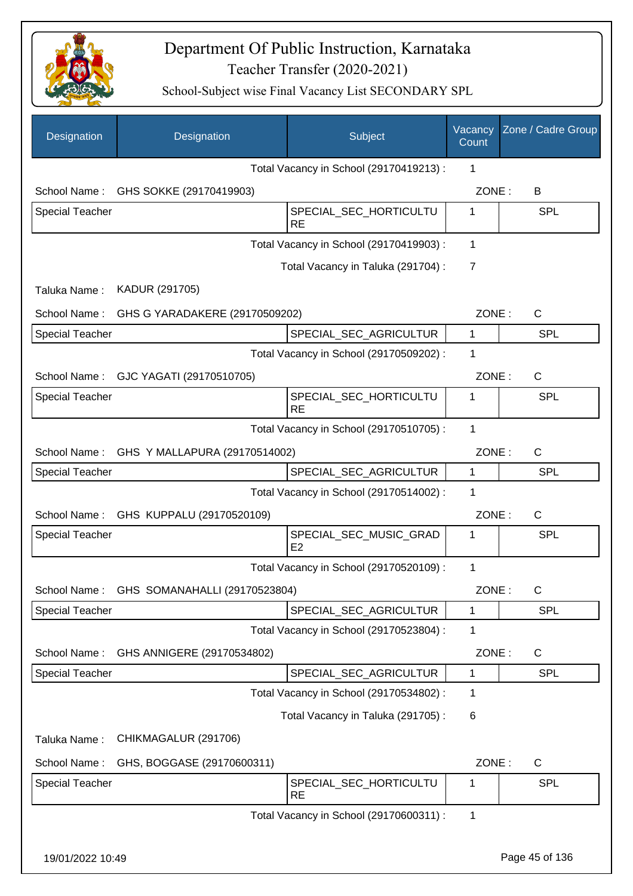

| Designation            | Designation                            | Subject                                  | Vacancy<br>Count | Zone / Cadre Group |
|------------------------|----------------------------------------|------------------------------------------|------------------|--------------------|
|                        |                                        | Total Vacancy in School (29170419213) :  | 1                |                    |
|                        | School Name: GHS SOKKE (29170419903)   |                                          | ZONE:            | B                  |
| <b>Special Teacher</b> |                                        | SPECIAL_SEC_HORTICULTU<br><b>RE</b>      | 1                | <b>SPL</b>         |
|                        |                                        | Total Vacancy in School (29170419903) :  | $\mathbf{1}$     |                    |
|                        |                                        | Total Vacancy in Taluka (291704) :       | $\overline{7}$   |                    |
| Taluka Name:           | KADUR (291705)                         |                                          |                  |                    |
| School Name:           | GHS G YARADAKERE (29170509202)         |                                          | ZONE:            | $\mathsf{C}$       |
| <b>Special Teacher</b> |                                        | SPECIAL_SEC_AGRICULTUR                   | $\mathbf{1}$     | <b>SPL</b>         |
|                        |                                        | Total Vacancy in School (29170509202) :  | 1                |                    |
| School Name:           | GJC YAGATI (29170510705)               |                                          | ZONE:            | C                  |
| <b>Special Teacher</b> |                                        | SPECIAL_SEC_HORTICULTU<br><b>RE</b>      | 1                | SPL                |
|                        |                                        | Total Vacancy in School (29170510705) :  | 1                |                    |
| School Name:           | GHS Y MALLAPURA (29170514002)          |                                          | ZONE:            | C                  |
| <b>Special Teacher</b> |                                        | SPECIAL_SEC_AGRICULTUR                   | $\mathbf 1$      | SPL                |
|                        |                                        | Total Vacancy in School (29170514002) :  | 1                |                    |
|                        | School Name: GHS KUPPALU (29170520109) |                                          | ZONE:            | C                  |
| <b>Special Teacher</b> |                                        | SPECIAL SEC MUSIC GRAD<br>E <sub>2</sub> | 1                | SPL                |
|                        |                                        | Total Vacancy in School (29170520109) :  | $\mathbf 1$      |                    |
| School Name:           | GHS SOMANAHALLI (29170523804)          |                                          | ZONE :           | С                  |
| <b>Special Teacher</b> |                                        | SPECIAL_SEC_AGRICULTUR                   | 1                | <b>SPL</b>         |
|                        |                                        | Total Vacancy in School (29170523804) :  | 1                |                    |
| School Name:           | GHS ANNIGERE (29170534802)             |                                          | ZONE:            | C                  |
| <b>Special Teacher</b> |                                        | SPECIAL_SEC_AGRICULTUR                   | 1                | <b>SPL</b>         |
|                        |                                        | Total Vacancy in School (29170534802) :  | 1                |                    |
|                        |                                        | Total Vacancy in Taluka (291705):        | 6                |                    |
| Taluka Name:           | CHIKMAGALUR (291706)                   |                                          |                  |                    |
| School Name:           | GHS, BOGGASE (29170600311)             |                                          | ZONE:            | C                  |
| <b>Special Teacher</b> |                                        | SPECIAL_SEC_HORTICULTU<br><b>RE</b>      | 1                | <b>SPL</b>         |
|                        |                                        | Total Vacancy in School (29170600311) :  | 1                |                    |
| 19/01/2022 10:49       |                                        |                                          |                  | Page 45 of 136     |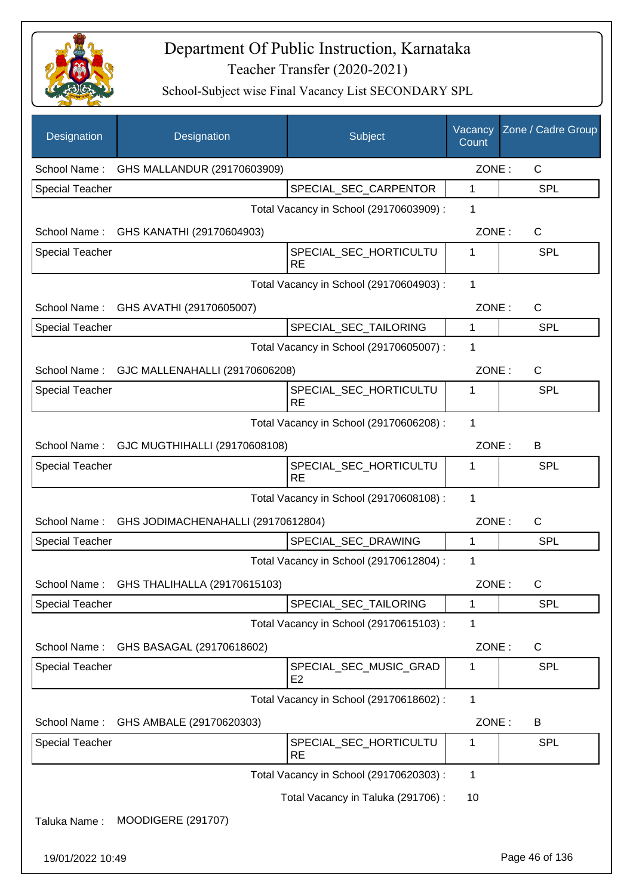

| Designation            | Designation                                 | Subject                                  | Vacancy<br>Count | Zone / Cadre Group |
|------------------------|---------------------------------------------|------------------------------------------|------------------|--------------------|
| School Name:           | GHS MALLANDUR (29170603909)                 |                                          | ZONE:            | $\mathsf{C}$       |
| Special Teacher        |                                             | SPECIAL_SEC_CARPENTOR                    | 1                | <b>SPL</b>         |
|                        |                                             | Total Vacancy in School (29170603909) :  | 1                |                    |
| School Name:           | GHS KANATHI (29170604903)                   |                                          | ZONE:            | $\mathsf{C}$       |
| <b>Special Teacher</b> |                                             | SPECIAL_SEC_HORTICULTU<br><b>RE</b>      | 1                | <b>SPL</b>         |
|                        |                                             | Total Vacancy in School (29170604903) :  | 1                |                    |
| School Name:           | GHS AVATHI (29170605007)                    |                                          | ZONE:            | C                  |
| <b>Special Teacher</b> |                                             | SPECIAL_SEC_TAILORING                    | $\mathbf{1}$     | <b>SPL</b>         |
|                        |                                             | Total Vacancy in School (29170605007) :  | 1                |                    |
|                        | School Name: GJC MALLENAHALLI (29170606208) |                                          | ZONE:            | C                  |
| <b>Special Teacher</b> |                                             | SPECIAL_SEC_HORTICULTU<br><b>RE</b>      | 1                | <b>SPL</b>         |
|                        |                                             | Total Vacancy in School (29170606208) :  | 1                |                    |
|                        | School Name: GJC MUGTHIHALLI (29170608108)  |                                          | ZONE:            | B                  |
| <b>Special Teacher</b> |                                             | SPECIAL_SEC_HORTICULTU<br><b>RE</b>      | 1                | <b>SPL</b>         |
|                        |                                             | Total Vacancy in School (29170608108) :  | 1                |                    |
| School Name:           | GHS JODIMACHENAHALLI (29170612804)          |                                          | ZONE:            | C                  |
| <b>Special Teacher</b> |                                             | SPECIAL_SEC_DRAWING                      | $\mathbf{1}$     | <b>SPL</b>         |
|                        |                                             | Total Vacancy in School (29170612804) :  | 1                |                    |
|                        | School Name: GHS THALIHALLA (29170615103)   |                                          | ZONE:            | C.                 |
| <b>Special Teacher</b> |                                             | SPECIAL_SEC_TAILORING                    | 1                | <b>SPL</b>         |
|                        |                                             | Total Vacancy in School (29170615103) :  | 1                |                    |
| School Name:           | GHS BASAGAL (29170618602)                   |                                          | ZONE:            | C                  |
| <b>Special Teacher</b> |                                             | SPECIAL_SEC_MUSIC_GRAD<br>E <sub>2</sub> | 1                | SPL                |
|                        |                                             | Total Vacancy in School (29170618602) :  | 1                |                    |
| School Name:           | GHS AMBALE (29170620303)                    |                                          | ZONE:            | B                  |
| <b>Special Teacher</b> |                                             | SPECIAL_SEC_HORTICULTU<br><b>RE</b>      | 1                | <b>SPL</b>         |
|                        |                                             | Total Vacancy in School (29170620303) :  | 1                |                    |
|                        |                                             | Total Vacancy in Taluka (291706):        | 10               |                    |
| Taluka Name:           | <b>MOODIGERE (291707)</b>                   |                                          |                  |                    |
| 19/01/2022 10:49       |                                             |                                          |                  | Page 46 of 136     |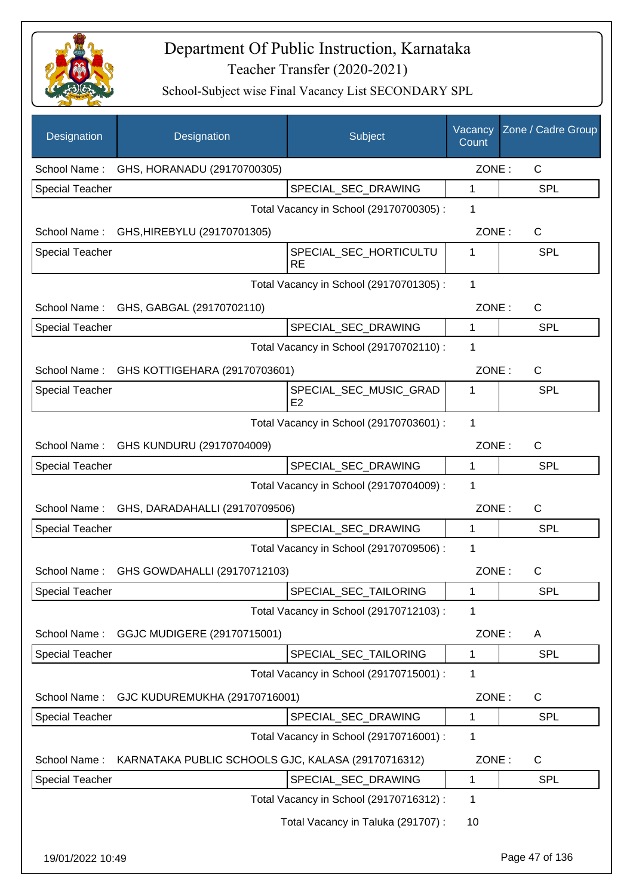

| Designation            | Designation                                        | Subject                                  | Vacancy<br>Count | Zone / Cadre Group |
|------------------------|----------------------------------------------------|------------------------------------------|------------------|--------------------|
| School Name:           | GHS, HORANADU (29170700305)                        |                                          | ZONE:            | C                  |
| <b>Special Teacher</b> |                                                    | SPECIAL_SEC_DRAWING                      | 1                | <b>SPL</b>         |
|                        |                                                    | Total Vacancy in School (29170700305) :  | 1                |                    |
| School Name:           | GHS, HIREBYLU (29170701305)                        |                                          | ZONE:            | $\mathsf{C}$       |
| <b>Special Teacher</b> |                                                    | SPECIAL_SEC_HORTICULTU<br><b>RE</b>      | 1                | <b>SPL</b>         |
|                        |                                                    | Total Vacancy in School (29170701305) :  | 1                |                    |
| School Name:           | GHS, GABGAL (29170702110)                          |                                          | ZONE:            | C                  |
| <b>Special Teacher</b> |                                                    | SPECIAL_SEC_DRAWING                      | $\mathbf{1}$     | <b>SPL</b>         |
|                        |                                                    | Total Vacancy in School (29170702110) :  | 1                |                    |
|                        | School Name: GHS KOTTIGEHARA (29170703601)         |                                          | ZONE:            | $\mathsf{C}$       |
| <b>Special Teacher</b> |                                                    | SPECIAL_SEC_MUSIC_GRAD<br>E <sub>2</sub> | 1                | <b>SPL</b>         |
|                        |                                                    | Total Vacancy in School (29170703601) :  | 1                |                    |
|                        | School Name: GHS KUNDURU (29170704009)             |                                          | ZONE:            | $\mathsf{C}$       |
| <b>Special Teacher</b> |                                                    | SPECIAL_SEC_DRAWING                      | $\mathbf{1}$     | <b>SPL</b>         |
|                        |                                                    | Total Vacancy in School (29170704009) :  | 1                |                    |
| School Name:           | GHS, DARADAHALLI (29170709506)                     |                                          | ZONE:            | $\mathsf{C}$       |
| <b>Special Teacher</b> |                                                    | SPECIAL_SEC_DRAWING                      | $\mathbf{1}$     | <b>SPL</b>         |
|                        |                                                    | Total Vacancy in School (29170709506) :  | 1                |                    |
| School Name:           | GHS GOWDAHALLI (29170712103)                       |                                          | ZONE:            | C                  |
| <b>Special Teacher</b> |                                                    | SPECIAL_SEC_TAILORING                    | 1                | SPL                |
|                        |                                                    | Total Vacancy in School (29170712103) :  | 1                |                    |
| School Name:           | GGJC MUDIGERE (29170715001)                        |                                          | ZONE:            | A                  |
| <b>Special Teacher</b> |                                                    | SPECIAL_SEC_TAILORING                    | 1                | <b>SPL</b>         |
|                        |                                                    | Total Vacancy in School (29170715001) :  | 1                |                    |
| School Name:           | GJC KUDUREMUKHA (29170716001)                      |                                          | ZONE:            | C                  |
| <b>Special Teacher</b> |                                                    | SPECIAL SEC DRAWING                      | 1                | <b>SPL</b>         |
|                        |                                                    | Total Vacancy in School (29170716001) :  | 1                |                    |
| School Name:           | KARNATAKA PUBLIC SCHOOLS GJC, KALASA (29170716312) |                                          | ZONE:            | $\mathsf{C}$       |
| <b>Special Teacher</b> |                                                    | SPECIAL_SEC_DRAWING                      | 1                | <b>SPL</b>         |
|                        |                                                    | Total Vacancy in School (29170716312) :  | 1                |                    |
|                        |                                                    | Total Vacancy in Taluka (291707) :       | 10               |                    |
| 19/01/2022 10:49       |                                                    |                                          |                  | Page 47 of 136     |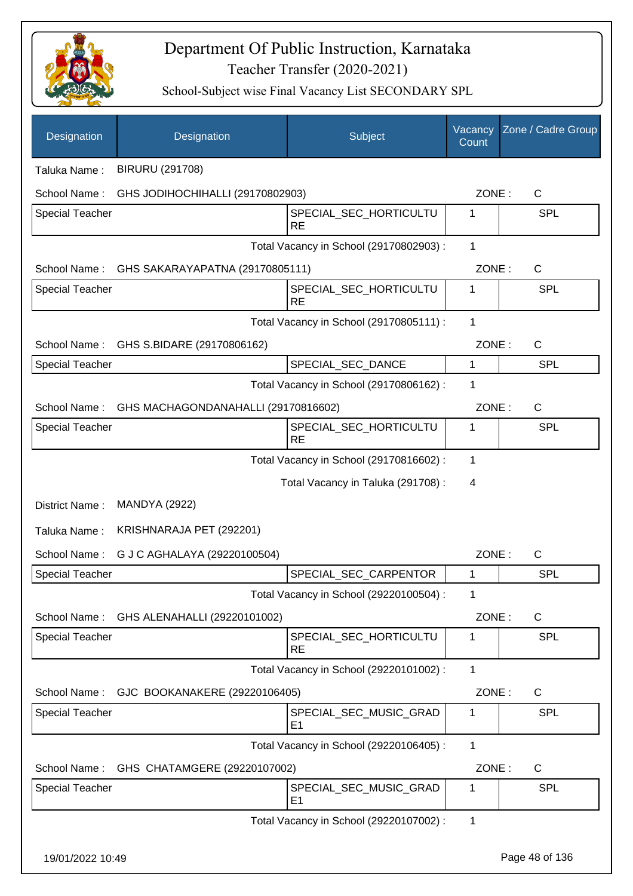

| Designation            | Designation                                  | <b>Subject</b>                           | Vacancy<br>Count | Zone / Cadre Group |  |  |
|------------------------|----------------------------------------------|------------------------------------------|------------------|--------------------|--|--|
| Taluka Name:           | <b>BIRURU (291708)</b>                       |                                          |                  |                    |  |  |
| School Name:           | GHS JODIHOCHIHALLI (29170802903)             |                                          | ZONE:            | $\mathsf{C}$       |  |  |
| <b>Special Teacher</b> |                                              | SPECIAL_SEC_HORTICULTU<br><b>RE</b>      | 1                | <b>SPL</b>         |  |  |
|                        |                                              | Total Vacancy in School (29170802903) :  | 1                |                    |  |  |
|                        | School Name: GHS SAKARAYAPATNA (29170805111) |                                          | ZONE:            | $\mathsf{C}$       |  |  |
| <b>Special Teacher</b> |                                              | SPECIAL_SEC_HORTICULTU<br><b>RE</b>      | 1                | <b>SPL</b>         |  |  |
|                        |                                              | Total Vacancy in School (29170805111) :  | 1                |                    |  |  |
|                        | School Name: GHS S.BIDARE (29170806162)      |                                          | ZONE:            | $\mathsf{C}$       |  |  |
| <b>Special Teacher</b> |                                              | SPECIAL_SEC_DANCE                        | $\mathbf{1}$     | <b>SPL</b>         |  |  |
|                        |                                              | Total Vacancy in School (29170806162) :  | 1                |                    |  |  |
| School Name:           | GHS MACHAGONDANAHALLI (29170816602)          |                                          | ZONE:            | $\mathsf{C}$       |  |  |
| <b>Special Teacher</b> |                                              | SPECIAL_SEC_HORTICULTU<br><b>RE</b>      | 1                | <b>SPL</b>         |  |  |
|                        |                                              | Total Vacancy in School (29170816602) :  | 1                |                    |  |  |
|                        |                                              | Total Vacancy in Taluka (291708) :       | $\overline{4}$   |                    |  |  |
| District Name:         | <b>MANDYA (2922)</b>                         |                                          |                  |                    |  |  |
| Taluka Name:           | KRISHNARAJA PET (292201)                     |                                          |                  |                    |  |  |
| School Name:           | G J C AGHALAYA (29220100504)                 |                                          | ZONE:            | C                  |  |  |
| <b>Special Teacher</b> |                                              | SPECIAL_SEC_CARPENTOR                    | $\mathbf 1$      | <b>SPL</b>         |  |  |
|                        |                                              | Total Vacancy in School (29220100504) :  | 1                |                    |  |  |
| School Name:           | GHS ALENAHALLI (29220101002)                 |                                          | ZONE:            | $\mathsf{C}$       |  |  |
| Special Teacher        |                                              | SPECIAL_SEC_HORTICULTU<br><b>RE</b>      | 1                | <b>SPL</b>         |  |  |
|                        |                                              | Total Vacancy in School (29220101002) :  | 1                |                    |  |  |
| School Name:           | GJC BOOKANAKERE (29220106405)                |                                          | ZONE:            | C                  |  |  |
| <b>Special Teacher</b> |                                              | SPECIAL_SEC_MUSIC_GRAD<br>E <sub>1</sub> | 1                | <b>SPL</b>         |  |  |
|                        |                                              | Total Vacancy in School (29220106405) :  | 1                |                    |  |  |
| School Name:           | GHS CHATAMGERE (29220107002)                 |                                          | ZONE:            | C                  |  |  |
| <b>Special Teacher</b> |                                              | SPECIAL_SEC_MUSIC_GRAD<br>E1             | 1                | <b>SPL</b>         |  |  |
|                        |                                              | Total Vacancy in School (29220107002) :  | 1                |                    |  |  |
| 19/01/2022 10:49       |                                              |                                          |                  | Page 48 of 136     |  |  |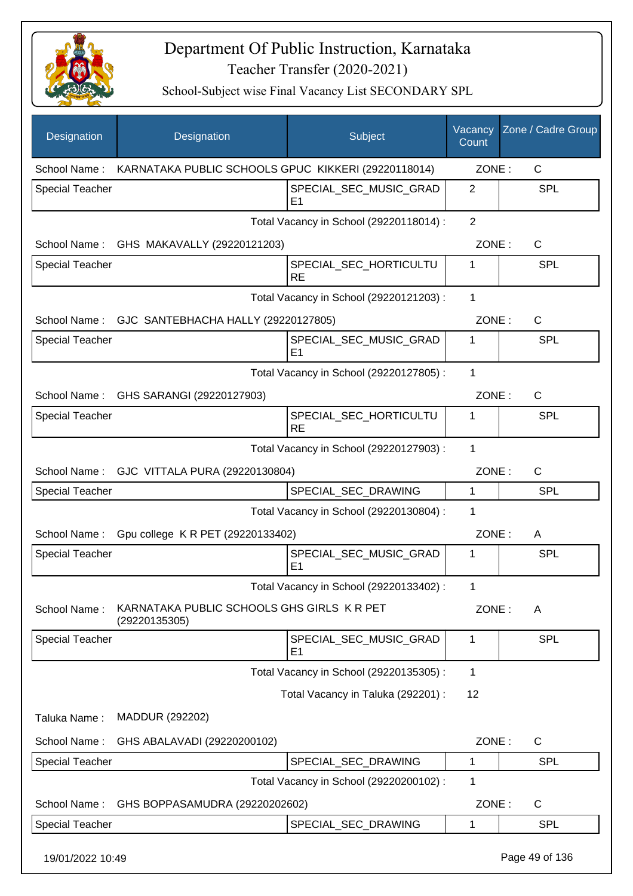

| Designation            | Designation                                                 | Subject                                  | Vacancy<br>Count | Zone / Cadre Group |
|------------------------|-------------------------------------------------------------|------------------------------------------|------------------|--------------------|
| School Name:           | KARNATAKA PUBLIC SCHOOLS GPUC KIKKERI (29220118014)         |                                          | ZONE:            | C                  |
| <b>Special Teacher</b> |                                                             | SPECIAL_SEC_MUSIC_GRAD<br>E <sub>1</sub> | $\overline{2}$   | <b>SPL</b>         |
|                        |                                                             | Total Vacancy in School (29220118014) :  | $\overline{2}$   |                    |
| School Name:           | GHS MAKAVALLY (29220121203)                                 |                                          | ZONE:            | C                  |
| <b>Special Teacher</b> |                                                             | SPECIAL_SEC_HORTICULTU<br><b>RE</b>      | 1                | <b>SPL</b>         |
|                        |                                                             | Total Vacancy in School (29220121203) :  | 1                |                    |
| School Name:           | GJC SANTEBHACHA HALLY (29220127805)                         |                                          | ZONE:            | $\mathsf{C}$       |
| <b>Special Teacher</b> |                                                             | SPECIAL_SEC_MUSIC_GRAD<br>E1             | 1                | <b>SPL</b>         |
|                        |                                                             | Total Vacancy in School (29220127805) :  | 1                |                    |
|                        | School Name: GHS SARANGI (29220127903)                      |                                          | ZONE:            | $\mathsf{C}$       |
| <b>Special Teacher</b> |                                                             | SPECIAL_SEC_HORTICULTU<br><b>RE</b>      | 1                | <b>SPL</b>         |
|                        |                                                             | Total Vacancy in School (29220127903) :  | 1                |                    |
|                        | School Name: GJC VITTALA PURA (29220130804)                 |                                          | ZONE:            | $\mathsf{C}$       |
| <b>Special Teacher</b> |                                                             | SPECIAL_SEC_DRAWING                      | 1                | <b>SPL</b>         |
|                        |                                                             | Total Vacancy in School (29220130804) :  | 1                |                    |
| School Name:           | Gpu college K R PET (29220133402)                           |                                          | ZONE:            | A                  |
| <b>Special Teacher</b> |                                                             | SPECIAL_SEC_MUSIC_GRAD<br>E <sub>1</sub> | 1                | <b>SPL</b>         |
|                        |                                                             | Total Vacancy in School (29220133402) :  | 1                |                    |
| School Name:           | KARNATAKA PUBLIC SCHOOLS GHS GIRLS K R PET<br>(29220135305) |                                          | ZONE:            | A                  |
| <b>Special Teacher</b> |                                                             | SPECIAL_SEC_MUSIC_GRAD<br>E <sub>1</sub> | 1                | <b>SPL</b>         |
|                        |                                                             | Total Vacancy in School (29220135305) :  | 1                |                    |
|                        |                                                             | Total Vacancy in Taluka (292201) :       | 12               |                    |
| Taluka Name:           | MADDUR (292202)                                             |                                          |                  |                    |
| School Name:           | GHS ABALAVADI (29220200102)                                 |                                          | ZONE:            | C                  |
| Special Teacher        |                                                             | SPECIAL_SEC_DRAWING                      | 1                | <b>SPL</b>         |
|                        |                                                             | Total Vacancy in School (29220200102) :  | 1                |                    |
| School Name:           | GHS BOPPASAMUDRA (29220202602)                              |                                          | ZONE:            | C                  |
| <b>Special Teacher</b> |                                                             | SPECIAL_SEC_DRAWING                      | 1                | <b>SPL</b>         |
| 19/01/2022 10:49       |                                                             |                                          |                  | Page 49 of 136     |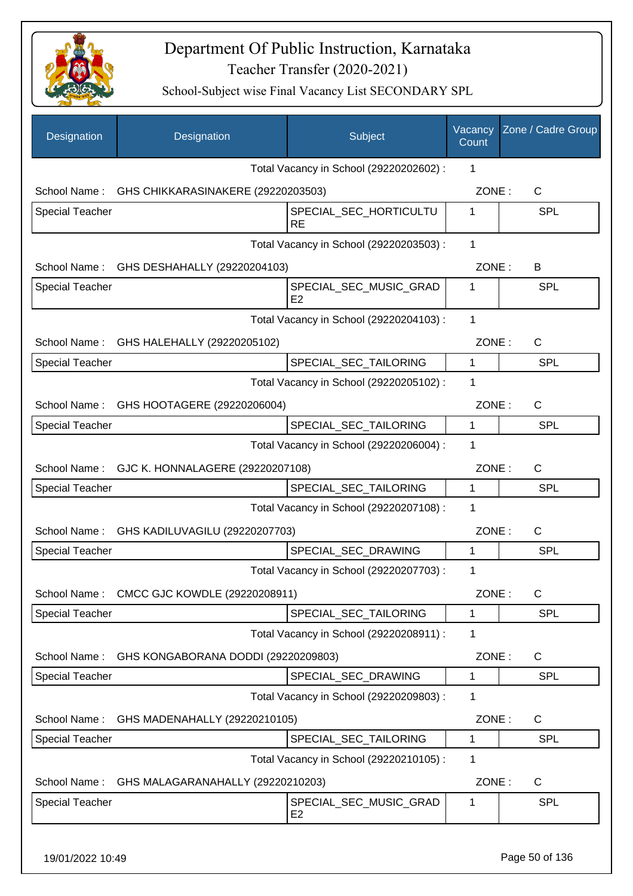

School-Subject wise Final Vacancy List SECONDARY SPL

| Designation            | Designation                                   | Subject                                  | Vacancy<br>Count | Zone / Cadre Group |
|------------------------|-----------------------------------------------|------------------------------------------|------------------|--------------------|
|                        |                                               | Total Vacancy in School (29220202602) :  | 1                |                    |
| School Name:           | GHS CHIKKARASINAKERE (29220203503)            |                                          | ZONE:            | $\mathsf{C}$       |
| <b>Special Teacher</b> |                                               | SPECIAL_SEC_HORTICULTU<br><b>RE</b>      | 1                | <b>SPL</b>         |
|                        |                                               | Total Vacancy in School (29220203503) :  | 1                |                    |
|                        | School Name: GHS DESHAHALLY (29220204103)     |                                          | ZONE:            | В                  |
| <b>Special Teacher</b> |                                               | SPECIAL_SEC_MUSIC_GRAD<br>E <sub>2</sub> | 1                | <b>SPL</b>         |
|                        |                                               | Total Vacancy in School (29220204103) :  | 1                |                    |
|                        | School Name: GHS HALEHALLY (29220205102)      |                                          | ZONE:            | $\mathsf{C}$       |
| <b>Special Teacher</b> |                                               | SPECIAL_SEC_TAILORING                    | 1                | <b>SPL</b>         |
|                        |                                               | Total Vacancy in School (29220205102) :  | 1                |                    |
|                        | School Name: GHS HOOTAGERE (29220206004)      |                                          | ZONE:            | $\mathsf{C}$       |
| <b>Special Teacher</b> |                                               | SPECIAL_SEC_TAILORING                    | $\mathbf{1}$     | <b>SPL</b>         |
|                        |                                               | Total Vacancy in School (29220206004) :  | 1                |                    |
|                        | School Name: GJC K. HONNALAGERE (29220207108) |                                          | ZONE:            | C                  |
| <b>Special Teacher</b> |                                               | SPECIAL_SEC_TAILORING                    | $\mathbf{1}$     | <b>SPL</b>         |
|                        |                                               | Total Vacancy in School (29220207108) :  | 1                |                    |
| School Name:           | GHS KADILUVAGILU (29220207703)                |                                          | ZONE:            | C                  |
| Special Teacher        |                                               | SPECIAL SEC DRAWING                      | 1                | <b>SPL</b>         |
|                        |                                               | Total Vacancy in School (29220207703) :  | 1                |                    |
| School Name:           | CMCC GJC KOWDLE (29220208911)                 |                                          | ZONE:            | C                  |
| <b>Special Teacher</b> |                                               | SPECIAL SEC TAILORING                    | 1                | <b>SPL</b>         |
|                        |                                               | Total Vacancy in School (29220208911) :  | 1                |                    |
| School Name:           | GHS KONGABORANA DODDI (29220209803)           |                                          | ZONE:            | $\mathsf{C}$       |
| <b>Special Teacher</b> |                                               | SPECIAL_SEC_DRAWING                      | 1                | <b>SPL</b>         |
|                        |                                               | Total Vacancy in School (29220209803) :  | 1                |                    |
| School Name:           | GHS MADENAHALLY (29220210105)                 |                                          | ZONE:            | C                  |
| <b>Special Teacher</b> |                                               | SPECIAL_SEC_TAILORING                    | 1                | <b>SPL</b>         |
|                        |                                               | Total Vacancy in School (29220210105) :  | 1                |                    |
| School Name:           | GHS MALAGARANAHALLY (29220210203)             |                                          | ZONE:            | C                  |
| <b>Special Teacher</b> |                                               | SPECIAL_SEC_MUSIC_GRAD<br>E <sub>2</sub> | 1                | <b>SPL</b>         |
|                        |                                               |                                          |                  |                    |

19/01/2022 10:49 Page 50 of 136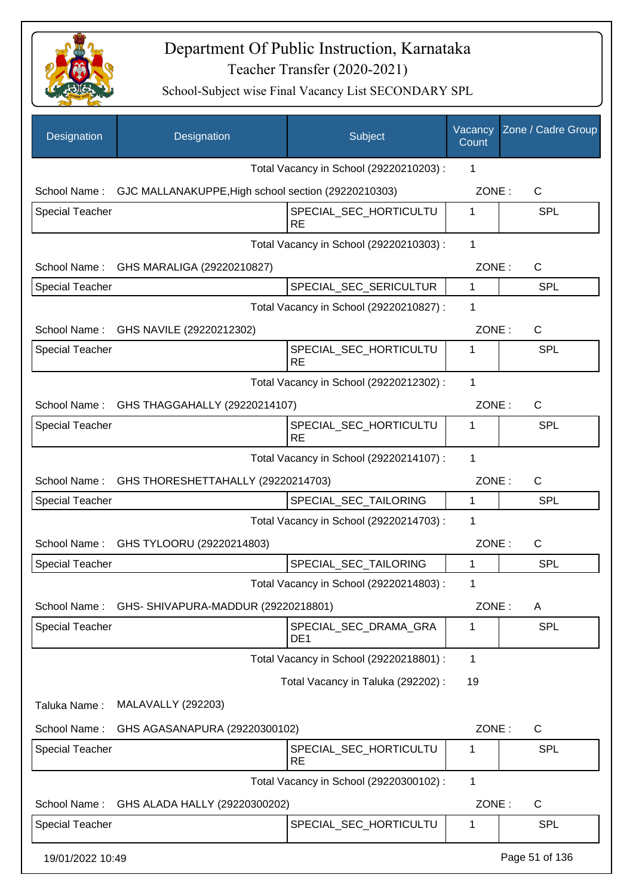

| Designation            | Designation                                         | Subject                                  | Vacancy<br>Count | Zone / Cadre Group |
|------------------------|-----------------------------------------------------|------------------------------------------|------------------|--------------------|
|                        |                                                     | Total Vacancy in School (29220210203) :  | 1                |                    |
| School Name:           | GJC MALLANAKUPPE, High school section (29220210303) |                                          | ZONE:            | C                  |
| <b>Special Teacher</b> |                                                     | SPECIAL_SEC_HORTICULTU<br><b>RE</b>      | 1                | <b>SPL</b>         |
|                        |                                                     | Total Vacancy in School (29220210303) :  | 1                |                    |
| School Name:           | GHS MARALIGA (29220210827)                          |                                          | ZONE:            | $\mathsf{C}$       |
| <b>Special Teacher</b> |                                                     | SPECIAL_SEC_SERICULTUR                   | $\mathbf{1}$     | SPL                |
|                        |                                                     | Total Vacancy in School (29220210827) :  | 1                |                    |
|                        | School Name: GHS NAVILE (29220212302)               |                                          | ZONE:            | $\mathsf C$        |
| <b>Special Teacher</b> |                                                     | SPECIAL_SEC_HORTICULTU<br><b>RE</b>      | 1                | <b>SPL</b>         |
|                        |                                                     | Total Vacancy in School (29220212302) :  | 1                |                    |
|                        | School Name: GHS THAGGAHALLY (29220214107)          |                                          | ZONE:            | C                  |
| <b>Special Teacher</b> |                                                     | SPECIAL_SEC_HORTICULTU<br><b>RE</b>      | 1                | <b>SPL</b>         |
|                        |                                                     | Total Vacancy in School (29220214107) :  | $\mathbf{1}$     |                    |
|                        | School Name: GHS THORESHETTAHALLY (29220214703)     |                                          | ZONE:            | $\mathsf{C}$       |
| <b>Special Teacher</b> |                                                     | SPECIAL_SEC_TAILORING                    | $\mathbf{1}$     | SPL                |
|                        |                                                     | Total Vacancy in School (29220214703) :  | 1                |                    |
| School Name:           | GHS TYLOORU (29220214803)                           |                                          | ZONE:            | $\mathsf{C}$       |
| <b>Special Teacher</b> |                                                     | SPECIAL_SEC_TAILORING                    | 1                | <b>SPL</b>         |
|                        |                                                     | Total Vacancy in School (29220214803) :  | 1                |                    |
| School Name:           | GHS-SHIVAPURA-MADDUR (29220218801)                  |                                          | ZONE:            | A                  |
| <b>Special Teacher</b> |                                                     | SPECIAL_SEC_DRAMA_GRA<br>DE <sub>1</sub> | 1                | <b>SPL</b>         |
|                        |                                                     | Total Vacancy in School (29220218801) :  | $\mathbf 1$      |                    |
|                        |                                                     | Total Vacancy in Taluka (292202) :       | 19               |                    |
| Taluka Name:           | MALAVALLY (292203)                                  |                                          |                  |                    |
| School Name:           | GHS AGASANAPURA (29220300102)                       |                                          | ZONE:            | C                  |
| <b>Special Teacher</b> |                                                     | SPECIAL_SEC_HORTICULTU<br><b>RE</b>      | 1                | <b>SPL</b>         |
|                        |                                                     | Total Vacancy in School (29220300102) :  | 1                |                    |
| School Name:           | GHS ALADA HALLY (29220300202)                       |                                          | ZONE:            | $\mathsf{C}$       |
| <b>Special Teacher</b> |                                                     | SPECIAL_SEC_HORTICULTU                   | 1                | SPL                |
| 19/01/2022 10:49       |                                                     |                                          |                  | Page 51 of 136     |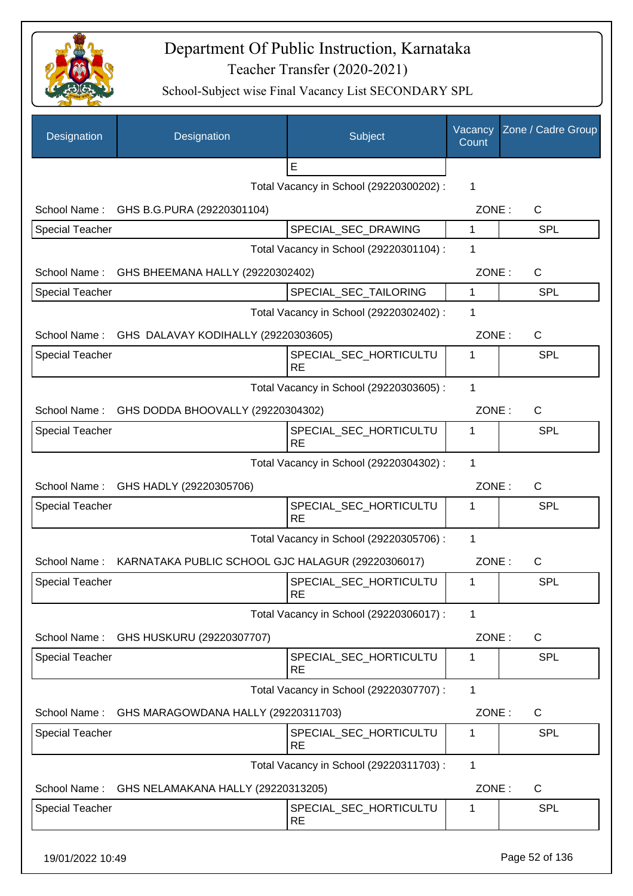

| Designation            | Designation                                       | Subject                                 | Vacancy<br>Count | Zone / Cadre Group |
|------------------------|---------------------------------------------------|-----------------------------------------|------------------|--------------------|
|                        |                                                   | E                                       |                  |                    |
|                        |                                                   | Total Vacancy in School (29220300202) : | 1                |                    |
| School Name:           | GHS B.G.PURA (29220301104)                        |                                         | ZONE:            | C                  |
| <b>Special Teacher</b> |                                                   | SPECIAL_SEC_DRAWING                     | 1                | <b>SPL</b>         |
|                        | Total Vacancy in School (29220301104) :           |                                         |                  |                    |
| School Name:           | GHS BHEEMANA HALLY (29220302402)                  |                                         | ZONE:            | $\mathsf C$        |
| <b>Special Teacher</b> |                                                   | SPECIAL_SEC_TAILORING                   | 1                | SPL                |
|                        |                                                   | Total Vacancy in School (29220302402) : | 1                |                    |
| School Name:           | GHS DALAVAY KODIHALLY (29220303605)               |                                         | ZONE:            | $\mathsf C$        |
| <b>Special Teacher</b> |                                                   | SPECIAL_SEC_HORTICULTU<br><b>RE</b>     | 1                | SPL                |
|                        |                                                   | Total Vacancy in School (29220303605) : | 1                |                    |
| School Name:           | GHS DODDA BHOOVALLY (29220304302)                 |                                         | ZONE:            | C                  |
| <b>Special Teacher</b> |                                                   | SPECIAL_SEC_HORTICULTU<br><b>RE</b>     | 1                | SPL                |
|                        |                                                   | Total Vacancy in School (29220304302) : | 1                |                    |
|                        | School Name: GHS HADLY (29220305706)              |                                         | ZONE:            | $\mathsf{C}$       |
| <b>Special Teacher</b> |                                                   | SPECIAL_SEC_HORTICULTU<br><b>RE</b>     | 1                | SPL                |
|                        |                                                   | Total Vacancy in School (29220305706) : | 1                |                    |
| School Name:           | KARNATAKA PUBLIC SCHOOL GJC HALAGUR (29220306017) |                                         | ZONE:            | $\mathsf C$        |
| <b>Special Teacher</b> |                                                   | SPECIAL_SEC_HORTICULTU<br><b>RE</b>     | 1                | <b>SPL</b>         |
|                        |                                                   | Total Vacancy in School (29220306017) : | 1                |                    |
| School Name:           | GHS HUSKURU (29220307707)                         |                                         | ZONE:            | C                  |
| <b>Special Teacher</b> |                                                   | SPECIAL_SEC_HORTICULTU<br><b>RE</b>     | 1                | <b>SPL</b>         |
|                        |                                                   | Total Vacancy in School (29220307707) : | $\mathbf{1}$     |                    |
| School Name:           | GHS MARAGOWDANA HALLY (29220311703)               |                                         | ZONE:            | $\mathsf{C}$       |
| <b>Special Teacher</b> |                                                   | SPECIAL_SEC_HORTICULTU<br><b>RE</b>     | 1                | SPL                |
|                        |                                                   | Total Vacancy in School (29220311703) : | $\mathbf{1}$     |                    |
| School Name:           | GHS NELAMAKANA HALLY (29220313205)                |                                         | ZONE:            | C                  |
| <b>Special Teacher</b> |                                                   | SPECIAL_SEC_HORTICULTU                  | 1                | <b>SPL</b>         |
|                        |                                                   | <b>RE</b>                               |                  |                    |
| 19/01/2022 10:49       |                                                   |                                         |                  | Page 52 of 136     |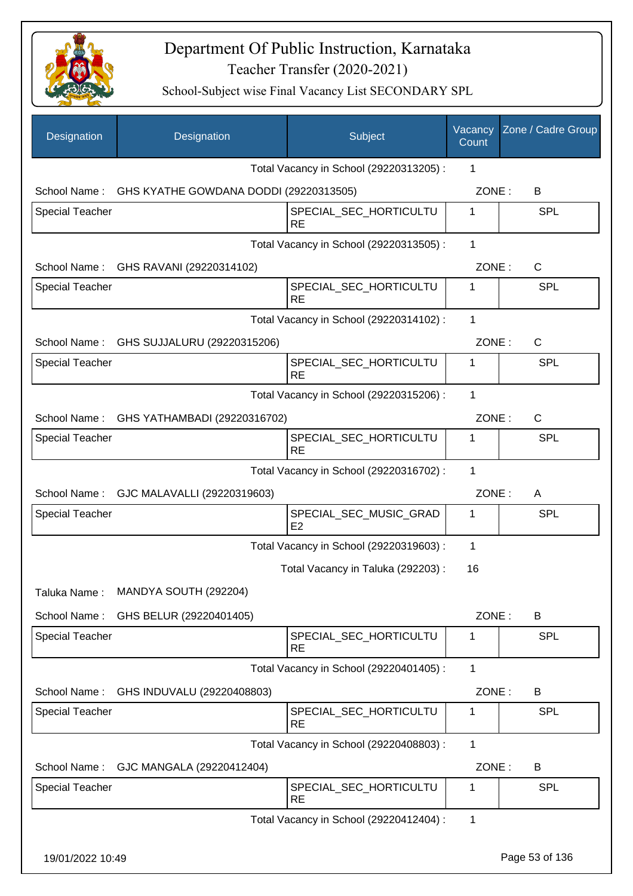

| Designation            | Designation                                         | Subject                                 | Vacancy<br>Count | Zone / Cadre Group |
|------------------------|-----------------------------------------------------|-----------------------------------------|------------------|--------------------|
|                        |                                                     | Total Vacancy in School (29220313205) : | 1                |                    |
|                        | School Name: GHS KYATHE GOWDANA DODDI (29220313505) |                                         | ZONE:            | B                  |
| <b>Special Teacher</b> |                                                     | SPECIAL_SEC_HORTICULTU<br><b>RE</b>     | $\mathbf{1}$     | <b>SPL</b>         |
|                        |                                                     | Total Vacancy in School (29220313505) : | 1                |                    |
|                        | School Name: GHS RAVANI (29220314102)               |                                         | ZONE:            | $\mathsf{C}$       |
| <b>Special Teacher</b> |                                                     | SPECIAL_SEC_HORTICULTU<br><b>RE</b>     | 1                | <b>SPL</b>         |
|                        |                                                     | Total Vacancy in School (29220314102) : | 1                |                    |
|                        | School Name: GHS SUJJALURU (29220315206)            |                                         | ZONE:            | $\mathsf{C}$       |
| Special Teacher        |                                                     | SPECIAL_SEC_HORTICULTU<br><b>RE</b>     | 1                | <b>SPL</b>         |
|                        |                                                     | Total Vacancy in School (29220315206) : | 1                |                    |
|                        | School Name: GHS YATHAMBADI (29220316702)           |                                         | ZONE:            | $\mathsf{C}$       |
| Special Teacher        |                                                     | SPECIAL_SEC_HORTICULTU<br><b>RE</b>     | $\mathbf 1$      | <b>SPL</b>         |
|                        |                                                     | Total Vacancy in School (29220316702) : | 1                |                    |
|                        | School Name: GJC MALAVALLI (29220319603)            |                                         | ZONE:            | A                  |
| <b>Special Teacher</b> |                                                     | SPECIAL_SEC_MUSIC_GRAD<br>E2            | 1                | <b>SPL</b>         |
|                        |                                                     | Total Vacancy in School (29220319603) : | 1                |                    |
|                        |                                                     | Total Vacancy in Taluka (292203) :      | 16               |                    |
| Taluka Name:           | MANDYA SOUTH (292204)                               |                                         |                  |                    |
| School Name:           | GHS BELUR (29220401405)                             |                                         | ZONE:            | B                  |
| <b>Special Teacher</b> |                                                     | SPECIAL_SEC_HORTICULTU<br><b>RE</b>     | 1                | <b>SPL</b>         |
|                        |                                                     | Total Vacancy in School (29220401405) : | 1                |                    |
| School Name:           | GHS INDUVALU (29220408803)                          |                                         | ZONE:            | B                  |
| <b>Special Teacher</b> |                                                     | SPECIAL_SEC_HORTICULTU<br><b>RE</b>     | 1                | <b>SPL</b>         |
|                        |                                                     | Total Vacancy in School (29220408803) : | 1                |                    |
| School Name:           | GJC MANGALA (29220412404)                           |                                         | ZONE:            | B                  |
| <b>Special Teacher</b> |                                                     | SPECIAL_SEC_HORTICULTU<br><b>RE</b>     | 1                | <b>SPL</b>         |
|                        |                                                     | Total Vacancy in School (29220412404) : | 1                |                    |
| 19/01/2022 10:49       |                                                     |                                         |                  | Page 53 of 136     |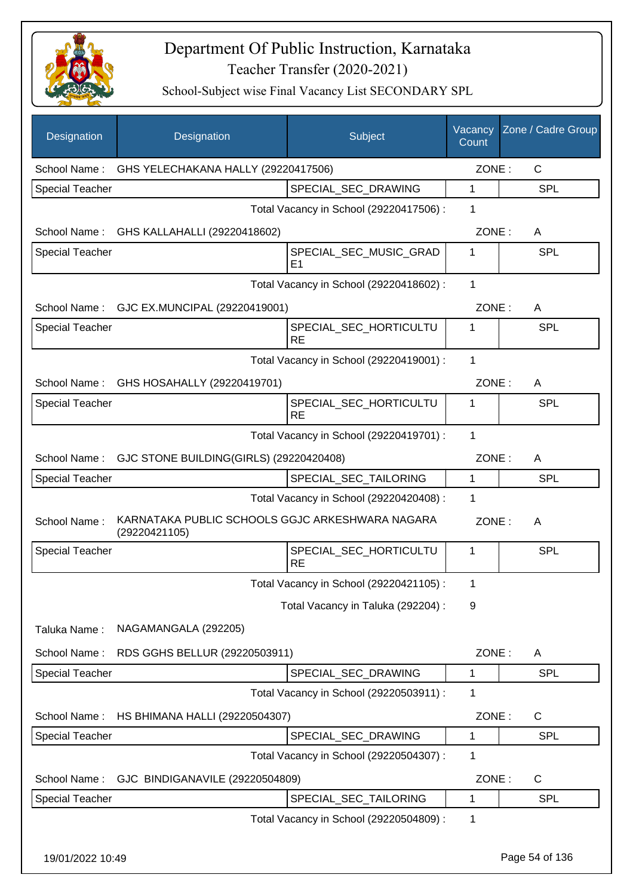

| Designation            | Designation                                                      | Subject                                  | Vacancy<br>Count | Zone / Cadre Group |
|------------------------|------------------------------------------------------------------|------------------------------------------|------------------|--------------------|
| School Name:           | GHS YELECHAKANA HALLY (29220417506)                              |                                          | ZONE:            | $\mathsf{C}$       |
| <b>Special Teacher</b> |                                                                  | SPECIAL SEC DRAWING                      | 1                | <b>SPL</b>         |
|                        |                                                                  | Total Vacancy in School (29220417506) :  | 1                |                    |
| School Name:           | GHS KALLAHALLI (29220418602)                                     |                                          | ZONE:            | A                  |
| <b>Special Teacher</b> |                                                                  | SPECIAL_SEC_MUSIC_GRAD<br>E <sub>1</sub> | 1                | <b>SPL</b>         |
|                        |                                                                  | Total Vacancy in School (29220418602) :  | 1                |                    |
|                        | School Name: GJC EX.MUNCIPAL (29220419001)                       |                                          | ZONE:            | A                  |
| <b>Special Teacher</b> |                                                                  | SPECIAL_SEC_HORTICULTU<br><b>RE</b>      | 1                | <b>SPL</b>         |
|                        |                                                                  | Total Vacancy in School (29220419001) :  | 1                |                    |
| School Name:           | GHS HOSAHALLY (29220419701)                                      |                                          | ZONE:            | A                  |
| <b>Special Teacher</b> |                                                                  | SPECIAL_SEC_HORTICULTU<br><b>RE</b>      | 1                | <b>SPL</b>         |
|                        |                                                                  | Total Vacancy in School (29220419701) :  | 1                |                    |
| School Name:           | GJC STONE BUILDING(GIRLS) (29220420408)                          |                                          | ZONE:            | A                  |
| <b>Special Teacher</b> |                                                                  | SPECIAL_SEC_TAILORING                    | $\mathbf{1}$     | <b>SPL</b>         |
|                        |                                                                  | Total Vacancy in School (29220420408) :  | 1                |                    |
| School Name:           | KARNATAKA PUBLIC SCHOOLS GGJC ARKESHWARA NAGARA<br>(29220421105) |                                          | ZONE:            | A                  |
| <b>Special Teacher</b> |                                                                  | SPECIAL SEC HORTICULTU<br><b>RE</b>      | 1                | SPL                |
|                        |                                                                  | Total Vacancy in School (29220421105) :  | 1                |                    |
|                        |                                                                  | Total Vacancy in Taluka (292204) :       | 9                |                    |
| Taluka Name:           | NAGAMANGALA (292205)                                             |                                          |                  |                    |
| School Name:           | RDS GGHS BELLUR (29220503911)                                    |                                          | ZONE:            | A                  |
| Special Teacher        |                                                                  | SPECIAL_SEC_DRAWING                      | 1                | <b>SPL</b>         |
|                        |                                                                  | Total Vacancy in School (29220503911) :  | 1                |                    |
| School Name:           | HS BHIMANA HALLI (29220504307)                                   |                                          | ZONE:            | $\mathsf{C}$       |
| Special Teacher        |                                                                  | SPECIAL_SEC_DRAWING                      | 1                | <b>SPL</b>         |
|                        |                                                                  | Total Vacancy in School (29220504307) :  | 1                |                    |
| School Name:           | GJC BINDIGANAVILE (29220504809)                                  |                                          | ZONE:            | C                  |
| Special Teacher        |                                                                  | SPECIAL_SEC_TAILORING                    | 1                | <b>SPL</b>         |
|                        |                                                                  | Total Vacancy in School (29220504809) :  | 1                |                    |
| 19/01/2022 10:49       |                                                                  |                                          |                  | Page 54 of 136     |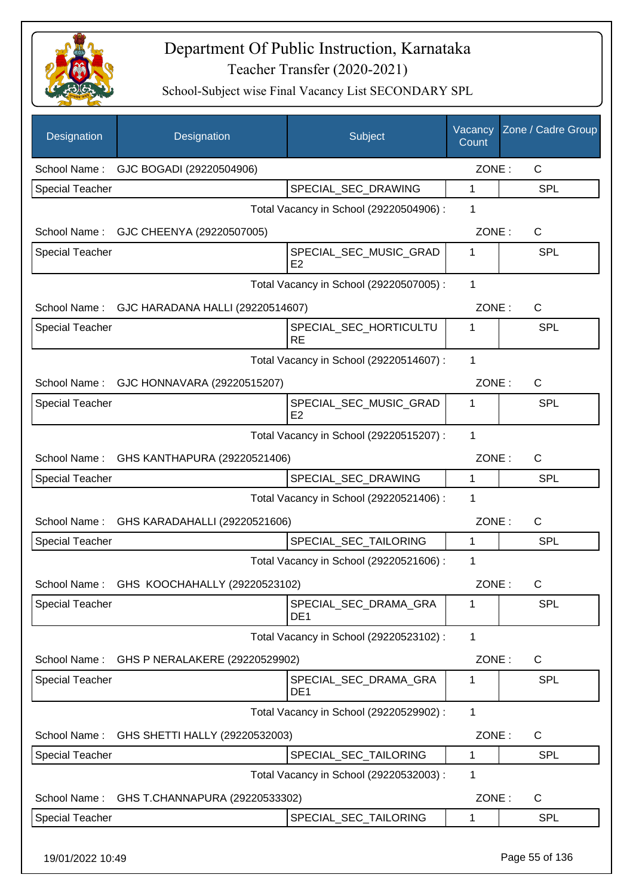

School-Subject wise Final Vacancy List SECONDARY SPL

| Designation            | Designation                                | Subject                                  | Vacancy<br>Count | Zone / Cadre Group |
|------------------------|--------------------------------------------|------------------------------------------|------------------|--------------------|
| School Name:           | GJC BOGADI (29220504906)                   |                                          | ZONE:            | C                  |
| Special Teacher        |                                            | SPECIAL_SEC_DRAWING                      | $\mathbf{1}$     | <b>SPL</b>         |
|                        |                                            | Total Vacancy in School (29220504906) :  | 1                |                    |
| School Name:           | GJC CHEENYA (29220507005)                  |                                          | ZONE:            | C                  |
| <b>Special Teacher</b> |                                            | SPECIAL_SEC_MUSIC_GRAD<br>E2             | 1                | <b>SPL</b>         |
|                        |                                            | Total Vacancy in School (29220507005) :  | 1                |                    |
| School Name:           | GJC HARADANA HALLI (29220514607)           |                                          | ZONE:            | $\mathsf C$        |
| <b>Special Teacher</b> |                                            | SPECIAL_SEC_HORTICULTU<br><b>RE</b>      | 1                | SPL                |
|                        |                                            | Total Vacancy in School (29220514607) :  | 1                |                    |
| School Name:           | GJC HONNAVARA (29220515207)                |                                          | ZONE:            | $\mathsf{C}$       |
| <b>Special Teacher</b> |                                            | SPECIAL_SEC_MUSIC_GRAD<br>E <sub>2</sub> | 1                | SPL                |
|                        |                                            | Total Vacancy in School (29220515207) :  | 1                |                    |
| School Name:           | GHS KANTHAPURA (29220521406)               |                                          | ZONE:            | $\mathsf{C}$       |
| <b>Special Teacher</b> |                                            | SPECIAL_SEC_DRAWING                      | 1                | <b>SPL</b>         |
|                        |                                            | Total Vacancy in School (29220521406) :  | 1                |                    |
| School Name:           | GHS KARADAHALLI (29220521606)              |                                          | ZONE:            | $\mathsf C$        |
| Special Teacher        |                                            | SPECIAL_SEC_TAILORING                    | 1                | SPL                |
|                        |                                            | Total Vacancy in School (29220521606) :  | 1                |                    |
|                        | School Name: GHS KOOCHAHALLY (29220523102) |                                          | ZONE:            | C                  |
| <b>Special Teacher</b> |                                            | SPECIAL_SEC_DRAMA_GRA<br>DE <sub>1</sub> | 1                | <b>SPL</b>         |
|                        |                                            | Total Vacancy in School (29220523102) :  | 1                |                    |
| School Name:           | GHS P NERALAKERE (29220529902)             |                                          | ZONE:            | C                  |
| <b>Special Teacher</b> |                                            | SPECIAL_SEC_DRAMA_GRA<br>DE <sub>1</sub> | 1                | <b>SPL</b>         |
|                        |                                            | Total Vacancy in School (29220529902) :  | 1                |                    |
| School Name:           | GHS SHETTI HALLY (29220532003)             |                                          | ZONE:            | C                  |
| Special Teacher        |                                            | SPECIAL_SEC_TAILORING                    | 1                | <b>SPL</b>         |
|                        |                                            | Total Vacancy in School (29220532003) :  | 1                |                    |
| School Name:           | GHS T.CHANNAPURA (29220533302)             |                                          | ZONE:            | C                  |
| <b>Special Teacher</b> |                                            | SPECIAL_SEC_TAILORING                    | 1                | <b>SPL</b>         |
|                        |                                            |                                          |                  |                    |

19/01/2022 10:49 Page 55 of 136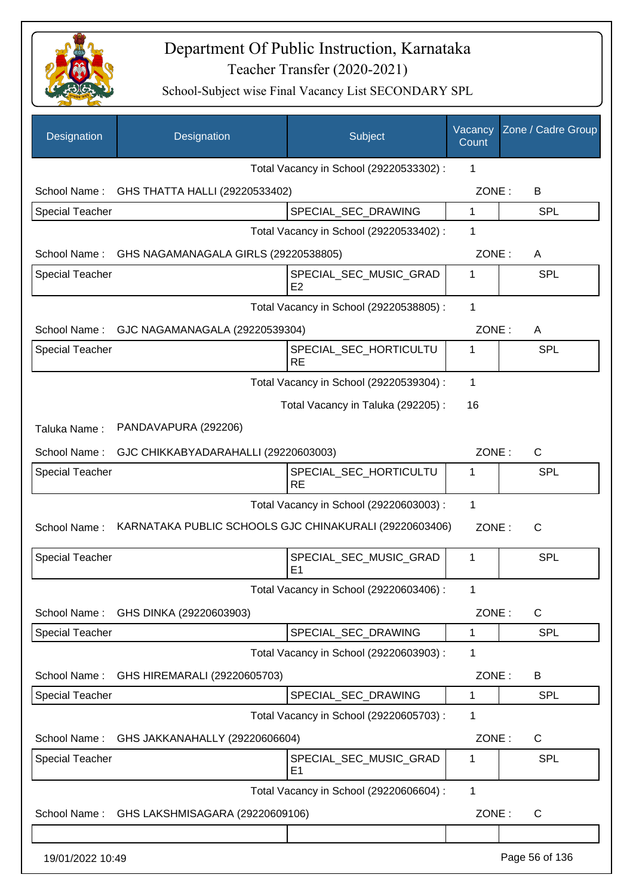

| Designation            | Designation                                            | Subject                                  | Vacancy<br>Count | Zone / Cadre Group |
|------------------------|--------------------------------------------------------|------------------------------------------|------------------|--------------------|
|                        |                                                        | Total Vacancy in School (29220533302) :  | 1                |                    |
|                        | School Name: GHS THATTA HALLI (29220533402)            |                                          | ZONE:            | B                  |
| <b>Special Teacher</b> |                                                        | SPECIAL_SEC_DRAWING                      | $\mathbf{1}$     | <b>SPL</b>         |
|                        |                                                        | Total Vacancy in School (29220533402) :  | 1                |                    |
|                        | School Name: GHS NAGAMANAGALA GIRLS (29220538805)      |                                          | ZONE:            | A                  |
| <b>Special Teacher</b> |                                                        | SPECIAL_SEC_MUSIC_GRAD<br>E <sub>2</sub> | 1                | <b>SPL</b>         |
|                        |                                                        | Total Vacancy in School (29220538805) :  | 1                |                    |
|                        | School Name: GJC NAGAMANAGALA (29220539304)            |                                          | ZONE:            | A                  |
| <b>Special Teacher</b> |                                                        | SPECIAL_SEC_HORTICULTU<br><b>RE</b>      | 1                | <b>SPL</b>         |
|                        |                                                        | Total Vacancy in School (29220539304) :  | $\mathbf{1}$     |                    |
|                        |                                                        | Total Vacancy in Taluka (292205):        | 16               |                    |
| Taluka Name:           | PANDAVAPURA (292206)                                   |                                          |                  |                    |
| School Name:           | GJC CHIKKABYADARAHALLI (29220603003)                   |                                          | ZONE:            | C                  |
| <b>Special Teacher</b> |                                                        | SPECIAL_SEC_HORTICULTU<br><b>RE</b>      | 1                | <b>SPL</b>         |
|                        |                                                        | Total Vacancy in School (29220603003) :  | 1                |                    |
| School Name:           | KARNATAKA PUBLIC SCHOOLS GJC CHINAKURALI (29220603406) |                                          | ZONE:            | $\mathsf{C}$       |
| <b>Special Teacher</b> |                                                        | SPECIAL SEC MUSIC GRAD<br>E <sub>1</sub> | 1                | <b>SPL</b>         |
|                        |                                                        | Total Vacancy in School (29220603406) :  | 1                |                    |
| School Name:           | GHS DINKA (29220603903)                                |                                          | ZONE:            | $\mathsf{C}$       |
| <b>Special Teacher</b> |                                                        | SPECIAL_SEC_DRAWING                      | 1                | <b>SPL</b>         |
|                        |                                                        | Total Vacancy in School (29220603903) :  | 1                |                    |
| School Name:           | GHS HIREMARALI (29220605703)                           |                                          | ZONE:            | B                  |
| <b>Special Teacher</b> |                                                        | SPECIAL_SEC_DRAWING                      | 1                | <b>SPL</b>         |
|                        |                                                        | Total Vacancy in School (29220605703) :  | 1                |                    |
| School Name:           | GHS JAKKANAHALLY (29220606604)                         |                                          | ZONE:            | C                  |
| <b>Special Teacher</b> |                                                        | SPECIAL_SEC_MUSIC_GRAD<br>E <sub>1</sub> | 1                | <b>SPL</b>         |
|                        |                                                        | Total Vacancy in School (29220606604) :  | $\mathbf{1}$     |                    |
| School Name:           | GHS LAKSHMISAGARA (29220609106)                        |                                          | ZONE:            | C                  |
|                        |                                                        |                                          |                  |                    |
| 19/01/2022 10:49       |                                                        |                                          |                  | Page 56 of 136     |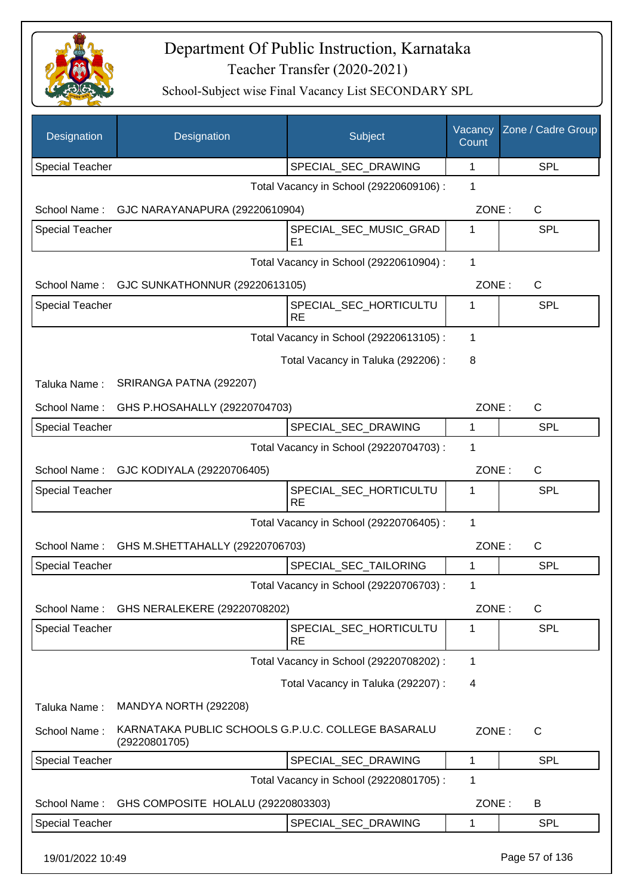

| Designation            | Designation                                                         | Subject                                  | Vacancy<br>Count | Zone / Cadre Group |
|------------------------|---------------------------------------------------------------------|------------------------------------------|------------------|--------------------|
| <b>Special Teacher</b> |                                                                     | SPECIAL_SEC_DRAWING                      | 1                | <b>SPL</b>         |
|                        |                                                                     | Total Vacancy in School (29220609106) :  | 1                |                    |
| School Name:           | GJC NARAYANAPURA (29220610904)                                      |                                          | ZONE:            | C                  |
| Special Teacher        |                                                                     | SPECIAL SEC MUSIC GRAD<br>E <sub>1</sub> | 1                | <b>SPL</b>         |
|                        |                                                                     | Total Vacancy in School (29220610904) :  | $\mathbf{1}$     |                    |
| School Name:           | GJC SUNKATHONNUR (29220613105)                                      |                                          | ZONE:            | C                  |
| Special Teacher        |                                                                     | SPECIAL_SEC_HORTICULTU<br><b>RE</b>      | 1                | <b>SPL</b>         |
|                        |                                                                     | Total Vacancy in School (29220613105) :  | 1                |                    |
|                        |                                                                     | Total Vacancy in Taluka (292206) :       | 8                |                    |
| Taluka Name:           | SRIRANGA PATNA (292207)                                             |                                          |                  |                    |
| School Name:           | GHS P.HOSAHALLY (29220704703)                                       |                                          | ZONE:            | C                  |
| <b>Special Teacher</b> |                                                                     | SPECIAL_SEC_DRAWING                      | 1                | <b>SPL</b>         |
|                        |                                                                     | Total Vacancy in School (29220704703) :  | 1                |                    |
| School Name:           | GJC KODIYALA (29220706405)                                          |                                          | ZONE:            | $\mathsf{C}$       |
| <b>Special Teacher</b> |                                                                     | SPECIAL_SEC_HORTICULTU<br><b>RE</b>      | 1                | <b>SPL</b>         |
|                        |                                                                     | Total Vacancy in School (29220706405) :  | 1                |                    |
| School Name:           | GHS M.SHETTAHALLY (29220706703)                                     |                                          | ZONE:            | C                  |
| <b>Special Teacher</b> |                                                                     | SPECIAL_SEC_TAILORING                    | 1                | <b>SPL</b>         |
|                        |                                                                     | Total Vacancy in School (29220706703) :  | 1                |                    |
| School Name:           | GHS NERALEKERE (29220708202)                                        |                                          | ZONE:            | C                  |
| Special Teacher        |                                                                     | SPECIAL_SEC_HORTICULTU<br><b>RE</b>      | 1                | <b>SPL</b>         |
|                        |                                                                     | Total Vacancy in School (29220708202) :  | 1                |                    |
|                        |                                                                     | Total Vacancy in Taluka (292207) :       | 4                |                    |
| Taluka Name:           | MANDYA NORTH (292208)                                               |                                          |                  |                    |
| School Name:           | KARNATAKA PUBLIC SCHOOLS G.P.U.C. COLLEGE BASARALU<br>(29220801705) |                                          | ZONE:            | $\mathsf{C}$       |
| <b>Special Teacher</b> |                                                                     | SPECIAL_SEC_DRAWING                      | 1                | <b>SPL</b>         |
|                        |                                                                     | Total Vacancy in School (29220801705) :  | 1                |                    |
| School Name:           | GHS COMPOSITE HOLALU (29220803303)                                  |                                          | ZONE:            | B                  |
| Special Teacher        |                                                                     | SPECIAL_SEC_DRAWING                      | 1                | <b>SPL</b>         |
| 19/01/2022 10:49       |                                                                     |                                          |                  | Page 57 of 136     |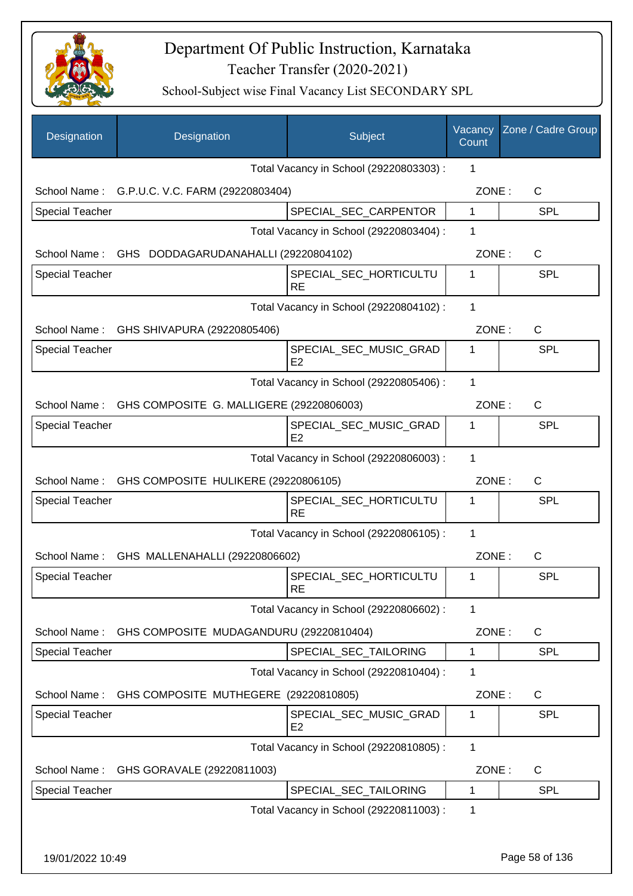

| Designation            | Designation                                   | Subject                                  | Vacancy<br>Count | Zone / Cadre Group |
|------------------------|-----------------------------------------------|------------------------------------------|------------------|--------------------|
|                        |                                               | Total Vacancy in School (29220803303) :  | 1                |                    |
|                        | School Name: G.P.U.C. V.C. FARM (29220803404) |                                          | ZONE:            | $\mathsf{C}$       |
| <b>Special Teacher</b> |                                               | SPECIAL_SEC_CARPENTOR                    | $\mathbf{1}$     | <b>SPL</b>         |
|                        |                                               | Total Vacancy in School (29220803404) :  | 1                |                    |
| School Name:           | GHS DODDAGARUDANAHALLI (29220804102)          |                                          | ZONE:            | $\mathsf{C}$       |
| <b>Special Teacher</b> |                                               | SPECIAL_SEC_HORTICULTU<br><b>RE</b>      | 1                | <b>SPL</b>         |
|                        |                                               | Total Vacancy in School (29220804102) :  | 1                |                    |
|                        | School Name: GHS SHIVAPURA (29220805406)      |                                          | ZONE:            | $\mathsf{C}$       |
| <b>Special Teacher</b> |                                               | SPECIAL_SEC_MUSIC_GRAD<br>E2             | $\mathbf 1$      | <b>SPL</b>         |
|                        |                                               | Total Vacancy in School (29220805406) :  | 1                |                    |
| School Name:           | GHS COMPOSITE G. MALLIGERE (29220806003)      |                                          | ZONE:            | $\mathsf{C}$       |
| <b>Special Teacher</b> |                                               | SPECIAL_SEC_MUSIC_GRAD<br>E2             | 1                | <b>SPL</b>         |
|                        |                                               | Total Vacancy in School (29220806003) :  | 1                |                    |
| School Name:           | GHS COMPOSITE HULIKERE (29220806105)          |                                          | ZONE:            | $\mathsf{C}$       |
| <b>Special Teacher</b> |                                               | SPECIAL_SEC_HORTICULTU<br><b>RE</b>      | 1                | <b>SPL</b>         |
|                        |                                               | Total Vacancy in School (29220806105) :  | 1                |                    |
|                        | School Name: GHS MALLENAHALLI (29220806602)   |                                          | ZONE:            | $\mathsf{C}$       |
| <b>Special Teacher</b> |                                               | SPECIAL_SEC_HORTICULTU<br><b>RE</b>      | 1                | <b>SPL</b>         |
|                        |                                               | Total Vacancy in School (29220806602) :  | 1                |                    |
| School Name:           | GHS COMPOSITE MUDAGANDURU (29220810404)       |                                          | ZONE:            | C                  |
| <b>Special Teacher</b> |                                               | SPECIAL_SEC_TAILORING                    | 1                | <b>SPL</b>         |
|                        |                                               | Total Vacancy in School (29220810404) :  | 1                |                    |
| School Name:           | GHS COMPOSITE MUTHEGERE (29220810805)         |                                          | ZONE:            | C                  |
| <b>Special Teacher</b> |                                               | SPECIAL SEC MUSIC GRAD<br>E <sub>2</sub> | 1                | <b>SPL</b>         |
|                        |                                               | Total Vacancy in School (29220810805) :  | 1                |                    |
| School Name:           | GHS GORAVALE (29220811003)                    |                                          | ZONE:            | $\mathsf{C}$       |
| Special Teacher        |                                               | SPECIAL_SEC_TAILORING                    | 1                | <b>SPL</b>         |
|                        |                                               | Total Vacancy in School (29220811003) :  | 1                |                    |
| 19/01/2022 10:49       |                                               |                                          |                  | Page 58 of 136     |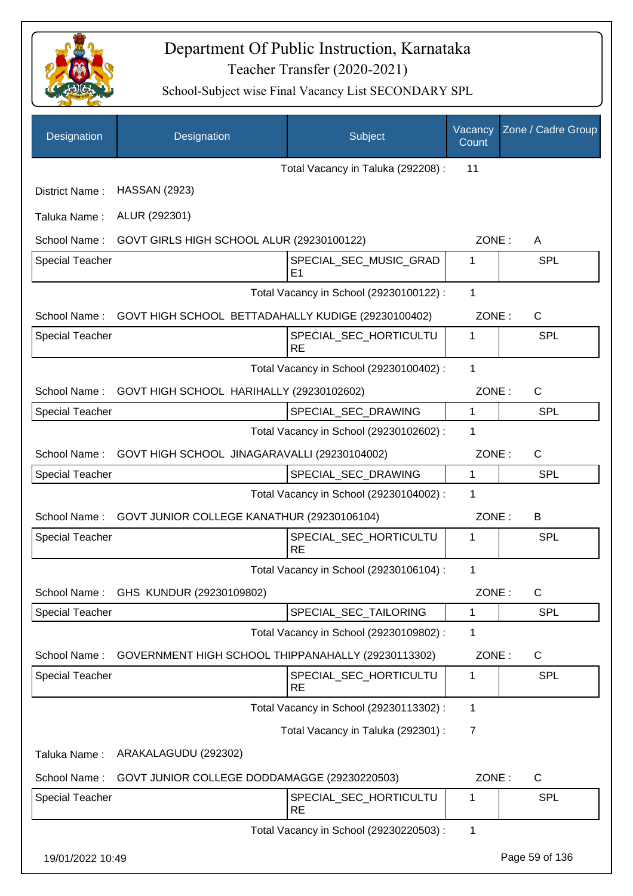

| Designation            | Designation                                                     | Subject                                  | Vacancy<br>Count | Zone / Cadre Group |
|------------------------|-----------------------------------------------------------------|------------------------------------------|------------------|--------------------|
|                        |                                                                 | Total Vacancy in Taluka (292208) :       | 11               |                    |
| District Name:         | <b>HASSAN (2923)</b>                                            |                                          |                  |                    |
| Taluka Name:           | ALUR (292301)                                                   |                                          |                  |                    |
| School Name:           | GOVT GIRLS HIGH SCHOOL ALUR (29230100122)                       |                                          | ZONE:            | A                  |
| <b>Special Teacher</b> |                                                                 | SPECIAL_SEC_MUSIC_GRAD<br>E <sub>1</sub> | 1                | SPL                |
|                        |                                                                 | Total Vacancy in School (29230100122) :  | 1                |                    |
|                        | School Name: GOVT HIGH SCHOOL BETTADAHALLY KUDIGE (29230100402) |                                          | ZONE:            | C                  |
| <b>Special Teacher</b> |                                                                 | SPECIAL_SEC_HORTICULTU<br><b>RE</b>      | 1                | SPL                |
|                        |                                                                 | Total Vacancy in School (29230100402) :  | 1                |                    |
|                        | School Name: GOVT HIGH SCHOOL HARIHALLY (29230102602)           |                                          | ZONE:            | C                  |
| <b>Special Teacher</b> |                                                                 | SPECIAL_SEC_DRAWING                      | $\mathbf{1}$     | <b>SPL</b>         |
|                        |                                                                 | Total Vacancy in School (29230102602) :  | 1                |                    |
| School Name:           | GOVT HIGH SCHOOL JINAGARAVALLI (29230104002)                    |                                          | ZONE:            | $\mathsf{C}$       |
| Special Teacher        |                                                                 | SPECIAL_SEC_DRAWING                      | $\mathbf 1$      | SPL                |
|                        |                                                                 | Total Vacancy in School (29230104002) :  | 1                |                    |
| School Name:           | GOVT JUNIOR COLLEGE KANATHUR (29230106104)                      |                                          | ZONE:            | B                  |
| <b>Special Teacher</b> |                                                                 | SPECIAL_SEC_HORTICULTU<br><b>RE</b>      | 1                | <b>SPL</b>         |
|                        |                                                                 | Total Vacancy in School (29230106104) :  | 1                |                    |
| School Name:           | GHS KUNDUR (29230109802)                                        |                                          | ZONE:            | C                  |
| <b>Special Teacher</b> |                                                                 | SPECIAL_SEC_TAILORING                    | 1                | <b>SPL</b>         |
|                        |                                                                 | Total Vacancy in School (29230109802) :  | 1                |                    |
| School Name:           | GOVERNMENT HIGH SCHOOL THIPPANAHALLY (29230113302)              |                                          | ZONE:            | C                  |
| <b>Special Teacher</b> |                                                                 | SPECIAL_SEC_HORTICULTU<br>RE             | $\mathbf 1$      | <b>SPL</b>         |
|                        |                                                                 | Total Vacancy in School (29230113302) :  | 1                |                    |
|                        |                                                                 | Total Vacancy in Taluka (292301) :       | 7                |                    |
| Taluka Name:           | ARAKALAGUDU (292302)                                            |                                          |                  |                    |
| School Name:           | GOVT JUNIOR COLLEGE DODDAMAGGE (29230220503)                    |                                          | ZONE:            | C                  |
| <b>Special Teacher</b> |                                                                 | SPECIAL_SEC_HORTICULTU<br><b>RE</b>      | 1                | <b>SPL</b>         |
|                        |                                                                 | Total Vacancy in School (29230220503) :  | 1                |                    |
| 19/01/2022 10:49       |                                                                 |                                          |                  | Page 59 of 136     |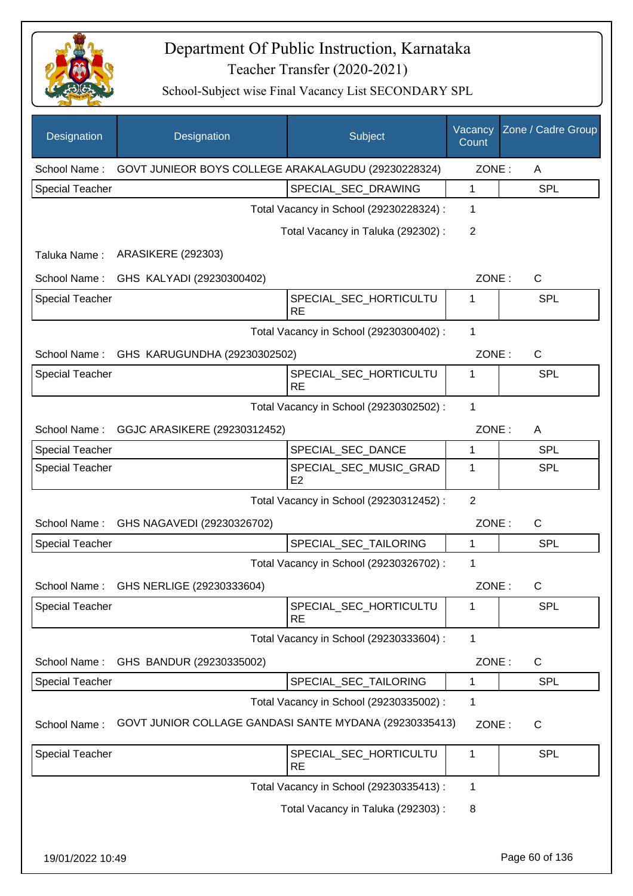

| <b>Designation</b>     | Designation                                            | Subject                                  | Vacancy<br>Count | Zone / Cadre Group |
|------------------------|--------------------------------------------------------|------------------------------------------|------------------|--------------------|
| School Name:           | GOVT JUNIEOR BOYS COLLEGE ARAKALAGUDU (29230228324)    |                                          | ZONE:            | A                  |
| <b>Special Teacher</b> |                                                        | SPECIAL_SEC_DRAWING                      | 1                | <b>SPL</b>         |
|                        |                                                        | Total Vacancy in School (29230228324) :  | 1                |                    |
|                        |                                                        | Total Vacancy in Taluka (292302):        | $\overline{2}$   |                    |
| Taluka Name:           | <b>ARASIKERE (292303)</b>                              |                                          |                  |                    |
| School Name:           | GHS KALYADI (29230300402)                              |                                          | ZONE:            | C                  |
| <b>Special Teacher</b> |                                                        | SPECIAL_SEC_HORTICULTU<br><b>RE</b>      | 1                | <b>SPL</b>         |
|                        |                                                        | Total Vacancy in School (29230300402) :  | $\mathbf{1}$     |                    |
| School Name:           | GHS KARUGUNDHA (29230302502)                           |                                          | ZONE:            | $\mathsf{C}$       |
| <b>Special Teacher</b> |                                                        | SPECIAL_SEC_HORTICULTU<br><b>RE</b>      | 1                | <b>SPL</b>         |
|                        |                                                        | Total Vacancy in School (29230302502) :  | $\mathbf{1}$     |                    |
| School Name:           | GGJC ARASIKERE (29230312452)                           |                                          | ZONE:            | A                  |
| <b>Special Teacher</b> |                                                        | SPECIAL_SEC_DANCE                        | 1                | <b>SPL</b>         |
| <b>Special Teacher</b> |                                                        | SPECIAL_SEC_MUSIC_GRAD<br>E <sub>2</sub> | 1                | <b>SPL</b>         |
|                        |                                                        | Total Vacancy in School (29230312452) :  | $\overline{2}$   |                    |
| School Name:           | GHS NAGAVEDI (29230326702)                             |                                          | ZONE:            | C                  |
| Special Teacher        |                                                        | SPECIAL_SEC_TAILORING                    | 1                | <b>SPL</b>         |
|                        |                                                        | Total Vacancy in School (29230326702) :  | 1                |                    |
| School Name:           | GHS NERLIGE (29230333604)                              |                                          | ZONE:            | C                  |
| <b>Special Teacher</b> |                                                        | SPECIAL_SEC_HORTICULTU<br><b>RE</b>      | 1                | <b>SPL</b>         |
|                        |                                                        | Total Vacancy in School (29230333604) :  | 1                |                    |
| School Name:           | GHS BANDUR (29230335002)                               |                                          | ZONE:            | C                  |
| <b>Special Teacher</b> |                                                        | SPECIAL_SEC_TAILORING                    | 1                | <b>SPL</b>         |
|                        |                                                        | Total Vacancy in School (29230335002) :  | 1                |                    |
| School Name:           | GOVT JUNIOR COLLAGE GANDASI SANTE MYDANA (29230335413) |                                          | ZONE:            | C                  |
| <b>Special Teacher</b> |                                                        | SPECIAL_SEC_HORTICULTU<br><b>RE</b>      | 1                | <b>SPL</b>         |
|                        |                                                        | Total Vacancy in School (29230335413) :  | 1                |                    |
|                        |                                                        | Total Vacancy in Taluka (292303) :       | 8                |                    |
| 19/01/2022 10:49       |                                                        |                                          |                  | Page 60 of 136     |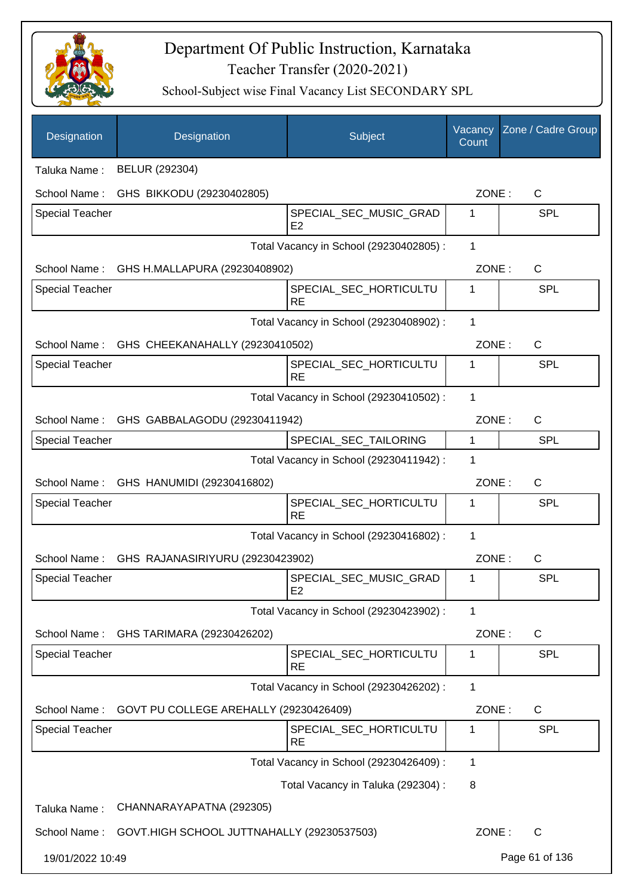

| Designation            | Designation                                  | Subject                                  | Vacancy<br>Count | Zone / Cadre Group |
|------------------------|----------------------------------------------|------------------------------------------|------------------|--------------------|
| Taluka Name:           | BELUR (292304)                               |                                          |                  |                    |
| School Name:           | GHS BIKKODU (29230402805)                    |                                          | ZONE:            | $\mathsf{C}$       |
| <b>Special Teacher</b> |                                              | SPECIAL_SEC_MUSIC_GRAD<br>E2             | 1                | <b>SPL</b>         |
|                        |                                              | Total Vacancy in School (29230402805) :  | 1                |                    |
| School Name:           | GHS H.MALLAPURA (29230408902)                |                                          | ZONE:            | $\mathsf{C}$       |
| <b>Special Teacher</b> |                                              | SPECIAL_SEC_HORTICULTU<br><b>RE</b>      | 1                | <b>SPL</b>         |
|                        |                                              | Total Vacancy in School (29230408902) :  | 1                |                    |
|                        | School Name: GHS CHEEKANAHALLY (29230410502) |                                          | ZONE:            | $\mathsf{C}$       |
| <b>Special Teacher</b> |                                              | SPECIAL_SEC_HORTICULTU<br><b>RE</b>      | 1                | <b>SPL</b>         |
|                        |                                              | Total Vacancy in School (29230410502) :  | 1                |                    |
| School Name:           | GHS GABBALAGODU (29230411942)                |                                          | ZONE:            | $\mathsf{C}$       |
| Special Teacher        |                                              | SPECIAL_SEC_TAILORING                    | $\mathbf{1}$     | <b>SPL</b>         |
|                        |                                              | Total Vacancy in School (29230411942) :  | 1                |                    |
| School Name:           | GHS HANUMIDI (29230416802)                   |                                          | ZONE:            | $\mathsf{C}$       |
| <b>Special Teacher</b> |                                              | SPECIAL_SEC_HORTICULTU<br><b>RE</b>      | 1                | <b>SPL</b>         |
|                        |                                              | Total Vacancy in School (29230416802) :  | 1                |                    |
| School Name:           | GHS RAJANASIRIYURU (29230423902)             |                                          | ZONE:            | $\mathsf{C}$       |
| <b>Special Teacher</b> |                                              | SPECIAL_SEC_MUSIC_GRAD<br>E <sub>2</sub> | 1                | <b>SPL</b>         |
|                        |                                              | Total Vacancy in School (29230423902) :  | 1                |                    |
| School Name:           | GHS TARIMARA (29230426202)                   |                                          | ZONE:            | $\mathsf{C}$       |
| Special Teacher        |                                              | SPECIAL_SEC_HORTICULTU<br><b>RE</b>      | 1                | <b>SPL</b>         |
|                        |                                              | Total Vacancy in School (29230426202) :  | 1                |                    |
| School Name:           | GOVT PU COLLEGE AREHALLY (29230426409)       |                                          | ZONE:            | C                  |
| Special Teacher        |                                              | SPECIAL_SEC_HORTICULTU<br><b>RE</b>      | 1                | <b>SPL</b>         |
|                        |                                              | Total Vacancy in School (29230426409) :  | 1                |                    |
|                        |                                              | Total Vacancy in Taluka (292304) :       | 8                |                    |
| Taluka Name:           | CHANNARAYAPATNA (292305)                     |                                          |                  |                    |
| School Name:           | GOVT.HIGH SCHOOL JUTTNAHALLY (29230537503)   |                                          | ZONE:            | $\mathsf{C}$       |
| 19/01/2022 10:49       |                                              |                                          |                  | Page 61 of 136     |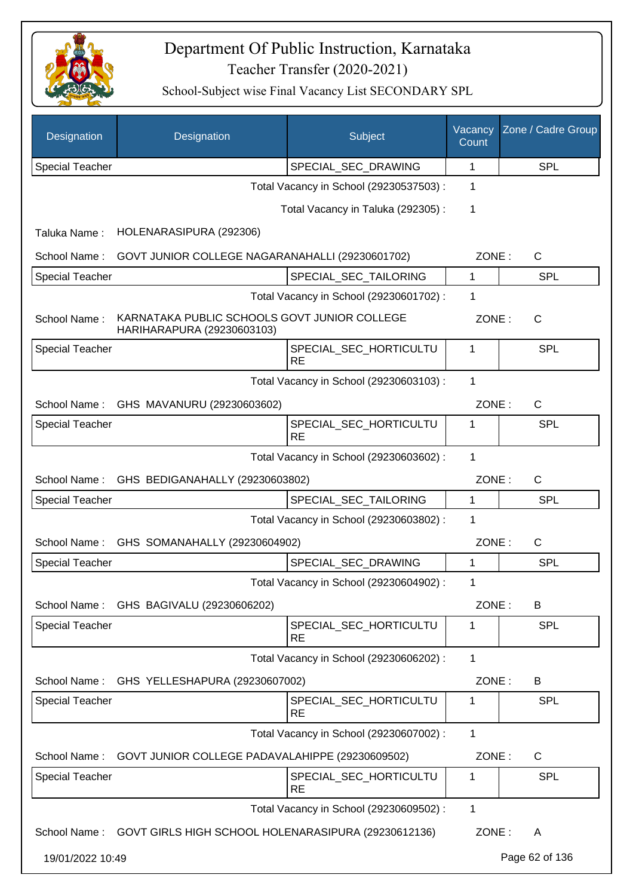

| Designation            | Designation                                                                | Subject                                 | Vacancy<br>Count | Zone / Cadre Group |
|------------------------|----------------------------------------------------------------------------|-----------------------------------------|------------------|--------------------|
| <b>Special Teacher</b> |                                                                            | SPECIAL_SEC_DRAWING                     | 1                | <b>SPL</b>         |
|                        |                                                                            | Total Vacancy in School (29230537503) : | 1                |                    |
|                        |                                                                            | Total Vacancy in Taluka (292305):       | 1                |                    |
| Taluka Name:           | HOLENARASIPURA (292306)                                                    |                                         |                  |                    |
| School Name:           | GOVT JUNIOR COLLEGE NAGARANAHALLI (29230601702)                            |                                         | ZONE:            | C                  |
| Special Teacher        |                                                                            | SPECIAL_SEC_TAILORING                   | 1                | <b>SPL</b>         |
|                        |                                                                            | Total Vacancy in School (29230601702) : | 1                |                    |
| School Name:           | KARNATAKA PUBLIC SCHOOLS GOVT JUNIOR COLLEGE<br>HARIHARAPURA (29230603103) |                                         | ZONE:            | C                  |
| <b>Special Teacher</b> |                                                                            | SPECIAL_SEC_HORTICULTU<br><b>RE</b>     | 1                | <b>SPL</b>         |
|                        |                                                                            | Total Vacancy in School (29230603103) : | 1                |                    |
| School Name:           | GHS MAVANURU (29230603602)                                                 |                                         | ZONE:            | $\mathsf{C}$       |
| <b>Special Teacher</b> |                                                                            | SPECIAL_SEC_HORTICULTU<br><b>RE</b>     | 1                | <b>SPL</b>         |
|                        |                                                                            | Total Vacancy in School (29230603602) : | 1                |                    |
| School Name:           | GHS BEDIGANAHALLY (29230603802)                                            |                                         | ZONE:            | C                  |
| <b>Special Teacher</b> |                                                                            | SPECIAL_SEC_TAILORING                   | 1                | SPL                |
|                        |                                                                            | Total Vacancy in School (29230603802) : | 1                |                    |
| School Name:           | GHS SOMANAHALLY (29230604902)                                              |                                         | ZONE:            | C                  |
| <b>Special Teacher</b> |                                                                            | SPECIAL_SEC_DRAWING                     | 1                | SPL                |
|                        |                                                                            | Total Vacancy in School (29230604902) : | 1                |                    |
| School Name:           | GHS BAGIVALU (29230606202)                                                 |                                         | ZONE:            | В                  |
| <b>Special Teacher</b> |                                                                            | SPECIAL_SEC_HORTICULTU<br><b>RE</b>     | 1                | <b>SPL</b>         |
|                        |                                                                            | Total Vacancy in School (29230606202) : | 1                |                    |
| School Name:           | GHS YELLESHAPURA (29230607002)                                             |                                         | ZONE:            | B                  |
| <b>Special Teacher</b> |                                                                            | SPECIAL_SEC_HORTICULTU<br><b>RE</b>     | 1                | <b>SPL</b>         |
|                        |                                                                            | Total Vacancy in School (29230607002) : | 1                |                    |
| School Name:           | GOVT JUNIOR COLLEGE PADAVALAHIPPE (29230609502)                            |                                         | ZONE:            | $\mathsf{C}$       |
| <b>Special Teacher</b> |                                                                            | SPECIAL_SEC_HORTICULTU<br><b>RE</b>     | 1                | <b>SPL</b>         |
|                        |                                                                            | Total Vacancy in School (29230609502) : | 1                |                    |
|                        | School Name: GOVT GIRLS HIGH SCHOOL HOLENARASIPURA (29230612136)           |                                         | ZONE:            | A                  |
| 19/01/2022 10:49       |                                                                            |                                         |                  | Page 62 of 136     |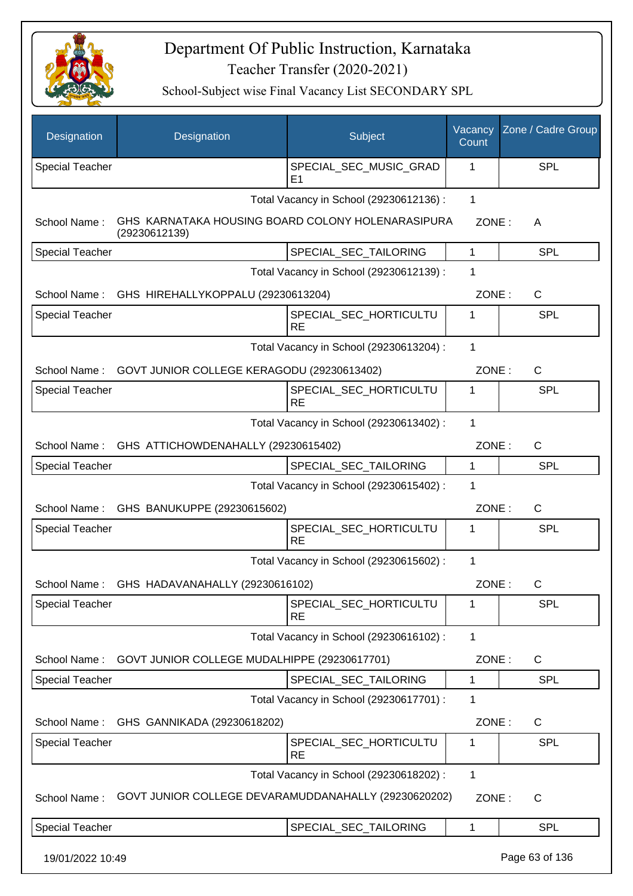

| Designation            | Designation                                                        | Subject                                  | Vacancy<br>Count | Zone / Cadre Group |
|------------------------|--------------------------------------------------------------------|------------------------------------------|------------------|--------------------|
| Special Teacher        |                                                                    | SPECIAL_SEC_MUSIC_GRAD<br>E <sub>1</sub> | 1                | <b>SPL</b>         |
|                        |                                                                    | Total Vacancy in School (29230612136) :  | $\mathbf{1}$     |                    |
| School Name:           | GHS KARNATAKA HOUSING BOARD COLONY HOLENARASIPURA<br>(29230612139) |                                          | ZONE:            | A                  |
| <b>Special Teacher</b> |                                                                    | SPECIAL_SEC_TAILORING                    | $\mathbf{1}$     | <b>SPL</b>         |
|                        |                                                                    | Total Vacancy in School (29230612139) :  | 1                |                    |
|                        | School Name: GHS HIREHALLYKOPPALU (29230613204)                    |                                          | ZONE:            | C                  |
| Special Teacher        |                                                                    | SPECIAL_SEC_HORTICULTU<br><b>RE</b>      | 1                | <b>SPL</b>         |
|                        |                                                                    | Total Vacancy in School (29230613204) :  | 1                |                    |
| School Name:           | GOVT JUNIOR COLLEGE KERAGODU (29230613402)                         |                                          | ZONE:            | $\mathsf{C}$       |
| Special Teacher        |                                                                    | SPECIAL_SEC_HORTICULTU<br><b>RE</b>      | 1                | <b>SPL</b>         |
|                        |                                                                    | Total Vacancy in School (29230613402) :  | 1                |                    |
| School Name:           | GHS ATTICHOWDENAHALLY (29230615402)                                |                                          | ZONE:            | C                  |
| <b>Special Teacher</b> |                                                                    | SPECIAL_SEC_TAILORING                    | $\mathbf{1}$     | <b>SPL</b>         |
|                        |                                                                    | Total Vacancy in School (29230615402) :  | 1                |                    |
| School Name:           | GHS BANUKUPPE (29230615602)                                        |                                          | ZONE:            | C                  |
| <b>Special Teacher</b> |                                                                    | SPECIAL_SEC_HORTICULTU<br><b>RE</b>      | 1                | <b>SPL</b>         |
|                        |                                                                    | Total Vacancy in School (29230615602) :  | 1                |                    |
|                        | School Name: GHS HADAVANAHALLY (29230616102)                       |                                          | ZONE:            | C                  |
| <b>Special Teacher</b> |                                                                    | SPECIAL_SEC_HORTICULTU<br><b>RE</b>      | 1                | <b>SPL</b>         |
|                        |                                                                    | Total Vacancy in School (29230616102) :  | $\mathbf{1}$     |                    |
| School Name:           | GOVT JUNIOR COLLEGE MUDALHIPPE (29230617701)                       |                                          | ZONE:            | C                  |
| <b>Special Teacher</b> |                                                                    | SPECIAL SEC TAILORING                    | 1                | <b>SPL</b>         |
|                        |                                                                    | Total Vacancy in School (29230617701) :  | 1                |                    |
| School Name:           | GHS GANNIKADA (29230618202)                                        |                                          | ZONE:            | C                  |
| <b>Special Teacher</b> |                                                                    | SPECIAL_SEC_HORTICULTU<br><b>RE</b>      | 1                | <b>SPL</b>         |
|                        |                                                                    | Total Vacancy in School (29230618202) :  | $\mathbf{1}$     |                    |
| School Name:           | GOVT JUNIOR COLLEGE DEVARAMUDDANAHALLY (29230620202)               |                                          | ZONE:            | $\mathsf{C}$       |
| <b>Special Teacher</b> |                                                                    | SPECIAL_SEC_TAILORING                    | 1                | <b>SPL</b>         |
| 19/01/2022 10:49       |                                                                    |                                          |                  | Page 63 of 136     |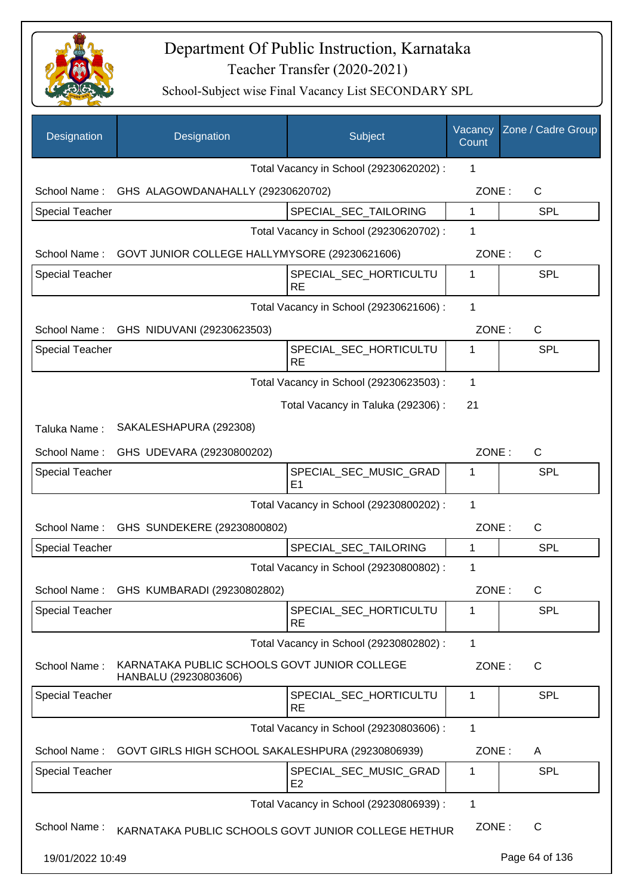

| Designation            | Designation                                                           | Subject                                  | Vacancy<br>Count | Zone / Cadre Group |
|------------------------|-----------------------------------------------------------------------|------------------------------------------|------------------|--------------------|
|                        |                                                                       | Total Vacancy in School (29230620202) :  | 1                |                    |
|                        | School Name: GHS ALAGOWDANAHALLY (29230620702)                        |                                          | ZONE:            | $\mathsf{C}$       |
| <b>Special Teacher</b> |                                                                       | SPECIAL_SEC_TAILORING                    | $\mathbf{1}$     | <b>SPL</b>         |
|                        |                                                                       | Total Vacancy in School (29230620702) :  | 1                |                    |
|                        | School Name: GOVT JUNIOR COLLEGE HALLYMYSORE (29230621606)            |                                          | ZONE:            | $\mathsf{C}$       |
| <b>Special Teacher</b> |                                                                       | SPECIAL_SEC_HORTICULTU<br>RE             | 1                | <b>SPL</b>         |
|                        |                                                                       | Total Vacancy in School (29230621606) :  | $\mathbf{1}$     |                    |
|                        | School Name: GHS NIDUVANI (29230623503)                               |                                          | ZONE:            | $\mathsf{C}$       |
| <b>Special Teacher</b> |                                                                       | SPECIAL_SEC_HORTICULTU<br><b>RE</b>      | 1                | SPL                |
|                        |                                                                       | Total Vacancy in School (29230623503) :  | 1                |                    |
|                        |                                                                       | Total Vacancy in Taluka (292306) :       | 21               |                    |
| Taluka Name:           | SAKALESHAPURA (292308)                                                |                                          |                  |                    |
| School Name:           | GHS UDEVARA (29230800202)                                             |                                          | ZONE:            | C                  |
| <b>Special Teacher</b> |                                                                       | SPECIAL_SEC_MUSIC_GRAD<br>E1             | 1                | <b>SPL</b>         |
|                        |                                                                       | Total Vacancy in School (29230800202) :  | 1                |                    |
|                        | School Name: GHS SUNDEKERE (29230800802)                              |                                          | ZONE:            | C                  |
| <b>Special Teacher</b> |                                                                       | SPECIAL_SEC_TAILORING                    | 1                | SPL                |
|                        |                                                                       | Total Vacancy in School (29230800802) :  | 1                |                    |
| School Name:           | GHS KUMBARADI (29230802802)                                           |                                          | ZONE:            | С                  |
| <b>Special Teacher</b> |                                                                       | SPECIAL_SEC_HORTICULTU<br><b>RE</b>      | 1                | <b>SPL</b>         |
|                        |                                                                       | Total Vacancy in School (29230802802) :  | 1                |                    |
| School Name:           | KARNATAKA PUBLIC SCHOOLS GOVT JUNIOR COLLEGE<br>HANBALU (29230803606) |                                          | ZONE:            | $\mathsf{C}$       |
| <b>Special Teacher</b> |                                                                       | SPECIAL_SEC_HORTICULTU<br><b>RE</b>      | 1                | <b>SPL</b>         |
|                        |                                                                       | Total Vacancy in School (29230803606) :  | 1                |                    |
| School Name:           | GOVT GIRLS HIGH SCHOOL SAKALESHPURA (29230806939)                     |                                          | ZONE:            | A                  |
| <b>Special Teacher</b> |                                                                       | SPECIAL_SEC_MUSIC_GRAD<br>E <sub>2</sub> | 1                | <b>SPL</b>         |
|                        |                                                                       | Total Vacancy in School (29230806939) :  | 1                |                    |
| School Name:           | KARNATAKA PUBLIC SCHOOLS GOVT JUNIOR COLLEGE HETHUR                   |                                          | ZONE:            | C                  |
| 19/01/2022 10:49       |                                                                       |                                          |                  | Page 64 of 136     |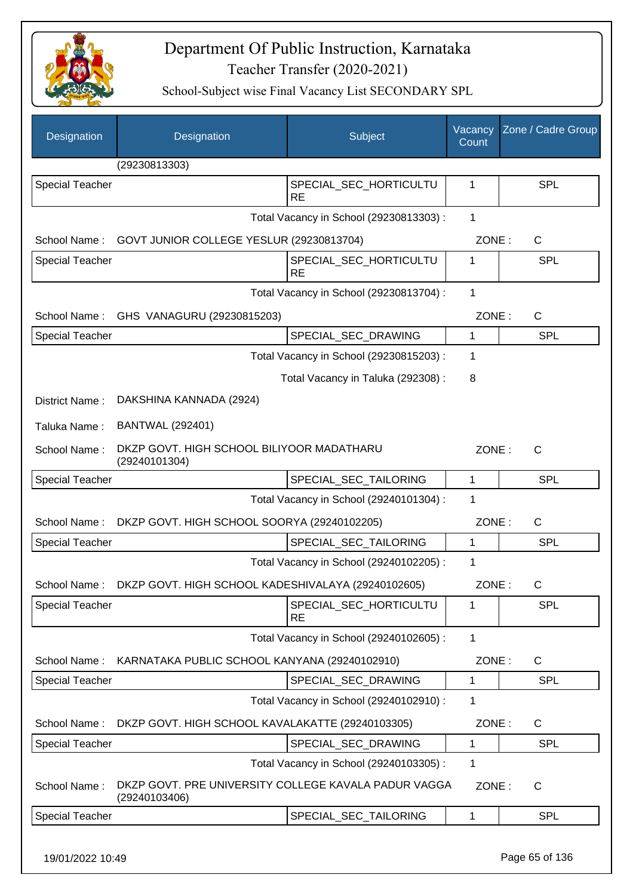

School-Subject wise Final Vacancy List SECONDARY SPL

| Designation            | Designation                                                           | Subject                                 | Vacancy<br>Count | Zone / Cadre Group    |
|------------------------|-----------------------------------------------------------------------|-----------------------------------------|------------------|-----------------------|
|                        | (29230813303)                                                         |                                         |                  |                       |
| <b>Special Teacher</b> |                                                                       | SPECIAL_SEC_HORTICULTU<br><b>RE</b>     | 1                | SPL                   |
|                        |                                                                       | Total Vacancy in School (29230813303) : | 1                |                       |
|                        | School Name: GOVT JUNIOR COLLEGE YESLUR (29230813704)                 |                                         | ZONE:            | $\mathsf{C}$          |
| <b>Special Teacher</b> |                                                                       | SPECIAL SEC HORTICULTU<br><b>RE</b>     | 1                | SPL                   |
|                        |                                                                       | Total Vacancy in School (29230813704) : | $\mathbf{1}$     |                       |
| School Name:           | GHS VANAGURU (29230815203)                                            |                                         | ZONE:            | C                     |
| Special Teacher        |                                                                       | SPECIAL_SEC_DRAWING                     | $\mathbf 1$      | <b>SPL</b>            |
|                        |                                                                       | Total Vacancy in School (29230815203) : | 1                |                       |
|                        |                                                                       | Total Vacancy in Taluka (292308) :      | 8                |                       |
| District Name:         | DAKSHINA KANNADA (2924)                                               |                                         |                  |                       |
| Taluka Name:           | <b>BANTWAL (292401)</b>                                               |                                         |                  |                       |
| School Name:           | DKZP GOVT. HIGH SCHOOL BILIYOOR MADATHARU<br>(29240101304)            |                                         |                  | ZONE:<br>$\mathsf{C}$ |
| <b>Special Teacher</b> |                                                                       | SPECIAL_SEC_TAILORING                   | 1                | <b>SPL</b>            |
|                        |                                                                       | Total Vacancy in School (29240101304) : | 1                |                       |
| School Name:           | DKZP GOVT. HIGH SCHOOL SOORYA (29240102205)                           |                                         | ZONE:            | $\mathsf{C}$          |
| <b>Special Teacher</b> |                                                                       | SPECIAL SEC TAILORING                   | 1                | <b>SPL</b>            |
|                        |                                                                       | Total Vacancy in School (29240102205) : | 1                |                       |
|                        | School Name: DKZP GOVT. HIGH SCHOOL KADESHIVALAYA (29240102605)       |                                         | ZONE:            | C                     |
| <b>Special Teacher</b> |                                                                       | SPECIAL SEC HORTICULTU<br><b>RE</b>     | 1                | <b>SPL</b>            |
|                        |                                                                       | Total Vacancy in School (29240102605) : | $\mathbf{1}$     |                       |
| School Name:           | KARNATAKA PUBLIC SCHOOL KANYANA (29240102910)                         |                                         | ZONE:            | C                     |
| <b>Special Teacher</b> |                                                                       | SPECIAL_SEC_DRAWING                     | 1                | <b>SPL</b>            |
|                        |                                                                       | Total Vacancy in School (29240102910) : | 1                |                       |
| School Name:           | DKZP GOVT. HIGH SCHOOL KAVALAKATTE (29240103305)                      |                                         | ZONE:            | C                     |
| <b>Special Teacher</b> |                                                                       | SPECIAL_SEC_DRAWING                     | 1                | <b>SPL</b>            |
|                        |                                                                       | Total Vacancy in School (29240103305) : | 1                |                       |
| School Name:           | DKZP GOVT. PRE UNIVERSITY COLLEGE KAVALA PADUR VAGGA<br>(29240103406) |                                         | ZONE:            | C                     |
| <b>Special Teacher</b> |                                                                       | SPECIAL_SEC_TAILORING                   | 1                | <b>SPL</b>            |
|                        |                                                                       |                                         |                  |                       |

19/01/2022 10:49 Page 65 of 136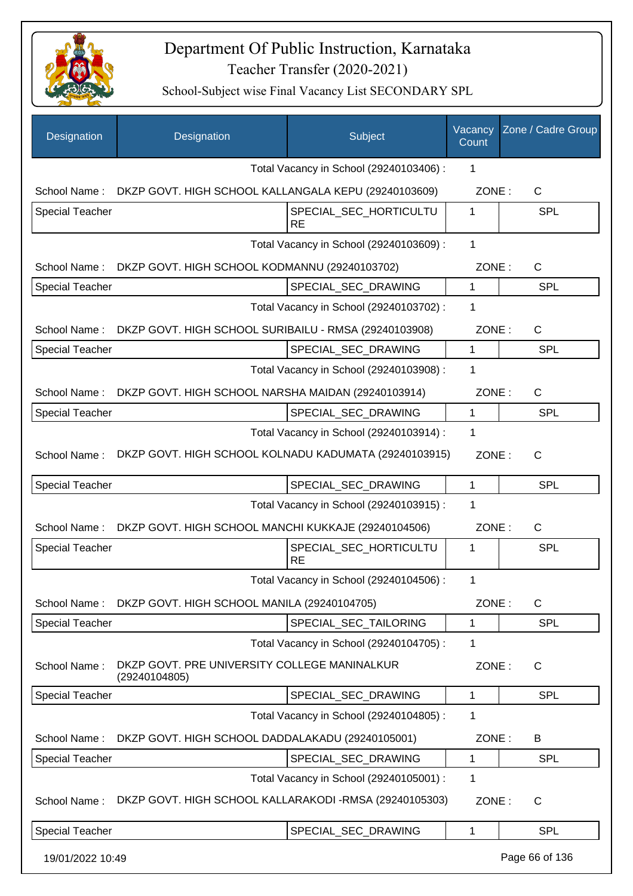

| Designation            | Designation                                                       | Subject                                 | Vacancy<br>Count | Zone / Cadre Group |
|------------------------|-------------------------------------------------------------------|-----------------------------------------|------------------|--------------------|
|                        |                                                                   | Total Vacancy in School (29240103406) : | 1                |                    |
|                        | School Name: DKZP GOVT. HIGH SCHOOL KALLANGALA KEPU (29240103609) |                                         | ZONE:            | $\mathsf{C}$       |
| <b>Special Teacher</b> |                                                                   | SPECIAL_SEC_HORTICULTU<br><b>RE</b>     | 1                | <b>SPL</b>         |
|                        |                                                                   | Total Vacancy in School (29240103609) : | $\mathbf 1$      |                    |
|                        | School Name: DKZP GOVT. HIGH SCHOOL KODMANNU (29240103702)        |                                         | ZONE:            | C                  |
| Special Teacher        |                                                                   | SPECIAL_SEC_DRAWING                     | $\mathbf{1}$     | <b>SPL</b>         |
|                        |                                                                   | Total Vacancy in School (29240103702) : | 1                |                    |
| School Name:           | DKZP GOVT. HIGH SCHOOL SURIBAILU - RMSA (29240103908)             |                                         | ZONE:            | C                  |
| Special Teacher        |                                                                   | SPECIAL_SEC_DRAWING                     | 1                | <b>SPL</b>         |
|                        |                                                                   | Total Vacancy in School (29240103908) : | 1                |                    |
| School Name:           | DKZP GOVT. HIGH SCHOOL NARSHA MAIDAN (29240103914)                |                                         | ZONE:            | $\mathsf{C}$       |
| <b>Special Teacher</b> |                                                                   | SPECIAL SEC DRAWING                     | 1                | <b>SPL</b>         |
|                        |                                                                   | Total Vacancy in School (29240103914) : | 1                |                    |
| School Name:           | DKZP GOVT. HIGH SCHOOL KOLNADU KADUMATA (29240103915)             |                                         | ZONE:            | $\mathsf{C}$       |
| <b>Special Teacher</b> |                                                                   | SPECIAL_SEC_DRAWING                     | $\mathbf{1}$     | <b>SPL</b>         |
|                        |                                                                   | Total Vacancy in School (29240103915) : | 1                |                    |
| School Name:           | DKZP GOVT. HIGH SCHOOL MANCHI KUKKAJE (29240104506)               |                                         | ZONE:            | C                  |
| <b>Special Teacher</b> |                                                                   | SPECIAL_SEC_HORTICULTU<br><b>RE</b>     | 1                | SPL                |
|                        |                                                                   | Total Vacancy in School (29240104506) : | 1                |                    |
| School Name:           | DKZP GOVT. HIGH SCHOOL MANILA (29240104705)                       |                                         | ZONE:            | C                  |
| <b>Special Teacher</b> |                                                                   | SPECIAL_SEC_TAILORING                   | 1                | <b>SPL</b>         |
|                        |                                                                   | Total Vacancy in School (29240104705) : | 1                |                    |
| School Name:           | DKZP GOVT. PRE UNIVERSITY COLLEGE MANINALKUR<br>(29240104805)     |                                         | ZONE:            | C                  |
| <b>Special Teacher</b> |                                                                   | SPECIAL_SEC_DRAWING                     | 1                | <b>SPL</b>         |
|                        |                                                                   | Total Vacancy in School (29240104805) : | 1                |                    |
| School Name:           | DKZP GOVT. HIGH SCHOOL DADDALAKADU (29240105001)                  |                                         | ZONE:            | B                  |
| Special Teacher        |                                                                   | SPECIAL_SEC_DRAWING                     | 1                | <b>SPL</b>         |
|                        |                                                                   | Total Vacancy in School (29240105001) : | 1                |                    |
| School Name:           | DKZP GOVT. HIGH SCHOOL KALLARAKODI -RMSA (29240105303)            |                                         | ZONE:            | C                  |
| Special Teacher        |                                                                   | SPECIAL_SEC_DRAWING                     | 1                | <b>SPL</b>         |
| 19/01/2022 10:49       |                                                                   |                                         |                  | Page 66 of 136     |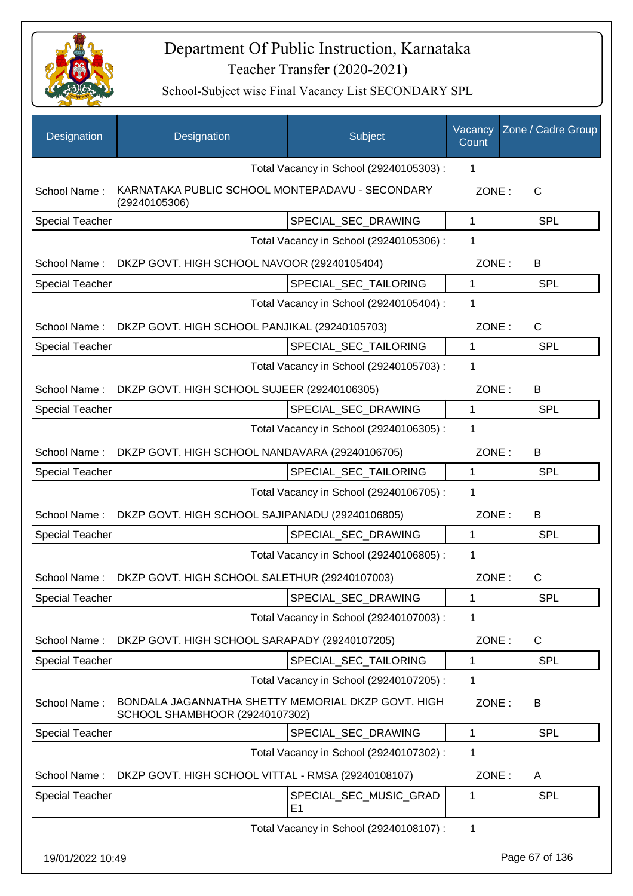

| Designation            | Designation                                                                          | Subject                                  | Vacancy<br>Count | Zone / Cadre Group |
|------------------------|--------------------------------------------------------------------------------------|------------------------------------------|------------------|--------------------|
|                        |                                                                                      | Total Vacancy in School (29240105303) :  | 1                |                    |
| School Name:           | KARNATAKA PUBLIC SCHOOL MONTEPADAVU - SECONDARY<br>(29240105306)                     |                                          | ZONE:            | $\mathsf{C}$       |
| <b>Special Teacher</b> |                                                                                      | SPECIAL_SEC_DRAWING                      | $\mathbf{1}$     | <b>SPL</b>         |
|                        |                                                                                      | Total Vacancy in School (29240105306) :  | 1                |                    |
| School Name:           | DKZP GOVT. HIGH SCHOOL NAVOOR (29240105404)                                          |                                          | ZONE:            | B                  |
| <b>Special Teacher</b> |                                                                                      | SPECIAL_SEC_TAILORING                    | $\mathbf 1$      | <b>SPL</b>         |
|                        |                                                                                      | Total Vacancy in School (29240105404) :  | 1                |                    |
| School Name:           | DKZP GOVT. HIGH SCHOOL PANJIKAL (29240105703)                                        |                                          | ZONE:            | $\mathsf{C}$       |
| <b>Special Teacher</b> |                                                                                      | SPECIAL SEC TAILORING                    | $\mathbf{1}$     | <b>SPL</b>         |
|                        |                                                                                      | Total Vacancy in School (29240105703) :  | 1                |                    |
| School Name:           | DKZP GOVT. HIGH SCHOOL SUJEER (29240106305)                                          |                                          | ZONE:            | В                  |
| <b>Special Teacher</b> |                                                                                      | SPECIAL_SEC_DRAWING                      | $\mathbf 1$      | <b>SPL</b>         |
|                        |                                                                                      | Total Vacancy in School (29240106305) :  | 1                |                    |
| School Name:           | DKZP GOVT. HIGH SCHOOL NANDAVARA (29240106705)                                       |                                          | ZONE:            | В                  |
| <b>Special Teacher</b> |                                                                                      | SPECIAL_SEC_TAILORING                    | $\mathbf 1$      | <b>SPL</b>         |
|                        |                                                                                      | Total Vacancy in School (29240106705) :  | 1                |                    |
| School Name:           | DKZP GOVT. HIGH SCHOOL SAJIPANADU (29240106805)                                      |                                          | ZONE:            | В                  |
| <b>Special Teacher</b> |                                                                                      | SPECIAL SEC DRAWING                      | 1                | <b>SPL</b>         |
|                        |                                                                                      | Total Vacancy in School (29240106805) :  | 1                |                    |
| School Name:           | DKZP GOVT. HIGH SCHOOL SALETHUR (29240107003)                                        |                                          | ZONE:            | C                  |
| <b>Special Teacher</b> |                                                                                      | SPECIAL SEC DRAWING                      | 1                | <b>SPL</b>         |
|                        |                                                                                      | Total Vacancy in School (29240107003) :  | 1                |                    |
| School Name:           | DKZP GOVT. HIGH SCHOOL SARAPADY (29240107205)                                        |                                          | ZONE:            | $\mathsf{C}$       |
| <b>Special Teacher</b> |                                                                                      | SPECIAL_SEC_TAILORING                    | 1                | <b>SPL</b>         |
|                        |                                                                                      | Total Vacancy in School (29240107205) :  | 1                |                    |
| School Name:           | BONDALA JAGANNATHA SHETTY MEMORIAL DKZP GOVT. HIGH<br>SCHOOL SHAMBHOOR (29240107302) |                                          | ZONE:            | B                  |
| Special Teacher        |                                                                                      | SPECIAL_SEC_DRAWING                      | 1                | <b>SPL</b>         |
|                        |                                                                                      | Total Vacancy in School (29240107302) :  | 1                |                    |
| School Name:           | DKZP GOVT. HIGH SCHOOL VITTAL - RMSA (29240108107)                                   |                                          | ZONE:            | A                  |
| Special Teacher        |                                                                                      | SPECIAL_SEC_MUSIC_GRAD<br>E <sub>1</sub> | 1                | <b>SPL</b>         |
|                        |                                                                                      | Total Vacancy in School (29240108107) :  | 1                |                    |
|                        |                                                                                      |                                          |                  |                    |
| 19/01/2022 10:49       |                                                                                      |                                          |                  | Page 67 of 136     |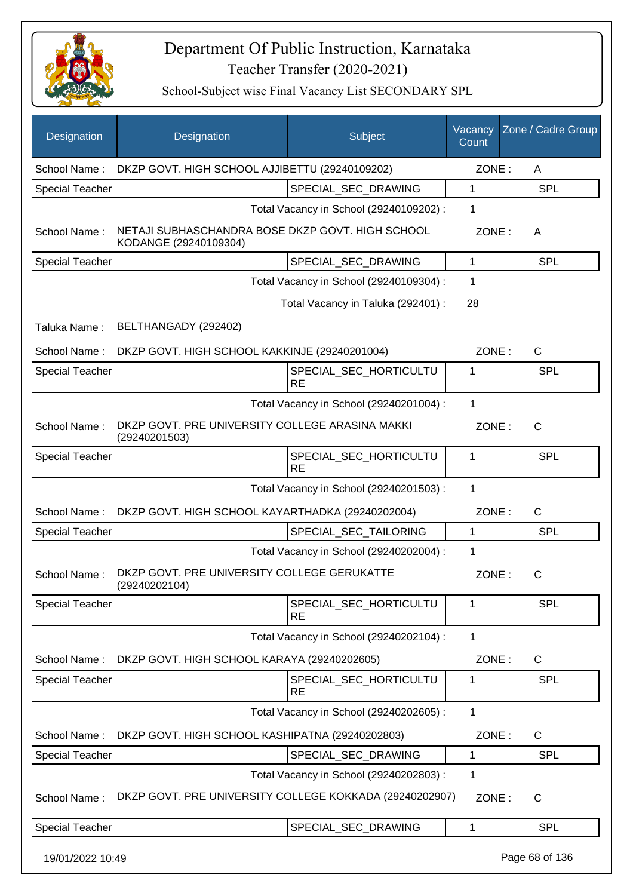

| Designation            | Designation                                                               | Subject                                 | Vacancy<br>Count | Zone / Cadre Group |
|------------------------|---------------------------------------------------------------------------|-----------------------------------------|------------------|--------------------|
| School Name:           | DKZP GOVT. HIGH SCHOOL AJJIBETTU (29240109202)                            |                                         | ZONE:            | A                  |
| <b>Special Teacher</b> |                                                                           | SPECIAL SEC DRAWING                     | 1                | <b>SPL</b>         |
|                        |                                                                           | Total Vacancy in School (29240109202) : | 1                |                    |
| School Name:           | NETAJI SUBHASCHANDRA BOSE DKZP GOVT. HIGH SCHOOL<br>KODANGE (29240109304) |                                         | ZONE:            | A                  |
| Special Teacher        |                                                                           | SPECIAL_SEC_DRAWING                     | 1                | <b>SPL</b>         |
|                        |                                                                           | Total Vacancy in School (29240109304) : | 1                |                    |
|                        |                                                                           | Total Vacancy in Taluka (292401) :      | 28               |                    |
| Taluka Name:           | BELTHANGADY (292402)                                                      |                                         |                  |                    |
| School Name:           | DKZP GOVT. HIGH SCHOOL KAKKINJE (29240201004)                             |                                         | ZONE:            | $\mathsf{C}$       |
| <b>Special Teacher</b> |                                                                           | SPECIAL_SEC_HORTICULTU<br><b>RE</b>     | 1                | <b>SPL</b>         |
|                        |                                                                           | Total Vacancy in School (29240201004) : | $\mathbf{1}$     |                    |
| School Name:           | DKZP GOVT. PRE UNIVERSITY COLLEGE ARASINA MAKKI<br>(29240201503)          |                                         | ZONE:            | $\mathsf{C}$       |
| <b>Special Teacher</b> |                                                                           | SPECIAL_SEC_HORTICULTU<br><b>RE</b>     | 1                | <b>SPL</b>         |
|                        |                                                                           | Total Vacancy in School (29240201503) : | $\mathbf{1}$     |                    |
| School Name:           | DKZP GOVT. HIGH SCHOOL KAYARTHADKA (29240202004)                          |                                         | ZONE:            | C                  |
| <b>Special Teacher</b> |                                                                           | SPECIAL SEC TAILORING                   | $\mathbf{1}$     | <b>SPL</b>         |
|                        |                                                                           | Total Vacancy in School (29240202004) : | 1                |                    |
| School Name:           | DKZP GOVT. PRE UNIVERSITY COLLEGE GERUKATTE<br>(29240202104)              |                                         | ZONE:            | $\mathsf{C}$       |
| <b>Special Teacher</b> |                                                                           | SPECIAL_SEC_HORTICULTU<br><b>RE</b>     | 1                | <b>SPL</b>         |
|                        |                                                                           | Total Vacancy in School (29240202104) : | 1                |                    |
| School Name:           | DKZP GOVT. HIGH SCHOOL KARAYA (29240202605)                               |                                         | ZONE:            | C                  |
| Special Teacher        |                                                                           | SPECIAL_SEC_HORTICULTU<br>RE            | 1                | <b>SPL</b>         |
|                        |                                                                           | Total Vacancy in School (29240202605) : | $\mathbf{1}$     |                    |
| School Name:           | DKZP GOVT. HIGH SCHOOL KASHIPATNA (29240202803)                           |                                         | ZONE:            | C                  |
| <b>Special Teacher</b> |                                                                           | SPECIAL_SEC_DRAWING                     | 1                | <b>SPL</b>         |
|                        |                                                                           | Total Vacancy in School (29240202803) : | 1                |                    |
| School Name:           | DKZP GOVT. PRE UNIVERSITY COLLEGE KOKKADA (29240202907)                   |                                         | ZONE:            | C                  |
| <b>Special Teacher</b> |                                                                           | SPECIAL_SEC_DRAWING                     | 1                | <b>SPL</b>         |
| 19/01/2022 10:49       |                                                                           |                                         |                  | Page 68 of 136     |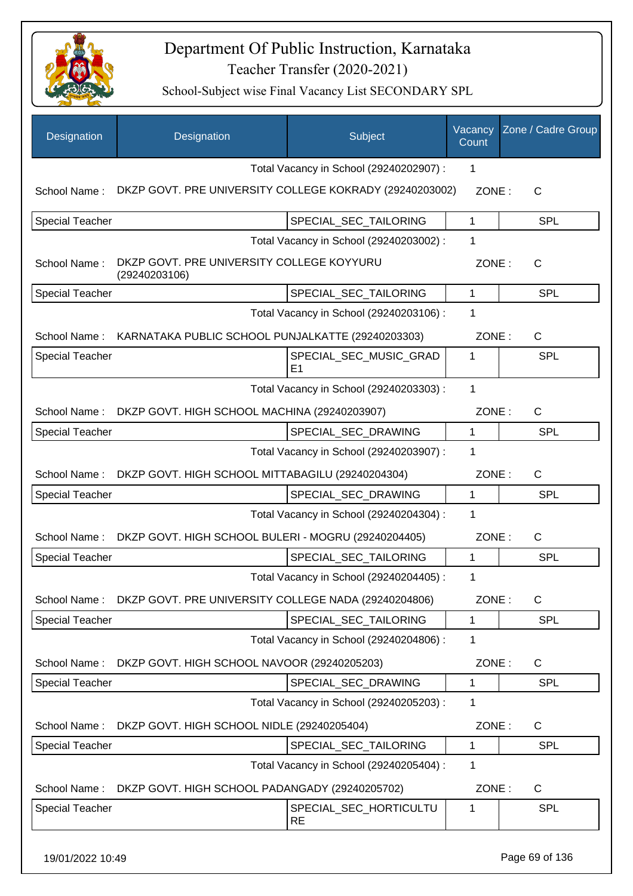

| Designation            | Designation                                                | Subject                                 | Vacancy<br>Count | Zone / Cadre Group |
|------------------------|------------------------------------------------------------|-----------------------------------------|------------------|--------------------|
|                        |                                                            | Total Vacancy in School (29240202907) : | 1                |                    |
| School Name:           | DKZP GOVT. PRE UNIVERSITY COLLEGE KOKRADY (29240203002)    |                                         | ZONE:            | $\mathsf{C}$       |
| <b>Special Teacher</b> |                                                            | SPECIAL SEC TAILORING                   | 1                | <b>SPL</b>         |
|                        |                                                            | Total Vacancy in School (29240203002) : | 1                |                    |
| School Name:           | DKZP GOVT. PRE UNIVERSITY COLLEGE KOYYURU<br>(29240203106) |                                         | ZONE:            | $\mathsf{C}$       |
| <b>Special Teacher</b> |                                                            | SPECIAL_SEC_TAILORING                   | $\mathbf{1}$     | SPL                |
|                        |                                                            | Total Vacancy in School (29240203106) : | 1                |                    |
| School Name:           | KARNATAKA PUBLIC SCHOOL PUNJALKATTE (29240203303)          |                                         | ZONE:            | C                  |
| <b>Special Teacher</b> |                                                            | SPECIAL_SEC_MUSIC_GRAD<br>E1            | 1                | <b>SPL</b>         |
|                        |                                                            | Total Vacancy in School (29240203303) : | 1                |                    |
| School Name:           | DKZP GOVT. HIGH SCHOOL MACHINA (29240203907)               |                                         | ZONE:            | C                  |
| <b>Special Teacher</b> |                                                            | SPECIAL_SEC_DRAWING                     | 1                | <b>SPL</b>         |
|                        |                                                            | Total Vacancy in School (29240203907) : | 1                |                    |
| School Name:           | DKZP GOVT. HIGH SCHOOL MITTABAGILU (29240204304)           |                                         | ZONE:            | $\mathsf{C}$       |
| <b>Special Teacher</b> |                                                            | SPECIAL_SEC_DRAWING                     | 1                | <b>SPL</b>         |
|                        |                                                            | Total Vacancy in School (29240204304) : | 1                |                    |
| School Name:           | DKZP GOVT. HIGH SCHOOL BULERI - MOGRU (29240204405)        |                                         | ZONE:            | $\mathsf{C}$       |
| <b>Special Teacher</b> |                                                            | SPECIAL_SEC_TAILORING                   | $\mathbf{1}$     | SPL                |
|                        |                                                            | Total Vacancy in School (29240204405) : | 1                |                    |
| School Name:           | DKZP GOVT. PRE UNIVERSITY COLLEGE NADA (29240204806)       |                                         | ZONE:            | C                  |
| <b>Special Teacher</b> |                                                            | SPECIAL_SEC_TAILORING                   | $\mathbf{1}$     | <b>SPL</b>         |
|                        |                                                            | Total Vacancy in School (29240204806) : | 1                |                    |
| School Name:           | DKZP GOVT. HIGH SCHOOL NAVOOR (29240205203)                |                                         | ZONE:            | C                  |
| <b>Special Teacher</b> |                                                            | SPECIAL SEC DRAWING                     | $\mathbf{1}$     | <b>SPL</b>         |
|                        |                                                            | Total Vacancy in School (29240205203) : | 1                |                    |
| School Name:           | DKZP GOVT. HIGH SCHOOL NIDLE (29240205404)                 |                                         | ZONE:            | C                  |
| <b>Special Teacher</b> |                                                            | SPECIAL_SEC_TAILORING                   | 1                | <b>SPL</b>         |
|                        |                                                            | Total Vacancy in School (29240205404) : | 1                |                    |
| School Name:           | DKZP GOVT. HIGH SCHOOL PADANGADY (29240205702)             |                                         | ZONE:            | C                  |
| <b>Special Teacher</b> |                                                            | SPECIAL_SEC_HORTICULTU<br><b>RE</b>     | 1                | <b>SPL</b>         |
| 19/01/2022 10:49       |                                                            |                                         |                  | Page 69 of 136     |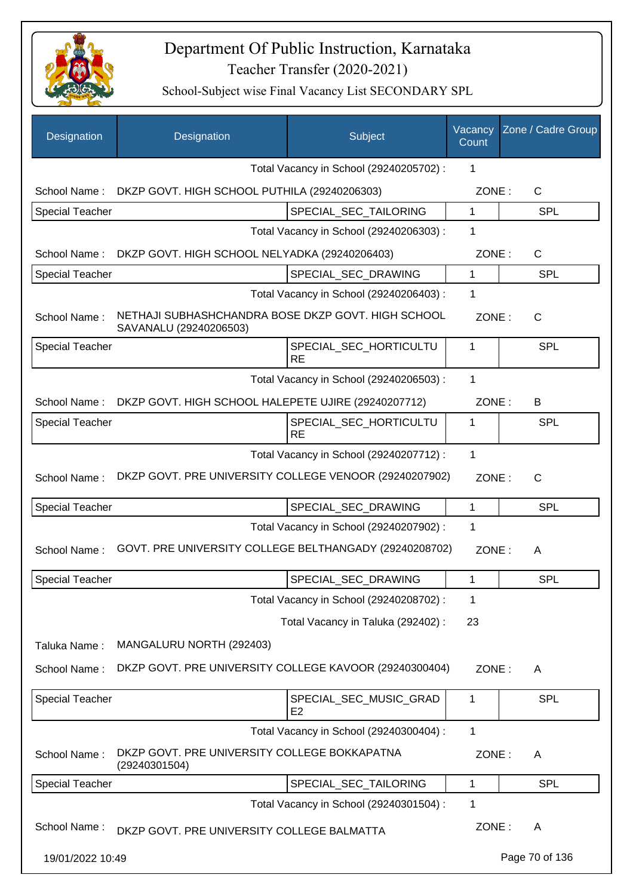

| Designation            | Designation                                                                  | Subject                                  | Vacancy<br>Count | Zone / Cadre Group |
|------------------------|------------------------------------------------------------------------------|------------------------------------------|------------------|--------------------|
|                        |                                                                              | Total Vacancy in School (29240205702) :  | 1                |                    |
| School Name:           | DKZP GOVT. HIGH SCHOOL PUTHILA (29240206303)                                 |                                          | ZONE:            | $\mathsf{C}$       |
| <b>Special Teacher</b> |                                                                              | SPECIAL_SEC_TAILORING                    | 1                | <b>SPL</b>         |
|                        |                                                                              | Total Vacancy in School (29240206303) :  | 1                |                    |
| School Name:           | DKZP GOVT. HIGH SCHOOL NELYADKA (29240206403)                                |                                          | ZONE:            | $\mathsf{C}$       |
| <b>Special Teacher</b> |                                                                              | SPECIAL_SEC_DRAWING                      | 1                | <b>SPL</b>         |
|                        |                                                                              | Total Vacancy in School (29240206403) :  | 1                |                    |
| School Name:           | NETHAJI SUBHASHCHANDRA BOSE DKZP GOVT. HIGH SCHOOL<br>SAVANALU (29240206503) |                                          | ZONE:            | $\mathsf{C}$       |
| <b>Special Teacher</b> |                                                                              | SPECIAL_SEC_HORTICULTU<br><b>RE</b>      | 1                | <b>SPL</b>         |
|                        |                                                                              | Total Vacancy in School (29240206503) :  | 1                |                    |
| School Name:           | DKZP GOVT. HIGH SCHOOL HALEPETE UJIRE (29240207712)                          |                                          | ZONE:            | B                  |
| <b>Special Teacher</b> |                                                                              | SPECIAL_SEC_HORTICULTU<br><b>RE</b>      | 1                | <b>SPL</b>         |
|                        |                                                                              | Total Vacancy in School (29240207712) :  | 1                |                    |
| School Name:           | DKZP GOVT. PRE UNIVERSITY COLLEGE VENOOR (29240207902)                       |                                          | ZONE:            | $\mathsf{C}$       |
| <b>Special Teacher</b> |                                                                              | SPECIAL_SEC_DRAWING                      | 1                | <b>SPL</b>         |
|                        |                                                                              | Total Vacancy in School (29240207902) :  | 1                |                    |
| School Name:           | GOVT. PRE UNIVERSITY COLLEGE BELTHANGADY (29240208702)                       |                                          | ZONE:            | A                  |
| <b>Special Teacher</b> |                                                                              | SPECIAL SEC DRAWING                      | $\mathbf 1$      | SPL                |
|                        |                                                                              | Total Vacancy in School (29240208702) :  | 1                |                    |
|                        |                                                                              | Total Vacancy in Taluka (292402) :       | 23               |                    |
| Taluka Name:           | MANGALURU NORTH (292403)                                                     |                                          |                  |                    |
| School Name:           | DKZP GOVT. PRE UNIVERSITY COLLEGE KAVOOR (29240300404)                       |                                          | ZONE:            | A                  |
| <b>Special Teacher</b> |                                                                              | SPECIAL_SEC_MUSIC_GRAD<br>E <sub>2</sub> | 1                | <b>SPL</b>         |
|                        |                                                                              | Total Vacancy in School (29240300404) :  | 1                |                    |
| School Name:           | DKZP GOVT. PRE UNIVERSITY COLLEGE BOKKAPATNA<br>(29240301504)                |                                          | ZONE:            | A                  |
| <b>Special Teacher</b> |                                                                              | SPECIAL_SEC_TAILORING                    | 1                | <b>SPL</b>         |
|                        |                                                                              | Total Vacancy in School (29240301504) :  | 1                |                    |
| School Name:           | DKZP GOVT. PRE UNIVERSITY COLLEGE BALMATTA                                   |                                          | ZONE:            | A                  |
| 19/01/2022 10:49       |                                                                              |                                          |                  | Page 70 of 136     |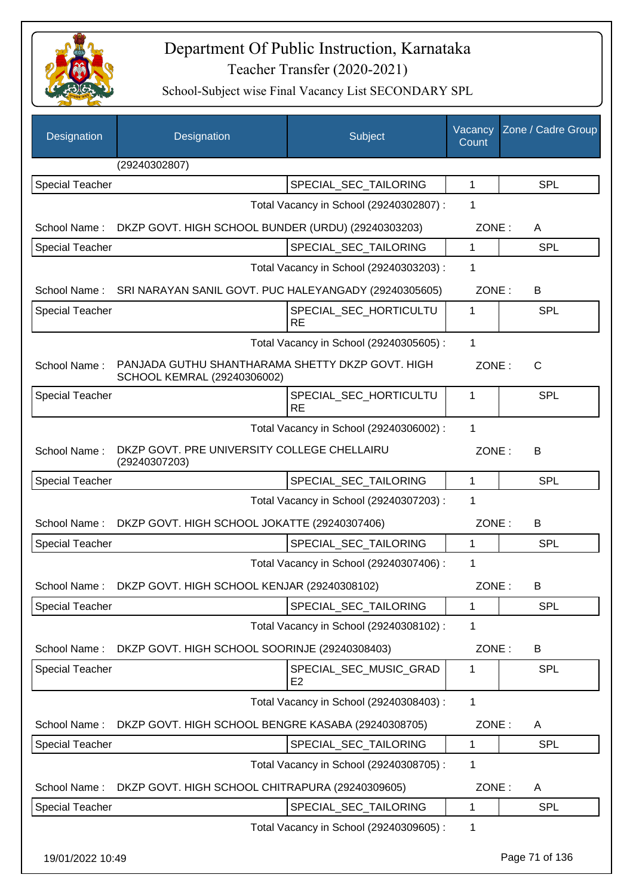

| Designation            | Designation                                                                     | Subject                                  | Vacancy<br>Count | Zone / Cadre Group |
|------------------------|---------------------------------------------------------------------------------|------------------------------------------|------------------|--------------------|
|                        | (29240302807)                                                                   |                                          |                  |                    |
| <b>Special Teacher</b> |                                                                                 | SPECIAL_SEC_TAILORING                    | $\mathbf{1}$     | <b>SPL</b>         |
|                        |                                                                                 | Total Vacancy in School (29240302807) :  | 1                |                    |
| School Name:           | DKZP GOVT. HIGH SCHOOL BUNDER (URDU) (29240303203)                              |                                          | ZONE:            | A                  |
| Special Teacher        |                                                                                 | SPECIAL SEC TAILORING                    | 1                | <b>SPL</b>         |
|                        |                                                                                 | Total Vacancy in School (29240303203) :  | 1                |                    |
| School Name:           | SRI NARAYAN SANIL GOVT. PUC HALEYANGADY (29240305605)                           |                                          | ZONE:            | B                  |
| <b>Special Teacher</b> |                                                                                 | SPECIAL_SEC_HORTICULTU<br><b>RE</b>      | 1                | <b>SPL</b>         |
|                        |                                                                                 | Total Vacancy in School (29240305605) :  | $\mathbf{1}$     |                    |
| School Name:           | PANJADA GUTHU SHANTHARAMA SHETTY DKZP GOVT. HIGH<br>SCHOOL KEMRAL (29240306002) |                                          | ZONE:            | $\mathsf{C}$       |
| <b>Special Teacher</b> |                                                                                 | SPECIAL SEC HORTICULTU<br><b>RE</b>      | 1                | <b>SPL</b>         |
|                        |                                                                                 | Total Vacancy in School (29240306002) :  | 1                |                    |
| School Name:           | DKZP GOVT. PRE UNIVERSITY COLLEGE CHELLAIRU<br>(29240307203)                    |                                          | ZONE:            | B                  |
| <b>Special Teacher</b> |                                                                                 | SPECIAL_SEC_TAILORING                    | $\mathbf{1}$     | <b>SPL</b>         |
|                        |                                                                                 | Total Vacancy in School (29240307203) :  | 1                |                    |
|                        | School Name: DKZP GOVT. HIGH SCHOOL JOKATTE (29240307406)                       |                                          | ZONE:            | B                  |
| <b>Special Teacher</b> |                                                                                 | SPECIAL_SEC_TAILORING                    | 1                | <b>SPL</b>         |
|                        |                                                                                 | Total Vacancy in School (29240307406) :  | 1                |                    |
| School Name:           | DKZP GOVT. HIGH SCHOOL KENJAR (29240308102)                                     |                                          | ZONE:            | B.                 |
| Special Teacher        |                                                                                 | SPECIAL_SEC_TAILORING                    | 1                | <b>SPL</b>         |
|                        |                                                                                 | Total Vacancy in School (29240308102) :  | 1                |                    |
| School Name:           | DKZP GOVT. HIGH SCHOOL SOORINJE (29240308403)                                   |                                          | ZONE:            | B                  |
| <b>Special Teacher</b> |                                                                                 | SPECIAL_SEC_MUSIC_GRAD<br>E <sub>2</sub> | 1                | <b>SPL</b>         |
|                        |                                                                                 | Total Vacancy in School (29240308403) :  | 1                |                    |
| School Name:           | DKZP GOVT. HIGH SCHOOL BENGRE KASABA (29240308705)                              |                                          | ZONE:            | A                  |
| <b>Special Teacher</b> |                                                                                 | SPECIAL_SEC_TAILORING                    | 1                | <b>SPL</b>         |
|                        |                                                                                 | Total Vacancy in School (29240308705) :  | 1                |                    |
| School Name:           | DKZP GOVT. HIGH SCHOOL CHITRAPURA (29240309605)                                 |                                          | ZONE:            | A                  |
| <b>Special Teacher</b> |                                                                                 | SPECIAL_SEC_TAILORING                    | 1                | <b>SPL</b>         |
|                        |                                                                                 | Total Vacancy in School (29240309605) :  | 1                |                    |
| 19/01/2022 10:49       |                                                                                 |                                          |                  | Page 71 of 136     |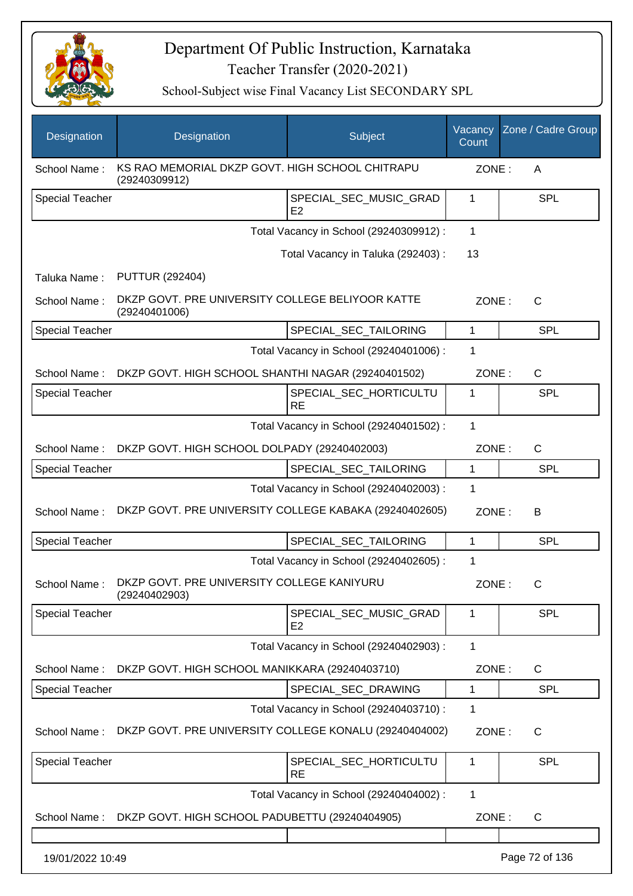

| Designation            | Designation                                                       | Subject                                  | Vacancy<br>Count | Zone / Cadre Group |
|------------------------|-------------------------------------------------------------------|------------------------------------------|------------------|--------------------|
| School Name:           | KS RAO MEMORIAL DKZP GOVT. HIGH SCHOOL CHITRAPU<br>(29240309912)  |                                          | ZONE:            | A                  |
| <b>Special Teacher</b> |                                                                   | SPECIAL_SEC_MUSIC_GRAD<br>E2             | 1                | <b>SPL</b>         |
|                        |                                                                   | Total Vacancy in School (29240309912) :  | 1                |                    |
|                        |                                                                   | Total Vacancy in Taluka (292403) :       | 13               |                    |
| Taluka Name:           | <b>PUTTUR (292404)</b>                                            |                                          |                  |                    |
| School Name:           | DKZP GOVT. PRE UNIVERSITY COLLEGE BELIYOOR KATTE<br>(29240401006) |                                          | ZONE:            | $\mathsf{C}$       |
| <b>Special Teacher</b> |                                                                   | SPECIAL_SEC_TAILORING                    | 1                | <b>SPL</b>         |
|                        |                                                                   | Total Vacancy in School (29240401006) :  | 1                |                    |
| School Name:           | DKZP GOVT. HIGH SCHOOL SHANTHI NAGAR (29240401502)                |                                          | ZONE:            | $\mathsf{C}$       |
| <b>Special Teacher</b> |                                                                   | SPECIAL SEC HORTICULTU<br><b>RE</b>      | 1                | <b>SPL</b>         |
|                        |                                                                   | Total Vacancy in School (29240401502) :  | 1                |                    |
|                        | School Name: DKZP GOVT. HIGH SCHOOL DOLPADY (29240402003)         |                                          | ZONE:            | $\mathsf{C}$       |
| <b>Special Teacher</b> |                                                                   | SPECIAL_SEC_TAILORING                    | 1                | <b>SPL</b>         |
|                        |                                                                   | Total Vacancy in School (29240402003) :  | 1                |                    |
| School Name:           | DKZP GOVT. PRE UNIVERSITY COLLEGE KABAKA (29240402605)            |                                          | ZONE:            | В                  |
| <b>Special Teacher</b> |                                                                   | SPECIAL_SEC_TAILORING                    | 1                | <b>SPL</b>         |
|                        |                                                                   | Total Vacancy in School (29240402605) :  | 1                |                    |
| School Name:           | DKZP GOVT. PRE UNIVERSITY COLLEGE KANIYURU<br>(29240402903)       |                                          | ZONE:            | $\mathsf{C}$       |
| <b>Special Teacher</b> |                                                                   | SPECIAL_SEC_MUSIC_GRAD<br>E <sub>2</sub> | 1                | <b>SPL</b>         |
|                        |                                                                   | Total Vacancy in School (29240402903) :  | 1                |                    |
| School Name:           | DKZP GOVT. HIGH SCHOOL MANIKKARA (29240403710)                    |                                          | ZONE:            | C                  |
| Special Teacher        |                                                                   | SPECIAL_SEC_DRAWING                      | 1                | <b>SPL</b>         |
|                        |                                                                   | Total Vacancy in School (29240403710) :  | 1                |                    |
| School Name:           | DKZP GOVT. PRE UNIVERSITY COLLEGE KONALU (29240404002)            |                                          | ZONE:            | $\mathsf{C}$       |
| Special Teacher        |                                                                   | SPECIAL_SEC_HORTICULTU<br><b>RE</b>      | 1                | <b>SPL</b>         |
|                        |                                                                   | Total Vacancy in School (29240404002) :  | 1                |                    |
| School Name:           | DKZP GOVT. HIGH SCHOOL PADUBETTU (29240404905)                    |                                          | ZONE:            | C                  |
|                        |                                                                   |                                          |                  |                    |
| 19/01/2022 10:49       |                                                                   |                                          |                  | Page 72 of 136     |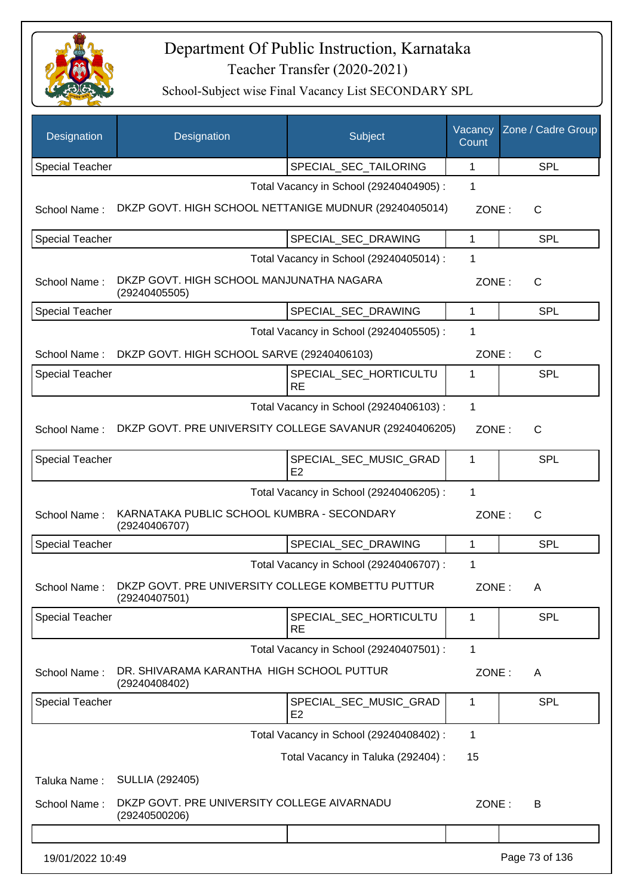

| Designation            | Designation                                                                     | Subject                                  | Vacancy<br>Count | Zone / Cadre Group |
|------------------------|---------------------------------------------------------------------------------|------------------------------------------|------------------|--------------------|
| <b>Special Teacher</b> |                                                                                 | SPECIAL_SEC_TAILORING                    | 1                | <b>SPL</b>         |
|                        |                                                                                 | Total Vacancy in School (29240404905) :  | 1                |                    |
| School Name:           | DKZP GOVT. HIGH SCHOOL NETTANIGE MUDNUR (29240405014)                           |                                          | ZONE:            | C                  |
| <b>Special Teacher</b> |                                                                                 | SPECIAL SEC DRAWING                      | 1                | <b>SPL</b>         |
|                        |                                                                                 | Total Vacancy in School (29240405014) :  | 1                |                    |
| School Name:           | DKZP GOVT. HIGH SCHOOL MANJUNATHA NAGARA<br>(29240405505)                       |                                          | ZONE:            | $\mathsf{C}$       |
| <b>Special Teacher</b> |                                                                                 | SPECIAL_SEC_DRAWING                      | 1                | <b>SPL</b>         |
|                        |                                                                                 | Total Vacancy in School (29240405505) :  | 1                |                    |
| School Name:           | DKZP GOVT. HIGH SCHOOL SARVE (29240406103)                                      |                                          | ZONE:            | $\mathsf{C}$       |
| Special Teacher        |                                                                                 | SPECIAL_SEC_HORTICULTU<br><b>RE</b>      | 1                | <b>SPL</b>         |
|                        |                                                                                 | Total Vacancy in School (29240406103) :  | 1                |                    |
| School Name:           | DKZP GOVT. PRE UNIVERSITY COLLEGE SAVANUR (29240406205)                         |                                          | ZONE:            | $\mathsf{C}$       |
| <b>Special Teacher</b> |                                                                                 | SPECIAL_SEC_MUSIC_GRAD<br>E2             | 1                | <b>SPL</b>         |
|                        |                                                                                 | Total Vacancy in School (29240406205) :  | 1                |                    |
| School Name:           | KARNATAKA PUBLIC SCHOOL KUMBRA - SECONDARY<br>(29240406707)                     |                                          | ZONE:            | $\mathsf{C}$       |
| <b>Special Teacher</b> |                                                                                 | SPECIAL SEC DRAWING                      | $\mathbf{1}$     | <b>SPL</b>         |
|                        |                                                                                 | Total Vacancy in School (29240406707) :  | 1                |                    |
|                        | School Name: DKZP GOVT. PRE UNIVERSITY COLLEGE KOMBETTU PUTTUR<br>(29240407501) |                                          | ZONE:            | A                  |
| Special Teacher        |                                                                                 | SPECIAL_SEC_HORTICULTU<br><b>RE</b>      | 1                | <b>SPL</b>         |
|                        |                                                                                 | Total Vacancy in School (29240407501) :  | 1                |                    |
| School Name:           | DR. SHIVARAMA KARANTHA HIGH SCHOOL PUTTUR<br>(29240408402)                      |                                          | ZONE:            | A                  |
| <b>Special Teacher</b> |                                                                                 | SPECIAL SEC MUSIC GRAD<br>E <sub>2</sub> | 1                | <b>SPL</b>         |
|                        |                                                                                 | Total Vacancy in School (29240408402) :  | $\mathbf{1}$     |                    |
|                        |                                                                                 | Total Vacancy in Taluka (292404) :       | 15               |                    |
| Taluka Name:           | <b>SULLIA (292405)</b>                                                          |                                          |                  |                    |
| School Name:           | DKZP GOVT. PRE UNIVERSITY COLLEGE AIVARNADU<br>(29240500206)                    |                                          | ZONE:            | B                  |
|                        |                                                                                 |                                          |                  |                    |
| 19/01/2022 10:49       |                                                                                 |                                          |                  | Page 73 of 136     |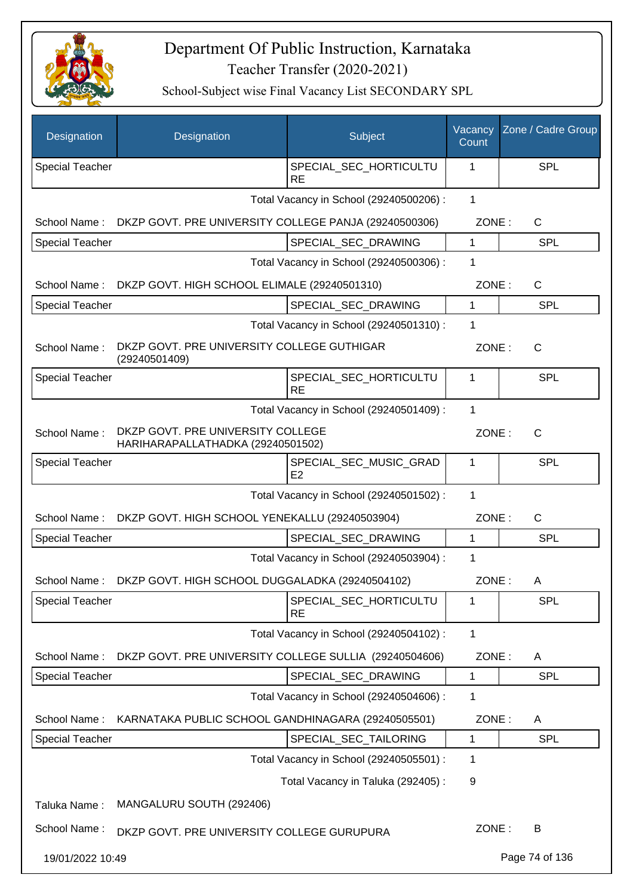

| Designation            | Designation                                                            | Subject                                  | Vacancy<br>Count | Zone / Cadre Group |
|------------------------|------------------------------------------------------------------------|------------------------------------------|------------------|--------------------|
| <b>Special Teacher</b> |                                                                        | SPECIAL SEC HORTICULTU<br><b>RE</b>      | 1                | <b>SPL</b>         |
|                        |                                                                        | Total Vacancy in School (29240500206) :  | $\mathbf{1}$     |                    |
| School Name:           | DKZP GOVT. PRE UNIVERSITY COLLEGE PANJA (29240500306)                  |                                          | ZONE:            | C                  |
| <b>Special Teacher</b> |                                                                        | SPECIAL SEC DRAWING                      | 1                | <b>SPL</b>         |
|                        |                                                                        | Total Vacancy in School (29240500306) :  | 1                |                    |
| School Name:           | DKZP GOVT. HIGH SCHOOL ELIMALE (29240501310)                           |                                          | ZONE:            | $\mathsf{C}$       |
| <b>Special Teacher</b> |                                                                        | SPECIAL_SEC_DRAWING                      | 1                | <b>SPL</b>         |
|                        |                                                                        | Total Vacancy in School (29240501310) :  | 1                |                    |
| School Name:           | DKZP GOVT. PRE UNIVERSITY COLLEGE GUTHIGAR<br>(29240501409)            |                                          | ZONE:            | $\mathsf{C}$       |
| Special Teacher        |                                                                        | SPECIAL_SEC_HORTICULTU<br><b>RE</b>      | 1                | <b>SPL</b>         |
|                        |                                                                        | Total Vacancy in School (29240501409) :  | $\mathbf{1}$     |                    |
| School Name:           | DKZP GOVT. PRE UNIVERSITY COLLEGE<br>HARIHARAPALLATHADKA (29240501502) |                                          | ZONE:            | $\mathsf{C}$       |
| <b>Special Teacher</b> |                                                                        | SPECIAL_SEC_MUSIC_GRAD<br>E <sub>2</sub> | 1                | <b>SPL</b>         |
|                        |                                                                        | Total Vacancy in School (29240501502) :  | 1                |                    |
| School Name:           | DKZP GOVT. HIGH SCHOOL YENEKALLU (29240503904)                         |                                          | ZONE:            | $\mathsf{C}$       |
| <b>Special Teacher</b> |                                                                        | SPECIAL SEC DRAWING                      | $\mathbf{1}$     | <b>SPL</b>         |
|                        |                                                                        | Total Vacancy in School (29240503904) :  | 1                |                    |
| School Name:           | DKZP GOVT. HIGH SCHOOL DUGGALADKA (29240504102)                        |                                          | ZONE:            | Α                  |
| Special Teacher        |                                                                        | SPECIAL_SEC_HORTICULTU<br><b>RE</b>      | 1                | <b>SPL</b>         |
|                        |                                                                        | Total Vacancy in School (29240504102) :  | $\mathbf 1$      |                    |
| School Name:           | DKZP GOVT. PRE UNIVERSITY COLLEGE SULLIA (29240504606)                 |                                          | ZONE:            | A                  |
| <b>Special Teacher</b> |                                                                        | SPECIAL SEC DRAWING                      | 1                | <b>SPL</b>         |
|                        |                                                                        | Total Vacancy in School (29240504606) :  | 1                |                    |
| School Name:           | KARNATAKA PUBLIC SCHOOL GANDHINAGARA (29240505501)                     |                                          | ZONE:            | A                  |
| Special Teacher        |                                                                        | SPECIAL_SEC_TAILORING                    | $\mathbf 1$      | <b>SPL</b>         |
|                        |                                                                        | Total Vacancy in School (29240505501) :  | 1                |                    |
|                        |                                                                        | Total Vacancy in Taluka (292405):        | 9                |                    |
| Taluka Name:           | MANGALURU SOUTH (292406)                                               |                                          |                  |                    |
| School Name:           | DKZP GOVT. PRE UNIVERSITY COLLEGE GURUPURA                             |                                          | ZONE:            | B                  |
| 19/01/2022 10:49       |                                                                        |                                          |                  | Page 74 of 136     |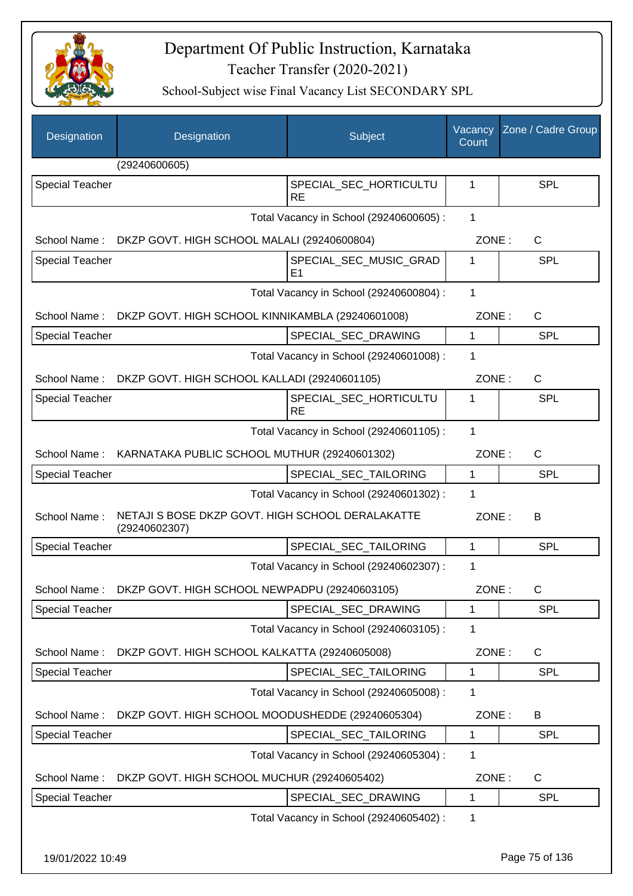

| Designation            | Designation                                                       | Subject                                  | Vacancy<br>Count | Zone / Cadre Group |
|------------------------|-------------------------------------------------------------------|------------------------------------------|------------------|--------------------|
|                        | (29240600605)                                                     |                                          |                  |                    |
| Special Teacher        |                                                                   | SPECIAL_SEC_HORTICULTU<br><b>RE</b>      | 1                | <b>SPL</b>         |
|                        |                                                                   | Total Vacancy in School (29240600605) :  | $\mathbf{1}$     |                    |
|                        | School Name: DKZP GOVT. HIGH SCHOOL MALALI (29240600804)          |                                          | ZONE:            | $\mathsf{C}$       |
| <b>Special Teacher</b> |                                                                   | SPECIAL_SEC_MUSIC_GRAD<br>E <sub>1</sub> | 1                | <b>SPL</b>         |
|                        |                                                                   | Total Vacancy in School (29240600804) :  | 1                |                    |
| School Name:           | DKZP GOVT. HIGH SCHOOL KINNIKAMBLA (29240601008)                  |                                          | ZONE:            | C                  |
| <b>Special Teacher</b> |                                                                   | SPECIAL_SEC_DRAWING                      | 1                | SPL                |
|                        |                                                                   | Total Vacancy in School (29240601008) :  | 1                |                    |
| School Name:           | DKZP GOVT. HIGH SCHOOL KALLADI (29240601105)                      |                                          | ZONE:            | $\mathsf{C}$       |
| Special Teacher        |                                                                   | SPECIAL SEC HORTICULTU<br><b>RE</b>      | 1                | <b>SPL</b>         |
|                        |                                                                   | Total Vacancy in School (29240601105) :  | 1                |                    |
|                        | School Name: KARNATAKA PUBLIC SCHOOL MUTHUR (29240601302)         |                                          | ZONE:            | $\mathsf{C}$       |
| <b>Special Teacher</b> |                                                                   | SPECIAL_SEC_TAILORING                    | $\mathbf 1$      | <b>SPL</b>         |
|                        |                                                                   | Total Vacancy in School (29240601302) :  | 1                |                    |
| School Name:           | NETAJI S BOSE DKZP GOVT. HIGH SCHOOL DERALAKATTE<br>(29240602307) |                                          | ZONE:            | B                  |
| <b>Special Teacher</b> |                                                                   | SPECIAL_SEC_TAILORING                    | $\mathbf 1$      | SPL                |
|                        |                                                                   | Total Vacancy in School (29240602307) :  | 1                |                    |
|                        | School Name: DKZP GOVT. HIGH SCHOOL NEWPADPU (29240603105)        |                                          | ZONE :           | С                  |
| <b>Special Teacher</b> |                                                                   | SPECIAL SEC DRAWING                      | 1                | <b>SPL</b>         |
|                        |                                                                   | Total Vacancy in School (29240603105) :  | 1                |                    |
| School Name:           | DKZP GOVT. HIGH SCHOOL KALKATTA (29240605008)                     |                                          | ZONE:            | $\mathsf{C}$       |
| <b>Special Teacher</b> |                                                                   | SPECIAL_SEC_TAILORING                    | 1                | <b>SPL</b>         |
|                        |                                                                   | Total Vacancy in School (29240605008) :  | 1                |                    |
| School Name:           | DKZP GOVT. HIGH SCHOOL MOODUSHEDDE (29240605304)                  |                                          | ZONE:            | B                  |
| <b>Special Teacher</b> |                                                                   | SPECIAL_SEC_TAILORING                    | 1                | <b>SPL</b>         |
|                        |                                                                   | Total Vacancy in School (29240605304) :  | 1                |                    |
| School Name:           | DKZP GOVT. HIGH SCHOOL MUCHUR (29240605402)                       |                                          | ZONE:            | $\mathsf{C}$       |
| <b>Special Teacher</b> |                                                                   | SPECIAL_SEC_DRAWING                      | 1                | <b>SPL</b>         |
|                        |                                                                   | Total Vacancy in School (29240605402) :  | $\mathbf 1$      |                    |
| 19/01/2022 10:49       |                                                                   |                                          |                  | Page 75 of 136     |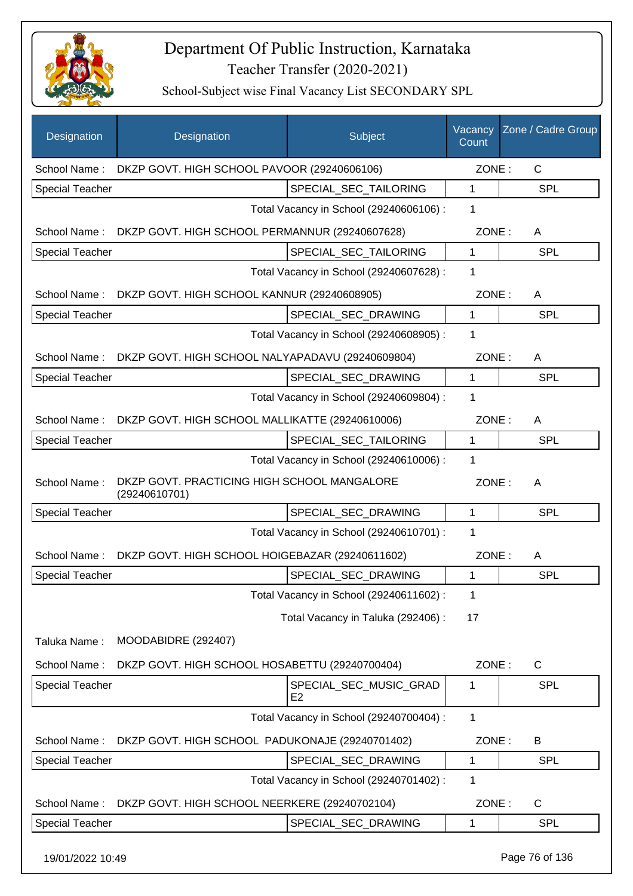

School-Subject wise Final Vacancy List SECONDARY SPL

| $\mathsf{C}$<br>DKZP GOVT. HIGH SCHOOL PAVOOR (29240606106)<br>ZONE:<br>School Name:<br>SPECIAL_SEC_TAILORING<br>1<br><b>SPL</b><br><b>Special Teacher</b><br>Total Vacancy in School (29240606106) :<br>1<br>School Name:<br>DKZP GOVT. HIGH SCHOOL PERMANNUR (29240607628)<br>ZONE:<br>A<br>SPECIAL SEC TAILORING<br>1<br><b>SPL</b><br><b>Special Teacher</b><br>1<br>Total Vacancy in School (29240607628) :<br>School Name: DKZP GOVT. HIGH SCHOOL KANNUR (29240608905)<br>ZONE:<br>A<br><b>SPL</b><br>SPECIAL_SEC_DRAWING<br>1<br><b>Special Teacher</b><br>1<br>Total Vacancy in School (29240608905) :<br>School Name: DKZP GOVT. HIGH SCHOOL NALYAPADAVU (29240609804)<br>ZONE:<br>A<br>SPECIAL SEC DRAWING<br><b>SPL</b><br><b>Special Teacher</b><br>1<br>1<br>Total Vacancy in School (29240609804) :<br>School Name:<br>DKZP GOVT. HIGH SCHOOL MALLIKATTE (29240610006)<br>ZONE:<br>A<br><b>SPL</b><br><b>Special Teacher</b><br>SPECIAL_SEC_TAILORING<br>1<br>1<br>Total Vacancy in School (29240610006) :<br>DKZP GOVT. PRACTICING HIGH SCHOOL MANGALORE<br>School Name:<br>ZONE:<br>A<br>(29240610701)<br>$\mathbf{1}$<br><b>Special Teacher</b><br>SPECIAL_SEC_DRAWING<br><b>SPL</b><br>1<br>Total Vacancy in School (29240610701) :<br>DKZP GOVT. HIGH SCHOOL HOIGEBAZAR (29240611602)<br>ZONE:<br>School Name:<br>A<br><b>SPL</b><br>SPECIAL_SEC_DRAWING<br>1<br><b>Special Teacher</b><br>Total Vacancy in School (29240611602) :<br>1<br>Total Vacancy in Taluka (292406) :<br>17<br>MOODABIDRE (292407)<br>Taluka Name:<br>School Name:<br>DKZP GOVT. HIGH SCHOOL HOSABETTU (29240700404)<br>ZONE:<br>$\mathsf{C}$<br>SPECIAL_SEC_MUSIC_GRAD<br>SPL<br><b>Special Teacher</b><br>1<br>E <sub>2</sub><br>$\mathbf 1$<br>Total Vacancy in School (29240700404) :<br>DKZP GOVT. HIGH SCHOOL PADUKONAJE (29240701402)<br>ZONE:<br>School Name:<br>B<br>SPECIAL_SEC_DRAWING<br>SPL<br><b>Special Teacher</b><br>1<br>1<br>Total Vacancy in School (29240701402) :<br>School Name:<br>DKZP GOVT. HIGH SCHOOL NEERKERE (29240702104)<br>ZONE:<br>$\mathsf{C}$<br>Special Teacher<br>SPECIAL_SEC_DRAWING<br><b>SPL</b><br>1 | Designation | Designation | Subject | Vacancy<br>Count | Zone / Cadre Group |
|-------------------------------------------------------------------------------------------------------------------------------------------------------------------------------------------------------------------------------------------------------------------------------------------------------------------------------------------------------------------------------------------------------------------------------------------------------------------------------------------------------------------------------------------------------------------------------------------------------------------------------------------------------------------------------------------------------------------------------------------------------------------------------------------------------------------------------------------------------------------------------------------------------------------------------------------------------------------------------------------------------------------------------------------------------------------------------------------------------------------------------------------------------------------------------------------------------------------------------------------------------------------------------------------------------------------------------------------------------------------------------------------------------------------------------------------------------------------------------------------------------------------------------------------------------------------------------------------------------------------------------------------------------------------------------------------------------------------------------------------------------------------------------------------------------------------------------------------------------------------------------------------------------------------------------------------------------------------------------------------------------------------------------------------------------------------------------------------------------------------------------------------|-------------|-------------|---------|------------------|--------------------|
|                                                                                                                                                                                                                                                                                                                                                                                                                                                                                                                                                                                                                                                                                                                                                                                                                                                                                                                                                                                                                                                                                                                                                                                                                                                                                                                                                                                                                                                                                                                                                                                                                                                                                                                                                                                                                                                                                                                                                                                                                                                                                                                                           |             |             |         |                  |                    |
|                                                                                                                                                                                                                                                                                                                                                                                                                                                                                                                                                                                                                                                                                                                                                                                                                                                                                                                                                                                                                                                                                                                                                                                                                                                                                                                                                                                                                                                                                                                                                                                                                                                                                                                                                                                                                                                                                                                                                                                                                                                                                                                                           |             |             |         |                  |                    |
|                                                                                                                                                                                                                                                                                                                                                                                                                                                                                                                                                                                                                                                                                                                                                                                                                                                                                                                                                                                                                                                                                                                                                                                                                                                                                                                                                                                                                                                                                                                                                                                                                                                                                                                                                                                                                                                                                                                                                                                                                                                                                                                                           |             |             |         |                  |                    |
|                                                                                                                                                                                                                                                                                                                                                                                                                                                                                                                                                                                                                                                                                                                                                                                                                                                                                                                                                                                                                                                                                                                                                                                                                                                                                                                                                                                                                                                                                                                                                                                                                                                                                                                                                                                                                                                                                                                                                                                                                                                                                                                                           |             |             |         |                  |                    |
|                                                                                                                                                                                                                                                                                                                                                                                                                                                                                                                                                                                                                                                                                                                                                                                                                                                                                                                                                                                                                                                                                                                                                                                                                                                                                                                                                                                                                                                                                                                                                                                                                                                                                                                                                                                                                                                                                                                                                                                                                                                                                                                                           |             |             |         |                  |                    |
|                                                                                                                                                                                                                                                                                                                                                                                                                                                                                                                                                                                                                                                                                                                                                                                                                                                                                                                                                                                                                                                                                                                                                                                                                                                                                                                                                                                                                                                                                                                                                                                                                                                                                                                                                                                                                                                                                                                                                                                                                                                                                                                                           |             |             |         |                  |                    |
|                                                                                                                                                                                                                                                                                                                                                                                                                                                                                                                                                                                                                                                                                                                                                                                                                                                                                                                                                                                                                                                                                                                                                                                                                                                                                                                                                                                                                                                                                                                                                                                                                                                                                                                                                                                                                                                                                                                                                                                                                                                                                                                                           |             |             |         |                  |                    |
|                                                                                                                                                                                                                                                                                                                                                                                                                                                                                                                                                                                                                                                                                                                                                                                                                                                                                                                                                                                                                                                                                                                                                                                                                                                                                                                                                                                                                                                                                                                                                                                                                                                                                                                                                                                                                                                                                                                                                                                                                                                                                                                                           |             |             |         |                  |                    |
|                                                                                                                                                                                                                                                                                                                                                                                                                                                                                                                                                                                                                                                                                                                                                                                                                                                                                                                                                                                                                                                                                                                                                                                                                                                                                                                                                                                                                                                                                                                                                                                                                                                                                                                                                                                                                                                                                                                                                                                                                                                                                                                                           |             |             |         |                  |                    |
|                                                                                                                                                                                                                                                                                                                                                                                                                                                                                                                                                                                                                                                                                                                                                                                                                                                                                                                                                                                                                                                                                                                                                                                                                                                                                                                                                                                                                                                                                                                                                                                                                                                                                                                                                                                                                                                                                                                                                                                                                                                                                                                                           |             |             |         |                  |                    |
|                                                                                                                                                                                                                                                                                                                                                                                                                                                                                                                                                                                                                                                                                                                                                                                                                                                                                                                                                                                                                                                                                                                                                                                                                                                                                                                                                                                                                                                                                                                                                                                                                                                                                                                                                                                                                                                                                                                                                                                                                                                                                                                                           |             |             |         |                  |                    |
|                                                                                                                                                                                                                                                                                                                                                                                                                                                                                                                                                                                                                                                                                                                                                                                                                                                                                                                                                                                                                                                                                                                                                                                                                                                                                                                                                                                                                                                                                                                                                                                                                                                                                                                                                                                                                                                                                                                                                                                                                                                                                                                                           |             |             |         |                  |                    |
|                                                                                                                                                                                                                                                                                                                                                                                                                                                                                                                                                                                                                                                                                                                                                                                                                                                                                                                                                                                                                                                                                                                                                                                                                                                                                                                                                                                                                                                                                                                                                                                                                                                                                                                                                                                                                                                                                                                                                                                                                                                                                                                                           |             |             |         |                  |                    |
|                                                                                                                                                                                                                                                                                                                                                                                                                                                                                                                                                                                                                                                                                                                                                                                                                                                                                                                                                                                                                                                                                                                                                                                                                                                                                                                                                                                                                                                                                                                                                                                                                                                                                                                                                                                                                                                                                                                                                                                                                                                                                                                                           |             |             |         |                  |                    |
|                                                                                                                                                                                                                                                                                                                                                                                                                                                                                                                                                                                                                                                                                                                                                                                                                                                                                                                                                                                                                                                                                                                                                                                                                                                                                                                                                                                                                                                                                                                                                                                                                                                                                                                                                                                                                                                                                                                                                                                                                                                                                                                                           |             |             |         |                  |                    |
|                                                                                                                                                                                                                                                                                                                                                                                                                                                                                                                                                                                                                                                                                                                                                                                                                                                                                                                                                                                                                                                                                                                                                                                                                                                                                                                                                                                                                                                                                                                                                                                                                                                                                                                                                                                                                                                                                                                                                                                                                                                                                                                                           |             |             |         |                  |                    |
|                                                                                                                                                                                                                                                                                                                                                                                                                                                                                                                                                                                                                                                                                                                                                                                                                                                                                                                                                                                                                                                                                                                                                                                                                                                                                                                                                                                                                                                                                                                                                                                                                                                                                                                                                                                                                                                                                                                                                                                                                                                                                                                                           |             |             |         |                  |                    |
|                                                                                                                                                                                                                                                                                                                                                                                                                                                                                                                                                                                                                                                                                                                                                                                                                                                                                                                                                                                                                                                                                                                                                                                                                                                                                                                                                                                                                                                                                                                                                                                                                                                                                                                                                                                                                                                                                                                                                                                                                                                                                                                                           |             |             |         |                  |                    |
|                                                                                                                                                                                                                                                                                                                                                                                                                                                                                                                                                                                                                                                                                                                                                                                                                                                                                                                                                                                                                                                                                                                                                                                                                                                                                                                                                                                                                                                                                                                                                                                                                                                                                                                                                                                                                                                                                                                                                                                                                                                                                                                                           |             |             |         |                  |                    |
|                                                                                                                                                                                                                                                                                                                                                                                                                                                                                                                                                                                                                                                                                                                                                                                                                                                                                                                                                                                                                                                                                                                                                                                                                                                                                                                                                                                                                                                                                                                                                                                                                                                                                                                                                                                                                                                                                                                                                                                                                                                                                                                                           |             |             |         |                  |                    |
|                                                                                                                                                                                                                                                                                                                                                                                                                                                                                                                                                                                                                                                                                                                                                                                                                                                                                                                                                                                                                                                                                                                                                                                                                                                                                                                                                                                                                                                                                                                                                                                                                                                                                                                                                                                                                                                                                                                                                                                                                                                                                                                                           |             |             |         |                  |                    |
|                                                                                                                                                                                                                                                                                                                                                                                                                                                                                                                                                                                                                                                                                                                                                                                                                                                                                                                                                                                                                                                                                                                                                                                                                                                                                                                                                                                                                                                                                                                                                                                                                                                                                                                                                                                                                                                                                                                                                                                                                                                                                                                                           |             |             |         |                  |                    |
|                                                                                                                                                                                                                                                                                                                                                                                                                                                                                                                                                                                                                                                                                                                                                                                                                                                                                                                                                                                                                                                                                                                                                                                                                                                                                                                                                                                                                                                                                                                                                                                                                                                                                                                                                                                                                                                                                                                                                                                                                                                                                                                                           |             |             |         |                  |                    |
|                                                                                                                                                                                                                                                                                                                                                                                                                                                                                                                                                                                                                                                                                                                                                                                                                                                                                                                                                                                                                                                                                                                                                                                                                                                                                                                                                                                                                                                                                                                                                                                                                                                                                                                                                                                                                                                                                                                                                                                                                                                                                                                                           |             |             |         |                  |                    |
|                                                                                                                                                                                                                                                                                                                                                                                                                                                                                                                                                                                                                                                                                                                                                                                                                                                                                                                                                                                                                                                                                                                                                                                                                                                                                                                                                                                                                                                                                                                                                                                                                                                                                                                                                                                                                                                                                                                                                                                                                                                                                                                                           |             |             |         |                  |                    |
|                                                                                                                                                                                                                                                                                                                                                                                                                                                                                                                                                                                                                                                                                                                                                                                                                                                                                                                                                                                                                                                                                                                                                                                                                                                                                                                                                                                                                                                                                                                                                                                                                                                                                                                                                                                                                                                                                                                                                                                                                                                                                                                                           |             |             |         |                  |                    |
|                                                                                                                                                                                                                                                                                                                                                                                                                                                                                                                                                                                                                                                                                                                                                                                                                                                                                                                                                                                                                                                                                                                                                                                                                                                                                                                                                                                                                                                                                                                                                                                                                                                                                                                                                                                                                                                                                                                                                                                                                                                                                                                                           |             |             |         |                  |                    |
|                                                                                                                                                                                                                                                                                                                                                                                                                                                                                                                                                                                                                                                                                                                                                                                                                                                                                                                                                                                                                                                                                                                                                                                                                                                                                                                                                                                                                                                                                                                                                                                                                                                                                                                                                                                                                                                                                                                                                                                                                                                                                                                                           |             |             |         |                  |                    |
|                                                                                                                                                                                                                                                                                                                                                                                                                                                                                                                                                                                                                                                                                                                                                                                                                                                                                                                                                                                                                                                                                                                                                                                                                                                                                                                                                                                                                                                                                                                                                                                                                                                                                                                                                                                                                                                                                                                                                                                                                                                                                                                                           |             |             |         |                  |                    |
|                                                                                                                                                                                                                                                                                                                                                                                                                                                                                                                                                                                                                                                                                                                                                                                                                                                                                                                                                                                                                                                                                                                                                                                                                                                                                                                                                                                                                                                                                                                                                                                                                                                                                                                                                                                                                                                                                                                                                                                                                                                                                                                                           |             |             |         |                  |                    |
|                                                                                                                                                                                                                                                                                                                                                                                                                                                                                                                                                                                                                                                                                                                                                                                                                                                                                                                                                                                                                                                                                                                                                                                                                                                                                                                                                                                                                                                                                                                                                                                                                                                                                                                                                                                                                                                                                                                                                                                                                                                                                                                                           |             |             |         |                  |                    |

19/01/2022 10:49 Page 76 of 136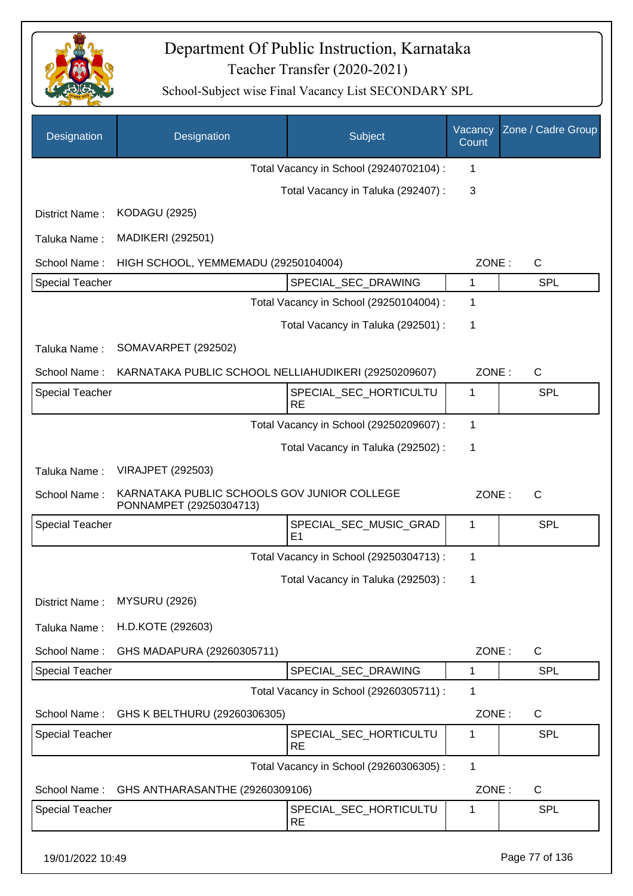

| Designation            | Designation                                                            | <b>Subject</b>                           | Vacancy<br>Count | Zone / Cadre Group |
|------------------------|------------------------------------------------------------------------|------------------------------------------|------------------|--------------------|
|                        |                                                                        | Total Vacancy in School (29240702104) :  | 1                |                    |
|                        |                                                                        | Total Vacancy in Taluka (292407) :       | 3                |                    |
| District Name:         | <b>KODAGU (2925)</b>                                                   |                                          |                  |                    |
| Taluka Name:           | <b>MADIKERI (292501)</b>                                               |                                          |                  |                    |
| School Name:           | HIGH SCHOOL, YEMMEMADU (29250104004)                                   |                                          | ZONE:            | $\mathsf{C}$       |
| <b>Special Teacher</b> |                                                                        | SPECIAL_SEC_DRAWING                      | 1                | <b>SPL</b>         |
|                        |                                                                        | Total Vacancy in School (29250104004) :  | 1                |                    |
|                        |                                                                        | Total Vacancy in Taluka (292501) :       | 1                |                    |
| Taluka Name:           | SOMAVARPET (292502)                                                    |                                          |                  |                    |
| School Name:           | KARNATAKA PUBLIC SCHOOL NELLIAHUDIKERI (29250209607)                   |                                          | ZONE:            | $\mathsf{C}$       |
| <b>Special Teacher</b> |                                                                        | SPECIAL_SEC_HORTICULTU<br><b>RE</b>      | 1                | <b>SPL</b>         |
|                        |                                                                        | Total Vacancy in School (29250209607) :  | 1                |                    |
|                        |                                                                        | Total Vacancy in Taluka (292502) :       | 1                |                    |
| Taluka Name:           | <b>VIRAJPET (292503)</b>                                               |                                          |                  |                    |
| School Name:           | KARNATAKA PUBLIC SCHOOLS GOV JUNIOR COLLEGE<br>PONNAMPET (29250304713) |                                          | ZONE:            | $\mathsf{C}$       |
| <b>Special Teacher</b> |                                                                        | SPECIAL_SEC_MUSIC_GRAD<br>E <sub>1</sub> | 1                | SPL                |
|                        |                                                                        | Total Vacancy in School (29250304713) :  | 1                |                    |
|                        |                                                                        | Total Vacancy in Taluka (292503) :       | 1                |                    |
| District Name:         | <b>MYSURU (2926)</b>                                                   |                                          |                  |                    |
| Taluka Name:           | H.D.KOTE (292603)                                                      |                                          |                  |                    |
| School Name:           | GHS MADAPURA (29260305711)                                             |                                          | ZONE:            | $\mathsf{C}$       |
| Special Teacher        |                                                                        | SPECIAL_SEC_DRAWING                      | 1                | <b>SPL</b>         |
|                        |                                                                        | Total Vacancy in School (29260305711) :  | 1                |                    |
| School Name:           | GHS K BELTHURU (29260306305)                                           |                                          | ZONE:            | C                  |
| <b>Special Teacher</b> |                                                                        | SPECIAL_SEC_HORTICULTU<br><b>RE</b>      | 1                | <b>SPL</b>         |
|                        |                                                                        | Total Vacancy in School (29260306305) :  | $\mathbf{1}$     |                    |
| School Name:           | GHS ANTHARASANTHE (29260309106)                                        |                                          | ZONE:            | $\mathsf{C}$       |
| Special Teacher        |                                                                        | SPECIAL_SEC_HORTICULTU<br><b>RE</b>      | 1                | <b>SPL</b>         |
| 19/01/2022 10:49       |                                                                        |                                          |                  | Page 77 of 136     |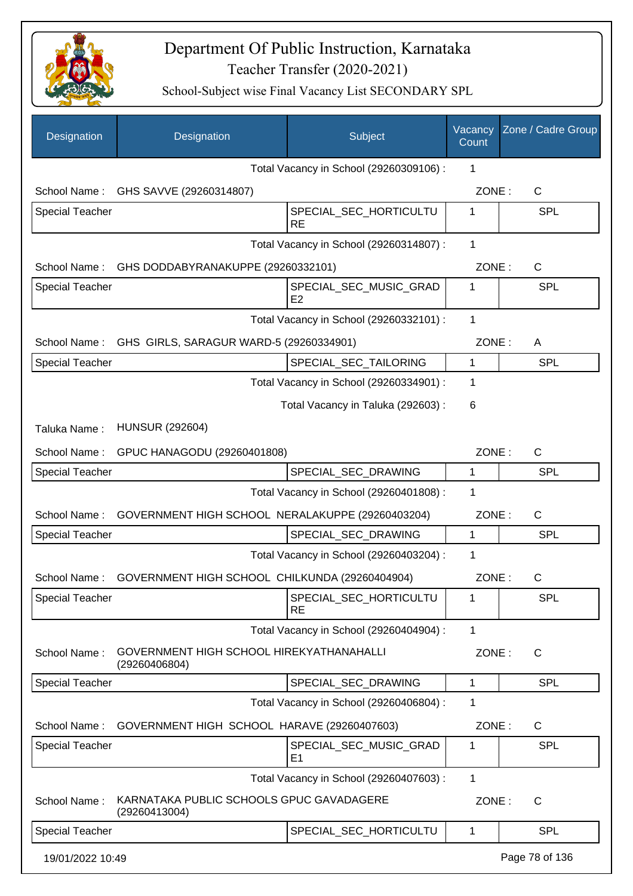

| Designation            | Designation                                               | Subject                                  | Vacancy<br>Count | Zone / Cadre Group |
|------------------------|-----------------------------------------------------------|------------------------------------------|------------------|--------------------|
|                        |                                                           | Total Vacancy in School (29260309106) :  | 1                |                    |
|                        | School Name: GHS SAVVE (29260314807)                      |                                          | ZONE:            | $\mathsf{C}$       |
| Special Teacher        |                                                           | SPECIAL_SEC_HORTICULTU<br><b>RE</b>      | 1                | <b>SPL</b>         |
|                        |                                                           | Total Vacancy in School (29260314807) :  | $\mathbf 1$      |                    |
|                        | School Name: GHS DODDABYRANAKUPPE (29260332101)           |                                          | ZONE:            | $\mathsf{C}$       |
| <b>Special Teacher</b> |                                                           | SPECIAL_SEC_MUSIC_GRAD<br>E <sub>2</sub> | 1                | <b>SPL</b>         |
|                        |                                                           | Total Vacancy in School (29260332101) :  | 1                |                    |
| School Name:           | GHS GIRLS, SARAGUR WARD-5 (29260334901)                   |                                          | ZONE:            | A                  |
| <b>Special Teacher</b> |                                                           | SPECIAL_SEC_TAILORING                    | 1                | <b>SPL</b>         |
|                        |                                                           | Total Vacancy in School (29260334901) :  | 1                |                    |
|                        |                                                           | Total Vacancy in Taluka (292603) :       | 6                |                    |
| Taluka Name:           | <b>HUNSUR (292604)</b>                                    |                                          |                  |                    |
| School Name:           | GPUC HANAGODU (29260401808)                               |                                          | ZONE:            | $\mathsf{C}$       |
| <b>Special Teacher</b> |                                                           | SPECIAL_SEC_DRAWING                      | 1                | <b>SPL</b>         |
|                        |                                                           | Total Vacancy in School (29260401808) :  | 1                |                    |
| School Name:           | GOVERNMENT HIGH SCHOOL NERALAKUPPE (29260403204)          |                                          | ZONE:            | C                  |
| <b>Special Teacher</b> |                                                           | SPECIAL_SEC_DRAWING                      | $\mathbf 1$      | <b>SPL</b>         |
|                        |                                                           | Total Vacancy in School (29260403204) :  | 1                |                    |
| School Name:           | GOVERNMENT HIGH SCHOOL CHILKUNDA (29260404904)            |                                          | ZONE:            | С                  |
| <b>Special Teacher</b> |                                                           | SPECIAL_SEC_HORTICULTU<br><b>RE</b>      | 1                | SPL                |
|                        |                                                           | Total Vacancy in School (29260404904) :  | 1                |                    |
| School Name:           | GOVERNMENT HIGH SCHOOL HIREKYATHANAHALLI<br>(29260406804) |                                          | ZONE:            | $\mathsf{C}$       |
| <b>Special Teacher</b> |                                                           | SPECIAL_SEC_DRAWING                      | 1                | <b>SPL</b>         |
|                        |                                                           | Total Vacancy in School (29260406804) :  | 1                |                    |
| School Name:           | GOVERNMENT HIGH SCHOOL HARAVE (29260407603)               |                                          | ZONE:            | C                  |
| <b>Special Teacher</b> |                                                           | SPECIAL_SEC_MUSIC_GRAD<br>E <sub>1</sub> | 1                | <b>SPL</b>         |
|                        |                                                           | Total Vacancy in School (29260407603) :  | 1                |                    |
| School Name:           | KARNATAKA PUBLIC SCHOOLS GPUC GAVADAGERE<br>(29260413004) |                                          | ZONE:            | C                  |
| <b>Special Teacher</b> |                                                           | SPECIAL_SEC_HORTICULTU                   | $\mathbf 1$      | <b>SPL</b>         |
| 19/01/2022 10:49       |                                                           |                                          |                  | Page 78 of 136     |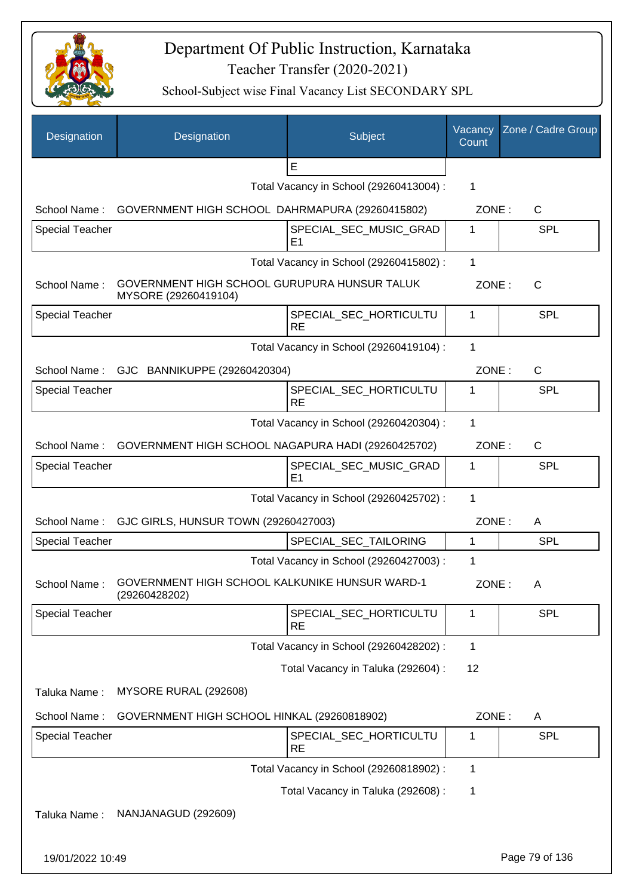

| Designation            | Designation                                                          | Subject                                  | Vacancy<br>Count | Zone / Cadre Group |
|------------------------|----------------------------------------------------------------------|------------------------------------------|------------------|--------------------|
|                        |                                                                      | E                                        |                  |                    |
|                        |                                                                      | Total Vacancy in School (29260413004) :  | 1                |                    |
| School Name:           | GOVERNMENT HIGH SCHOOL DAHRMAPURA (29260415802)                      |                                          | ZONE:            | C                  |
| <b>Special Teacher</b> |                                                                      | SPECIAL SEC MUSIC GRAD<br>E <sub>1</sub> | 1                | <b>SPL</b>         |
|                        | Total Vacancy in School (29260415802) :                              |                                          |                  |                    |
| School Name:           | GOVERNMENT HIGH SCHOOL GURUPURA HUNSUR TALUK<br>MYSORE (29260419104) |                                          | ZONE:            | C                  |
| <b>Special Teacher</b> |                                                                      | SPECIAL_SEC_HORTICULTU<br><b>RE</b>      | 1                | <b>SPL</b>         |
|                        |                                                                      | Total Vacancy in School (29260419104) :  | 1                |                    |
|                        | School Name: GJC BANNIKUPPE (29260420304)                            |                                          | ZONE:            | C                  |
| <b>Special Teacher</b> |                                                                      | SPECIAL_SEC_HORTICULTU<br><b>RE</b>      | 1                | <b>SPL</b>         |
|                        |                                                                      | Total Vacancy in School (29260420304) :  | 1                |                    |
| School Name:           | GOVERNMENT HIGH SCHOOL NAGAPURA HADI (29260425702)                   |                                          | ZONE:            | C                  |
| <b>Special Teacher</b> |                                                                      | SPECIAL_SEC_MUSIC_GRAD<br>E <sub>1</sub> | 1                | <b>SPL</b>         |
|                        |                                                                      | Total Vacancy in School (29260425702) :  | 1                |                    |
| School Name:           | GJC GIRLS, HUNSUR TOWN (29260427003)                                 |                                          | ZONE:            | A                  |
| <b>Special Teacher</b> |                                                                      | SPECIAL_SEC_TAILORING                    | $\mathbf{1}$     | <b>SPL</b>         |
|                        |                                                                      | Total Vacancy in School (29260427003) :  | 1                |                    |
| School Name:           | GOVERNMENT HIGH SCHOOL KALKUNIKE HUNSUR WARD-1<br>(29260428202)      |                                          | ZONE:            | A                  |
| <b>Special Teacher</b> |                                                                      | SPECIAL_SEC_HORTICULTU<br><b>RE</b>      | 1                | <b>SPL</b>         |
|                        |                                                                      | Total Vacancy in School (29260428202) :  | 1                |                    |
|                        |                                                                      | Total Vacancy in Taluka (292604) :       | 12               |                    |
| Taluka Name:           | MYSORE RURAL (292608)                                                |                                          |                  |                    |
| School Name:           | GOVERNMENT HIGH SCHOOL HINKAL (29260818902)                          |                                          | ZONE:            | A                  |
| <b>Special Teacher</b> |                                                                      | SPECIAL_SEC_HORTICULTU<br><b>RE</b>      | 1                | <b>SPL</b>         |
|                        |                                                                      | Total Vacancy in School (29260818902) :  | 1                |                    |
|                        |                                                                      | Total Vacancy in Taluka (292608) :       | 1                |                    |
| Taluka Name:           | NANJANAGUD (292609)                                                  |                                          |                  |                    |
| 19/01/2022 10:49       |                                                                      |                                          |                  | Page 79 of 136     |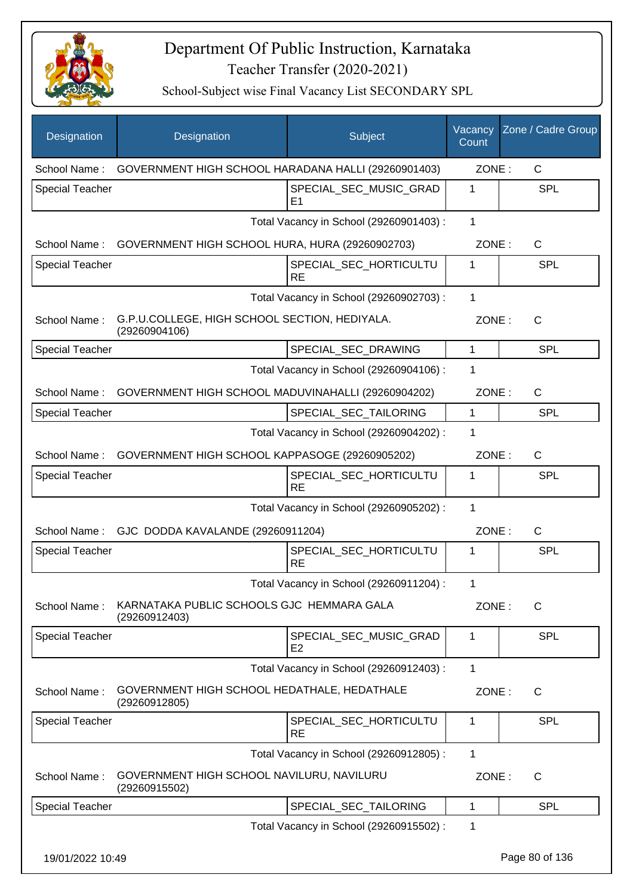

| Designation            | Designation                                                    | Subject                                  | Vacancy<br>Count | Zone / Cadre Group |
|------------------------|----------------------------------------------------------------|------------------------------------------|------------------|--------------------|
| School Name:           | GOVERNMENT HIGH SCHOOL HARADANA HALLI (29260901403)            |                                          | ZONE:            | C                  |
| <b>Special Teacher</b> |                                                                | SPECIAL_SEC_MUSIC_GRAD<br>E1             | 1                | <b>SPL</b>         |
|                        |                                                                | Total Vacancy in School (29260901403) :  | 1                |                    |
|                        | School Name: GOVERNMENT HIGH SCHOOL HURA, HURA (29260902703)   |                                          | ZONE:            | $\mathsf{C}$       |
| <b>Special Teacher</b> |                                                                | SPECIAL_SEC_HORTICULTU<br><b>RE</b>      | 1                | <b>SPL</b>         |
|                        |                                                                | Total Vacancy in School (29260902703) :  | 1                |                    |
| School Name:           | G.P.U.COLLEGE, HIGH SCHOOL SECTION, HEDIYALA.<br>(29260904106) |                                          | ZONE:            | $\mathsf{C}$       |
| <b>Special Teacher</b> |                                                                | SPECIAL_SEC_DRAWING                      | 1                | <b>SPL</b>         |
|                        |                                                                | Total Vacancy in School (29260904106) :  | 1                |                    |
| School Name:           | GOVERNMENT HIGH SCHOOL MADUVINAHALLI (29260904202)             |                                          | ZONE:            | $\mathsf{C}$       |
| <b>Special Teacher</b> |                                                                | SPECIAL SEC TAILORING                    | 1                | <b>SPL</b>         |
|                        |                                                                | Total Vacancy in School (29260904202) :  | 1                |                    |
| School Name:           | GOVERNMENT HIGH SCHOOL KAPPASOGE (29260905202)                 |                                          | ZONE:            | $\mathsf{C}$       |
| <b>Special Teacher</b> |                                                                | SPECIAL_SEC_HORTICULTU<br><b>RE</b>      | 1                | <b>SPL</b>         |
|                        |                                                                | Total Vacancy in School (29260905202) :  | $\mathbf 1$      |                    |
|                        | School Name: GJC DODDA KAVALANDE (29260911204)                 |                                          | ZONE:            | $\mathsf{C}$       |
| <b>Special Teacher</b> |                                                                | SPECIAL_SEC_HORTICULTU<br><b>RE</b>      | 1                | SPL                |
|                        |                                                                | Total Vacancy in School (29260911204) :  | 1                |                    |
| School Name:           | KARNATAKA PUBLIC SCHOOLS GJC HEMMARA GALA<br>(29260912403)     |                                          | ZONE:            | C                  |
| <b>Special Teacher</b> |                                                                | SPECIAL_SEC_MUSIC_GRAD<br>E <sub>2</sub> | 1                | <b>SPL</b>         |
|                        |                                                                | Total Vacancy in School (29260912403) :  | 1                |                    |
| School Name:           | GOVERNMENT HIGH SCHOOL HEDATHALE, HEDATHALE<br>(29260912805)   |                                          | ZONE:            | $\mathsf{C}$       |
| <b>Special Teacher</b> |                                                                | SPECIAL_SEC_HORTICULTU<br><b>RE</b>      | 1                | <b>SPL</b>         |
|                        |                                                                | Total Vacancy in School (29260912805) :  | 1                |                    |
| School Name:           | GOVERNMENT HIGH SCHOOL NAVILURU, NAVILURU<br>(29260915502)     |                                          | ZONE:            | C                  |
| <b>Special Teacher</b> |                                                                | SPECIAL_SEC_TAILORING                    | 1                | <b>SPL</b>         |
|                        |                                                                | Total Vacancy in School (29260915502) :  | 1                |                    |
| 19/01/2022 10:49       |                                                                |                                          |                  | Page 80 of 136     |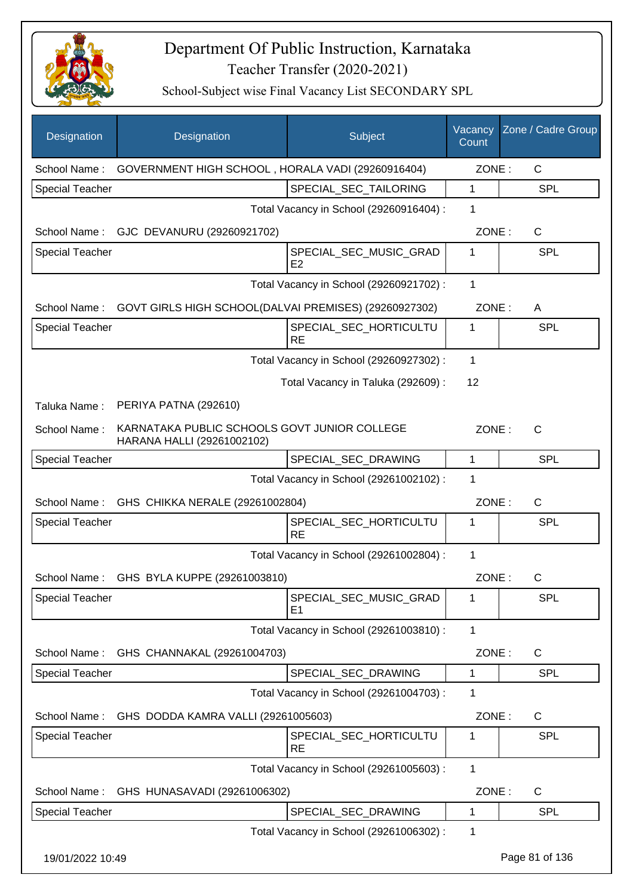

| Designation            | Designation                                                                | Subject                                  | Vacancy<br>Count | Zone / Cadre Group |
|------------------------|----------------------------------------------------------------------------|------------------------------------------|------------------|--------------------|
| School Name:           | GOVERNMENT HIGH SCHOOL, HORALA VADI (29260916404)                          |                                          | ZONE:            | C                  |
| <b>Special Teacher</b> |                                                                            | SPECIAL_SEC_TAILORING                    | 1                | <b>SPL</b>         |
|                        |                                                                            | Total Vacancy in School (29260916404) :  | 1                |                    |
| School Name:           | GJC DEVANURU (29260921702)                                                 |                                          | ZONE:            | $\mathsf{C}$       |
| Special Teacher        |                                                                            | SPECIAL_SEC_MUSIC_GRAD<br>E <sub>2</sub> | 1                | <b>SPL</b>         |
|                        |                                                                            | Total Vacancy in School (29260921702) :  | 1                |                    |
| School Name:           | GOVT GIRLS HIGH SCHOOL(DALVAI PREMISES) (29260927302)                      |                                          | ZONE:            | A                  |
| <b>Special Teacher</b> |                                                                            | SPECIAL_SEC_HORTICULTU<br><b>RE</b>      | 1                | <b>SPL</b>         |
|                        |                                                                            | Total Vacancy in School (29260927302) :  | 1                |                    |
|                        |                                                                            | Total Vacancy in Taluka (292609):        | 12               |                    |
| Taluka Name:           | PERIYA PATNA (292610)                                                      |                                          |                  |                    |
| School Name:           | KARNATAKA PUBLIC SCHOOLS GOVT JUNIOR COLLEGE<br>HARANA HALLI (29261002102) |                                          | ZONE:            | $\mathsf{C}$       |
| <b>Special Teacher</b> |                                                                            | SPECIAL_SEC_DRAWING                      | $\mathbf{1}$     | SPL                |
|                        |                                                                            | Total Vacancy in School (29261002102) :  | $\mathbf 1$      |                    |
| School Name:           | GHS CHIKKA NERALE (29261002804)                                            |                                          | ZONE:            | C                  |
| <b>Special Teacher</b> |                                                                            | SPECIAL_SEC_HORTICULTU<br><b>RE</b>      | 1                | SPL                |
|                        |                                                                            | Total Vacancy in School (29261002804) :  | 1                |                    |
|                        | School Name: GHS BYLA KUPPE (29261003810)                                  |                                          | ZONE:            | С                  |
| <b>Special Teacher</b> |                                                                            | SPECIAL_SEC_MUSIC_GRAD<br>E1             | 1                | <b>SPL</b>         |
|                        |                                                                            | Total Vacancy in School (29261003810) :  | 1                |                    |
| School Name:           | GHS CHANNAKAL (29261004703)                                                |                                          | ZONE:            | C                  |
| Special Teacher        |                                                                            | SPECIAL_SEC_DRAWING                      | 1                | <b>SPL</b>         |
|                        |                                                                            | Total Vacancy in School (29261004703) :  | 1                |                    |
| School Name:           | GHS DODDA KAMRA VALLI (29261005603)                                        |                                          | ZONE:            | $\mathsf{C}$       |
| <b>Special Teacher</b> |                                                                            | SPECIAL_SEC_HORTICULTU<br><b>RE</b>      | 1                | <b>SPL</b>         |
|                        |                                                                            | Total Vacancy in School (29261005603) :  | 1                |                    |
| School Name:           | GHS HUNASAVADI (29261006302)                                               |                                          | ZONE:            | $\mathsf{C}$       |
| <b>Special Teacher</b> |                                                                            | SPECIAL_SEC_DRAWING                      | 1                | <b>SPL</b>         |
|                        |                                                                            | Total Vacancy in School (29261006302) :  | 1                |                    |
| 19/01/2022 10:49       |                                                                            |                                          |                  | Page 81 of 136     |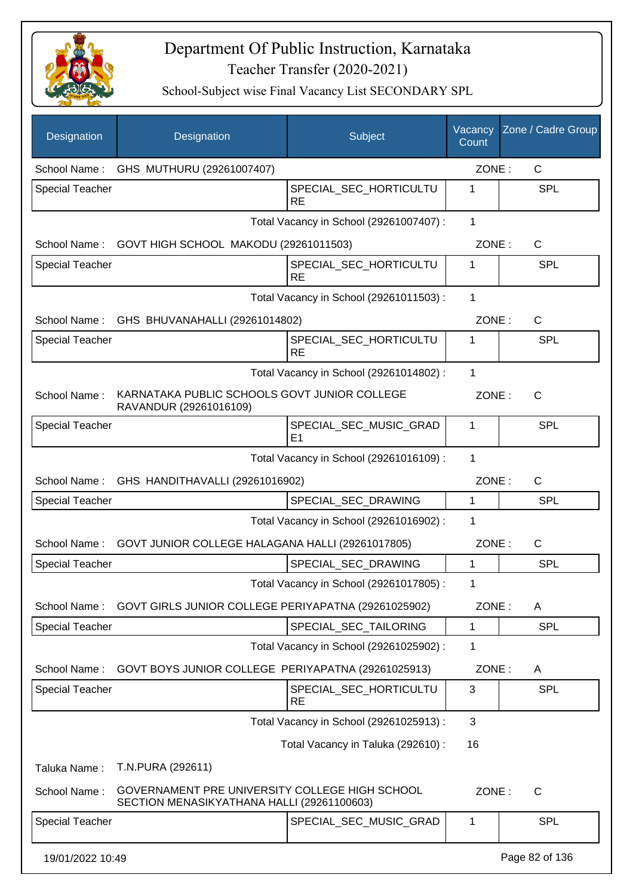

| Designation            | Designation                                                                                  | Subject                                  | Vacancy<br>Count | Zone / Cadre Group |
|------------------------|----------------------------------------------------------------------------------------------|------------------------------------------|------------------|--------------------|
|                        | School Name: GHS MUTHURU (29261007407)                                                       |                                          | ZONE:            | C                  |
| <b>Special Teacher</b> |                                                                                              | SPECIAL_SEC_HORTICULTU<br><b>RE</b>      | 1                | SPL                |
|                        |                                                                                              | Total Vacancy in School (29261007407) :  | 1                |                    |
| School Name:           | GOVT HIGH SCHOOL MAKODU (29261011503)                                                        |                                          | ZONE:            | $\mathsf C$        |
| <b>Special Teacher</b> |                                                                                              | SPECIAL_SEC_HORTICULTU<br><b>RE</b>      | 1                | <b>SPL</b>         |
|                        |                                                                                              | Total Vacancy in School (29261011503) :  | 1                |                    |
|                        | School Name: GHS BHUVANAHALLI (29261014802)                                                  |                                          | ZONE:            | C                  |
| Special Teacher        |                                                                                              | SPECIAL_SEC_HORTICULTU<br><b>RE</b>      | 1                | <b>SPL</b>         |
|                        |                                                                                              | Total Vacancy in School (29261014802) :  | 1                |                    |
| School Name:           | KARNATAKA PUBLIC SCHOOLS GOVT JUNIOR COLLEGE<br>RAVANDUR (29261016109)                       |                                          | ZONE:            | C                  |
| <b>Special Teacher</b> |                                                                                              | SPECIAL_SEC_MUSIC_GRAD<br>E <sub>1</sub> | 1                | SPL                |
|                        |                                                                                              | Total Vacancy in School (29261016109) :  | 1                |                    |
| School Name:           | GHS HANDITHAVALLI (29261016902)                                                              |                                          | ZONE:            | C                  |
| Special Teacher        |                                                                                              | SPECIAL_SEC_DRAWING                      | 1                | SPL                |
|                        |                                                                                              | Total Vacancy in School (29261016902) :  | 1                |                    |
| School Name:           | GOVT JUNIOR COLLEGE HALAGANA HALLI (29261017805)                                             |                                          | ZONE:            | C                  |
| Special Teacher        |                                                                                              | SPECIAL_SEC_DRAWING                      | 1                | SPL                |
|                        |                                                                                              | Total Vacancy in School (29261017805) :  | 1                |                    |
| School Name:           | GOVT GIRLS JUNIOR COLLEGE PERIYAPATNA (29261025902)                                          |                                          | ZONE:            | A                  |
| <b>Special Teacher</b> |                                                                                              | SPECIAL SEC TAILORING                    | 1                | SPL                |
|                        |                                                                                              | Total Vacancy in School (29261025902) :  | 1                |                    |
| School Name:           | GOVT BOYS JUNIOR COLLEGE PERIYAPATNA (29261025913)                                           |                                          | ZONE:            | A                  |
| <b>Special Teacher</b> |                                                                                              | SPECIAL_SEC_HORTICULTU<br><b>RE</b>      | 3                | SPL                |
|                        |                                                                                              | Total Vacancy in School (29261025913) :  | 3                |                    |
|                        |                                                                                              | Total Vacancy in Taluka (292610) :       | 16               |                    |
| Taluka Name:           | T.N.PURA (292611)                                                                            |                                          |                  |                    |
| School Name:           | GOVERNAMENT PRE UNIVERSITY COLLEGE HIGH SCHOOL<br>SECTION MENASIKYATHANA HALLI (29261100603) |                                          | ZONE:            | $\mathsf{C}$       |
| <b>Special Teacher</b> |                                                                                              | SPECIAL_SEC_MUSIC_GRAD                   | 1                | SPL                |
| 19/01/2022 10:49       |                                                                                              |                                          |                  | Page 82 of 136     |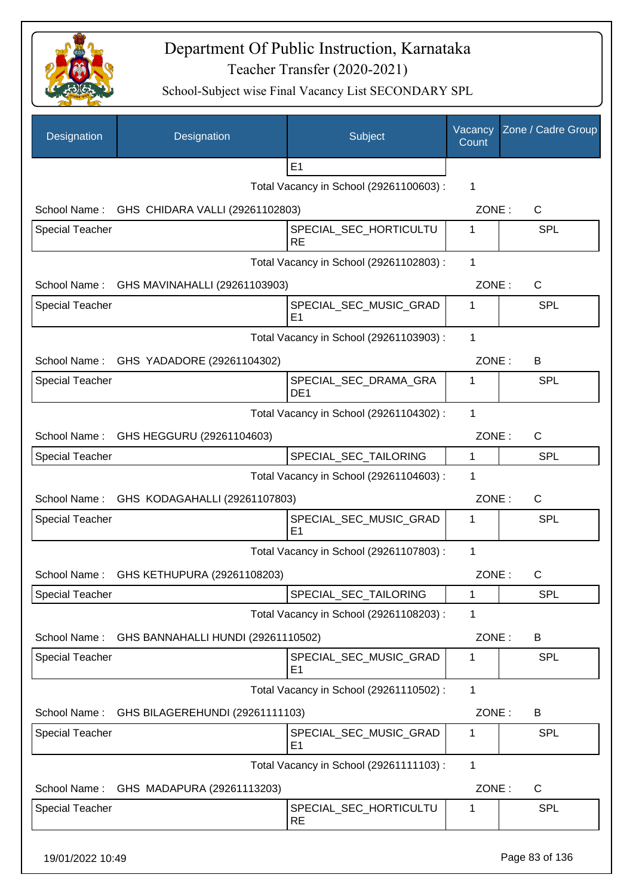

| Designation            | Designation                                  | Subject                                  | Vacancy<br>Count | Zone / Cadre Group |
|------------------------|----------------------------------------------|------------------------------------------|------------------|--------------------|
|                        |                                              | E1                                       |                  |                    |
|                        |                                              | Total Vacancy in School (29261100603) :  | 1                |                    |
|                        | School Name: GHS CHIDARA VALLI (29261102803) |                                          | ZONE:            | C                  |
| <b>Special Teacher</b> |                                              | SPECIAL_SEC_HORTICULTU<br><b>RE</b>      | 1                | SPL                |
|                        |                                              | Total Vacancy in School (29261102803) :  | $\mathbf{1}$     |                    |
|                        | School Name: GHS MAVINAHALLI (29261103903)   |                                          | ZONE:            | C                  |
| <b>Special Teacher</b> |                                              | SPECIAL_SEC_MUSIC_GRAD<br>E <sub>1</sub> | 1                | <b>SPL</b>         |
|                        |                                              | Total Vacancy in School (29261103903) :  | $\mathbf{1}$     |                    |
|                        | School Name: GHS YADADORE (29261104302)      |                                          | ZONE:            | B                  |
| <b>Special Teacher</b> |                                              | SPECIAL_SEC_DRAMA_GRA<br>DE <sub>1</sub> | 1                | <b>SPL</b>         |
|                        |                                              | Total Vacancy in School (29261104302) :  | 1                |                    |
| School Name:           | GHS HEGGURU (29261104603)                    |                                          | ZONE:            | C                  |
| <b>Special Teacher</b> |                                              | SPECIAL_SEC_TAILORING                    | 1                | <b>SPL</b>         |
|                        |                                              | Total Vacancy in School (29261104603) :  | 1                |                    |
|                        | School Name: GHS KODAGAHALLI (29261107803)   |                                          | ZONE:            | $\mathsf{C}$       |
| Special Teacher        |                                              | SPECIAL_SEC_MUSIC_GRAD<br>E1             | 1                | SPL                |
|                        |                                              | Total Vacancy in School (29261107803) :  | 1                |                    |
|                        | School Name: GHS KETHUPURA (29261108203)     |                                          | ZONE:            | C                  |
| <b>Special Teacher</b> |                                              | SPECIAL_SEC_TAILORING                    | 1                | <b>SPL</b>         |
|                        |                                              | Total Vacancy in School (29261108203) :  | 1                |                    |
| School Name:           | GHS BANNAHALLI HUNDI (29261110502)           |                                          | ZONE:            | B                  |
| <b>Special Teacher</b> |                                              | SPECIAL_SEC_MUSIC_GRAD<br>E <sub>1</sub> | 1                | <b>SPL</b>         |
|                        |                                              | Total Vacancy in School (29261110502) :  | $\mathbf{1}$     |                    |
| School Name:           | GHS BILAGEREHUNDI (29261111103)              |                                          | ZONE:            | B                  |
| <b>Special Teacher</b> |                                              | SPECIAL_SEC_MUSIC_GRAD<br>E <sub>1</sub> | 1                | <b>SPL</b>         |
|                        |                                              | Total Vacancy in School (29261111103) :  | $\mathbf{1}$     |                    |
| School Name:           | GHS MADAPURA (29261113203)                   |                                          | ZONE:            | C                  |
| <b>Special Teacher</b> |                                              | SPECIAL_SEC_HORTICULTU<br><b>RE</b>      | 1                | <b>SPL</b>         |
| 19/01/2022 10:49       |                                              |                                          |                  | Page 83 of 136     |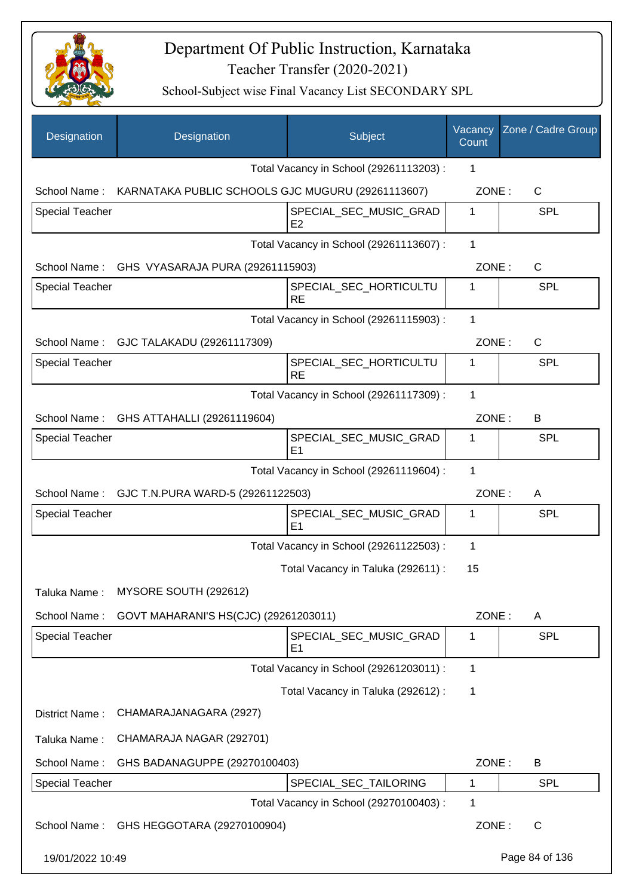

| Designation            | Designation                                                    | Subject                                  | Vacancy<br>Count | Zone / Cadre Group |
|------------------------|----------------------------------------------------------------|------------------------------------------|------------------|--------------------|
|                        |                                                                | Total Vacancy in School (29261113203) :  | 1                |                    |
|                        | School Name: KARNATAKA PUBLIC SCHOOLS GJC MUGURU (29261113607) |                                          | ZONE:            | C                  |
| <b>Special Teacher</b> |                                                                | SPECIAL_SEC_MUSIC_GRAD<br>E <sub>2</sub> | 1                | <b>SPL</b>         |
|                        |                                                                | Total Vacancy in School (29261113607) :  | 1                |                    |
|                        | School Name: GHS VYASARAJA PURA (29261115903)                  |                                          | ZONE:            | $\mathsf{C}$       |
| <b>Special Teacher</b> |                                                                | SPECIAL_SEC_HORTICULTU<br>RE             | 1                | <b>SPL</b>         |
|                        |                                                                | Total Vacancy in School (29261115903) :  | $\mathbf 1$      |                    |
|                        | School Name: GJC TALAKADU (29261117309)                        |                                          | ZONE:            | $\mathsf{C}$       |
| <b>Special Teacher</b> |                                                                | SPECIAL_SEC_HORTICULTU<br><b>RE</b>      | $\mathbf 1$      | <b>SPL</b>         |
|                        |                                                                | Total Vacancy in School (29261117309) :  | 1                |                    |
|                        | School Name: GHS ATTAHALLI (29261119604)                       |                                          | ZONE:            | B                  |
| <b>Special Teacher</b> |                                                                | SPECIAL_SEC_MUSIC_GRAD<br>E1             | 1                | <b>SPL</b>         |
|                        |                                                                | Total Vacancy in School (29261119604) :  | 1                |                    |
|                        | School Name: GJC T.N.PURA WARD-5 (29261122503)                 |                                          | ZONE:            | A                  |
| Special Teacher        |                                                                | SPECIAL_SEC_MUSIC_GRAD<br>E1             | 1                | <b>SPL</b>         |
|                        |                                                                | Total Vacancy in School (29261122503) :  | 1                |                    |
|                        |                                                                | Total Vacancy in Taluka (292611) :       | 15               |                    |
| Taluka Name:           | MYSORE SOUTH (292612)                                          |                                          |                  |                    |
| School Name:           | GOVT MAHARANI'S HS(CJC) (29261203011)                          |                                          | ZONE:            | A                  |
| <b>Special Teacher</b> |                                                                | SPECIAL_SEC_MUSIC_GRAD<br>E <sub>1</sub> | 1                | <b>SPL</b>         |
|                        |                                                                | Total Vacancy in School (29261203011) :  | 1                |                    |
|                        |                                                                | Total Vacancy in Taluka (292612) :       | 1                |                    |
| District Name:         | CHAMARAJANAGARA (2927)                                         |                                          |                  |                    |
| Taluka Name:           | CHAMARAJA NAGAR (292701)                                       |                                          |                  |                    |
| School Name:           | GHS BADANAGUPPE (29270100403)                                  |                                          | ZONE:            | B                  |
| Special Teacher        |                                                                | SPECIAL_SEC_TAILORING                    | 1                | <b>SPL</b>         |
|                        |                                                                | Total Vacancy in School (29270100403) :  | 1                |                    |
| School Name:           | GHS HEGGOTARA (29270100904)                                    |                                          | ZONE:            | C                  |
| 19/01/2022 10:49       |                                                                |                                          |                  | Page 84 of 136     |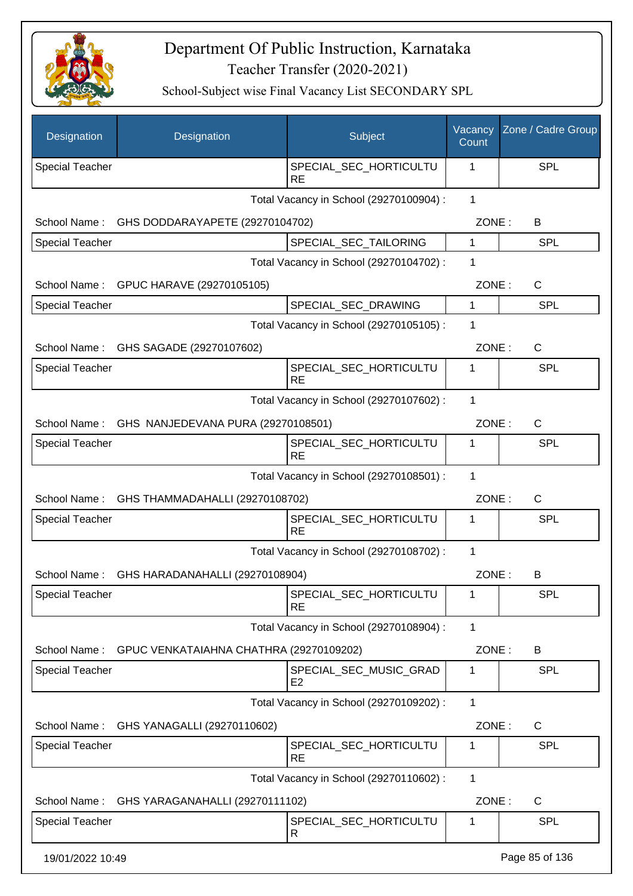

| Designation            | Designation                                     | Subject                                  | Vacancy<br>Count | Zone / Cadre Group |
|------------------------|-------------------------------------------------|------------------------------------------|------------------|--------------------|
| <b>Special Teacher</b> |                                                 | SPECIAL_SEC_HORTICULTU<br><b>RE</b>      | 1                | SPL                |
|                        |                                                 | Total Vacancy in School (29270100904) :  | $\mathbf{1}$     |                    |
| School Name:           | GHS DODDARAYAPETE (29270104702)                 |                                          | ZONE:            | B                  |
| <b>Special Teacher</b> |                                                 | SPECIAL_SEC_TAILORING                    | 1                | SPL                |
|                        |                                                 | Total Vacancy in School (29270104702) :  | 1                |                    |
| School Name:           | GPUC HARAVE (29270105105)                       |                                          | ZONE:            | $\mathsf{C}$       |
| Special Teacher        |                                                 | SPECIAL_SEC_DRAWING                      | 1                | <b>SPL</b>         |
|                        |                                                 | Total Vacancy in School (29270105105) :  | 1                |                    |
| School Name:           | GHS SAGADE (29270107602)                        |                                          | ZONE:            | $\mathsf{C}$       |
| <b>Special Teacher</b> |                                                 | SPECIAL_SEC_HORTICULTU<br><b>RE</b>      | 1                | <b>SPL</b>         |
|                        |                                                 | Total Vacancy in School (29270107602) :  | 1                |                    |
|                        | School Name: GHS NANJEDEVANA PURA (29270108501) |                                          | ZONE:            | $\mathsf{C}$       |
| <b>Special Teacher</b> |                                                 | SPECIAL_SEC_HORTICULTU<br><b>RE</b>      | 1                | SPL                |
|                        |                                                 | Total Vacancy in School (29270108501) :  | 1                |                    |
|                        | School Name: GHS THAMMADAHALLI (29270108702)    |                                          | ZONE:            | $\mathsf{C}$       |
| <b>Special Teacher</b> |                                                 | SPECIAL_SEC_HORTICULTU<br><b>RE</b>      | 1                | SPL                |
|                        |                                                 | Total Vacancy in School (29270108702) :  | 1                |                    |
| School Name:           | GHS HARADANAHALLI (29270108904)                 |                                          | ZONE:            | B                  |
| <b>Special Teacher</b> |                                                 | SPECIAL_SEC_HORTICULTU<br><b>RE</b>      | 1                | <b>SPL</b>         |
|                        |                                                 | Total Vacancy in School (29270108904) :  | 1                |                    |
| School Name:           | GPUC VENKATAIAHNA CHATHRA (29270109202)         |                                          | ZONE:            | B                  |
| <b>Special Teacher</b> |                                                 | SPECIAL_SEC_MUSIC_GRAD<br>E <sub>2</sub> | 1                | SPL                |
|                        |                                                 | Total Vacancy in School (29270109202) :  | $\mathbf{1}$     |                    |
| School Name:           | GHS YANAGALLI (29270110602)                     |                                          | ZONE:            | C                  |
| <b>Special Teacher</b> |                                                 | SPECIAL_SEC_HORTICULTU<br><b>RE</b>      | 1                | SPL                |
|                        |                                                 | Total Vacancy in School (29270110602) :  | 1                |                    |
| School Name:           | GHS YARAGANAHALLI (29270111102)                 |                                          | ZONE:            | $\mathsf{C}$       |
| <b>Special Teacher</b> |                                                 | SPECIAL_SEC_HORTICULTU<br>R              | 1                | <b>SPL</b>         |
| 19/01/2022 10:49       |                                                 |                                          |                  | Page 85 of 136     |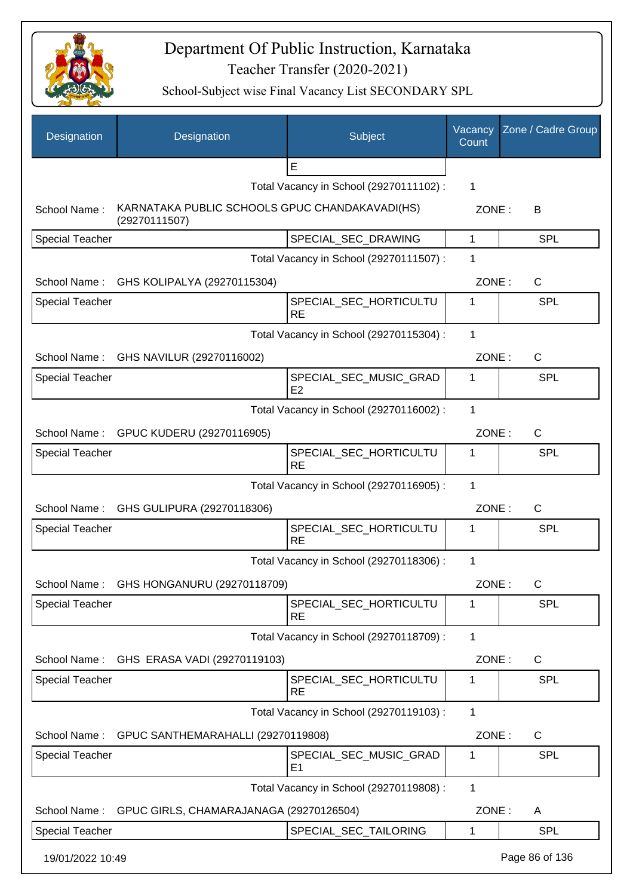

| Designation            | Designation                                                     | Subject                                  | Vacancy<br>Count | Zone / Cadre Group |
|------------------------|-----------------------------------------------------------------|------------------------------------------|------------------|--------------------|
|                        |                                                                 | E                                        |                  |                    |
|                        |                                                                 | Total Vacancy in School (29270111102) :  | 1                |                    |
| School Name:           | KARNATAKA PUBLIC SCHOOLS GPUC CHANDAKAVADI(HS)<br>(29270111507) |                                          | ZONE:            | B                  |
| <b>Special Teacher</b> |                                                                 | SPECIAL_SEC_DRAWING                      | 1                | <b>SPL</b>         |
|                        |                                                                 | Total Vacancy in School (29270111507) :  | 1                |                    |
| School Name:           | GHS KOLIPALYA (29270115304)                                     |                                          | ZONE:            | C                  |
| <b>Special Teacher</b> |                                                                 | SPECIAL_SEC_HORTICULTU<br><b>RE</b>      | 1                | <b>SPL</b>         |
|                        |                                                                 | Total Vacancy in School (29270115304) :  | 1                |                    |
|                        | School Name: GHS NAVILUR (29270116002)                          |                                          | ZONE:            | C                  |
| <b>Special Teacher</b> |                                                                 | SPECIAL_SEC_MUSIC_GRAD<br>E2             | 1                | <b>SPL</b>         |
|                        |                                                                 | Total Vacancy in School (29270116002) :  | 1                |                    |
|                        | School Name: GPUC KUDERU (29270116905)                          |                                          | ZONE:            | $\mathsf{C}$       |
| <b>Special Teacher</b> |                                                                 | SPECIAL_SEC_HORTICULTU<br><b>RE</b>      | 1                | <b>SPL</b>         |
|                        |                                                                 | Total Vacancy in School (29270116905) :  | 1                |                    |
|                        | School Name: GHS GULIPURA (29270118306)                         |                                          | ZONE:            | C                  |
| <b>Special Teacher</b> |                                                                 | SPECIAL_SEC_HORTICULTU<br><b>RE</b>      | 1                | <b>SPL</b>         |
|                        |                                                                 | Total Vacancy in School (29270118306) :  | $\mathbf 1$      |                    |
|                        | School Name: GHS HONGANURU (29270118709)                        |                                          | ZONE:            | C                  |
| <b>Special Teacher</b> |                                                                 | SPECIAL_SEC_HORTICULTU<br><b>RE</b>      | 1                | <b>SPL</b>         |
|                        |                                                                 | Total Vacancy in School (29270118709) :  | 1                |                    |
| School Name:           | GHS ERASA VADI (29270119103)                                    |                                          | ZONE:            | C                  |
| <b>Special Teacher</b> |                                                                 | SPECIAL_SEC_HORTICULTU<br>RE             | 1                | <b>SPL</b>         |
|                        |                                                                 | Total Vacancy in School (29270119103) :  | 1                |                    |
| School Name:           | GPUC SANTHEMARAHALLI (29270119808)                              |                                          | ZONE:            | C                  |
| <b>Special Teacher</b> |                                                                 | SPECIAL_SEC_MUSIC_GRAD<br>E <sub>1</sub> | 1                | <b>SPL</b>         |
|                        |                                                                 | Total Vacancy in School (29270119808) :  | 1                |                    |
| School Name:           | GPUC GIRLS, CHAMARAJANAGA (29270126504)                         |                                          | ZONE:            | A                  |
| <b>Special Teacher</b> |                                                                 | SPECIAL_SEC_TAILORING                    | 1                | <b>SPL</b>         |
| 19/01/2022 10:49       |                                                                 |                                          |                  | Page 86 of 136     |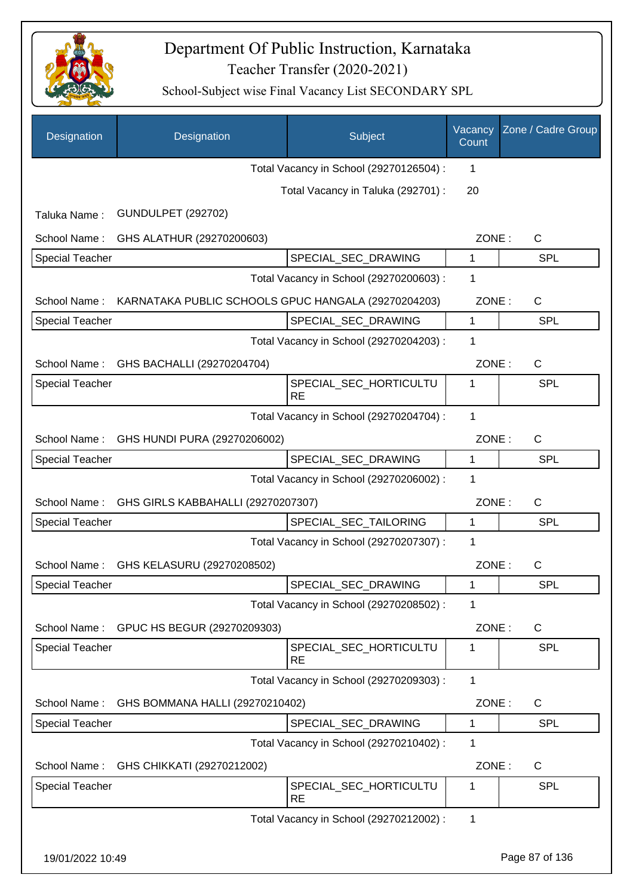

| Designation            | Designation                                         | Subject                                 | Vacancy<br>Count | Zone / Cadre Group |
|------------------------|-----------------------------------------------------|-----------------------------------------|------------------|--------------------|
|                        |                                                     | Total Vacancy in School (29270126504) : | 1                |                    |
|                        |                                                     | Total Vacancy in Taluka (292701) :      | 20               |                    |
| Taluka Name:           | <b>GUNDULPET (292702)</b>                           |                                         |                  |                    |
| School Name:           | GHS ALATHUR (29270200603)                           |                                         | ZONE:            | $\mathsf{C}$       |
| <b>Special Teacher</b> |                                                     | SPECIAL_SEC_DRAWING                     | 1                | <b>SPL</b>         |
|                        |                                                     | Total Vacancy in School (29270200603) : | 1                |                    |
| School Name:           | KARNATAKA PUBLIC SCHOOLS GPUC HANGALA (29270204203) |                                         | ZONE:            | $\mathsf{C}$       |
| <b>Special Teacher</b> |                                                     | SPECIAL_SEC_DRAWING                     | $\mathbf{1}$     | <b>SPL</b>         |
|                        |                                                     | Total Vacancy in School (29270204203) : | 1                |                    |
| School Name:           | GHS BACHALLI (29270204704)                          |                                         | ZONE:            | $\mathsf{C}$       |
| <b>Special Teacher</b> |                                                     | SPECIAL_SEC_HORTICULTU<br><b>RE</b>     | 1                | SPL                |
|                        |                                                     | Total Vacancy in School (29270204704) : | 1                |                    |
| School Name:           | GHS HUNDI PURA (29270206002)                        |                                         | ZONE:            | $\mathsf{C}$       |
| <b>Special Teacher</b> |                                                     | SPECIAL_SEC_DRAWING                     | 1                | SPL                |
|                        |                                                     | Total Vacancy in School (29270206002) : | 1                |                    |
| School Name:           | GHS GIRLS KABBAHALLI (29270207307)                  |                                         | ZONE:            | C                  |
| <b>Special Teacher</b> |                                                     | SPECIAL_SEC_TAILORING                   | 1                | <b>SPL</b>         |
|                        |                                                     | Total Vacancy in School (29270207307) : | 1                |                    |
| School Name:           | GHS KELASURU (29270208502)                          |                                         | ZONE:            | C                  |
| Special Teacher        |                                                     | SPECIAL_SEC_DRAWING                     |                  | <b>SPL</b>         |
|                        |                                                     | Total Vacancy in School (29270208502) : | 1                |                    |
| School Name:           | GPUC HS BEGUR (29270209303)                         |                                         | ZONE:            | $\mathsf{C}$       |
| <b>Special Teacher</b> |                                                     | SPECIAL_SEC_HORTICULTU<br><b>RE</b>     | 1                | <b>SPL</b>         |
|                        |                                                     | Total Vacancy in School (29270209303) : | 1                |                    |
| School Name:           | GHS BOMMANA HALLI (29270210402)                     |                                         | ZONE:            | $\mathsf{C}$       |
| <b>Special Teacher</b> |                                                     | SPECIAL_SEC_DRAWING                     | $\mathbf{1}$     | <b>SPL</b>         |
|                        |                                                     | Total Vacancy in School (29270210402) : | 1                |                    |
| School Name:           | GHS CHIKKATI (29270212002)                          |                                         | ZONE:            | C                  |
| <b>Special Teacher</b> |                                                     | SPECIAL_SEC_HORTICULTU<br><b>RE</b>     | 1                | <b>SPL</b>         |
|                        |                                                     | Total Vacancy in School (29270212002) : | $\mathbf 1$      |                    |
| 19/01/2022 10:49       |                                                     |                                         |                  | Page 87 of 136     |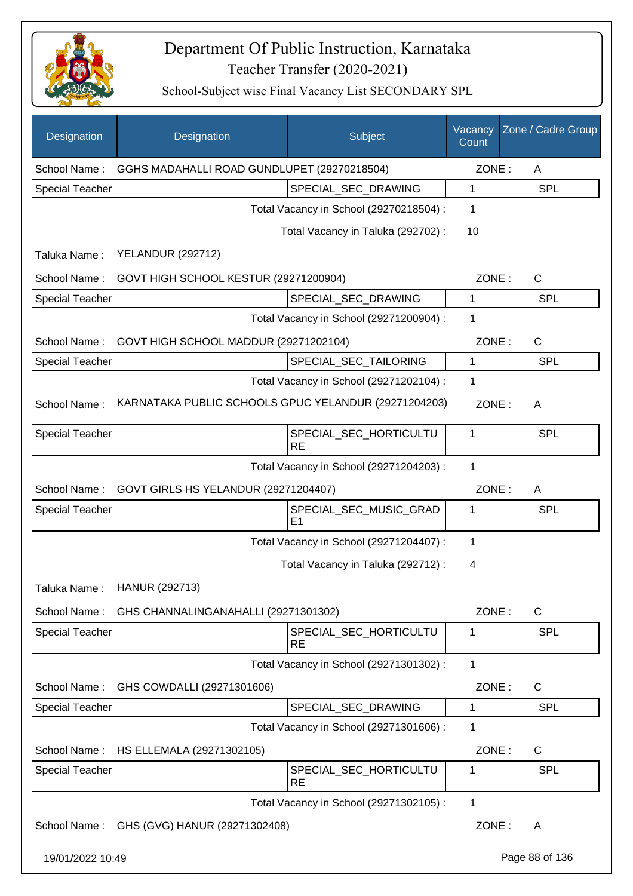

| Designation            | Designation                                          | Subject                                  | Vacancy<br>Count | Zone / Cadre Group |
|------------------------|------------------------------------------------------|------------------------------------------|------------------|--------------------|
| School Name:           | GGHS MADAHALLI ROAD GUNDLUPET (29270218504)          |                                          | ZONE:            | A                  |
| <b>Special Teacher</b> |                                                      | SPECIAL_SEC_DRAWING                      | 1                | <b>SPL</b>         |
|                        |                                                      | Total Vacancy in School (29270218504) :  | 1                |                    |
|                        |                                                      | Total Vacancy in Taluka (292702) :       | 10               |                    |
| Taluka Name:           | <b>YELANDUR (292712)</b>                             |                                          |                  |                    |
| School Name:           | GOVT HIGH SCHOOL KESTUR (29271200904)                |                                          | ZONE:            | $\mathsf{C}$       |
| <b>Special Teacher</b> |                                                      | SPECIAL_SEC_DRAWING                      | 1                | <b>SPL</b>         |
|                        |                                                      | Total Vacancy in School (29271200904) :  | 1                |                    |
| School Name:           | GOVT HIGH SCHOOL MADDUR (29271202104)                |                                          | ZONE:            | $\mathsf{C}$       |
| <b>Special Teacher</b> |                                                      | SPECIAL_SEC_TAILORING                    | 1                | <b>SPL</b>         |
|                        |                                                      | Total Vacancy in School (29271202104) :  | 1                |                    |
| School Name:           | KARNATAKA PUBLIC SCHOOLS GPUC YELANDUR (29271204203) |                                          | ZONE:            | A                  |
| <b>Special Teacher</b> |                                                      | SPECIAL_SEC_HORTICULTU<br><b>RE</b>      | 1                | <b>SPL</b>         |
|                        |                                                      | Total Vacancy in School (29271204203) :  | 1                |                    |
| School Name:           | GOVT GIRLS HS YELANDUR (29271204407)                 |                                          | ZONE:            | A                  |
| <b>Special Teacher</b> |                                                      | SPECIAL_SEC_MUSIC_GRAD<br>E <sub>1</sub> | 1                | <b>SPL</b>         |
|                        |                                                      | Total Vacancy in School (29271204407) :  | 1                |                    |
|                        |                                                      | Total Vacancy in Taluka (292712) :       | 4                |                    |
|                        | Taluka Name: HANUR (292713)                          |                                          |                  |                    |
| School Name:           | GHS CHANNALINGANAHALLI (29271301302)                 |                                          | ZONE:            | $\mathsf C$        |
| <b>Special Teacher</b> |                                                      | SPECIAL_SEC_HORTICULTU<br><b>RE</b>      | 1                | <b>SPL</b>         |
|                        |                                                      | Total Vacancy in School (29271301302) :  | 1                |                    |
| School Name:           | GHS COWDALLI (29271301606)                           |                                          | ZONE:            | C                  |
| <b>Special Teacher</b> |                                                      | SPECIAL_SEC_DRAWING                      | 1                | <b>SPL</b>         |
|                        |                                                      | Total Vacancy in School (29271301606) :  | 1                |                    |
| School Name:           | HS ELLEMALA (29271302105)                            |                                          | ZONE:            | C                  |
| <b>Special Teacher</b> |                                                      | SPECIAL_SEC_HORTICULTU<br><b>RE</b>      | 1                | <b>SPL</b>         |
|                        |                                                      | Total Vacancy in School (29271302105) :  | 1                |                    |
| School Name:           | GHS (GVG) HANUR (29271302408)                        |                                          | ZONE:            | A                  |
| 19/01/2022 10:49       |                                                      |                                          |                  | Page 88 of 136     |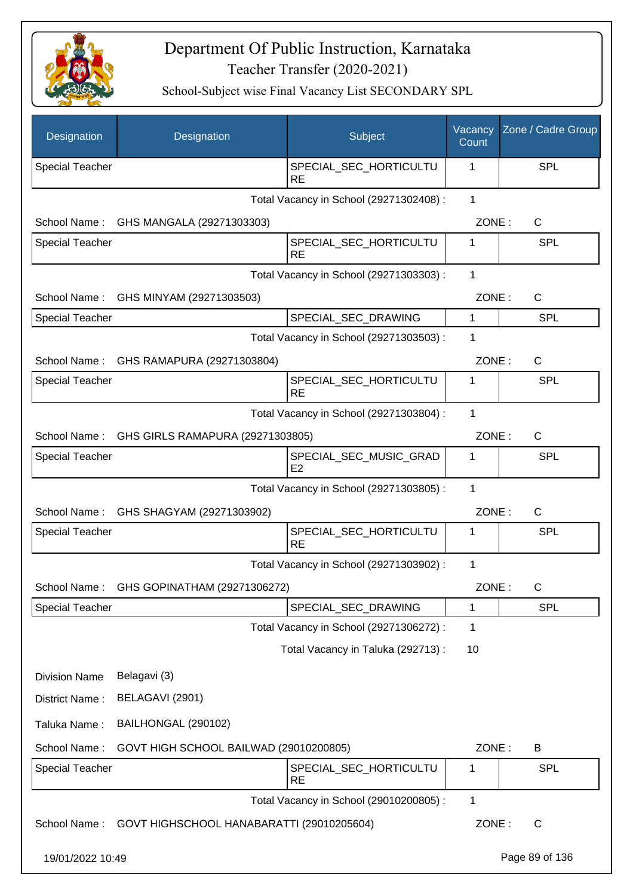

| Designation            | Designation                               | Subject                                  | Vacancy<br>Count | Zone / Cadre Group |
|------------------------|-------------------------------------------|------------------------------------------|------------------|--------------------|
| <b>Special Teacher</b> |                                           | SPECIAL_SEC_HORTICULTU<br><b>RE</b>      | 1                | <b>SPL</b>         |
|                        |                                           | Total Vacancy in School (29271302408) :  | 1                |                    |
| School Name:           | GHS MANGALA (29271303303)                 |                                          | ZONE:            | $\mathsf{C}$       |
| <b>Special Teacher</b> |                                           | SPECIAL_SEC_HORTICULTU<br><b>RE</b>      | 1                | <b>SPL</b>         |
|                        |                                           | Total Vacancy in School (29271303303) :  | 1                |                    |
| School Name:           | GHS MINYAM (29271303503)                  |                                          | ZONE:            | C                  |
| Special Teacher        |                                           | SPECIAL_SEC_DRAWING                      | 1                | <b>SPL</b>         |
|                        |                                           | Total Vacancy in School (29271303503) :  | 1                |                    |
| School Name:           | GHS RAMAPURA (29271303804)                |                                          | ZONE:            | C                  |
| <b>Special Teacher</b> |                                           | SPECIAL_SEC_HORTICULTU<br><b>RE</b>      | 1                | <b>SPL</b>         |
|                        |                                           | Total Vacancy in School (29271303804) :  | 1                |                    |
| School Name:           | GHS GIRLS RAMAPURA (29271303805)          |                                          | ZONE:            | $\mathsf{C}$       |
| <b>Special Teacher</b> |                                           | SPECIAL_SEC_MUSIC_GRAD<br>E <sub>2</sub> | 1                | <b>SPL</b>         |
|                        |                                           | Total Vacancy in School (29271303805) :  | 1                |                    |
| School Name:           | GHS SHAGYAM (29271303902)                 |                                          | ZONE:            | $\mathsf{C}$       |
| <b>Special Teacher</b> |                                           | SPECIAL_SEC_HORTICULTU<br><b>RE</b>      | 1                | <b>SPL</b>         |
|                        |                                           | Total Vacancy in School (29271303902) :  | $\mathbf{1}$     |                    |
|                        | School Name: GHS GOPINATHAM (29271306272) |                                          | ZONE:            | C                  |
| <b>Special Teacher</b> |                                           | SPECIAL SEC DRAWING                      | 1                | <b>SPL</b>         |
|                        |                                           | Total Vacancy in School (29271306272) :  | 1                |                    |
|                        |                                           | Total Vacancy in Taluka (292713) :       | 10               |                    |
| <b>Division Name</b>   | Belagavi (3)                              |                                          |                  |                    |
| District Name:         | BELAGAVI (2901)                           |                                          |                  |                    |
| Taluka Name:           | BAILHONGAL (290102)                       |                                          |                  |                    |
| School Name:           | GOVT HIGH SCHOOL BAILWAD (29010200805)    |                                          | ZONE:            | B                  |
| <b>Special Teacher</b> |                                           | SPECIAL_SEC_HORTICULTU<br><b>RE</b>      | 1                | <b>SPL</b>         |
|                        |                                           | Total Vacancy in School (29010200805) :  | $\mathbf{1}$     |                    |
| School Name:           | GOVT HIGHSCHOOL HANABARATTI (29010205604) |                                          | ZONE:            | $\mathsf{C}$       |
| 19/01/2022 10:49       |                                           |                                          |                  | Page 89 of 136     |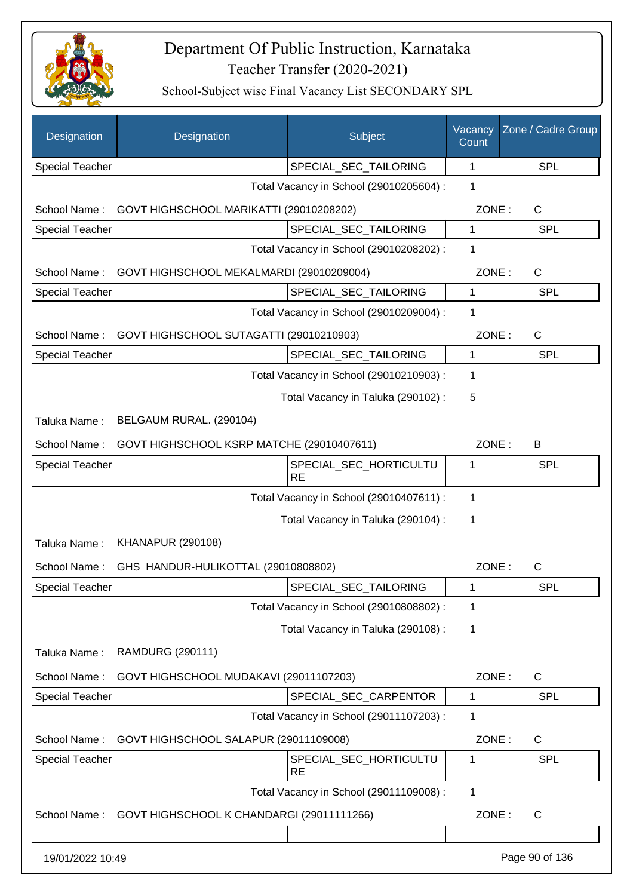

| Designation            | Designation                               | Subject                                 | Vacancy<br>Count | Zone / Cadre Group |
|------------------------|-------------------------------------------|-----------------------------------------|------------------|--------------------|
| <b>Special Teacher</b> |                                           | SPECIAL_SEC_TAILORING                   | $\mathbf 1$      | <b>SPL</b>         |
|                        |                                           | Total Vacancy in School (29010205604) : | 1                |                    |
| School Name:           | GOVT HIGHSCHOOL MARIKATTI (29010208202)   |                                         | ZONE:            | C                  |
| <b>Special Teacher</b> |                                           | SPECIAL_SEC_TAILORING                   | 1                | SPL                |
|                        |                                           | Total Vacancy in School (29010208202) : | 1                |                    |
| School Name:           | GOVT HIGHSCHOOL MEKALMARDI (29010209004)  |                                         | ZONE:            | C                  |
| <b>Special Teacher</b> |                                           | SPECIAL_SEC_TAILORING                   | 1                | <b>SPL</b>         |
|                        |                                           | Total Vacancy in School (29010209004) : | 1                |                    |
| School Name:           | GOVT HIGHSCHOOL SUTAGATTI (29010210903)   |                                         | ZONE:            | C                  |
| Special Teacher        |                                           | SPECIAL_SEC_TAILORING                   | 1                | <b>SPL</b>         |
|                        |                                           | Total Vacancy in School (29010210903) : | 1                |                    |
|                        |                                           | Total Vacancy in Taluka (290102):       | 5                |                    |
| Taluka Name:           | BELGAUM RURAL. (290104)                   |                                         |                  |                    |
| School Name:           | GOVT HIGHSCHOOL KSRP MATCHE (29010407611) |                                         | ZONE:            | B                  |
| <b>Special Teacher</b> |                                           | SPECIAL_SEC_HORTICULTU<br><b>RE</b>     | 1                | <b>SPL</b>         |
|                        |                                           | Total Vacancy in School (29010407611) : | 1                |                    |
|                        |                                           | Total Vacancy in Taluka (290104) :      | 1                |                    |
| Taluka Name:           | <b>KHANAPUR (290108)</b>                  |                                         |                  |                    |
| School Name:           | GHS HANDUR-HULIKOTTAL (29010808802)       |                                         | ZONE:            | C                  |
| Special Teacher        |                                           | SPECIAL_SEC_TAILORING                   | 1                | <b>SPL</b>         |
|                        |                                           | Total Vacancy in School (29010808802) : | 1                |                    |
|                        |                                           | Total Vacancy in Taluka (290108) :      | 1                |                    |
| Taluka Name:           | <b>RAMDURG (290111)</b>                   |                                         |                  |                    |
| School Name:           | GOVT HIGHSCHOOL MUDAKAVI (29011107203)    |                                         | ZONE:            | C                  |
| <b>Special Teacher</b> |                                           | SPECIAL_SEC_CARPENTOR                   | 1                | <b>SPL</b>         |
|                        |                                           | Total Vacancy in School (29011107203) : | 1                |                    |
| School Name:           | GOVT HIGHSCHOOL SALAPUR (29011109008)     |                                         | ZONE:            | C                  |
| Special Teacher        |                                           | SPECIAL_SEC_HORTICULTU<br><b>RE</b>     | 1                | <b>SPL</b>         |
|                        |                                           | Total Vacancy in School (29011109008) : | $\mathbf{1}$     |                    |
| School Name:           | GOVT HIGHSCHOOL K CHANDARGI (29011111266) |                                         | ZONE:            | C                  |
|                        |                                           |                                         |                  |                    |
| 19/01/2022 10:49       |                                           |                                         |                  | Page 90 of 136     |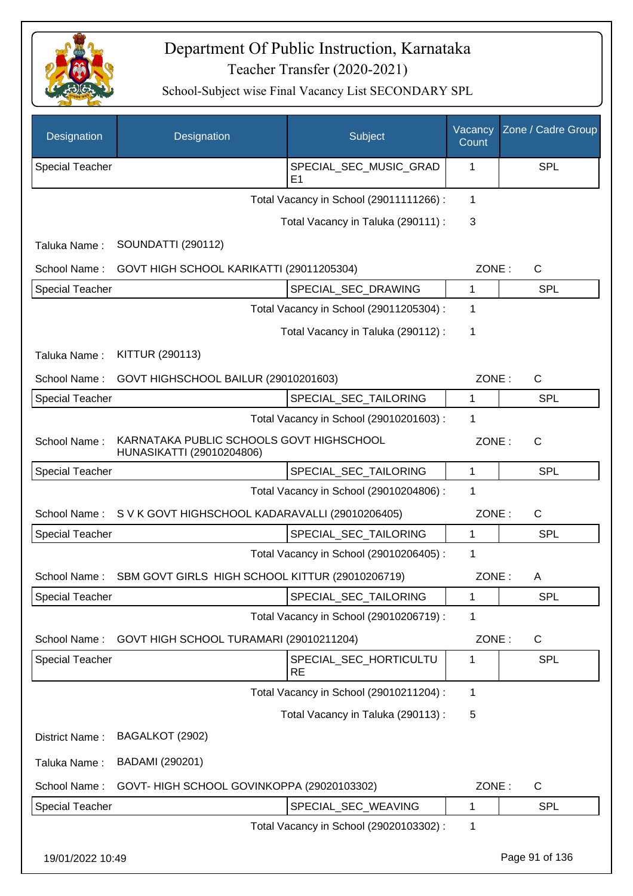

| Designation            | Designation                                                           | Subject                                  | Vacancy<br>Count | Zone / Cadre Group |
|------------------------|-----------------------------------------------------------------------|------------------------------------------|------------------|--------------------|
| <b>Special Teacher</b> |                                                                       | SPECIAL_SEC_MUSIC_GRAD<br>E <sub>1</sub> | 1                | SPL                |
|                        |                                                                       | Total Vacancy in School (29011111266) :  | 1                |                    |
|                        |                                                                       | Total Vacancy in Taluka (290111) :       | 3                |                    |
| Taluka Name:           | <b>SOUNDATTI (290112)</b>                                             |                                          |                  |                    |
| School Name:           | GOVT HIGH SCHOOL KARIKATTI (29011205304)                              |                                          | ZONE:            | C                  |
| <b>Special Teacher</b> |                                                                       | SPECIAL_SEC_DRAWING                      | 1                | <b>SPL</b>         |
|                        |                                                                       | Total Vacancy in School (29011205304) :  | 1                |                    |
|                        |                                                                       | Total Vacancy in Taluka (290112) :       | 1                |                    |
| Taluka Name:           | KITTUR (290113)                                                       |                                          |                  |                    |
| School Name:           | GOVT HIGHSCHOOL BAILUR (29010201603)                                  |                                          | ZONE:            | $\mathsf{C}$       |
| <b>Special Teacher</b> |                                                                       | SPECIAL_SEC_TAILORING                    | 1                | <b>SPL</b>         |
|                        |                                                                       | Total Vacancy in School (29010201603) :  | 1                |                    |
| School Name:           | KARNATAKA PUBLIC SCHOOLS GOVT HIGHSCHOOL<br>HUNASIKATTI (29010204806) |                                          | ZONE:            | C                  |
| <b>Special Teacher</b> |                                                                       | SPECIAL_SEC_TAILORING                    | 1                | SPL                |
|                        |                                                                       | Total Vacancy in School (29010204806) :  | 1                |                    |
| School Name:           | S V K GOVT HIGHSCHOOL KADARAVALLI (29010206405)                       |                                          | ZONE:            | C                  |
| <b>Special Teacher</b> |                                                                       | SPECIAL_SEC_TAILORING                    | 1                | SPL                |
|                        |                                                                       | Total Vacancy in School (29010206405) :  | 1                |                    |
| School Name:           | SBM GOVT GIRLS HIGH SCHOOL KITTUR (29010206719)                       |                                          | ZONE:            | A                  |
| <b>Special Teacher</b> |                                                                       | SPECIAL_SEC_TAILORING                    | 1                | <b>SPL</b>         |
|                        |                                                                       | Total Vacancy in School (29010206719) :  | 1                |                    |
| School Name:           | GOVT HIGH SCHOOL TURAMARI (29010211204)                               |                                          | ZONE:            | C                  |
| <b>Special Teacher</b> |                                                                       | SPECIAL SEC HORTICULTU<br><b>RE</b>      | 1                | <b>SPL</b>         |
|                        |                                                                       | Total Vacancy in School (29010211204) :  | 1                |                    |
|                        |                                                                       | Total Vacancy in Taluka (290113) :       | 5                |                    |
| District Name:         | BAGALKOT (2902)                                                       |                                          |                  |                    |
| Taluka Name:           | BADAMI (290201)                                                       |                                          |                  |                    |
| School Name:           | GOVT-HIGH SCHOOL GOVINKOPPA (29020103302)                             |                                          | ZONE:            | C                  |
| Special Teacher        |                                                                       | SPECIAL_SEC_WEAVING                      | 1                | <b>SPL</b>         |
|                        |                                                                       | Total Vacancy in School (29020103302) :  | 1                |                    |
| 19/01/2022 10:49       |                                                                       |                                          |                  | Page 91 of 136     |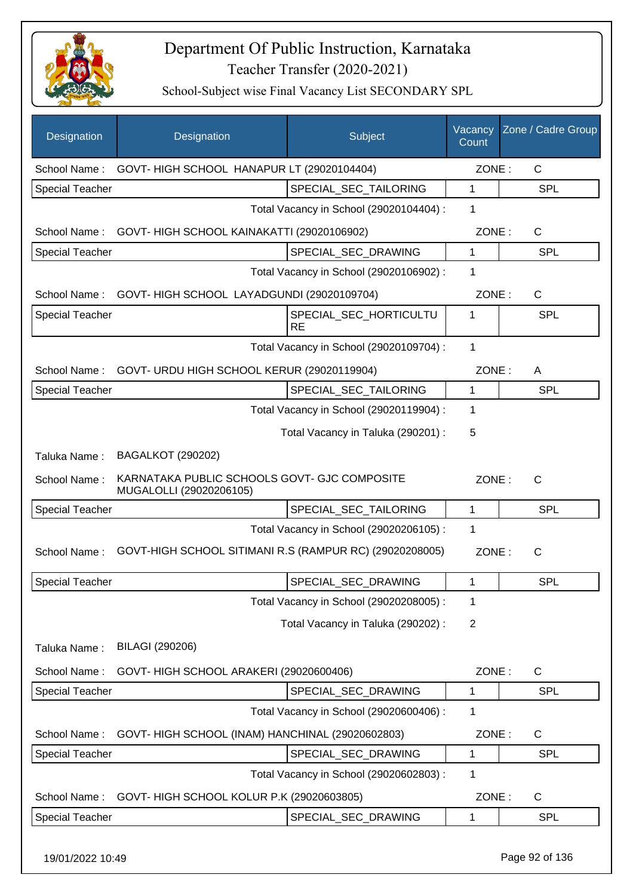

School-Subject wise Final Vacancy List SECONDARY SPL

| Designation            | Designation                                                             | Subject                                 | Vacancy<br>Count | Zone / Cadre Group |
|------------------------|-------------------------------------------------------------------------|-----------------------------------------|------------------|--------------------|
| School Name:           | GOVT-HIGH SCHOOL HANAPUR LT (29020104404)                               |                                         | ZONE:            | $\mathsf{C}$       |
| Special Teacher        |                                                                         | SPECIAL_SEC_TAILORING                   | 1                | <b>SPL</b>         |
|                        |                                                                         | Total Vacancy in School (29020104404) : | 1                |                    |
| School Name:           | GOVT-HIGH SCHOOL KAINAKATTI (29020106902)                               |                                         | ZONE:            | $\mathsf C$        |
| <b>Special Teacher</b> |                                                                         | SPECIAL_SEC_DRAWING                     | 1                | <b>SPL</b>         |
|                        |                                                                         | Total Vacancy in School (29020106902) : | 1                |                    |
| School Name:           | GOVT-HIGH SCHOOL LAYADGUNDI (29020109704)                               |                                         | ZONE:            | $\mathsf{C}$       |
| Special Teacher        |                                                                         | SPECIAL_SEC_HORTICULTU<br><b>RE</b>     | 1                | SPL                |
|                        |                                                                         | Total Vacancy in School (29020109704) : | 1                |                    |
| School Name:           | GOVT- URDU HIGH SCHOOL KERUR (29020119904)                              |                                         | ZONE:            | A                  |
| <b>Special Teacher</b> |                                                                         | SPECIAL_SEC_TAILORING                   | 1                | <b>SPL</b>         |
|                        |                                                                         | Total Vacancy in School (29020119904) : | 1                |                    |
|                        |                                                                         | Total Vacancy in Taluka (290201) :      | 5                |                    |
| Taluka Name:           | <b>BAGALKOT (290202)</b>                                                |                                         |                  |                    |
| School Name:           | KARNATAKA PUBLIC SCHOOLS GOVT- GJC COMPOSITE<br>MUGALOLLI (29020206105) |                                         | ZONE:            | $\mathsf{C}$       |
| Special Teacher        |                                                                         | SPECIAL_SEC_TAILORING                   | 1                | SPL                |
|                        |                                                                         | Total Vacancy in School (29020206105) : | $\mathbf 1$      |                    |
| School Name:           | GOVT-HIGH SCHOOL SITIMANI R.S (RAMPUR RC) (29020208005)                 |                                         | ZONE:            | C                  |
| <b>Special Teacher</b> |                                                                         | SPECIAL SEC DRAWING                     | 1                | <b>SPL</b>         |
|                        |                                                                         | Total Vacancy in School (29020208005) : | 1                |                    |
|                        |                                                                         | Total Vacancy in Taluka (290202):       | $\overline{2}$   |                    |
| Taluka Name:           | BILAGI (290206)                                                         |                                         |                  |                    |
| School Name:           | GOVT- HIGH SCHOOL ARAKERI (29020600406)                                 |                                         | ZONE:            | $\mathsf{C}$       |
| <b>Special Teacher</b> |                                                                         | SPECIAL SEC DRAWING                     | 1                | <b>SPL</b>         |
|                        |                                                                         | Total Vacancy in School (29020600406) : | 1                |                    |
| School Name:           | GOVT-HIGH SCHOOL (INAM) HANCHINAL (29020602803)                         |                                         | ZONE:            | C                  |
| <b>Special Teacher</b> |                                                                         | SPECIAL_SEC_DRAWING                     | 1                | <b>SPL</b>         |
|                        |                                                                         | Total Vacancy in School (29020602803) : | 1                |                    |
| School Name:           | GOVT- HIGH SCHOOL KOLUR P.K (29020603805)                               |                                         | ZONE:            | C                  |
| <b>Special Teacher</b> |                                                                         | SPECIAL_SEC_DRAWING                     | 1                | <b>SPL</b>         |
|                        |                                                                         |                                         |                  |                    |

19/01/2022 10:49 Page 92 of 136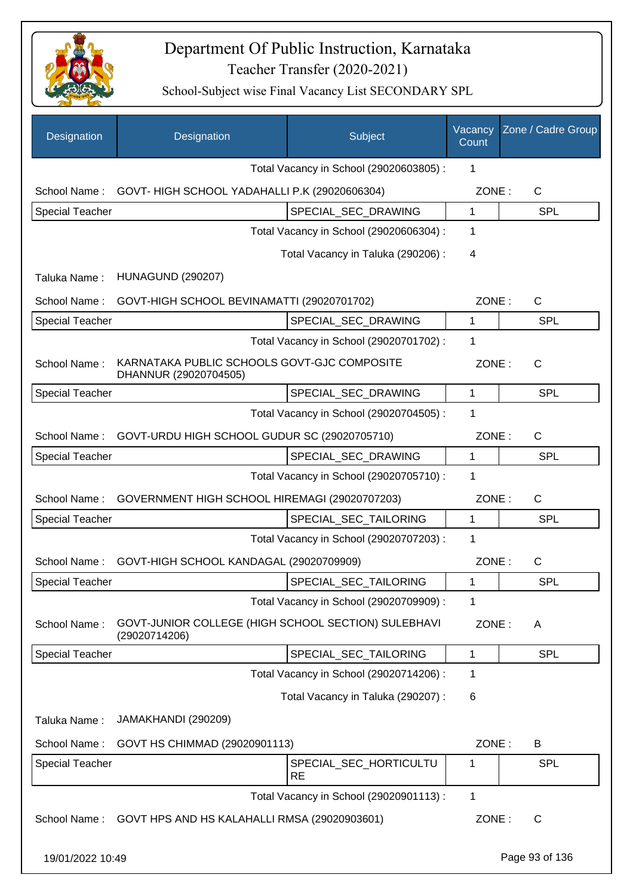

| Designation            | Designation                                                          | Subject                                 | Vacancy<br>Count | Zone / Cadre Group |
|------------------------|----------------------------------------------------------------------|-----------------------------------------|------------------|--------------------|
|                        |                                                                      | Total Vacancy in School (29020603805) : | 1                |                    |
| School Name:           | GOVT-HIGH SCHOOL YADAHALLI P.K (29020606304)                         |                                         | ZONE:            | C                  |
| <b>Special Teacher</b> |                                                                      | SPECIAL SEC DRAWING                     | 1                | SPL                |
|                        |                                                                      | Total Vacancy in School (29020606304) : | 1                |                    |
|                        |                                                                      | Total Vacancy in Taluka (290206) :      | 4                |                    |
| Taluka Name:           | <b>HUNAGUND (290207)</b>                                             |                                         |                  |                    |
| School Name:           | GOVT-HIGH SCHOOL BEVINAMATTI (29020701702)                           |                                         | ZONE:            | $\mathsf C$        |
| <b>Special Teacher</b> |                                                                      | SPECIAL_SEC_DRAWING                     | 1                | <b>SPL</b>         |
|                        |                                                                      | Total Vacancy in School (29020701702) : | 1                |                    |
| School Name:           | KARNATAKA PUBLIC SCHOOLS GOVT-GJC COMPOSITE<br>DHANNUR (29020704505) |                                         | ZONE:            | $\mathsf C$        |
| <b>Special Teacher</b> |                                                                      | SPECIAL_SEC_DRAWING                     | 1                | SPL                |
|                        |                                                                      | Total Vacancy in School (29020704505) : | 1                |                    |
| School Name:           | GOVT-URDU HIGH SCHOOL GUDUR SC (29020705710)                         |                                         | ZONE:            | C                  |
| <b>Special Teacher</b> |                                                                      | SPECIAL SEC DRAWING                     | 1                | <b>SPL</b>         |
|                        |                                                                      | Total Vacancy in School (29020705710) : | 1                |                    |
| School Name:           | GOVERNMENT HIGH SCHOOL HIREMAGI (29020707203)                        |                                         | ZONE:            | $\mathsf C$        |
| <b>Special Teacher</b> |                                                                      | SPECIAL_SEC_TAILORING                   | 1                | <b>SPL</b>         |
|                        |                                                                      | Total Vacancy in School (29020707203) : | 1                |                    |
| School Name:           | GOVT-HIGH SCHOOL KANDAGAL (29020709909)                              |                                         | ZONE:            | C                  |
| <b>Special Teacher</b> |                                                                      | SPECIAL SEC TAILORING                   | 1                | <b>SPL</b>         |
|                        |                                                                      | Total Vacancy in School (29020709909) : | 1                |                    |
| School Name:           | GOVT-JUNIOR COLLEGE (HIGH SCHOOL SECTION) SULEBHAVI<br>(29020714206) |                                         | ZONE:            | A                  |
| <b>Special Teacher</b> |                                                                      | SPECIAL SEC TAILORING                   | 1                | <b>SPL</b>         |
|                        |                                                                      | Total Vacancy in School (29020714206) : | 1                |                    |
|                        |                                                                      | Total Vacancy in Taluka (290207) :      | 6                |                    |
| Taluka Name:           | JAMAKHANDI (290209)                                                  |                                         |                  |                    |
| School Name:           | GOVT HS CHIMMAD (29020901113)                                        |                                         | ZONE:            | B                  |
| Special Teacher        |                                                                      | SPECIAL_SEC_HORTICULTU<br><b>RE</b>     | 1                | SPL                |
|                        |                                                                      | Total Vacancy in School (29020901113) : | 1                |                    |
| School Name:           | GOVT HPS AND HS KALAHALLI RMSA (29020903601)                         |                                         | ZONE:            | C                  |
| 19/01/2022 10:49       |                                                                      |                                         |                  | Page 93 of 136     |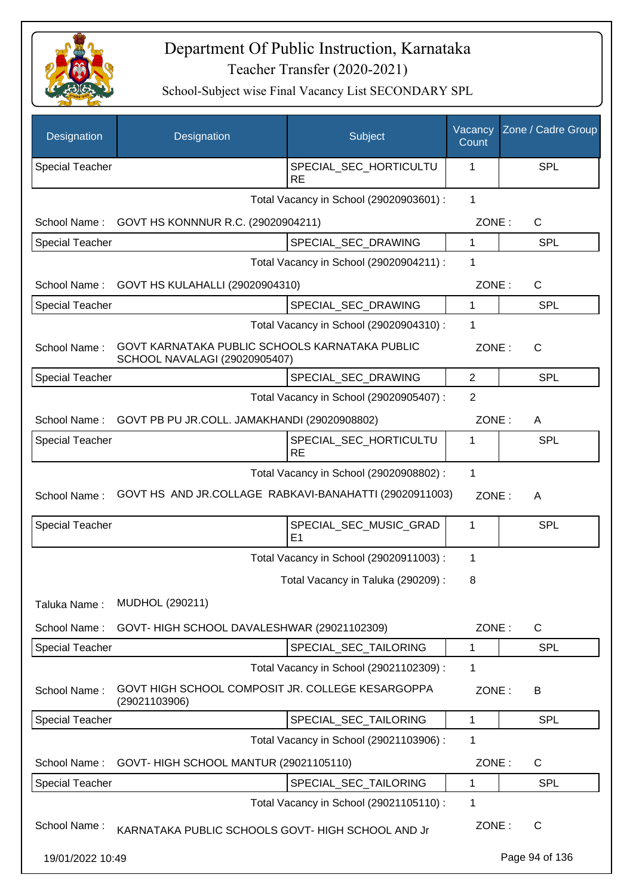

| Designation            | Designation                                                                     | Subject                                  | Vacancy<br>Count | Zone / Cadre Group |
|------------------------|---------------------------------------------------------------------------------|------------------------------------------|------------------|--------------------|
| <b>Special Teacher</b> |                                                                                 | SPECIAL_SEC_HORTICULTU<br><b>RE</b>      | 1                | SPL                |
|                        |                                                                                 | Total Vacancy in School (29020903601) :  | $\mathbf{1}$     |                    |
| School Name:           | GOVT HS KONNNUR R.C. (29020904211)                                              |                                          | ZONE:            | $\mathsf{C}$       |
| Special Teacher        |                                                                                 | SPECIAL_SEC_DRAWING                      | 1                | <b>SPL</b>         |
|                        |                                                                                 | Total Vacancy in School (29020904211) :  | $\mathbf 1$      |                    |
| School Name:           | GOVT HS KULAHALLI (29020904310)                                                 |                                          | ZONE:            | $\mathsf{C}$       |
| <b>Special Teacher</b> |                                                                                 | SPECIAL_SEC_DRAWING                      | $\mathbf 1$      | <b>SPL</b>         |
|                        |                                                                                 | Total Vacancy in School (29020904310) :  | 1                |                    |
| School Name:           | GOVT KARNATAKA PUBLIC SCHOOLS KARNATAKA PUBLIC<br>SCHOOL NAVALAGI (29020905407) |                                          | ZONE:            | $\mathsf{C}$       |
| <b>Special Teacher</b> |                                                                                 | SPECIAL_SEC_DRAWING                      | $\overline{2}$   | <b>SPL</b>         |
|                        |                                                                                 | Total Vacancy in School (29020905407) :  | $\overline{2}$   |                    |
| School Name:           | GOVT PB PU JR.COLL. JAMAKHANDI (29020908802)                                    |                                          | ZONE:            | A                  |
| <b>Special Teacher</b> |                                                                                 | SPECIAL_SEC_HORTICULTU<br><b>RE</b>      | 1                | <b>SPL</b>         |
|                        |                                                                                 | Total Vacancy in School (29020908802) :  | $\mathbf 1$      |                    |
| School Name:           | GOVT HS AND JR.COLLAGE RABKAVI-BANAHATTI (29020911003)                          |                                          | ZONE:            | A                  |
| Special Teacher        |                                                                                 | SPECIAL_SEC_MUSIC_GRAD<br>E <sub>1</sub> | 1                | SPL                |
|                        |                                                                                 | Total Vacancy in School (29020911003) :  | $\mathbf 1$      |                    |
|                        |                                                                                 | Total Vacancy in Taluka (290209):        | 8                |                    |
| Taluka Name:           | MUDHOL (290211)                                                                 |                                          |                  |                    |
| School Name:           | GOVT-HIGH SCHOOL DAVALESHWAR (29021102309)                                      |                                          | ZONE:            | $\mathsf{C}$       |
| <b>Special Teacher</b> |                                                                                 | SPECIAL_SEC_TAILORING                    | 1                | <b>SPL</b>         |
|                        |                                                                                 | Total Vacancy in School (29021102309) :  | $\mathbf 1$      |                    |
| School Name:           | GOVT HIGH SCHOOL COMPOSIT JR. COLLEGE KESARGOPPA<br>(29021103906)               |                                          | ZONE:            | B                  |
| Special Teacher        |                                                                                 | SPECIAL SEC TAILORING                    | 1                | <b>SPL</b>         |
|                        |                                                                                 | Total Vacancy in School (29021103906) :  | $\mathbf 1$      |                    |
| School Name:           | GOVT- HIGH SCHOOL MANTUR (29021105110)                                          |                                          | ZONE:            | C                  |
| <b>Special Teacher</b> |                                                                                 | SPECIAL SEC TAILORING                    | 1                | <b>SPL</b>         |
|                        |                                                                                 | Total Vacancy in School (29021105110) :  | 1                |                    |
| School Name:           | KARNATAKA PUBLIC SCHOOLS GOVT- HIGH SCHOOL AND Jr                               |                                          | ZONE:            | $\mathsf{C}$       |
| 19/01/2022 10:49       |                                                                                 |                                          |                  | Page 94 of 136     |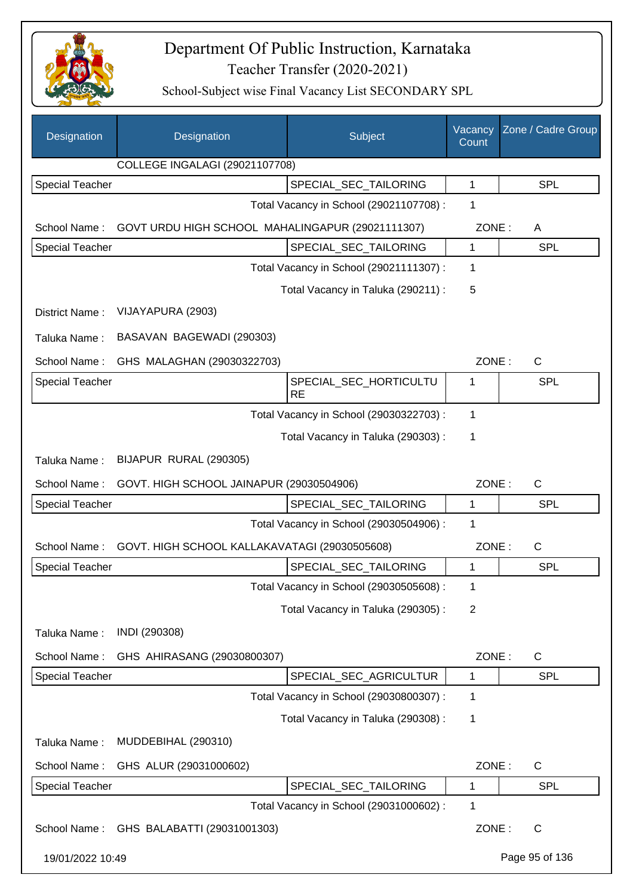

| Designation            | Designation                                      | Subject                                 | Vacancy<br>Count | Zone / Cadre Group |
|------------------------|--------------------------------------------------|-----------------------------------------|------------------|--------------------|
|                        | COLLEGE INGALAGI (29021107708)                   |                                         |                  |                    |
| <b>Special Teacher</b> |                                                  | SPECIAL SEC TAILORING                   | 1                | SPL                |
|                        |                                                  | Total Vacancy in School (29021107708) : | 1                |                    |
| School Name:           | GOVT URDU HIGH SCHOOL MAHALINGAPUR (29021111307) |                                         | ZONE:            | A                  |
| Special Teacher        |                                                  | SPECIAL_SEC_TAILORING                   | 1                | SPL                |
|                        |                                                  | Total Vacancy in School (29021111307) : | 1                |                    |
|                        |                                                  | Total Vacancy in Taluka (290211) :      | 5                |                    |
| District Name:         | VIJAYAPURA (2903)                                |                                         |                  |                    |
| Taluka Name:           | BASAVAN BAGEWADI (290303)                        |                                         |                  |                    |
| School Name:           | GHS MALAGHAN (29030322703)                       |                                         | ZONE:            | $\mathsf{C}$       |
| Special Teacher        |                                                  | SPECIAL_SEC_HORTICULTU<br><b>RE</b>     | 1                | SPL                |
|                        |                                                  | Total Vacancy in School (29030322703) : | 1                |                    |
|                        |                                                  | Total Vacancy in Taluka (290303) :      | 1                |                    |
| Taluka Name:           | BIJAPUR RURAL (290305)                           |                                         |                  |                    |
| School Name:           | GOVT. HIGH SCHOOL JAINAPUR (29030504906)         |                                         | ZONE:            | C                  |
| <b>Special Teacher</b> |                                                  | SPECIAL_SEC_TAILORING                   | 1                | SPL                |
|                        |                                                  | Total Vacancy in School (29030504906) : | 1                |                    |
| School Name:           | GOVT. HIGH SCHOOL KALLAKAVATAGI (29030505608)    |                                         | ZONE:            | $\mathsf C$        |
| Special Teacher        |                                                  | SPECIAL_SEC_TAILORING                   | 1                | SPL                |
|                        |                                                  | Total Vacancy in School (29030505608) : | 1                |                    |
|                        |                                                  | Total Vacancy in Taluka (290305):       | 2                |                    |
| Taluka Name:           | INDI (290308)                                    |                                         |                  |                    |
| School Name:           | GHS AHIRASANG (29030800307)                      |                                         | ZONE:            | C                  |
| <b>Special Teacher</b> |                                                  | SPECIAL_SEC_AGRICULTUR                  | 1                | <b>SPL</b>         |
|                        |                                                  | Total Vacancy in School (29030800307) : | 1                |                    |
|                        |                                                  | Total Vacancy in Taluka (290308):       | 1                |                    |
| Taluka Name:           | MUDDEBIHAL (290310)                              |                                         |                  |                    |
| School Name:           | GHS ALUR (29031000602)                           |                                         | ZONE:            | $\mathsf{C}$       |
| Special Teacher        |                                                  | SPECIAL_SEC_TAILORING                   | 1                | <b>SPL</b>         |
|                        |                                                  | Total Vacancy in School (29031000602) : | 1                |                    |
| School Name:           | GHS BALABATTI (29031001303)                      |                                         | ZONE:            | $\mathsf{C}$       |
| 19/01/2022 10:49       |                                                  |                                         |                  | Page 95 of 136     |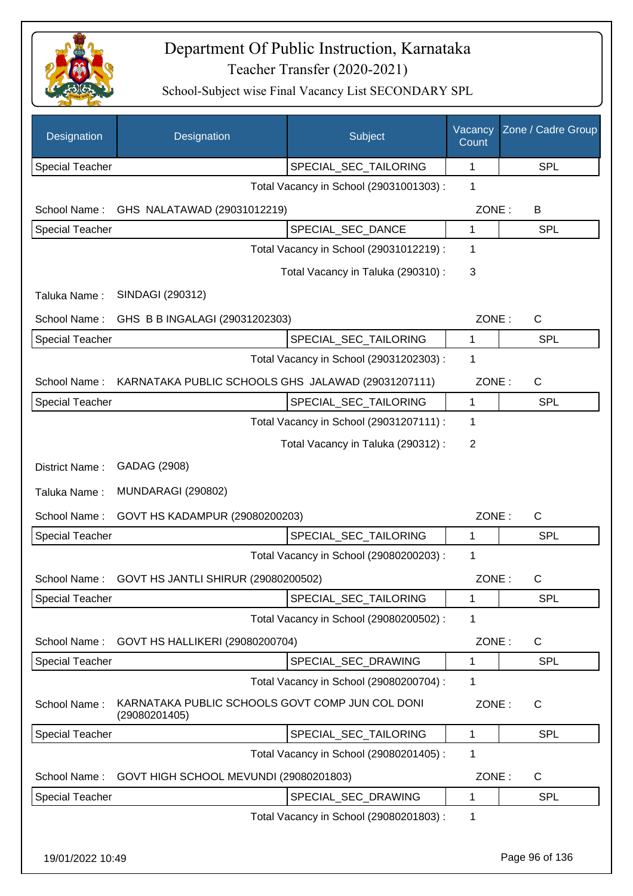

| Designation            | Designation                                                      | Subject                                 | Vacancy<br>Count | Zone / Cadre Group |
|------------------------|------------------------------------------------------------------|-----------------------------------------|------------------|--------------------|
| <b>Special Teacher</b> |                                                                  | SPECIAL_SEC_TAILORING                   | $\mathbf 1$      | <b>SPL</b>         |
|                        |                                                                  | Total Vacancy in School (29031001303) : | 1                |                    |
| School Name:           | GHS NALATAWAD (29031012219)                                      |                                         | ZONE:            | B                  |
| <b>Special Teacher</b> |                                                                  | SPECIAL_SEC_DANCE                       | 1                | <b>SPL</b>         |
|                        |                                                                  | Total Vacancy in School (29031012219) : | 1                |                    |
|                        |                                                                  | Total Vacancy in Taluka (290310) :      | 3                |                    |
| Taluka Name:           | SINDAGI (290312)                                                 |                                         |                  |                    |
| School Name:           | GHS B B INGALAGI (29031202303)                                   |                                         | ZONE:            | $\mathsf C$        |
| <b>Special Teacher</b> |                                                                  | SPECIAL_SEC_TAILORING                   | 1                | <b>SPL</b>         |
|                        |                                                                  | Total Vacancy in School (29031202303) : | 1                |                    |
| School Name:           | KARNATAKA PUBLIC SCHOOLS GHS JALAWAD (29031207111)               |                                         | ZONE:            | C                  |
| Special Teacher        |                                                                  | SPECIAL_SEC_TAILORING                   | $\mathbf{1}$     | <b>SPL</b>         |
|                        |                                                                  | Total Vacancy in School (29031207111) : | 1                |                    |
|                        |                                                                  | Total Vacancy in Taluka (290312) :      | 2                |                    |
| District Name:         | GADAG (2908)                                                     |                                         |                  |                    |
| Taluka Name:           | <b>MUNDARAGI (290802)</b>                                        |                                         |                  |                    |
| School Name:           | GOVT HS KADAMPUR (29080200203)                                   |                                         | ZONE:            | C                  |
| Special Teacher        |                                                                  | SPECIAL_SEC_TAILORING                   | 1                | <b>SPL</b>         |
|                        |                                                                  | Total Vacancy in School (29080200203) : | 1                |                    |
| School Name:           | GOVT HS JANTLI SHIRUR (29080200502)                              |                                         | ZONE:            | C                  |
| Special Teacher        |                                                                  | SPECIAL_SEC_TAILORING                   | 1                | SPL                |
|                        |                                                                  | Total Vacancy in School (29080200502) : | 1                |                    |
| School Name:           | GOVT HS HALLIKERI (29080200704)                                  |                                         | ZONE:            | C                  |
| Special Teacher        |                                                                  | SPECIAL_SEC_DRAWING                     | 1                | <b>SPL</b>         |
|                        |                                                                  | Total Vacancy in School (29080200704) : | 1                |                    |
| School Name:           | KARNATAKA PUBLIC SCHOOLS GOVT COMP JUN COL DONI<br>(29080201405) |                                         | ZONE:            | $\mathsf{C}$       |
| <b>Special Teacher</b> |                                                                  | SPECIAL_SEC_TAILORING                   | $\mathbf{1}$     | <b>SPL</b>         |
|                        |                                                                  | Total Vacancy in School (29080201405) : | 1                |                    |
| School Name:           | GOVT HIGH SCHOOL MEVUNDI (29080201803)                           |                                         | ZONE:            | C                  |
| Special Teacher        |                                                                  | SPECIAL_SEC_DRAWING                     | 1                | SPL                |
|                        |                                                                  | Total Vacancy in School (29080201803) : | 1                |                    |
| 19/01/2022 10:49       |                                                                  |                                         |                  | Page 96 of 136     |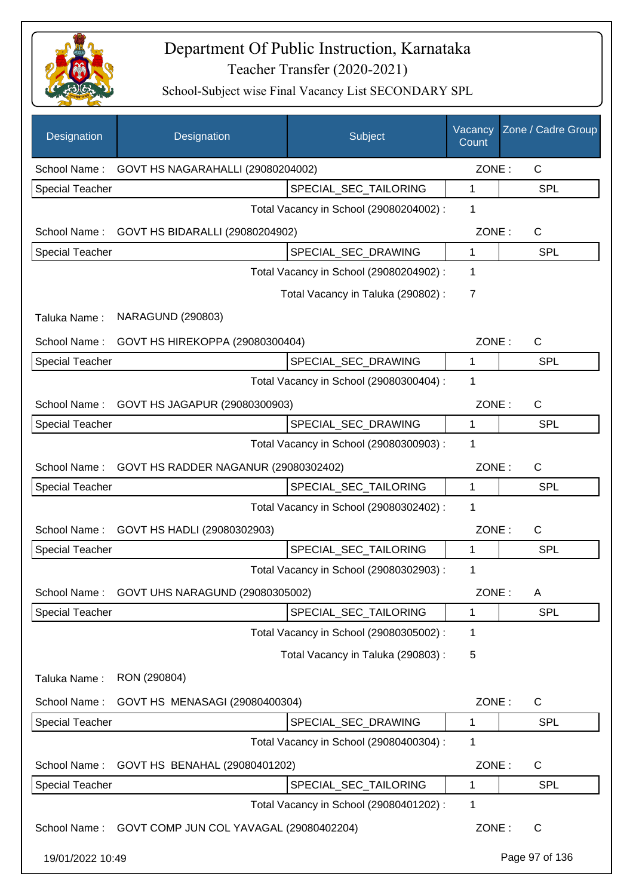

| Designation            | Designation                             | Subject                                 | Vacancy<br>Count | Zone / Cadre Group |
|------------------------|-----------------------------------------|-----------------------------------------|------------------|--------------------|
| School Name:           | GOVT HS NAGARAHALLI (29080204002)       |                                         | ZONE:            | C                  |
| <b>Special Teacher</b> |                                         | SPECIAL_SEC_TAILORING                   | 1                | SPL                |
|                        |                                         | Total Vacancy in School (29080204002) : | 1                |                    |
| School Name:           | GOVT HS BIDARALLI (29080204902)         |                                         | ZONE:            | C                  |
| <b>Special Teacher</b> |                                         | SPECIAL_SEC_DRAWING                     | 1                | <b>SPL</b>         |
|                        |                                         | Total Vacancy in School (29080204902) : | 1                |                    |
|                        |                                         | Total Vacancy in Taluka (290802) :      | 7                |                    |
| Taluka Name:           | <b>NARAGUND (290803)</b>                |                                         |                  |                    |
| School Name:           | GOVT HS HIREKOPPA (29080300404)         |                                         | ZONE:            | C                  |
| <b>Special Teacher</b> |                                         | SPECIAL SEC DRAWING                     | 1                | SPL                |
|                        |                                         | Total Vacancy in School (29080300404) : | 1                |                    |
| School Name:           | GOVT HS JAGAPUR (29080300903)           |                                         | ZONE:            | $\mathsf{C}$       |
| Special Teacher        |                                         | SPECIAL_SEC_DRAWING                     | 1                | <b>SPL</b>         |
|                        |                                         | Total Vacancy in School (29080300903) : | 1                |                    |
| School Name:           | GOVT HS RADDER NAGANUR (29080302402)    |                                         | ZONE:            | C                  |
| <b>Special Teacher</b> |                                         | SPECIAL_SEC_TAILORING                   | 1                | <b>SPL</b>         |
|                        |                                         | Total Vacancy in School (29080302402) : | 1                |                    |
| School Name:           | GOVT HS HADLI (29080302903)             |                                         | ZONE:            | C                  |
| Special Teacher        |                                         | SPECIAL_SEC_TAILORING                   | 1                | SPL                |
|                        |                                         | Total Vacancy in School (29080302903) : | 1                |                    |
| School Name:           | GOVT UHS NARAGUND (29080305002)         |                                         | ZONE:            | Α                  |
| <b>Special Teacher</b> |                                         | SPECIAL_SEC_TAILORING                   | 1                | <b>SPL</b>         |
|                        |                                         | Total Vacancy in School (29080305002) : | 1                |                    |
|                        |                                         | Total Vacancy in Taluka (290803) :      | 5                |                    |
| Taluka Name:           | RON (290804)                            |                                         |                  |                    |
| School Name:           | GOVT HS MENASAGI (29080400304)          |                                         | ZONE:            | C                  |
| Special Teacher        |                                         | SPECIAL SEC DRAWING                     | 1                | <b>SPL</b>         |
|                        |                                         | Total Vacancy in School (29080400304) : | 1                |                    |
| School Name:           | GOVT HS BENAHAL (29080401202)           |                                         | ZONE:            | C                  |
| <b>Special Teacher</b> |                                         | SPECIAL_SEC_TAILORING                   | 1                | <b>SPL</b>         |
|                        |                                         | Total Vacancy in School (29080401202) : | 1                |                    |
| School Name:           | GOVT COMP JUN COL YAVAGAL (29080402204) |                                         | ZONE:            | $\mathsf{C}$       |
| 19/01/2022 10:49       |                                         |                                         |                  | Page 97 of 136     |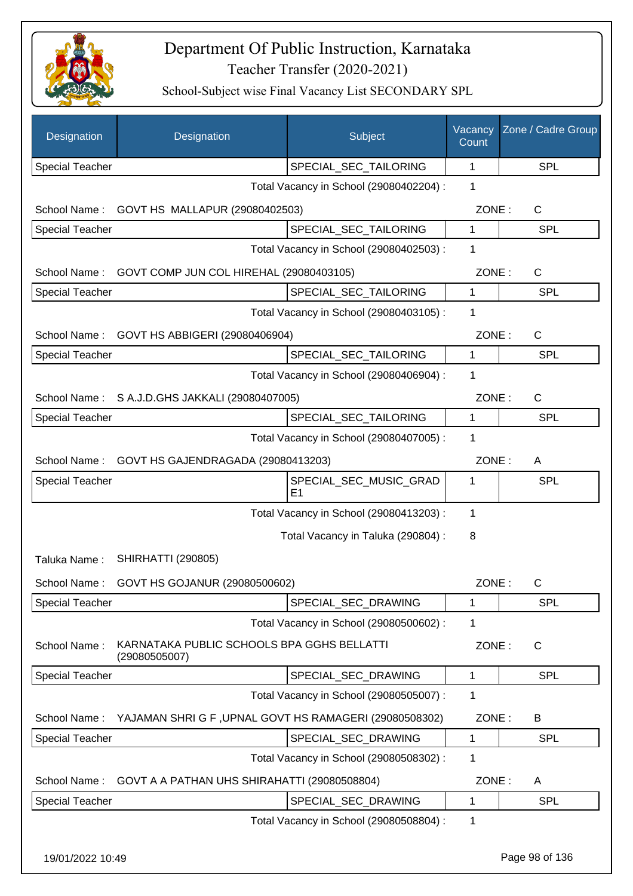

| Designation            | Designation                                                 | Subject                                 | Vacancy<br>Count | Zone / Cadre Group |
|------------------------|-------------------------------------------------------------|-----------------------------------------|------------------|--------------------|
| <b>Special Teacher</b> |                                                             | SPECIAL_SEC_TAILORING                   | 1                | <b>SPL</b>         |
|                        |                                                             | Total Vacancy in School (29080402204) : | 1                |                    |
| School Name:           | GOVT HS MALLAPUR (29080402503)                              |                                         | ZONE:            | C                  |
| <b>Special Teacher</b> |                                                             | SPECIAL_SEC_TAILORING                   | $\mathbf{1}$     | <b>SPL</b>         |
|                        |                                                             | Total Vacancy in School (29080402503) : | 1                |                    |
| School Name:           | GOVT COMP JUN COL HIREHAL (29080403105)                     |                                         | ZONE:            | $\mathsf C$        |
| Special Teacher        |                                                             | SPECIAL_SEC_TAILORING                   | 1                | <b>SPL</b>         |
|                        |                                                             | Total Vacancy in School (29080403105) : | 1                |                    |
| School Name:           | GOVT HS ABBIGERI (29080406904)                              |                                         | ZONE:            | $\mathsf{C}$       |
| Special Teacher        |                                                             | SPECIAL SEC TAILORING                   | $\mathbf{1}$     | <b>SPL</b>         |
|                        |                                                             | Total Vacancy in School (29080406904) : | 1                |                    |
| School Name:           | S A.J.D.GHS JAKKALI (29080407005)                           |                                         | ZONE:            | C                  |
| <b>Special Teacher</b> |                                                             | SPECIAL SEC TAILORING                   | $\mathbf{1}$     | <b>SPL</b>         |
|                        |                                                             | Total Vacancy in School (29080407005) : | 1                |                    |
| School Name:           | GOVT HS GAJENDRAGADA (29080413203)                          |                                         | ZONE:            | A                  |
| <b>Special Teacher</b> |                                                             | SPECIAL_SEC_MUSIC_GRAD                  | 1                | <b>SPL</b>         |
|                        |                                                             | E1                                      |                  |                    |
|                        |                                                             | Total Vacancy in School (29080413203) : | 1                |                    |
|                        |                                                             | Total Vacancy in Taluka (290804) :      | 8                |                    |
| Taluka Name:           | <b>SHIRHATTI (290805)</b>                                   |                                         |                  |                    |
| School Name:           | GOVT HS GOJANUR (29080500602)                               |                                         | ZONE:            | C                  |
| Special Teacher        |                                                             | SPECIAL_SEC_DRAWING                     | 1                | <b>SPL</b>         |
|                        |                                                             | Total Vacancy in School (29080500602) : | 1                |                    |
| School Name:           | KARNATAKA PUBLIC SCHOOLS BPA GGHS BELLATTI<br>(29080505007) |                                         | ZONE:            | $\mathsf{C}$       |
| Special Teacher        |                                                             | SPECIAL_SEC_DRAWING                     | 1                | <b>SPL</b>         |
|                        |                                                             | Total Vacancy in School (29080505007) : | 1                |                    |
| School Name:           | YAJAMAN SHRI G F, UPNAL GOVT HS RAMAGERI (29080508302)      |                                         | ZONE:            | B                  |
| Special Teacher        |                                                             | SPECIAL_SEC_DRAWING                     | 1                | <b>SPL</b>         |
|                        |                                                             | Total Vacancy in School (29080508302) : | 1                |                    |
| School Name:           | GOVT A A PATHAN UHS SHIRAHATTI (29080508804)                |                                         | ZONE:            | A                  |
| Special Teacher        |                                                             | SPECIAL_SEC_DRAWING                     | 1                | <b>SPL</b>         |
|                        |                                                             | Total Vacancy in School (29080508804) : | 1                |                    |
| 19/01/2022 10:49       |                                                             |                                         |                  | Page 98 of 136     |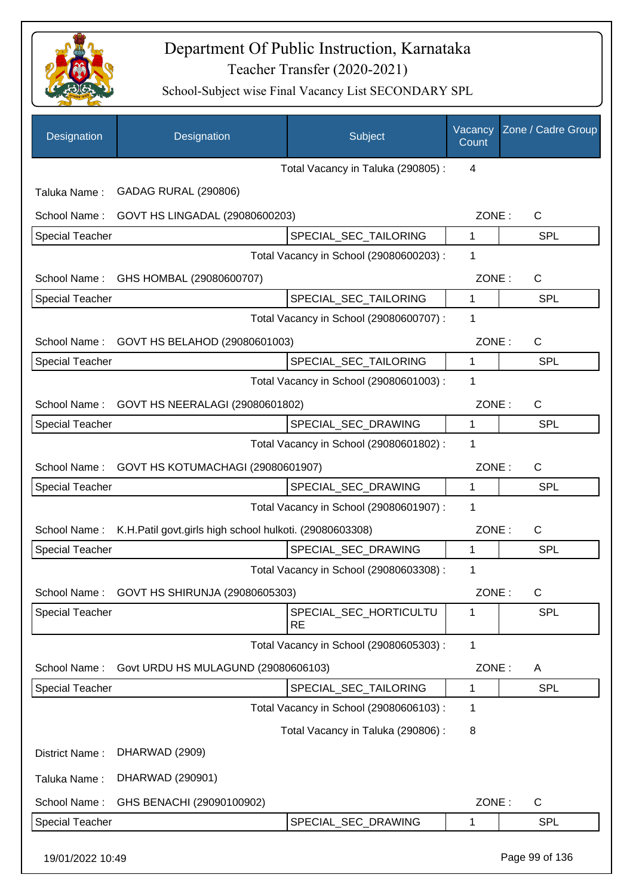

| Designation            | Designation                                             | Subject                                 | Vacancy<br>Count | Zone / Cadre Group |
|------------------------|---------------------------------------------------------|-----------------------------------------|------------------|--------------------|
|                        |                                                         | Total Vacancy in Taluka (290805):       | 4                |                    |
| Taluka Name:           | <b>GADAG RURAL (290806)</b>                             |                                         |                  |                    |
| School Name:           | GOVT HS LINGADAL (29080600203)                          |                                         | ZONE:            | $\mathsf{C}$       |
| <b>Special Teacher</b> |                                                         | SPECIAL_SEC_TAILORING                   | 1                | SPL                |
|                        |                                                         | Total Vacancy in School (29080600203) : | 1                |                    |
|                        | School Name: GHS HOMBAL (29080600707)                   |                                         | ZONE:            | C                  |
| <b>Special Teacher</b> |                                                         | SPECIAL_SEC_TAILORING                   | $\mathbf{1}$     | SPL                |
|                        |                                                         | Total Vacancy in School (29080600707) : | 1                |                    |
|                        | School Name: GOVT HS BELAHOD (29080601003)              |                                         | ZONE:            | $\mathsf{C}$       |
| <b>Special Teacher</b> |                                                         | SPECIAL SEC TAILORING                   | 1                | SPL                |
|                        |                                                         | Total Vacancy in School (29080601003) : | 1                |                    |
| School Name:           | GOVT HS NEERALAGI (29080601802)                         |                                         | ZONE:            | $\mathsf{C}$       |
| <b>Special Teacher</b> |                                                         | SPECIAL_SEC_DRAWING                     | 1                | <b>SPL</b>         |
|                        |                                                         | Total Vacancy in School (29080601802) : | 1                |                    |
| School Name:           | GOVT HS KOTUMACHAGI (29080601907)                       |                                         | ZONE:            | $\mathsf{C}$       |
| <b>Special Teacher</b> |                                                         | SPECIAL_SEC_DRAWING                     | 1                | SPL                |
|                        |                                                         | Total Vacancy in School (29080601907) : | 1                |                    |
| School Name:           | K.H.Patil govt.girls high school hulkoti. (29080603308) |                                         | ZONE:            | $\mathsf{C}$       |
| <b>Special Teacher</b> |                                                         | SPECIAL_SEC_DRAWING                     | 1                | SPL                |
|                        |                                                         | Total Vacancy in School (29080603308) : | 1                |                    |
| School Name:           | GOVT HS SHIRUNJA (29080605303)                          |                                         | ZONE:            | C                  |
| <b>Special Teacher</b> |                                                         | SPECIAL_SEC_HORTICULTU<br><b>RE</b>     | 1                | <b>SPL</b>         |
|                        |                                                         | Total Vacancy in School (29080605303) : | 1                |                    |
| School Name:           | Govt URDU HS MULAGUND (29080606103)                     |                                         | ZONE:            | A                  |
| <b>Special Teacher</b> |                                                         | SPECIAL_SEC_TAILORING                   | 1                | <b>SPL</b>         |
|                        |                                                         | Total Vacancy in School (29080606103) : | 1                |                    |
|                        |                                                         | Total Vacancy in Taluka (290806) :      | 8                |                    |
| District Name:         | DHARWAD (2909)                                          |                                         |                  |                    |
| Taluka Name:           | DHARWAD (290901)                                        |                                         |                  |                    |
| School Name:           | GHS BENACHI (29090100902)                               |                                         | ZONE:            | C                  |
| <b>Special Teacher</b> |                                                         | SPECIAL_SEC_DRAWING                     | 1                | <b>SPL</b>         |
| 19/01/2022 10:49       |                                                         |                                         |                  | Page 99 of 136     |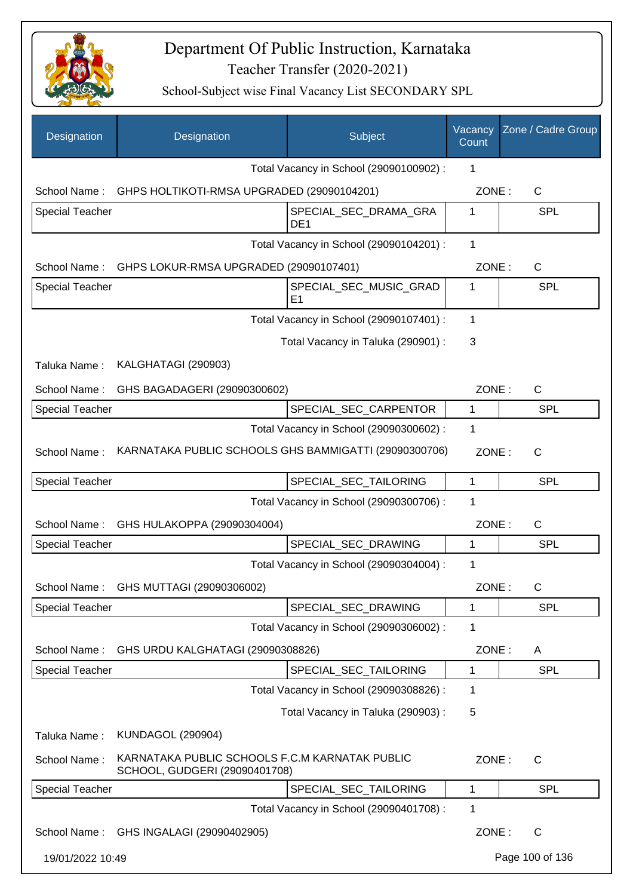

| Designation            | Designation                                                                     | Subject                                  | Vacancy<br>Count | Zone / Cadre Group |
|------------------------|---------------------------------------------------------------------------------|------------------------------------------|------------------|--------------------|
|                        |                                                                                 | Total Vacancy in School (29090100902) :  | 1                |                    |
| School Name:           | GHPS HOLTIKOTI-RMSA UPGRADED (29090104201)                                      |                                          | ZONE:            | C                  |
| <b>Special Teacher</b> |                                                                                 | SPECIAL_SEC_DRAMA_GRA<br>DE <sub>1</sub> | 1                | SPL                |
|                        |                                                                                 | Total Vacancy in School (29090104201) :  | $\mathbf{1}$     |                    |
| School Name:           | GHPS LOKUR-RMSA UPGRADED (29090107401)                                          |                                          | ZONE:            | C                  |
| Special Teacher        |                                                                                 | SPECIAL_SEC_MUSIC_GRAD<br>E <sub>1</sub> | 1                | <b>SPL</b>         |
|                        |                                                                                 | Total Vacancy in School (29090107401) :  | 1                |                    |
|                        |                                                                                 | Total Vacancy in Taluka (290901) :       | 3                |                    |
| Taluka Name:           | KALGHATAGI (290903)                                                             |                                          |                  |                    |
| School Name:           | GHS BAGADAGERI (29090300602)                                                    |                                          | ZONE:            | $\mathsf{C}$       |
| <b>Special Teacher</b> |                                                                                 | SPECIAL_SEC_CARPENTOR                    | 1                | <b>SPL</b>         |
|                        |                                                                                 | Total Vacancy in School (29090300602) :  | 1                |                    |
| School Name:           | KARNATAKA PUBLIC SCHOOLS GHS BAMMIGATTI (29090300706)                           |                                          | ZONE:            | $\mathsf{C}$       |
| <b>Special Teacher</b> |                                                                                 | SPECIAL_SEC_TAILORING                    | 1                | SPL                |
|                        |                                                                                 | Total Vacancy in School (29090300706) :  | 1                |                    |
| School Name:           | GHS HULAKOPPA (29090304004)                                                     |                                          | ZONE:            | C                  |
| <b>Special Teacher</b> |                                                                                 | SPECIAL_SEC_DRAWING                      | 1                | <b>SPL</b>         |
|                        |                                                                                 | Total Vacancy in School (29090304004) :  | 1                |                    |
|                        | School Name: GHS MUTTAGI (29090306002)                                          |                                          | ZONE:            | C                  |
| <b>Special Teacher</b> |                                                                                 | SPECIAL_SEC_DRAWING                      | 1                | <b>SPL</b>         |
|                        |                                                                                 | Total Vacancy in School (29090306002) :  | 1                |                    |
| School Name:           | GHS URDU KALGHATAGI (29090308826)                                               |                                          | ZONE:            | A                  |
| <b>Special Teacher</b> |                                                                                 | SPECIAL_SEC_TAILORING                    | $\mathbf{1}$     | <b>SPL</b>         |
|                        |                                                                                 | Total Vacancy in School (29090308826) :  | 1                |                    |
|                        |                                                                                 | Total Vacancy in Taluka (290903) :       | 5                |                    |
| Taluka Name:           | <b>KUNDAGOL (290904)</b>                                                        |                                          |                  |                    |
| School Name:           | KARNATAKA PUBLIC SCHOOLS F.C.M KARNATAK PUBLIC<br>SCHOOL, GUDGERI (29090401708) |                                          | ZONE:            | $\mathsf{C}$       |
| Special Teacher        |                                                                                 | SPECIAL_SEC_TAILORING                    | 1                | <b>SPL</b>         |
|                        |                                                                                 | Total Vacancy in School (29090401708) :  | 1                |                    |
| School Name:           | GHS INGALAGI (29090402905)                                                      |                                          | ZONE:            | $\mathsf{C}$       |
| 19/01/2022 10:49       |                                                                                 |                                          |                  | Page 100 of 136    |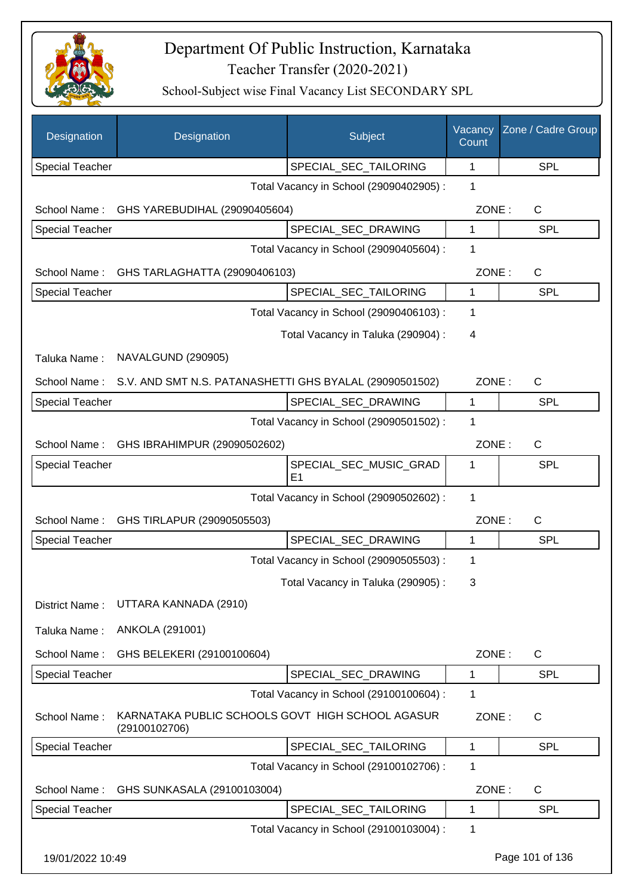

| Designation            | Designation                                                       | Subject                                 | Vacancy<br>Count | Zone / Cadre Group |
|------------------------|-------------------------------------------------------------------|-----------------------------------------|------------------|--------------------|
| <b>Special Teacher</b> |                                                                   | SPECIAL_SEC_TAILORING                   | 1                | <b>SPL</b>         |
|                        |                                                                   | Total Vacancy in School (29090402905) : | 1                |                    |
| School Name:           | GHS YAREBUDIHAL (29090405604)                                     |                                         | ZONE:            | C                  |
| Special Teacher        |                                                                   | SPECIAL_SEC_DRAWING                     | $\mathbf{1}$     | <b>SPL</b>         |
|                        |                                                                   | Total Vacancy in School (29090405604) : | 1                |                    |
| School Name:           | GHS TARLAGHATTA (29090406103)                                     |                                         | ZONE:            | $\mathsf{C}$       |
| Special Teacher        |                                                                   | SPECIAL_SEC_TAILORING                   | 1                | <b>SPL</b>         |
|                        |                                                                   | Total Vacancy in School (29090406103) : | 1                |                    |
|                        |                                                                   | Total Vacancy in Taluka (290904) :      | 4                |                    |
| Taluka Name:           | NAVALGUND (290905)                                                |                                         |                  |                    |
| School Name:           | S.V. AND SMT N.S. PATANASHETTI GHS BYALAL (29090501502)           |                                         | ZONE:            | $\mathsf{C}$       |
| Special Teacher        |                                                                   | SPECIAL_SEC_DRAWING                     | 1                | <b>SPL</b>         |
|                        |                                                                   | Total Vacancy in School (29090501502) : | 1                |                    |
| School Name:           | GHS IBRAHIMPUR (29090502602)                                      |                                         | ZONE:            | $\mathsf{C}$       |
| Special Teacher        |                                                                   | SPECIAL_SEC_MUSIC_GRAD                  | 1                | <b>SPL</b>         |
|                        |                                                                   | E <sub>1</sub>                          |                  |                    |
|                        |                                                                   | Total Vacancy in School (29090502602) : | 1                |                    |
| School Name:           | GHS TIRLAPUR (29090505503)                                        |                                         | ZONE:            | $\mathsf{C}$       |
| Special Teacher        |                                                                   | SPECIAL_SEC_DRAWING                     | 1                | <b>SPL</b>         |
|                        |                                                                   | Total Vacancy in School (29090505503) : | 1                |                    |
|                        |                                                                   | Total Vacancy in Taluka (290905):       | 3                |                    |
| District Name:         | UTTARA KANNADA (2910)                                             |                                         |                  |                    |
| Taluka Name:           | ANKOLA (291001)                                                   |                                         |                  |                    |
| School Name:           | GHS BELEKERI (29100100604)                                        |                                         | ZONE:            | $\mathsf{C}$       |
| Special Teacher        |                                                                   | SPECIAL_SEC_DRAWING                     | 1                | <b>SPL</b>         |
|                        |                                                                   | Total Vacancy in School (29100100604) : | 1                |                    |
| School Name:           | KARNATAKA PUBLIC SCHOOLS GOVT HIGH SCHOOL AGASUR<br>(29100102706) |                                         | ZONE:            | $\mathsf{C}$       |
| Special Teacher        |                                                                   | SPECIAL_SEC_TAILORING                   | 1                | <b>SPL</b>         |
|                        |                                                                   | Total Vacancy in School (29100102706) : | 1                |                    |
| School Name:           | GHS SUNKASALA (29100103004)                                       |                                         | ZONE:            | $\mathsf{C}$       |
| Special Teacher        |                                                                   | SPECIAL_SEC_TAILORING                   | 1                | <b>SPL</b>         |
|                        |                                                                   | Total Vacancy in School (29100103004) : | 1                |                    |
| 19/01/2022 10:49       |                                                                   |                                         |                  | Page 101 of 136    |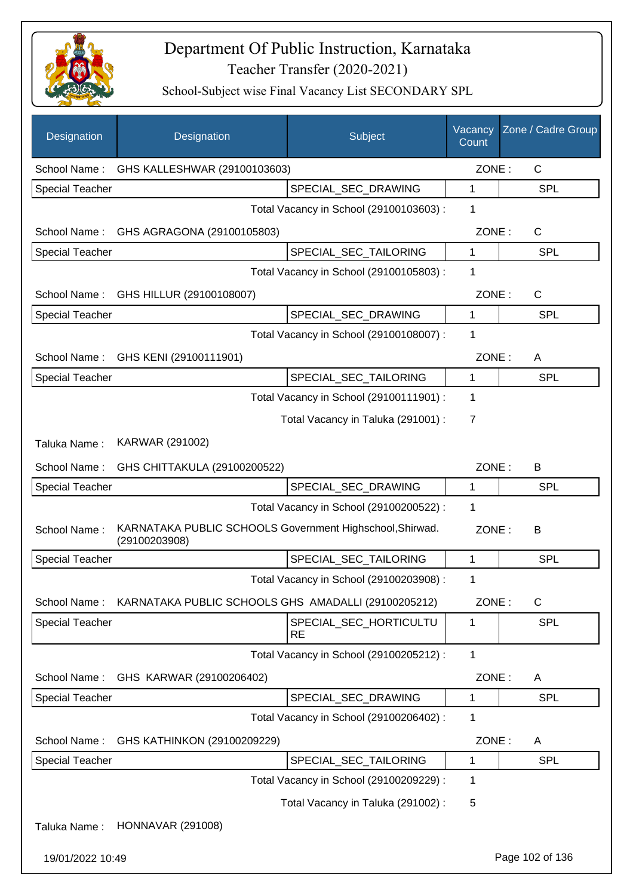

| Designation            | Designation                                                               | Subject                                 | Vacancy<br>Count | Zone / Cadre Group |
|------------------------|---------------------------------------------------------------------------|-----------------------------------------|------------------|--------------------|
| School Name:           | GHS KALLESHWAR (29100103603)                                              |                                         | ZONE:            | C                  |
| Special Teacher        |                                                                           | SPECIAL_SEC_DRAWING                     | 1                | SPL                |
|                        |                                                                           | Total Vacancy in School (29100103603) : | 1                |                    |
| School Name:           | GHS AGRAGONA (29100105803)                                                |                                         | ZONE:            | C                  |
| <b>Special Teacher</b> |                                                                           | SPECIAL_SEC_TAILORING                   | 1                | <b>SPL</b>         |
|                        |                                                                           | Total Vacancy in School (29100105803) : | 1                |                    |
| School Name:           | GHS HILLUR (29100108007)                                                  |                                         | ZONE:            | $\mathsf C$        |
| <b>Special Teacher</b> |                                                                           | SPECIAL_SEC_DRAWING                     | 1                | <b>SPL</b>         |
|                        |                                                                           | Total Vacancy in School (29100108007) : | 1                |                    |
| School Name:           | GHS KENI (29100111901)                                                    |                                         | ZONE:            | A                  |
| <b>Special Teacher</b> |                                                                           | SPECIAL_SEC_TAILORING                   | 1                | SPL                |
|                        |                                                                           | Total Vacancy in School (29100111901) : | 1                |                    |
|                        |                                                                           | Total Vacancy in Taluka (291001) :      | 7                |                    |
| Taluka Name:           | KARWAR (291002)                                                           |                                         |                  |                    |
| School Name:           | GHS CHITTAKULA (29100200522)                                              |                                         | ZONE:            | B                  |
| <b>Special Teacher</b> |                                                                           | SPECIAL_SEC_DRAWING                     | 1                | <b>SPL</b>         |
|                        |                                                                           | Total Vacancy in School (29100200522) : | 1                |                    |
| School Name:           | KARNATAKA PUBLIC SCHOOLS Government Highschool, Shirwad.<br>(29100203908) |                                         | ZONE:            | В                  |
| <b>Special Teacher</b> |                                                                           | SPECIAL_SEC_TAILORING                   | 1                | SPL                |
|                        |                                                                           | Total Vacancy in School (29100203908) : | 1                |                    |
| School Name:           | KARNATAKA PUBLIC SCHOOLS GHS AMADALLI (29100205212)                       |                                         | ZONE:            | C                  |
| <b>Special Teacher</b> |                                                                           | SPECIAL_SEC_HORTICULTU<br><b>RE</b>     | 1                | <b>SPL</b>         |
|                        |                                                                           | Total Vacancy in School (29100205212) : | 1                |                    |
| School Name:           | GHS KARWAR (29100206402)                                                  |                                         | ZONE:            | A                  |
| <b>Special Teacher</b> |                                                                           | SPECIAL_SEC_DRAWING                     | 1                | <b>SPL</b>         |
|                        |                                                                           | Total Vacancy in School (29100206402) : | 1                |                    |
| School Name:           | GHS KATHINKON (29100209229)                                               |                                         | ZONE:            | A                  |
| Special Teacher        |                                                                           | SPECIAL_SEC_TAILORING                   | 1                | <b>SPL</b>         |
|                        |                                                                           | Total Vacancy in School (29100209229) : | 1                |                    |
|                        |                                                                           | Total Vacancy in Taluka (291002):       | 5                |                    |
| Taluka Name:           | <b>HONNAVAR (291008)</b>                                                  |                                         |                  |                    |
| 19/01/2022 10:49       |                                                                           |                                         |                  | Page 102 of 136    |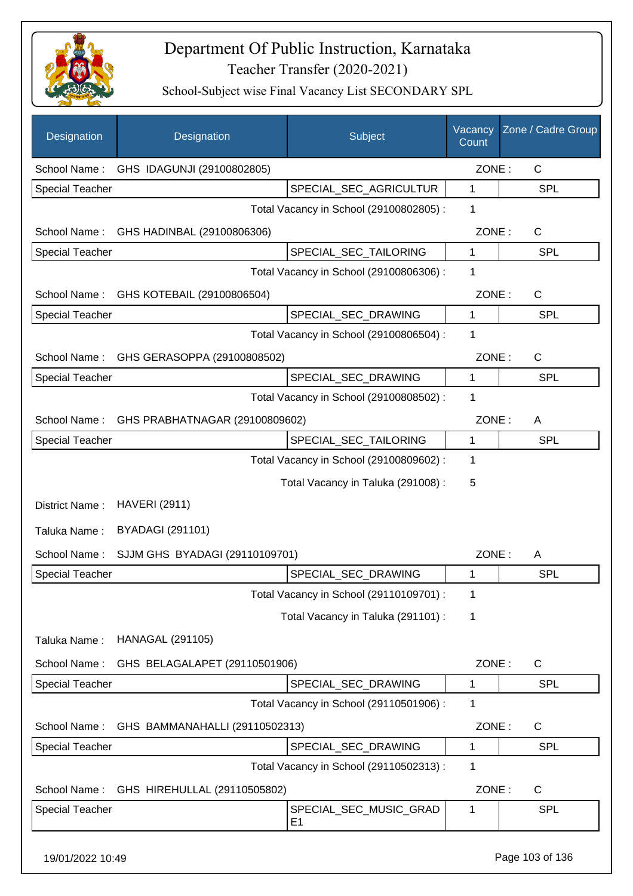

| Designation            | Designation                                 | Subject                                 | Vacancy<br>Count | Zone / Cadre Group |
|------------------------|---------------------------------------------|-----------------------------------------|------------------|--------------------|
| School Name:           | GHS IDAGUNJI (29100802805)                  |                                         | ZONE:            | $\mathsf{C}$       |
| <b>Special Teacher</b> |                                             | SPECIAL_SEC_AGRICULTUR                  | 1                | <b>SPL</b>         |
|                        |                                             | Total Vacancy in School (29100802805) : | 1                |                    |
| School Name:           | GHS HADINBAL (29100806306)                  |                                         | ZONE:            | $\mathsf{C}$       |
| <b>Special Teacher</b> |                                             | SPECIAL_SEC_TAILORING                   | $\mathbf{1}$     | <b>SPL</b>         |
|                        |                                             | Total Vacancy in School (29100806306) : | 1                |                    |
|                        | School Name: GHS KOTEBAIL (29100806504)     |                                         | ZONE:            | $\mathsf{C}$       |
| <b>Special Teacher</b> |                                             | SPECIAL_SEC_DRAWING                     | 1                | <b>SPL</b>         |
|                        |                                             | Total Vacancy in School (29100806504) : | 1                |                    |
| School Name:           | GHS GERASOPPA (29100808502)                 |                                         | ZONE:            | $\mathsf{C}$       |
| <b>Special Teacher</b> |                                             | SPECIAL_SEC_DRAWING                     | 1                | <b>SPL</b>         |
|                        |                                             | Total Vacancy in School (29100808502) : | 1                |                    |
|                        | School Name: GHS PRABHATNAGAR (29100809602) |                                         | ZONE:            | A                  |
| <b>Special Teacher</b> |                                             | SPECIAL_SEC_TAILORING                   | $\mathbf{1}$     | SPL                |
|                        |                                             | Total Vacancy in School (29100809602) : | 1                |                    |
|                        |                                             | Total Vacancy in Taluka (291008) :      | 5                |                    |
| District Name:         | <b>HAVERI (2911)</b>                        |                                         |                  |                    |
| Taluka Name:           | <b>BYADAGI (291101)</b>                     |                                         |                  |                    |
| School Name:           | SJJM GHS BYADAGI (29110109701)              |                                         | ZONE:            | A                  |
| <b>Special Teacher</b> |                                             | SPECIAL_SEC_DRAWING                     | 1                | SPL                |
|                        |                                             | Total Vacancy in School (29110109701) : | 1                |                    |
|                        |                                             | Total Vacancy in Taluka (291101) :      | 1                |                    |
| Taluka Name:           | <b>HANAGAL (291105)</b>                     |                                         |                  |                    |
| School Name:           | GHS BELAGALAPET (29110501906)               |                                         | ZONE:            | $\mathsf{C}$       |
| <b>Special Teacher</b> |                                             | SPECIAL_SEC_DRAWING                     | $\mathbf 1$      | <b>SPL</b>         |
|                        |                                             | Total Vacancy in School (29110501906) : | 1                |                    |
| School Name:           | GHS BAMMANAHALLI (29110502313)              |                                         | ZONE:            | C                  |
| <b>Special Teacher</b> |                                             | SPECIAL_SEC_DRAWING                     | 1                | SPL                |
|                        |                                             | Total Vacancy in School (29110502313) : | 1                |                    |
| School Name:           | GHS HIREHULLAL (29110505802)                |                                         | ZONE:            | C                  |
| <b>Special Teacher</b> |                                             | SPECIAL_SEC_MUSIC_GRAD<br>E1            | 1                | <b>SPL</b>         |
| 19/01/2022 10:49       |                                             |                                         |                  | Page 103 of 136    |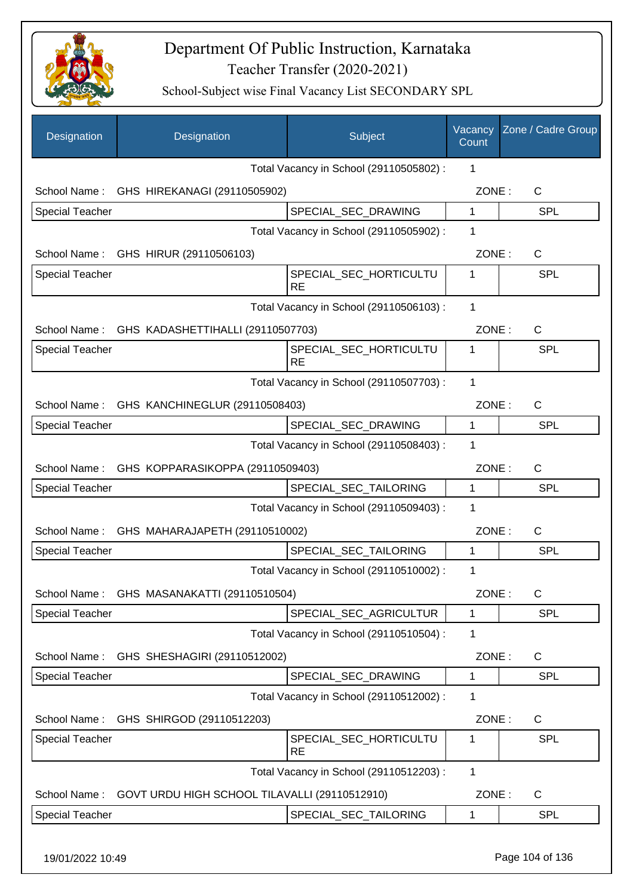

| Designation            | Designation                                    | Subject                                 | Vacancy<br>Count | Zone / Cadre Group |
|------------------------|------------------------------------------------|-----------------------------------------|------------------|--------------------|
|                        |                                                | Total Vacancy in School (29110505802) : | 1                |                    |
|                        | School Name: GHS HIREKANAGI (29110505902)      |                                         | ZONE:            | C                  |
| <b>Special Teacher</b> |                                                | SPECIAL_SEC_DRAWING                     | 1                | SPL                |
|                        |                                                | Total Vacancy in School (29110505902) : | 1                |                    |
|                        | School Name: GHS HIRUR (29110506103)           |                                         | ZONE:            | C                  |
| <b>Special Teacher</b> |                                                | SPECIAL_SEC_HORTICULTU<br><b>RE</b>     | 1                | SPL                |
|                        |                                                | Total Vacancy in School (29110506103) : | 1                |                    |
|                        | School Name: GHS KADASHETTIHALLI (29110507703) |                                         | ZONE:            | C                  |
| <b>Special Teacher</b> |                                                | SPECIAL_SEC_HORTICULTU<br><b>RE</b>     | 1                | <b>SPL</b>         |
|                        |                                                | Total Vacancy in School (29110507703) : | 1                |                    |
|                        | School Name: GHS KANCHINEGLUR (29110508403)    |                                         | ZONE:            | C                  |
| Special Teacher        |                                                | SPECIAL_SEC_DRAWING                     | 1                | <b>SPL</b>         |
|                        |                                                | Total Vacancy in School (29110508403) : | 1                |                    |
| School Name:           | GHS KOPPARASIKOPPA (29110509403)               |                                         | ZONE:            | C                  |
| <b>Special Teacher</b> |                                                | SPECIAL_SEC_TAILORING                   | $\mathbf{1}$     | <b>SPL</b>         |
|                        |                                                | Total Vacancy in School (29110509403) : | $\mathbf 1$      |                    |
|                        | School Name: GHS MAHARAJAPETH (29110510002)    |                                         | ZONE:            | $\mathsf{C}$       |
| <b>Special Teacher</b> |                                                | SPECIAL_SEC_TAILORING                   | 1                | <b>SPL</b>         |
|                        |                                                | Total Vacancy in School (29110510002) : | 1                |                    |
|                        | School Name: GHS MASANAKATTI (29110510504)     |                                         | ZONE:            | $\mathsf C$        |
| Special Teacher        |                                                | SPECIAL SEC AGRICULTUR                  | 1                | <b>SPL</b>         |
|                        |                                                | Total Vacancy in School (29110510504) : | 1                |                    |
| School Name:           | GHS SHESHAGIRI (29110512002)                   |                                         | ZONE:            | C                  |
| <b>Special Teacher</b> |                                                | SPECIAL_SEC_DRAWING                     | 1                | <b>SPL</b>         |
|                        |                                                | Total Vacancy in School (29110512002) : | 1                |                    |
| School Name:           | GHS SHIRGOD (29110512203)                      |                                         | ZONE:            | C                  |
| <b>Special Teacher</b> |                                                | SPECIAL_SEC_HORTICULTU<br><b>RE</b>     | 1                | SPL                |
|                        |                                                | Total Vacancy in School (29110512203) : | 1                |                    |
| School Name:           | GOVT URDU HIGH SCHOOL TILAVALLI (29110512910)  |                                         | ZONE:            | C                  |
| Special Teacher        |                                                | SPECIAL_SEC_TAILORING                   | 1                | <b>SPL</b>         |
| 19/01/2022 10:49       |                                                |                                         |                  | Page 104 of 136    |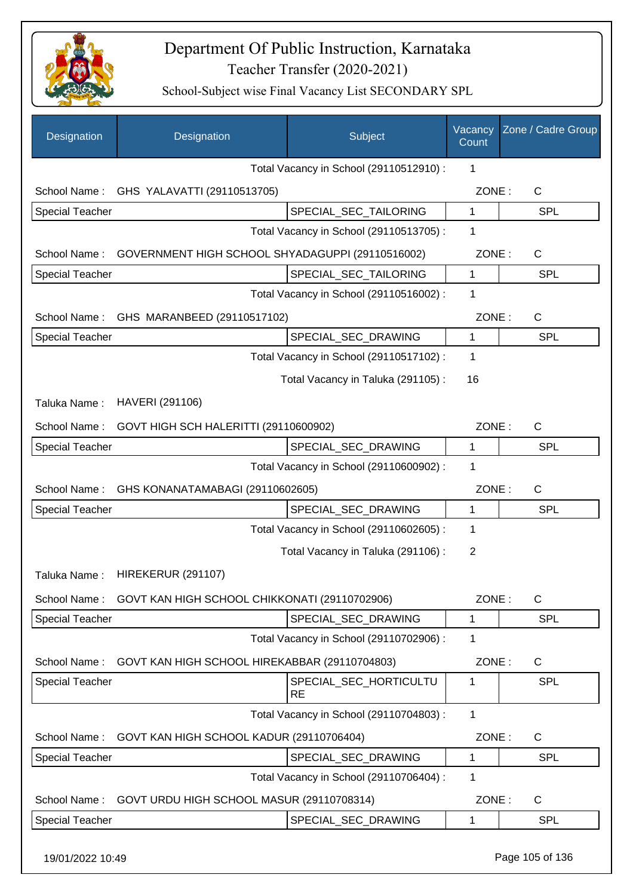

| Designation            | Designation                                      | Subject                                 | Vacancy<br>Count | Zone / Cadre Group |
|------------------------|--------------------------------------------------|-----------------------------------------|------------------|--------------------|
|                        |                                                  | Total Vacancy in School (29110512910) : | 1                |                    |
|                        | School Name: GHS YALAVATTI (29110513705)         |                                         | ZONE:            | $\mathsf{C}$       |
| <b>Special Teacher</b> |                                                  | SPECIAL_SEC_TAILORING                   | 1                | <b>SPL</b>         |
|                        |                                                  | Total Vacancy in School (29110513705) : | 1                |                    |
| School Name:           | GOVERNMENT HIGH SCHOOL SHYADAGUPPI (29110516002) |                                         | ZONE:            | $\mathsf{C}$       |
| <b>Special Teacher</b> |                                                  | SPECIAL_SEC_TAILORING                   | $\mathbf{1}$     | <b>SPL</b>         |
|                        |                                                  | Total Vacancy in School (29110516002) : | 1                |                    |
| School Name:           | GHS MARANBEED (29110517102)                      |                                         | ZONE:            | $\mathsf{C}$       |
| <b>Special Teacher</b> |                                                  | SPECIAL_SEC_DRAWING                     | $\mathbf 1$      | <b>SPL</b>         |
|                        |                                                  | Total Vacancy in School (29110517102) : | 1                |                    |
|                        |                                                  | Total Vacancy in Taluka (291105):       | 16               |                    |
| Taluka Name:           | HAVERI (291106)                                  |                                         |                  |                    |
| School Name:           | GOVT HIGH SCH HALERITTI (29110600902)            |                                         | ZONE:            | $\mathsf{C}$       |
| Special Teacher        |                                                  | SPECIAL_SEC_DRAWING                     | $\mathbf{1}$     | <b>SPL</b>         |
|                        |                                                  | Total Vacancy in School (29110600902) : | $\mathbf 1$      |                    |
| School Name:           | GHS KONANATAMABAGI (29110602605)                 |                                         | ZONE:            | C                  |
| <b>Special Teacher</b> |                                                  | SPECIAL_SEC_DRAWING                     | $\mathbf{1}$     | <b>SPL</b>         |
|                        |                                                  | Total Vacancy in School (29110602605) : | 1                |                    |
|                        |                                                  | Total Vacancy in Taluka (291106):       | $\overline{2}$   |                    |
| Taluka Name:           | <b>HIREKERUR (291107)</b>                        |                                         |                  |                    |
| School Name:           | GOVT KAN HIGH SCHOOL CHIKKONATI (29110702906)    |                                         | ZONE:            | $\mathsf{C}$       |
| <b>Special Teacher</b> |                                                  | SPECIAL_SEC_DRAWING                     | $\mathbf{1}$     | <b>SPL</b>         |
|                        |                                                  | Total Vacancy in School (29110702906) : | $\mathbf 1$      |                    |
| School Name:           | GOVT KAN HIGH SCHOOL HIREKABBAR (29110704803)    |                                         | ZONE:            | C                  |
| <b>Special Teacher</b> |                                                  | SPECIAL SEC HORTICULTU<br><b>RE</b>     | 1                | <b>SPL</b>         |
|                        |                                                  | Total Vacancy in School (29110704803) : | $\mathbf{1}$     |                    |
| School Name:           | GOVT KAN HIGH SCHOOL KADUR (29110706404)         |                                         | ZONE:            | C                  |
| <b>Special Teacher</b> |                                                  | SPECIAL_SEC_DRAWING                     | 1                | <b>SPL</b>         |
|                        |                                                  | Total Vacancy in School (29110706404) : | 1                |                    |
| School Name:           | GOVT URDU HIGH SCHOOL MASUR (29110708314)        |                                         | ZONE:            | C                  |
| <b>Special Teacher</b> |                                                  | SPECIAL_SEC_DRAWING                     | $\mathbf 1$      | <b>SPL</b>         |
|                        |                                                  |                                         |                  |                    |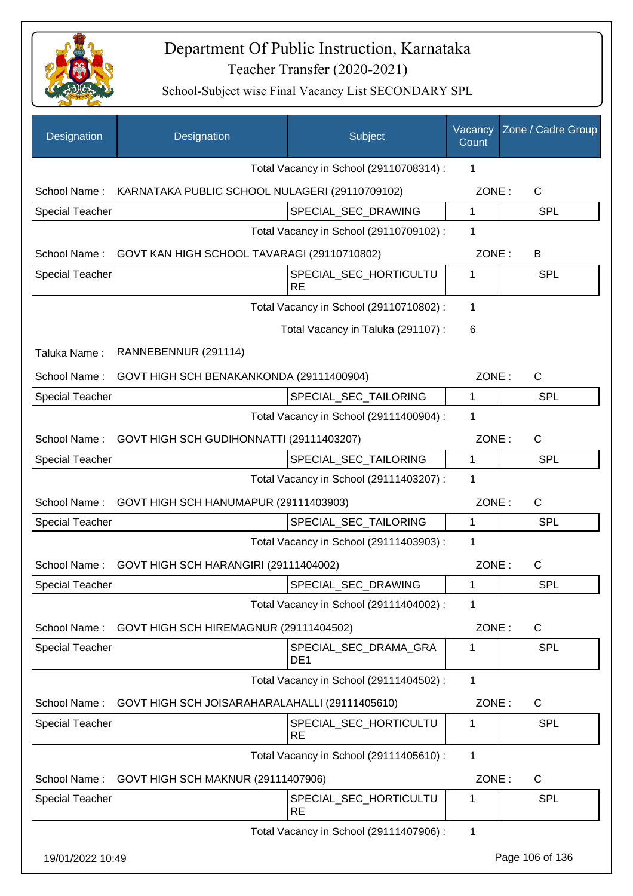

| Designation            | Designation                                    | Subject                                  | Vacancy<br>Count | Zone / Cadre Group |
|------------------------|------------------------------------------------|------------------------------------------|------------------|--------------------|
|                        |                                                | Total Vacancy in School (29110708314) :  | 1                |                    |
| School Name:           | KARNATAKA PUBLIC SCHOOL NULAGERI (29110709102) |                                          | ZONE:            | C                  |
| <b>Special Teacher</b> |                                                | SPECIAL_SEC_DRAWING                      | 1                | <b>SPL</b>         |
|                        |                                                | Total Vacancy in School (29110709102) :  | 1                |                    |
| School Name:           | GOVT KAN HIGH SCHOOL TAVARAGI (29110710802)    |                                          | ZONE:            | B                  |
| <b>Special Teacher</b> |                                                | SPECIAL_SEC_HORTICULTU<br><b>RE</b>      | 1                | <b>SPL</b>         |
|                        |                                                | Total Vacancy in School (29110710802) :  | 1                |                    |
|                        |                                                | Total Vacancy in Taluka (291107):        | 6                |                    |
| Taluka Name:           | RANNEBENNUR (291114)                           |                                          |                  |                    |
| School Name:           | GOVT HIGH SCH BENAKANKONDA (29111400904)       |                                          | ZONE:            | $\mathsf{C}$       |
| <b>Special Teacher</b> |                                                | SPECIAL_SEC_TAILORING                    | 1                | <b>SPL</b>         |
|                        |                                                | Total Vacancy in School (29111400904) :  | 1                |                    |
| School Name:           | GOVT HIGH SCH GUDIHONNATTI (29111403207)       |                                          | ZONE:            | $\mathsf{C}$       |
| <b>Special Teacher</b> |                                                | SPECIAL_SEC_TAILORING                    | 1                | <b>SPL</b>         |
|                        |                                                | Total Vacancy in School (29111403207) :  | 1                |                    |
| School Name:           | GOVT HIGH SCH HANUMAPUR (29111403903)          |                                          | ZONE:            | C                  |
| Special Teacher        |                                                | SPECIAL_SEC_TAILORING                    | 1                | <b>SPL</b>         |
|                        |                                                | Total Vacancy in School (29111403903) :  | 1                |                    |
| School Name:           | GOVT HIGH SCH HARANGIRI (29111404002)          |                                          | ZONE:            | $\mathsf{C}$       |
| Special Teacher        |                                                | SPECIAL_SEC_DRAWING                      | 1                | <b>SPL</b>         |
|                        |                                                | Total Vacancy in School (29111404002) :  | 1                |                    |
| School Name:           | GOVT HIGH SCH HIREMAGNUR (29111404502)         |                                          | ZONE:            | C                  |
| <b>Special Teacher</b> |                                                | SPECIAL_SEC_DRAMA_GRA<br>DE <sub>1</sub> | 1                | <b>SPL</b>         |
|                        |                                                | Total Vacancy in School (29111404502) :  | 1                |                    |
| School Name:           | GOVT HIGH SCH JOISARAHARALAHALLI (29111405610) |                                          | ZONE:            | C                  |
| <b>Special Teacher</b> |                                                | SPECIAL_SEC_HORTICULTU<br><b>RE</b>      | 1                | <b>SPL</b>         |
|                        |                                                | Total Vacancy in School (29111405610) :  | 1                |                    |
| School Name:           | GOVT HIGH SCH MAKNUR (29111407906)             |                                          | ZONE:            | C                  |
| <b>Special Teacher</b> |                                                | SPECIAL_SEC_HORTICULTU<br><b>RE</b>      | 1                | <b>SPL</b>         |
|                        |                                                | Total Vacancy in School (29111407906) :  | 1                |                    |
| 19/01/2022 10:49       |                                                |                                          |                  | Page 106 of 136    |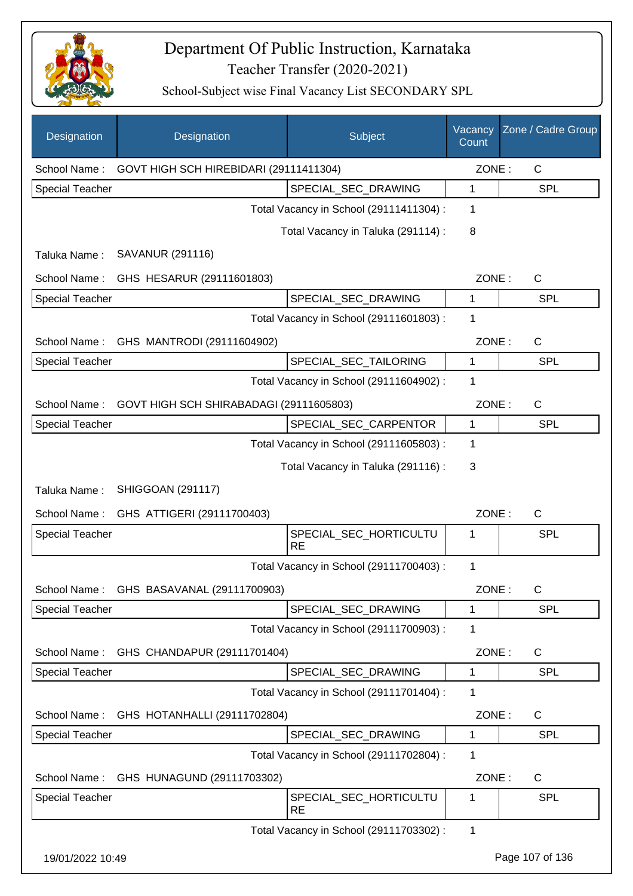

| Designation            | Designation                              | Subject                                 | Vacancy<br>Count | Zone / Cadre Group |
|------------------------|------------------------------------------|-----------------------------------------|------------------|--------------------|
| School Name:           | GOVT HIGH SCH HIREBIDARI (29111411304)   |                                         | ZONE:            | C                  |
| <b>Special Teacher</b> |                                          | SPECIAL_SEC_DRAWING                     | 1                | <b>SPL</b>         |
|                        |                                          | Total Vacancy in School (29111411304) : | 1                |                    |
|                        |                                          | Total Vacancy in Taluka (291114) :      | 8                |                    |
| Taluka Name:           | <b>SAVANUR (291116)</b>                  |                                         |                  |                    |
| School Name:           | GHS HESARUR (29111601803)                |                                         | ZONE:            | $\mathsf C$        |
| <b>Special Teacher</b> |                                          | SPECIAL_SEC_DRAWING                     | 1                | <b>SPL</b>         |
|                        |                                          | Total Vacancy in School (29111601803) : | 1                |                    |
| School Name:           | GHS MANTRODI (29111604902)               |                                         | ZONE:            | $\mathsf{C}$       |
| <b>Special Teacher</b> |                                          | SPECIAL_SEC_TAILORING                   | 1                | <b>SPL</b>         |
|                        |                                          | Total Vacancy in School (29111604902) : | 1                |                    |
| School Name:           | GOVT HIGH SCH SHIRABADAGI (29111605803)  |                                         | ZONE:            | $\mathsf{C}$       |
| <b>Special Teacher</b> |                                          | SPECIAL_SEC_CARPENTOR                   | 1                | <b>SPL</b>         |
|                        |                                          | Total Vacancy in School (29111605803) : | 1                |                    |
|                        |                                          | Total Vacancy in Taluka (291116) :      | 3                |                    |
| Taluka Name:           | <b>SHIGGOAN (291117)</b>                 |                                         |                  |                    |
| School Name:           | GHS ATTIGERI (29111700403)               |                                         | ZONE:            | $\mathsf C$        |
| <b>Special Teacher</b> |                                          | SPECIAL_SEC_HORTICULTU<br><b>RE</b>     | 1                | SPL                |
|                        |                                          | Total Vacancy in School (29111700403) : | 1                |                    |
|                        | School Name: GHS BASAVANAL (29111700903) |                                         | ZONE:            | C                  |
| <b>Special Teacher</b> |                                          | SPECIAL_SEC_DRAWING                     | 1                | <b>SPL</b>         |
|                        |                                          | Total Vacancy in School (29111700903):  | 1                |                    |
| School Name:           | GHS CHANDAPUR (29111701404)              |                                         | ZONE:            | $\mathsf{C}$       |
| <b>Special Teacher</b> |                                          | SPECIAL_SEC_DRAWING                     | 1                | <b>SPL</b>         |
|                        |                                          | Total Vacancy in School (29111701404) : | 1                |                    |
| School Name:           | GHS HOTANHALLI (29111702804)             |                                         | ZONE:            | $\mathsf{C}$       |
| <b>Special Teacher</b> |                                          | SPECIAL_SEC_DRAWING                     | 1                | <b>SPL</b>         |
|                        |                                          | Total Vacancy in School (29111702804) : | 1                |                    |
| School Name:           | GHS HUNAGUND (29111703302)               |                                         | ZONE:            | C                  |
| <b>Special Teacher</b> |                                          | SPECIAL_SEC_HORTICULTU<br><b>RE</b>     | 1                | SPL                |
|                        |                                          | Total Vacancy in School (29111703302) : | $\mathbf 1$      |                    |
| 19/01/2022 10:49       |                                          |                                         |                  | Page 107 of 136    |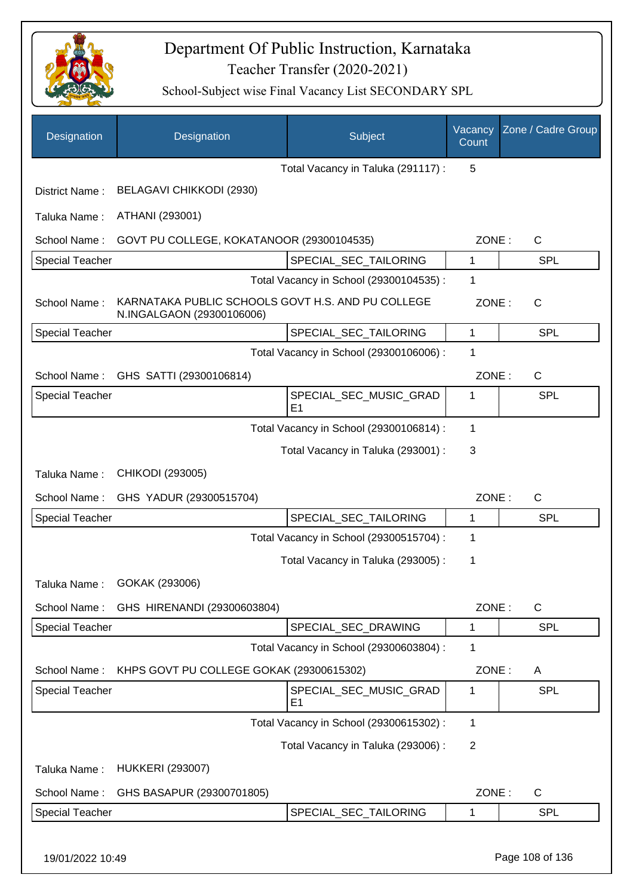

| Designation            | Designation                                                                    | Subject                                  | Vacancy<br>Count | Zone / Cadre Group |
|------------------------|--------------------------------------------------------------------------------|------------------------------------------|------------------|--------------------|
|                        |                                                                                | Total Vacancy in Taluka (291117) :       | 5                |                    |
| District Name:         | BELAGAVI CHIKKODI (2930)                                                       |                                          |                  |                    |
| Taluka Name:           | ATHANI (293001)                                                                |                                          |                  |                    |
| School Name:           | GOVT PU COLLEGE, KOKATANOOR (29300104535)                                      |                                          | ZONE:            | C                  |
| Special Teacher        |                                                                                | SPECIAL_SEC_TAILORING                    | 1                | <b>SPL</b>         |
|                        |                                                                                | Total Vacancy in School (29300104535) :  | 1                |                    |
| School Name:           | KARNATAKA PUBLIC SCHOOLS GOVT H.S. AND PU COLLEGE<br>N.INGALGAON (29300106006) |                                          | ZONE:            | $\mathsf{C}$       |
| <b>Special Teacher</b> |                                                                                | SPECIAL_SEC_TAILORING                    | 1                | <b>SPL</b>         |
|                        |                                                                                | Total Vacancy in School (29300106006) :  | 1                |                    |
| School Name:           | GHS SATTI (29300106814)                                                        |                                          | ZONE:            | C                  |
| <b>Special Teacher</b> |                                                                                | SPECIAL SEC MUSIC GRAD<br>E <sub>1</sub> | 1                | <b>SPL</b>         |
|                        |                                                                                | Total Vacancy in School (29300106814) :  | 1                |                    |
|                        |                                                                                | Total Vacancy in Taluka (293001) :       | 3                |                    |
| Taluka Name:           | CHIKODI (293005)                                                               |                                          |                  |                    |
| School Name:           | GHS YADUR (29300515704)                                                        |                                          | ZONE:            | $\mathsf{C}$       |
| <b>Special Teacher</b> |                                                                                | SPECIAL_SEC_TAILORING                    | 1                | <b>SPL</b>         |
|                        |                                                                                | Total Vacancy in School (29300515704) :  | 1                |                    |
|                        |                                                                                | Total Vacancy in Taluka (293005):        | 1                |                    |
| Taluka Name:           | GOKAK (293006)                                                                 |                                          |                  |                    |
| School Name:           | GHS HIRENANDI (29300603804)                                                    |                                          | ZONE:            | $\mathsf{C}$       |
| Special Teacher        |                                                                                | SPECIAL_SEC_DRAWING                      | 1                | <b>SPL</b>         |
|                        |                                                                                | Total Vacancy in School (29300603804) :  | 1                |                    |
| School Name:           | KHPS GOVT PU COLLEGE GOKAK (29300615302)                                       |                                          | ZONE:            | A                  |
| <b>Special Teacher</b> |                                                                                | SPECIAL SEC MUSIC GRAD<br>E <sub>1</sub> | 1                | <b>SPL</b>         |
|                        |                                                                                | Total Vacancy in School (29300615302) :  | 1                |                    |
|                        |                                                                                | Total Vacancy in Taluka (293006) :       | $\overline{2}$   |                    |
| Taluka Name:           | <b>HUKKERI (293007)</b>                                                        |                                          |                  |                    |
| School Name:           | GHS BASAPUR (29300701805)                                                      |                                          | ZONE:            | C                  |
| Special Teacher        |                                                                                | SPECIAL_SEC_TAILORING                    | 1                | <b>SPL</b>         |
| 19/01/2022 10:49       |                                                                                |                                          |                  | Page 108 of 136    |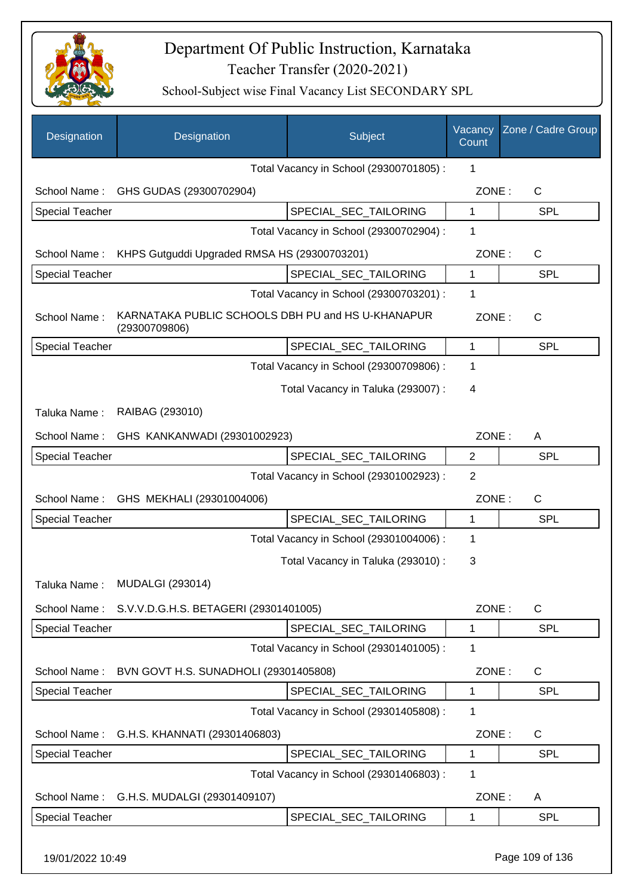

| Designation            | Designation                                                        | Subject                                 | Vacancy<br>Count | Zone / Cadre Group |
|------------------------|--------------------------------------------------------------------|-----------------------------------------|------------------|--------------------|
|                        |                                                                    | Total Vacancy in School (29300701805) : | 1                |                    |
| School Name:           | GHS GUDAS (29300702904)                                            |                                         | ZONE:            | $\mathsf C$        |
| <b>Special Teacher</b> |                                                                    | SPECIAL_SEC_TAILORING                   | $\mathbf{1}$     | <b>SPL</b>         |
|                        |                                                                    | Total Vacancy in School (29300702904) : | 1                |                    |
| School Name:           | KHPS Gutguddi Upgraded RMSA HS (29300703201)                       |                                         | ZONE:            | $\mathsf C$        |
| <b>Special Teacher</b> |                                                                    | SPECIAL_SEC_TAILORING                   | 1                | <b>SPL</b>         |
|                        |                                                                    | Total Vacancy in School (29300703201) : | 1                |                    |
| School Name:           | KARNATAKA PUBLIC SCHOOLS DBH PU and HS U-KHANAPUR<br>(29300709806) |                                         | ZONE:            | $\mathsf{C}$       |
| <b>Special Teacher</b> |                                                                    | SPECIAL_SEC_TAILORING                   | 1                | <b>SPL</b>         |
|                        |                                                                    | Total Vacancy in School (29300709806) : | 1                |                    |
|                        |                                                                    | Total Vacancy in Taluka (293007) :      | 4                |                    |
| Taluka Name:           | RAIBAG (293010)                                                    |                                         |                  |                    |
| School Name:           | GHS KANKANWADI (29301002923)                                       |                                         | ZONE:            | A                  |
| <b>Special Teacher</b> |                                                                    | SPECIAL_SEC_TAILORING                   | $\overline{2}$   | <b>SPL</b>         |
|                        |                                                                    | Total Vacancy in School (29301002923) : | $\overline{2}$   |                    |
| School Name:           | GHS MEKHALI (29301004006)                                          |                                         | ZONE:            | $\mathsf C$        |
| <b>Special Teacher</b> |                                                                    | SPECIAL_SEC_TAILORING                   | 1                | <b>SPL</b>         |
|                        |                                                                    | Total Vacancy in School (29301004006) : | 1                |                    |
|                        |                                                                    | Total Vacancy in Taluka (293010) :      | 3                |                    |
|                        | Taluka Name: MUDALGI (293014)                                      |                                         |                  |                    |
| School Name:           | S.V.V.D.G.H.S. BETAGERI (29301401005)                              |                                         | ZONE:            | $\mathsf C$        |
| <b>Special Teacher</b> |                                                                    | SPECIAL_SEC_TAILORING                   | 1                | <b>SPL</b>         |
|                        |                                                                    | Total Vacancy in School (29301401005) : | 1                |                    |
| School Name:           | BVN GOVT H.S. SUNADHOLI (29301405808)                              |                                         | ZONE:            | $\mathsf C$        |
| <b>Special Teacher</b> |                                                                    | SPECIAL SEC TAILORING                   | 1                | <b>SPL</b>         |
|                        |                                                                    | Total Vacancy in School (29301405808) : | 1                |                    |
| School Name:           | G.H.S. KHANNATI (29301406803)                                      |                                         | ZONE:            | $\mathsf C$        |
| <b>Special Teacher</b> |                                                                    | SPECIAL_SEC_TAILORING                   | 1                | <b>SPL</b>         |
|                        |                                                                    | Total Vacancy in School (29301406803) : | 1                |                    |
| School Name:           | G.H.S. MUDALGI (29301409107)                                       |                                         | ZONE:            | A                  |
| <b>Special Teacher</b> |                                                                    | SPECIAL_SEC_TAILORING                   | 1                | SPL                |
| 19/01/2022 10:49       |                                                                    |                                         |                  | Page 109 of 136    |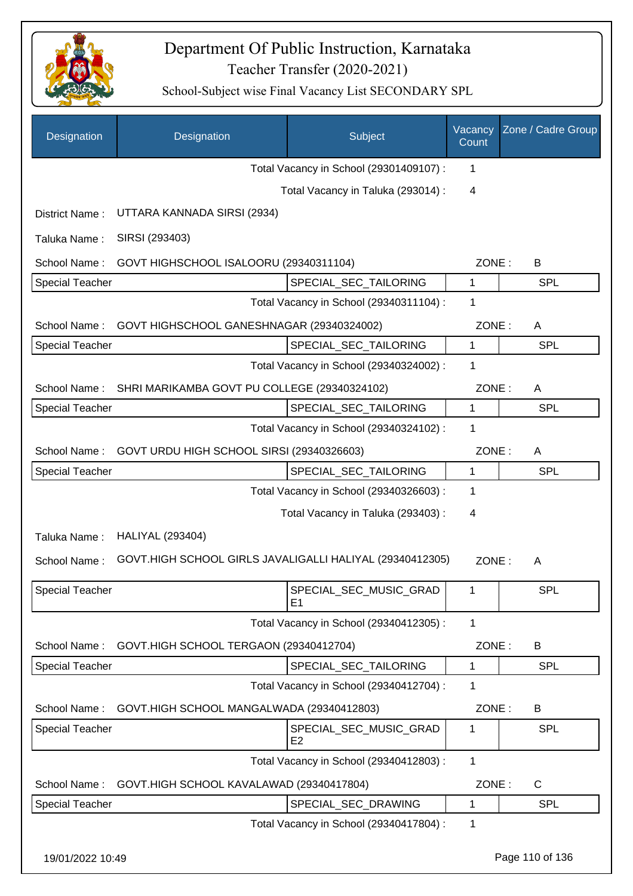

| Designation            | Designation                                              | Subject                                  | Vacancy<br>Count | Zone / Cadre Group |
|------------------------|----------------------------------------------------------|------------------------------------------|------------------|--------------------|
|                        |                                                          | Total Vacancy in School (29301409107) :  | 1                |                    |
|                        |                                                          | Total Vacancy in Taluka (293014) :       | $\overline{4}$   |                    |
| District Name:         | UTTARA KANNADA SIRSI (2934)                              |                                          |                  |                    |
| Taluka Name:           | SIRSI (293403)                                           |                                          |                  |                    |
| School Name:           | GOVT HIGHSCHOOL ISALOORU (29340311104)                   |                                          | ZONE:            | B                  |
| <b>Special Teacher</b> |                                                          | SPECIAL_SEC_TAILORING                    | 1                | <b>SPL</b>         |
|                        |                                                          | Total Vacancy in School (29340311104) :  | 1                |                    |
| School Name:           | GOVT HIGHSCHOOL GANESHNAGAR (29340324002)                |                                          | ZONE:            | A                  |
| <b>Special Teacher</b> |                                                          | SPECIAL_SEC_TAILORING                    | 1                | <b>SPL</b>         |
|                        |                                                          | Total Vacancy in School (29340324002) :  | 1                |                    |
| School Name:           | SHRI MARIKAMBA GOVT PU COLLEGE (29340324102)             |                                          | ZONE:            | A                  |
| <b>Special Teacher</b> |                                                          | SPECIAL_SEC_TAILORING                    | $\mathbf 1$      | <b>SPL</b>         |
|                        |                                                          | Total Vacancy in School (29340324102) :  | 1                |                    |
| School Name:           | GOVT URDU HIGH SCHOOL SIRSI (29340326603)                |                                          | ZONE:            | A                  |
| <b>Special Teacher</b> |                                                          | SPECIAL_SEC_TAILORING                    | 1                | <b>SPL</b>         |
|                        |                                                          | Total Vacancy in School (29340326603) :  | 1                |                    |
|                        |                                                          | Total Vacancy in Taluka (293403) :       | 4                |                    |
| Taluka Name:           | <b>HALIYAL (293404)</b>                                  |                                          |                  |                    |
| School Name:           | GOVT.HIGH SCHOOL GIRLS JAVALIGALLI HALIYAL (29340412305) |                                          | ZONE:            | A                  |
| <b>Special Teacher</b> |                                                          | SPECIAL_SEC_MUSIC_GRAD<br>E <sub>1</sub> | 1                | <b>SPL</b>         |
|                        |                                                          | Total Vacancy in School (29340412305) :  | 1                |                    |
| School Name:           | GOVT.HIGH SCHOOL TERGAON (29340412704)                   |                                          | ZONE:            | B                  |
| <b>Special Teacher</b> |                                                          | SPECIAL_SEC_TAILORING                    | 1                | <b>SPL</b>         |
|                        |                                                          | Total Vacancy in School (29340412704) :  | 1                |                    |
| School Name:           | GOVT.HIGH SCHOOL MANGALWADA (29340412803)                |                                          | ZONE:            | B                  |
| <b>Special Teacher</b> |                                                          | SPECIAL_SEC_MUSIC_GRAD<br>E <sub>2</sub> | 1                | <b>SPL</b>         |
|                        |                                                          | Total Vacancy in School (29340412803) :  | $\mathbf{1}$     |                    |
| School Name:           | GOVT.HIGH SCHOOL KAVALAWAD (29340417804)                 |                                          | ZONE:            | $\mathsf{C}$       |
| Special Teacher        |                                                          | SPECIAL_SEC_DRAWING                      | 1                | <b>SPL</b>         |
|                        |                                                          | Total Vacancy in School (29340417804) :  | 1                |                    |
| 19/01/2022 10:49       |                                                          |                                          |                  | Page 110 of 136    |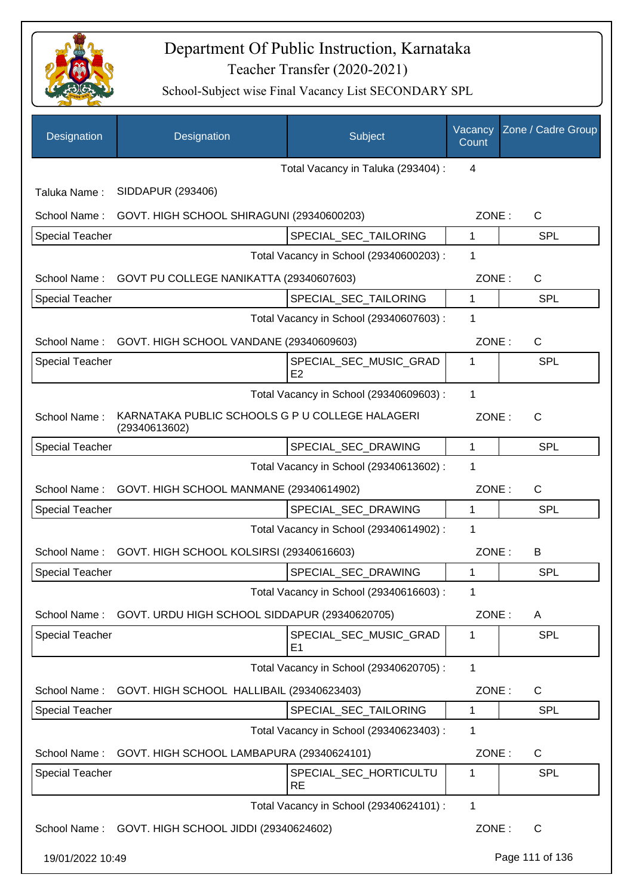

| Designation            | Designation                                                      | Subject                                 | Vacancy<br>Count | Zone / Cadre Group |
|------------------------|------------------------------------------------------------------|-----------------------------------------|------------------|--------------------|
|                        |                                                                  | Total Vacancy in Taluka (293404) :      | $\overline{4}$   |                    |
| Taluka Name:           | SIDDAPUR (293406)                                                |                                         |                  |                    |
| School Name:           | GOVT. HIGH SCHOOL SHIRAGUNI (29340600203)                        |                                         | ZONE:            | C                  |
| <b>Special Teacher</b> |                                                                  | SPECIAL SEC TAILORING                   | $\mathbf{1}$     | <b>SPL</b>         |
|                        |                                                                  | Total Vacancy in School (29340600203) : | 1                |                    |
|                        | School Name: GOVT PU COLLEGE NANIKATTA (29340607603)             |                                         | ZONE:            | C                  |
| <b>Special Teacher</b> |                                                                  | SPECIAL_SEC_TAILORING                   | 1                | <b>SPL</b>         |
|                        |                                                                  | Total Vacancy in School (29340607603) : | 1                |                    |
|                        | School Name: GOVT. HIGH SCHOOL VANDANE (29340609603)             |                                         | ZONE:            | C                  |
| <b>Special Teacher</b> |                                                                  | SPECIAL_SEC_MUSIC_GRAD<br>E2            | 1                | <b>SPL</b>         |
|                        |                                                                  | Total Vacancy in School (29340609603) : | 1                |                    |
| School Name:           | KARNATAKA PUBLIC SCHOOLS G P U COLLEGE HALAGERI<br>(29340613602) |                                         | ZONE:            | C                  |
| <b>Special Teacher</b> |                                                                  | SPECIAL_SEC_DRAWING                     | 1                | <b>SPL</b>         |
|                        |                                                                  | Total Vacancy in School (29340613602) : | 1                |                    |
| School Name:           | GOVT. HIGH SCHOOL MANMANE (29340614902)                          |                                         | ZONE:            | C                  |
| <b>Special Teacher</b> |                                                                  | SPECIAL_SEC_DRAWING                     | 1                | <b>SPL</b>         |
|                        |                                                                  | Total Vacancy in School (29340614902) : | 1                |                    |
| School Name:           | GOVT. HIGH SCHOOL KOLSIRSI (29340616603)                         |                                         | ZONE:            | B                  |
| <b>Special Teacher</b> |                                                                  | SPECIAL_SEC_DRAWING                     | 1                | <b>SPL</b>         |
|                        |                                                                  | Total Vacancy in School (29340616603) : | 1                |                    |
| School Name:           | GOVT. URDU HIGH SCHOOL SIDDAPUR (29340620705)                    |                                         | ZONE:            | A                  |
| <b>Special Teacher</b> |                                                                  | SPECIAL SEC MUSIC GRAD<br>E1            | 1                | <b>SPL</b>         |
|                        |                                                                  | Total Vacancy in School (29340620705) : | 1                |                    |
| School Name:           | GOVT. HIGH SCHOOL HALLIBAIL (29340623403)                        |                                         | ZONE:            | C                  |
| <b>Special Teacher</b> |                                                                  | SPECIAL_SEC_TAILORING                   | 1                | <b>SPL</b>         |
|                        |                                                                  | Total Vacancy in School (29340623403) : | 1                |                    |
| School Name:           | GOVT. HIGH SCHOOL LAMBAPURA (29340624101)                        |                                         | ZONE:            | $\mathsf{C}$       |
| <b>Special Teacher</b> |                                                                  | SPECIAL_SEC_HORTICULTU<br><b>RE</b>     | 1                | <b>SPL</b>         |
|                        |                                                                  | Total Vacancy in School (29340624101) : | 1                |                    |
|                        | School Name: GOVT. HIGH SCHOOL JIDDI (29340624602)               |                                         | ZONE:            | $\mathsf{C}$       |
| 19/01/2022 10:49       |                                                                  |                                         |                  | Page 111 of 136    |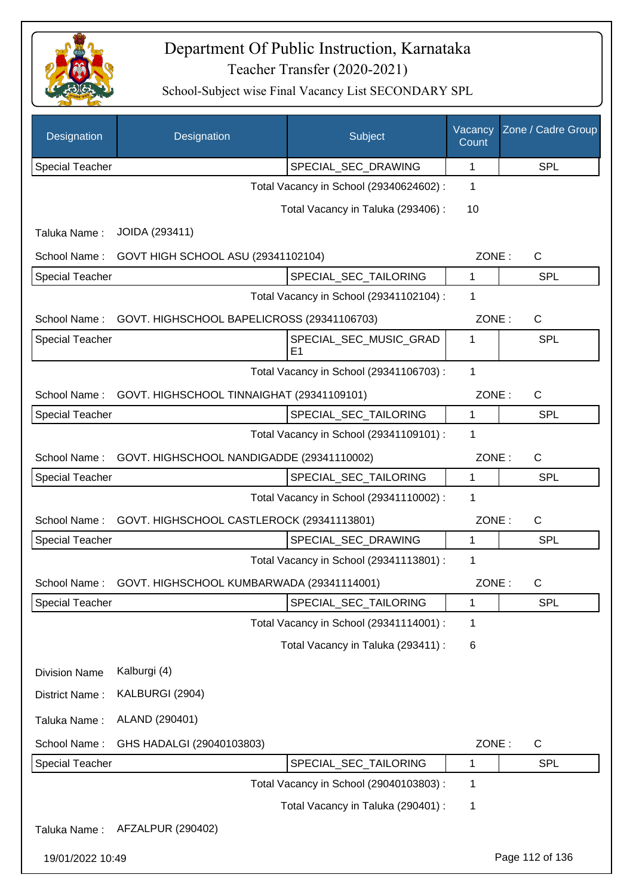

| Designation            | Designation                                | Subject                                 | Vacancy<br>Count | Zone / Cadre Group |
|------------------------|--------------------------------------------|-----------------------------------------|------------------|--------------------|
| <b>Special Teacher</b> |                                            | SPECIAL_SEC_DRAWING                     | 1                | <b>SPL</b>         |
|                        |                                            | Total Vacancy in School (29340624602) : | 1                |                    |
|                        |                                            | Total Vacancy in Taluka (293406) :      | 10               |                    |
| Taluka Name:           | JOIDA (293411)                             |                                         |                  |                    |
| School Name:           | GOVT HIGH SCHOOL ASU (29341102104)         |                                         | ZONE:            | $\mathsf{C}$       |
| <b>Special Teacher</b> |                                            | SPECIAL_SEC_TAILORING                   | 1                | SPL                |
|                        |                                            | Total Vacancy in School (29341102104) : | 1                |                    |
| School Name:           | GOVT. HIGHSCHOOL BAPELICROSS (29341106703) |                                         | ZONE:            | C                  |
| <b>Special Teacher</b> |                                            | SPECIAL_SEC_MUSIC_GRAD<br>E1            | 1                | SPL                |
|                        |                                            | Total Vacancy in School (29341106703) : | 1                |                    |
| School Name:           | GOVT. HIGHSCHOOL TINNAIGHAT (29341109101)  |                                         | ZONE:            | C                  |
| <b>Special Teacher</b> |                                            | SPECIAL_SEC_TAILORING                   | 1                | SPL                |
|                        |                                            | Total Vacancy in School (29341109101) : | 1                |                    |
| School Name:           | GOVT. HIGHSCHOOL NANDIGADDE (29341110002)  |                                         | ZONE:            | $\mathsf C$        |
| <b>Special Teacher</b> |                                            | SPECIAL_SEC_TAILORING                   | 1                | <b>SPL</b>         |
|                        |                                            | Total Vacancy in School (29341110002) : | 1                |                    |
| School Name:           | GOVT. HIGHSCHOOL CASTLEROCK (29341113801)  |                                         | ZONE:            | C                  |
| Special Teacher        |                                            | SPECIAL_SEC_DRAWING                     | 1                | SPL                |
|                        |                                            | Total Vacancy in School (29341113801) : | 1                |                    |
| School Name:           | GOVT. HIGHSCHOOL KUMBARWADA (29341114001)  |                                         | ZONE:            | C                  |
| <b>Special Teacher</b> |                                            | SPECIAL_SEC_TAILORING                   | 1                | <b>SPL</b>         |
|                        |                                            | Total Vacancy in School (29341114001) : | 1                |                    |
|                        |                                            | Total Vacancy in Taluka (293411) :      | 6                |                    |
| <b>Division Name</b>   | Kalburgi (4)                               |                                         |                  |                    |
| District Name:         | KALBURGI (2904)                            |                                         |                  |                    |
| Taluka Name:           | ALAND (290401)                             |                                         |                  |                    |
| School Name:           | GHS HADALGI (29040103803)                  |                                         | ZONE:            | $\mathsf{C}$       |
| <b>Special Teacher</b> |                                            | SPECIAL_SEC_TAILORING                   | 1                | <b>SPL</b>         |
|                        |                                            | Total Vacancy in School (29040103803) : | 1                |                    |
|                        |                                            | Total Vacancy in Taluka (290401) :      | 1                |                    |
| Taluka Name:           | AFZALPUR (290402)                          |                                         |                  |                    |
| 19/01/2022 10:49       |                                            |                                         |                  | Page 112 of 136    |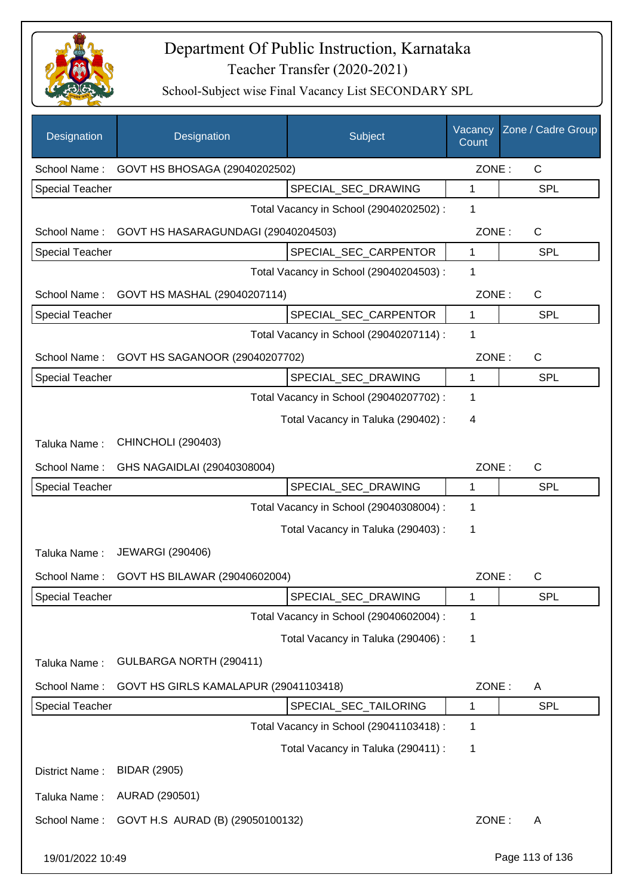

| Designation            | Designation                           | Subject                                 | Vacancy<br>Count | Zone / Cadre Group |
|------------------------|---------------------------------------|-----------------------------------------|------------------|--------------------|
| School Name:           | GOVT HS BHOSAGA (29040202502)         |                                         | ZONE:            | C                  |
| <b>Special Teacher</b> |                                       | SPECIAL_SEC_DRAWING                     | 1                | <b>SPL</b>         |
|                        |                                       | Total Vacancy in School (29040202502) : | 1                |                    |
| School Name:           | GOVT HS HASARAGUNDAGI (29040204503)   |                                         | ZONE:            | C                  |
| <b>Special Teacher</b> |                                       | SPECIAL_SEC_CARPENTOR                   | $\mathbf{1}$     | <b>SPL</b>         |
|                        |                                       | Total Vacancy in School (29040204503) : | $\mathbf 1$      |                    |
| School Name:           | GOVT HS MASHAL (29040207114)          |                                         | ZONE:            | $\mathsf{C}$       |
| <b>Special Teacher</b> |                                       | SPECIAL_SEC_CARPENTOR                   | $\mathbf{1}$     | <b>SPL</b>         |
|                        |                                       | Total Vacancy in School (29040207114) : | 1                |                    |
| School Name:           | GOVT HS SAGANOOR (29040207702)        |                                         | ZONE:            | $\mathsf{C}$       |
| <b>Special Teacher</b> |                                       | SPECIAL_SEC_DRAWING                     | $\mathbf{1}$     | <b>SPL</b>         |
|                        |                                       | Total Vacancy in School (29040207702) : | 1                |                    |
|                        |                                       | Total Vacancy in Taluka (290402) :      | 4                |                    |
| Taluka Name:           | <b>CHINCHOLI (290403)</b>             |                                         |                  |                    |
| School Name:           | GHS NAGAIDLAI (29040308004)           |                                         | ZONE:            | $\mathsf{C}$       |
| <b>Special Teacher</b> |                                       | SPECIAL_SEC_DRAWING                     | 1                | <b>SPL</b>         |
|                        |                                       | Total Vacancy in School (29040308004) : | 1                |                    |
|                        |                                       | Total Vacancy in Taluka (290403):       | 1                |                    |
| Taluka Name:           | <b>JEWARGI (290406)</b>               |                                         |                  |                    |
| School Name:           | GOVT HS BILAWAR (29040602004)         |                                         | ZONE:            | C                  |
| <b>Special Teacher</b> |                                       | SPECIAL_SEC_DRAWING                     | 1                | <b>SPL</b>         |
|                        |                                       | Total Vacancy in School (29040602004) : | 1                |                    |
|                        |                                       | Total Vacancy in Taluka (290406) :      | 1                |                    |
| Taluka Name:           | GULBARGA NORTH (290411)               |                                         |                  |                    |
| School Name:           | GOVT HS GIRLS KAMALAPUR (29041103418) |                                         | ZONE:            | A                  |
| <b>Special Teacher</b> |                                       | SPECIAL_SEC_TAILORING                   | 1                | <b>SPL</b>         |
|                        |                                       | Total Vacancy in School (29041103418) : | 1                |                    |
|                        |                                       | Total Vacancy in Taluka (290411) :      | 1                |                    |
| District Name:         | <b>BIDAR (2905)</b>                   |                                         |                  |                    |
| Taluka Name:           | AURAD (290501)                        |                                         |                  |                    |
| School Name:           | GOVT H.S AURAD (B) (29050100132)      |                                         | ZONE:            | A                  |
| 19/01/2022 10:49       |                                       |                                         |                  | Page 113 of 136    |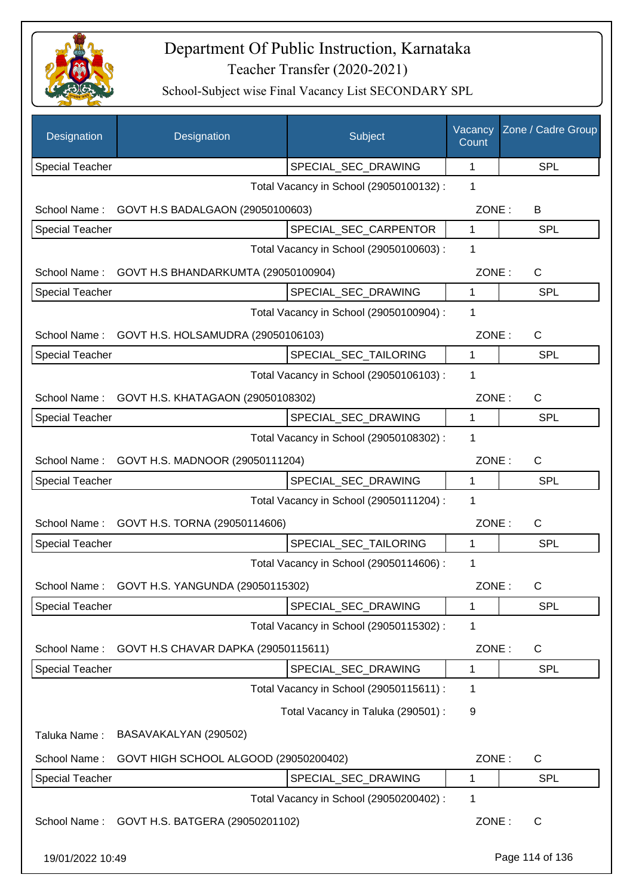

| Designation            | Designation                                   | Subject                                 | Vacancy<br>Count | Zone / Cadre Group |
|------------------------|-----------------------------------------------|-----------------------------------------|------------------|--------------------|
| <b>Special Teacher</b> |                                               | SPECIAL_SEC_DRAWING                     | 1                | <b>SPL</b>         |
|                        |                                               | Total Vacancy in School (29050100132) : | 1                |                    |
| School Name:           | GOVT H.S BADALGAON (29050100603)              |                                         | ZONE:            | B                  |
| Special Teacher        |                                               | SPECIAL_SEC_CARPENTOR                   | 1                | SPL                |
|                        |                                               | Total Vacancy in School (29050100603) : | 1                |                    |
| School Name:           | GOVT H.S BHANDARKUMTA (29050100904)           |                                         | ZONE:            | C                  |
| Special Teacher        |                                               | SPECIAL_SEC_DRAWING                     | 1                | <b>SPL</b>         |
|                        |                                               | Total Vacancy in School (29050100904) : | 1                |                    |
| School Name:           | GOVT H.S. HOLSAMUDRA (29050106103)            |                                         |                  | C<br>ZONE:         |
| <b>Special Teacher</b> |                                               | SPECIAL_SEC_TAILORING                   | 1                | <b>SPL</b>         |
|                        |                                               | Total Vacancy in School (29050106103) : | 1                |                    |
| School Name:           | GOVT H.S. KHATAGAON (29050108302)             |                                         | ZONE:            | C                  |
| <b>Special Teacher</b> |                                               | SPECIAL_SEC_DRAWING                     | 1                | <b>SPL</b>         |
|                        |                                               | Total Vacancy in School (29050108302) : | 1                |                    |
| School Name:           | GOVT H.S. MADNOOR (29050111204)               |                                         | ZONE:            | C                  |
| <b>Special Teacher</b> |                                               | SPECIAL_SEC_DRAWING                     | 1                | SPL                |
|                        |                                               | Total Vacancy in School (29050111204) : | 1                |                    |
| School Name:           | GOVT H.S. TORNA (29050114606)                 |                                         | ZONE:            | C                  |
| <b>Special Teacher</b> |                                               | SPECIAL_SEC_TAILORING                   | 1                | SPL                |
|                        |                                               | Total Vacancy in School (29050114606) : | 1                |                    |
|                        | School Name: GOVT H.S. YANGUNDA (29050115302) |                                         | ZONE:            | C                  |
| Special Teacher        |                                               | SPECIAL_SEC_DRAWING                     | 1                | SPL                |
|                        |                                               | Total Vacancy in School (29050115302) : | 1                |                    |
| School Name:           | GOVT H.S CHAVAR DAPKA (29050115611)           |                                         | ZONE:            | C                  |
| Special Teacher        |                                               | SPECIAL_SEC_DRAWING                     | 1                | <b>SPL</b>         |
|                        |                                               | Total Vacancy in School (29050115611) : | 1                |                    |
|                        |                                               | Total Vacancy in Taluka (290501) :      | 9                |                    |
| Taluka Name:           | BASAVAKALYAN (290502)                         |                                         |                  |                    |
| School Name:           | GOVT HIGH SCHOOL ALGOOD (29050200402)         |                                         | ZONE:            | C                  |
| Special Teacher        |                                               | SPECIAL_SEC_DRAWING                     | 1                | SPL                |
|                        |                                               | Total Vacancy in School (29050200402) : | 1                |                    |
| School Name:           | GOVT H.S. BATGERA (29050201102)               |                                         | ZONE:            | $\mathsf{C}$       |
| 19/01/2022 10:49       |                                               |                                         |                  | Page 114 of 136    |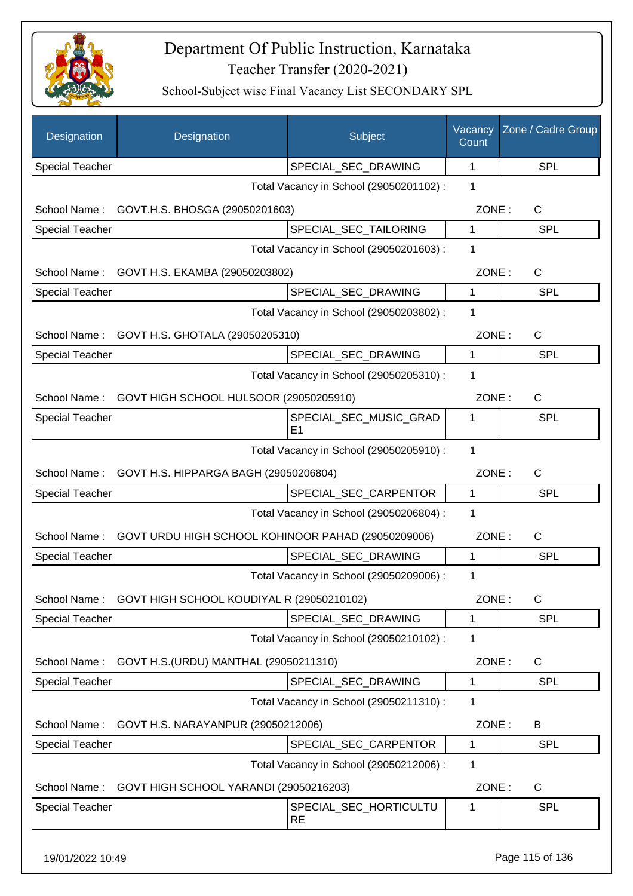

| Designation            | Designation                                         | Subject                                 | Vacancy<br>Count | Zone / Cadre Group |
|------------------------|-----------------------------------------------------|-----------------------------------------|------------------|--------------------|
| <b>Special Teacher</b> |                                                     | SPECIAL_SEC_DRAWING                     | 1                | <b>SPL</b>         |
|                        |                                                     | Total Vacancy in School (29050201102) : | $\mathbf{1}$     |                    |
|                        | School Name: GOVT.H.S. BHOSGA (29050201603)         |                                         | ZONE:            | C                  |
| <b>Special Teacher</b> |                                                     | SPECIAL SEC TAILORING                   | 1                | <b>SPL</b>         |
|                        |                                                     | Total Vacancy in School (29050201603) : | 1                |                    |
|                        | School Name: GOVT H.S. EKAMBA (29050203802)         |                                         | ZONE:            | $\mathsf{C}$       |
| <b>Special Teacher</b> |                                                     | SPECIAL_SEC_DRAWING                     | 1                | <b>SPL</b>         |
|                        |                                                     | Total Vacancy in School (29050203802) : | 1                |                    |
|                        | School Name: GOVT H.S. GHOTALA (29050205310)        |                                         | ZONE:            | $\mathsf{C}$       |
| <b>Special Teacher</b> |                                                     | SPECIAL SEC DRAWING                     | $\mathbf{1}$     | <b>SPL</b>         |
|                        |                                                     | Total Vacancy in School (29050205310) : | 1                |                    |
|                        | School Name: GOVT HIGH SCHOOL HULSOOR (29050205910) |                                         | ZONE:            | $\mathsf{C}$       |
| <b>Special Teacher</b> |                                                     | SPECIAL_SEC_MUSIC_GRAD                  | 1                | <b>SPL</b>         |
|                        |                                                     | E1                                      |                  |                    |
|                        |                                                     | Total Vacancy in School (29050205910) : | 1                |                    |
|                        | School Name: GOVT H.S. HIPPARGA BAGH (29050206804)  |                                         | ZONE:            | $\mathsf{C}$       |
| <b>Special Teacher</b> |                                                     | SPECIAL_SEC_CARPENTOR                   | $\mathbf{1}$     | <b>SPL</b>         |
|                        |                                                     | Total Vacancy in School (29050206804) : | 1                |                    |
| School Name:           | GOVT URDU HIGH SCHOOL KOHINOOR PAHAD (29050209006)  |                                         | ZONE:            | C                  |
| <b>Special Teacher</b> |                                                     | SPECIAL SEC DRAWING                     | $\mathbf{1}$     | SPL                |
|                        |                                                     | Total Vacancy in School (29050209006) : | 1                |                    |
| School Name:           | GOVT HIGH SCHOOL KOUDIYAL R (29050210102)           |                                         | ZONE:            | C                  |
| <b>Special Teacher</b> |                                                     | SPECIAL_SEC_DRAWING                     | 1                | <b>SPL</b>         |
|                        |                                                     | Total Vacancy in School (29050210102) : | $\mathbf 1$      |                    |
| School Name:           | GOVT H.S. (URDU) MANTHAL (29050211310)              |                                         | ZONE:            | C                  |
| <b>Special Teacher</b> |                                                     | SPECIAL_SEC_DRAWING                     | 1                | <b>SPL</b>         |
|                        |                                                     | Total Vacancy in School (29050211310) : | 1                |                    |
| School Name:           | GOVT H.S. NARAYANPUR (29050212006)                  |                                         | ZONE:            | B                  |
| <b>Special Teacher</b> |                                                     | SPECIAL_SEC_CARPENTOR                   | 1                | <b>SPL</b>         |
|                        |                                                     | Total Vacancy in School (29050212006) : | 1                |                    |
| School Name:           | GOVT HIGH SCHOOL YARANDI (29050216203)              |                                         | ZONE:            | C                  |
| <b>Special Teacher</b> |                                                     | SPECIAL_SEC_HORTICULTU<br><b>RE</b>     | 1                | <b>SPL</b>         |
| 19/01/2022 10:49       |                                                     |                                         |                  | Page 115 of 136    |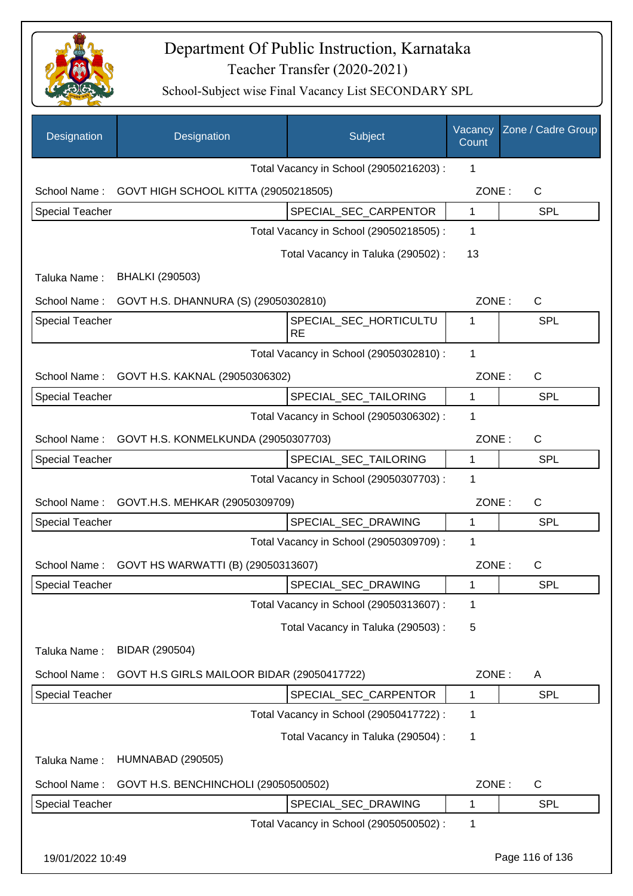

| Designation            | Designation                                     | Subject                                 | Vacancy<br>Count | Zone / Cadre Group |
|------------------------|-------------------------------------------------|-----------------------------------------|------------------|--------------------|
|                        |                                                 | Total Vacancy in School (29050216203) : | 1                |                    |
| School Name:           | GOVT HIGH SCHOOL KITTA (29050218505)            |                                         | ZONE:            | C                  |
| <b>Special Teacher</b> |                                                 | SPECIAL_SEC_CARPENTOR                   | 1                | <b>SPL</b>         |
|                        |                                                 | Total Vacancy in School (29050218505) : | 1                |                    |
|                        |                                                 | Total Vacancy in Taluka (290502) :      | 13               |                    |
| Taluka Name:           | <b>BHALKI (290503)</b>                          |                                         |                  |                    |
| School Name:           | GOVT H.S. DHANNURA (S) (29050302810)            |                                         | ZONE:            | C                  |
| <b>Special Teacher</b> |                                                 | SPECIAL_SEC_HORTICULTU                  | 1                | <b>SPL</b>         |
|                        |                                                 | <b>RE</b>                               |                  |                    |
|                        |                                                 | Total Vacancy in School (29050302810) : | 1                |                    |
| School Name:           | GOVT H.S. KAKNAL (29050306302)                  |                                         | ZONE:            | $\mathsf{C}$       |
| <b>Special Teacher</b> |                                                 | SPECIAL_SEC_TAILORING                   | 1                | <b>SPL</b>         |
|                        |                                                 | Total Vacancy in School (29050306302) : | 1                |                    |
| School Name:           | GOVT H.S. KONMELKUNDA (29050307703)             |                                         | ZONE:            | $\mathsf{C}$       |
| <b>Special Teacher</b> |                                                 | SPECIAL_SEC_TAILORING                   | $\mathbf{1}$     | <b>SPL</b>         |
|                        |                                                 | Total Vacancy in School (29050307703) : | 1                |                    |
| School Name:           | GOVT.H.S. MEHKAR (29050309709)                  |                                         | ZONE:            | $\mathsf{C}$       |
| <b>Special Teacher</b> |                                                 | SPECIAL SEC DRAWING                     | 1                | <b>SPL</b>         |
|                        |                                                 | Total Vacancy in School (29050309709) : | 1                |                    |
|                        | School Name: GOVT HS WARWATTI (B) (29050313607) |                                         | ZONE:            | $\mathsf{C}$       |
| Special Teacher        |                                                 | SPECIAL_SEC_DRAWING                     | 1                | <b>SPL</b>         |
|                        |                                                 | Total Vacancy in School (29050313607) : | 1                |                    |
|                        |                                                 | Total Vacancy in Taluka (290503) :      | 5                |                    |
| Taluka Name:           | BIDAR (290504)                                  |                                         |                  |                    |
| School Name:           | GOVT H.S GIRLS MAILOOR BIDAR (29050417722)      |                                         | ZONE:            | A                  |
| Special Teacher        |                                                 | SPECIAL_SEC_CARPENTOR                   | 1                | <b>SPL</b>         |
|                        |                                                 | Total Vacancy in School (29050417722) : | 1                |                    |
|                        |                                                 |                                         |                  |                    |
|                        |                                                 | Total Vacancy in Taluka (290504) :      | 1                |                    |
| Taluka Name:           | <b>HUMNABAD (290505)</b>                        |                                         |                  |                    |
| School Name:           | GOVT H.S. BENCHINCHOLI (29050500502)            |                                         | ZONE:            | $\mathsf{C}$       |
| Special Teacher        |                                                 | SPECIAL_SEC_DRAWING                     | $\mathbf 1$      | <b>SPL</b>         |
|                        |                                                 | Total Vacancy in School (29050500502) : | 1                |                    |
| 19/01/2022 10:49       |                                                 |                                         |                  | Page 116 of 136    |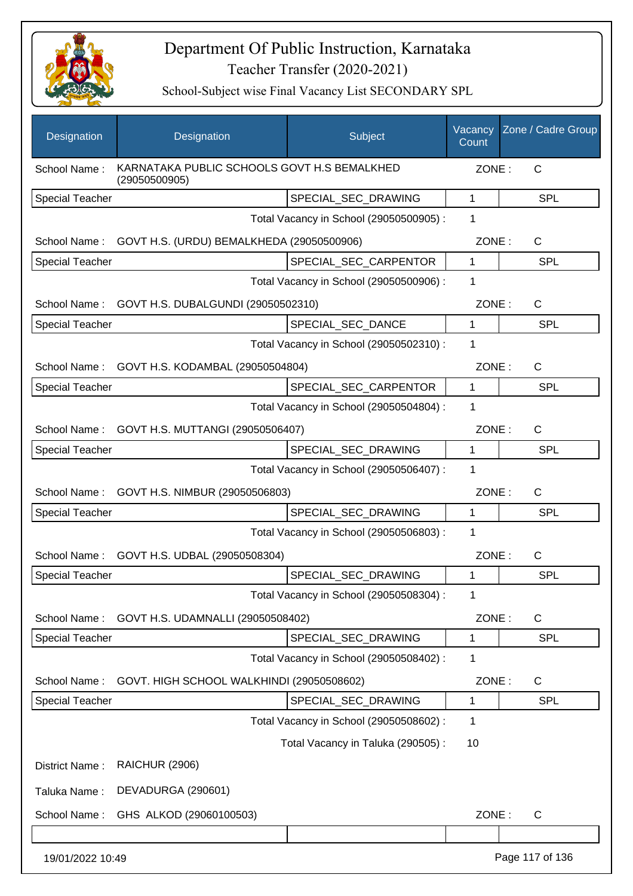

| Designation            | Designation                                                  | Subject                                 | Vacancy<br>Count | Zone / Cadre Group |
|------------------------|--------------------------------------------------------------|-----------------------------------------|------------------|--------------------|
| School Name:           | KARNATAKA PUBLIC SCHOOLS GOVT H.S BEMALKHED<br>(29050500905) |                                         | ZONE:            | $\mathsf{C}$       |
| <b>Special Teacher</b> |                                                              | SPECIAL_SEC_DRAWING                     | 1                | <b>SPL</b>         |
|                        |                                                              | Total Vacancy in School (29050500905) : | $\mathbf 1$      |                    |
| School Name:           | GOVT H.S. (URDU) BEMALKHEDA (29050500906)                    |                                         | ZONE:            | C                  |
| Special Teacher        |                                                              | SPECIAL SEC CARPENTOR                   | 1                | <b>SPL</b>         |
|                        |                                                              | Total Vacancy in School (29050500906) : | 1                |                    |
| School Name:           | GOVT H.S. DUBALGUNDI (29050502310)                           |                                         | ZONE:            | C                  |
| <b>Special Teacher</b> |                                                              | SPECIAL SEC DANCE                       | 1                | <b>SPL</b>         |
|                        |                                                              | Total Vacancy in School (29050502310) : | 1                |                    |
| School Name:           | GOVT H.S. KODAMBAL (29050504804)                             |                                         | ZONE:            | C                  |
| <b>Special Teacher</b> |                                                              | SPECIAL SEC CARPENTOR                   | $\mathbf 1$      | <b>SPL</b>         |
|                        |                                                              | Total Vacancy in School (29050504804) : | 1                |                    |
| School Name:           | GOVT H.S. MUTTANGI (29050506407)                             |                                         | ZONE:            | C                  |
| <b>Special Teacher</b> |                                                              | SPECIAL_SEC_DRAWING                     | 1                | <b>SPL</b>         |
|                        |                                                              | Total Vacancy in School (29050506407) : | 1                |                    |
|                        | School Name: GOVT H.S. NIMBUR (29050506803)                  |                                         | ZONE:            | C                  |
| <b>Special Teacher</b> |                                                              | SPECIAL_SEC_DRAWING                     | 1                | <b>SPL</b>         |
|                        |                                                              | Total Vacancy in School (29050506803) : | 1                |                    |
|                        | School Name: GOVT H.S. UDBAL (29050508304)                   |                                         | ZONE:            | C                  |
| <b>Special Teacher</b> |                                                              | SPECIAL SEC DRAWING                     | 1                | <b>SPL</b>         |
|                        |                                                              | Total Vacancy in School (29050508304) : | 1                |                    |
| School Name:           | GOVT H.S. UDAMNALLI (29050508402)                            |                                         | ZONE:            | C                  |
| <b>Special Teacher</b> |                                                              | SPECIAL_SEC_DRAWING                     | 1                | <b>SPL</b>         |
|                        |                                                              | Total Vacancy in School (29050508402) : | 1                |                    |
| School Name:           | GOVT. HIGH SCHOOL WALKHINDI (29050508602)                    |                                         | ZONE:            | C                  |
| Special Teacher        |                                                              | SPECIAL SEC DRAWING                     | 1                | <b>SPL</b>         |
|                        |                                                              | Total Vacancy in School (29050508602) : | 1                |                    |
|                        |                                                              | Total Vacancy in Taluka (290505):       | 10               |                    |
| District Name:         | <b>RAICHUR (2906)</b>                                        |                                         |                  |                    |
| Taluka Name:           | DEVADURGA (290601)                                           |                                         |                  |                    |
| School Name:           | GHS ALKOD (29060100503)                                      |                                         | ZONE:            | C                  |
|                        |                                                              |                                         |                  |                    |
| 19/01/2022 10:49       |                                                              |                                         |                  | Page 117 of 136    |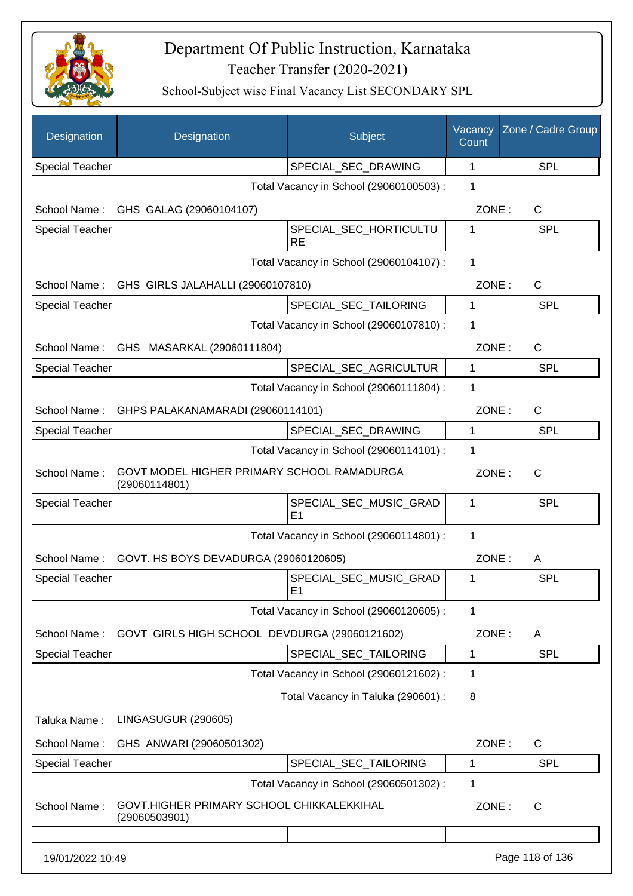

| Designation            | Designation                                                 | Subject                                  | Vacancy<br>Count | Zone / Cadre Group |
|------------------------|-------------------------------------------------------------|------------------------------------------|------------------|--------------------|
| <b>Special Teacher</b> |                                                             | SPECIAL_SEC_DRAWING                      | $\mathbf 1$      | <b>SPL</b>         |
|                        |                                                             | Total Vacancy in School (29060100503) :  | 1                |                    |
|                        | School Name: GHS GALAG (29060104107)                        |                                          | ZONE:            | C                  |
| <b>Special Teacher</b> |                                                             | SPECIAL_SEC_HORTICULTU<br><b>RE</b>      | 1                | SPL                |
|                        |                                                             | Total Vacancy in School (29060104107) :  | $\mathbf{1}$     |                    |
| School Name:           | GHS GIRLS JALAHALLI (29060107810)                           |                                          | ZONE:            | C                  |
| <b>Special Teacher</b> |                                                             | SPECIAL_SEC_TAILORING                    | 1                | <b>SPL</b>         |
|                        |                                                             | Total Vacancy in School (29060107810) :  | 1                |                    |
| School Name:           | GHS MASARKAL (29060111804)                                  |                                          | ZONE:            | C                  |
| <b>Special Teacher</b> |                                                             | SPECIAL SEC AGRICULTUR                   | 1                | <b>SPL</b>         |
|                        |                                                             | Total Vacancy in School (29060111804) :  | 1                |                    |
| School Name:           | GHPS PALAKANAMARADI (29060114101)                           |                                          | ZONE:            | C                  |
| <b>Special Teacher</b> |                                                             | SPECIAL SEC DRAWING                      | $\mathbf{1}$     | <b>SPL</b>         |
|                        |                                                             | Total Vacancy in School (29060114101) :  | 1                |                    |
| School Name:           | GOVT MODEL HIGHER PRIMARY SCHOOL RAMADURGA<br>(29060114801) |                                          | ZONE:            | C                  |
| <b>Special Teacher</b> |                                                             | SPECIAL_SEC_MUSIC_GRAD<br>E <sub>1</sub> | 1                | <b>SPL</b>         |
|                        |                                                             | Total Vacancy in School (29060114801) :  | 1                |                    |
| School Name:           | GOVT. HS BOYS DEVADURGA (29060120605)                       |                                          | ZONE:            | A                  |
| <b>Special Teacher</b> |                                                             | SPECIAL SEC MUSIC GRAD<br>E1             | 1                | <b>SPL</b>         |
|                        |                                                             | Total Vacancy in School (29060120605) :  | 1                |                    |
| School Name:           | GOVT GIRLS HIGH SCHOOL DEVDURGA (29060121602)               |                                          | ZONE:            | A                  |
| <b>Special Teacher</b> |                                                             | SPECIAL_SEC_TAILORING                    | 1                | SPL                |
|                        |                                                             | Total Vacancy in School (29060121602) :  | 1                |                    |
|                        |                                                             | Total Vacancy in Taluka (290601) :       | 8                |                    |
| Taluka Name:           | LINGASUGUR (290605)                                         |                                          |                  |                    |
| School Name:           | GHS ANWARI (29060501302)                                    |                                          | ZONE:            | C                  |
| <b>Special Teacher</b> |                                                             | SPECIAL_SEC_TAILORING                    | 1                | <b>SPL</b>         |
|                        |                                                             | Total Vacancy in School (29060501302) :  | 1                |                    |
| School Name:           | GOVT.HIGHER PRIMARY SCHOOL CHIKKALEKKIHAL<br>(29060503901)  |                                          | ZONE:            | C                  |
|                        |                                                             |                                          |                  |                    |
| 19/01/2022 10:49       |                                                             |                                          |                  | Page 118 of 136    |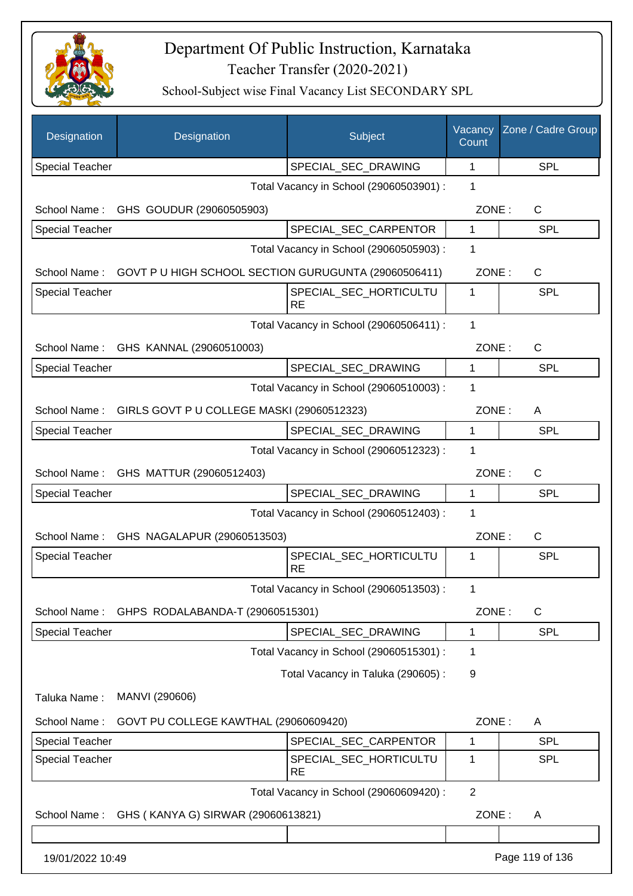

| Designation            | Designation                                             | Subject                                 | Vacancy<br>Count | Zone / Cadre Group |
|------------------------|---------------------------------------------------------|-----------------------------------------|------------------|--------------------|
| <b>Special Teacher</b> |                                                         | SPECIAL_SEC_DRAWING                     | 1                | <b>SPL</b>         |
|                        |                                                         | Total Vacancy in School (29060503901) : | 1                |                    |
| School Name:           | GHS GOUDUR (29060505903)                                |                                         | ZONE:            | C                  |
| <b>Special Teacher</b> |                                                         | SPECIAL_SEC_CARPENTOR                   | 1                | <b>SPL</b>         |
|                        |                                                         | Total Vacancy in School (29060505903) : | 1                |                    |
| School Name:           | GOVT P U HIGH SCHOOL SECTION GURUGUNTA (29060506411)    |                                         | ZONE:            | C                  |
| <b>Special Teacher</b> |                                                         | SPECIAL_SEC_HORTICULTU<br><b>RE</b>     | 1                | <b>SPL</b>         |
|                        |                                                         | Total Vacancy in School (29060506411) : | 1                |                    |
| School Name:           | GHS KANNAL (29060510003)                                |                                         | ZONE:            | $\mathsf{C}$       |
| <b>Special Teacher</b> |                                                         | SPECIAL SEC DRAWING                     | $\mathbf{1}$     | SPL                |
|                        |                                                         | Total Vacancy in School (29060510003) : | 1                |                    |
|                        | School Name: GIRLS GOVT P U COLLEGE MASKI (29060512323) |                                         | ZONE:            | Α                  |
| <b>Special Teacher</b> |                                                         | SPECIAL_SEC_DRAWING                     | $\mathbf{1}$     | SPL                |
|                        |                                                         | Total Vacancy in School (29060512323) : | 1                |                    |
| School Name:           | GHS MATTUR (29060512403)                                |                                         | ZONE:            | C                  |
| <b>Special Teacher</b> |                                                         | SPECIAL_SEC_DRAWING                     | $\mathbf 1$      | <b>SPL</b>         |
|                        |                                                         | Total Vacancy in School (29060512403) : | 1                |                    |
| School Name:           | GHS NAGALAPUR (29060513503)                             |                                         | ZONE:            | $\mathsf{C}$       |
| <b>Special Teacher</b> |                                                         | SPECIAL_SEC_HORTICULTU<br><b>RE</b>     | 1                | <b>SPL</b>         |
|                        |                                                         | Total Vacancy in School (29060513503) : | 1                |                    |
| School Name:           | GHPS RODALABANDA-T (29060515301)                        |                                         | ZONE:            | C                  |
| <b>Special Teacher</b> |                                                         | SPECIAL_SEC_DRAWING                     | 1                | SPL                |
|                        |                                                         | Total Vacancy in School (29060515301) : | 1                |                    |
|                        |                                                         | Total Vacancy in Taluka (290605):       | 9                |                    |
| Taluka Name:           | MANVI (290606)                                          |                                         |                  |                    |
| School Name:           | GOVT PU COLLEGE KAWTHAL (29060609420)                   |                                         | ZONE:            | Α                  |
| <b>Special Teacher</b> |                                                         | SPECIAL_SEC_CARPENTOR                   | 1                | <b>SPL</b>         |
| <b>Special Teacher</b> |                                                         | SPECIAL_SEC_HORTICULTU<br><b>RE</b>     | 1                | <b>SPL</b>         |
|                        |                                                         | Total Vacancy in School (29060609420) : | $\overline{2}$   |                    |
| School Name:           | GHS (KANYA G) SIRWAR (29060613821)                      |                                         | ZONE:            | A                  |
| 19/01/2022 10:49       |                                                         |                                         |                  | Page 119 of 136    |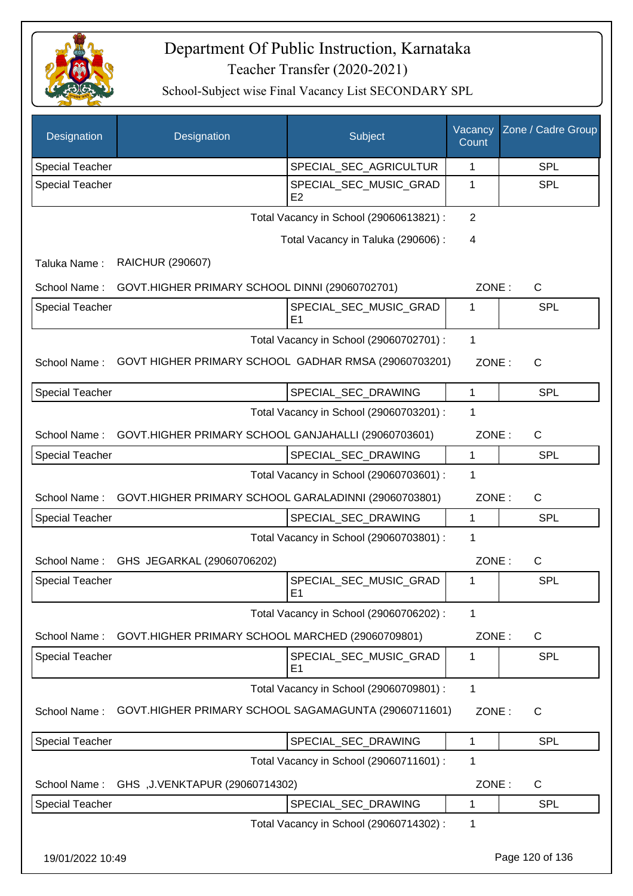

| Designation            | Designation                                          | Subject                                  | Vacancy<br>Count | Zone / Cadre Group |
|------------------------|------------------------------------------------------|------------------------------------------|------------------|--------------------|
| <b>Special Teacher</b> |                                                      | SPECIAL_SEC_AGRICULTUR                   | 1                | SPL                |
| Special Teacher        |                                                      | SPECIAL SEC MUSIC GRAD<br>E2             | 1                | <b>SPL</b>         |
|                        |                                                      | Total Vacancy in School (29060613821) :  | 2                |                    |
|                        |                                                      | Total Vacancy in Taluka (290606) :       | 4                |                    |
| Taluka Name:           | <b>RAICHUR (290607)</b>                              |                                          |                  |                    |
| School Name:           | GOVT.HIGHER PRIMARY SCHOOL DINNI (29060702701)       |                                          | ZONE:            | C                  |
| Special Teacher        |                                                      | SPECIAL_SEC_MUSIC_GRAD<br>E <sub>1</sub> | 1                | SPL                |
|                        |                                                      | Total Vacancy in School (29060702701) :  | $\mathbf{1}$     |                    |
| School Name:           | GOVT HIGHER PRIMARY SCHOOL GADHAR RMSA (29060703201) |                                          | ZONE:            | $\mathsf{C}$       |
| Special Teacher        |                                                      | SPECIAL_SEC_DRAWING                      | 1                | SPL                |
|                        |                                                      | Total Vacancy in School (29060703201) :  | 1                |                    |
| School Name:           | GOVT.HIGHER PRIMARY SCHOOL GANJAHALLI (29060703601)  |                                          | ZONE:            | C                  |
| Special Teacher        |                                                      | SPECIAL_SEC_DRAWING                      | 1                | <b>SPL</b>         |
|                        |                                                      | Total Vacancy in School (29060703601) :  | 1                |                    |
| School Name:           | GOVT.HIGHER PRIMARY SCHOOL GARALADINNI (29060703801) |                                          | ZONE:            | C                  |
| <b>Special Teacher</b> |                                                      | SPECIAL_SEC_DRAWING                      | $\mathbf{1}$     | SPL                |
|                        |                                                      | Total Vacancy in School (29060703801) :  | 1                |                    |
| School Name:           | GHS JEGARKAL (29060706202)                           |                                          | ZONE:            | $\mathsf{C}$       |
| <b>Special Teacher</b> |                                                      | SPECIAL_SEC_MUSIC_GRAD<br>E <sub>1</sub> | 1                | <b>SPL</b>         |
|                        |                                                      | Total Vacancy in School (29060706202) :  | 1                |                    |
| School Name:           | GOVT.HIGHER PRIMARY SCHOOL MARCHED (29060709801)     |                                          | ZONE:            | C                  |
| <b>Special Teacher</b> |                                                      | SPECIAL_SEC_MUSIC_GRAD<br>E <sub>1</sub> | 1                | <b>SPL</b>         |
|                        |                                                      | Total Vacancy in School (29060709801) :  | 1                |                    |
| School Name:           | GOVT.HIGHER PRIMARY SCHOOL SAGAMAGUNTA (29060711601) |                                          | ZONE:            | C                  |
| Special Teacher        |                                                      | SPECIAL_SEC_DRAWING                      | 1                | SPL                |
|                        |                                                      | Total Vacancy in School (29060711601) :  | $\mathbf 1$      |                    |
| School Name:           | GHS, J.VENKTAPUR (29060714302)                       |                                          | ZONE:            | C                  |
| <b>Special Teacher</b> |                                                      | SPECIAL_SEC_DRAWING                      | 1                | <b>SPL</b>         |
|                        |                                                      | Total Vacancy in School (29060714302) :  | 1                |                    |
| 19/01/2022 10:49       |                                                      |                                          |                  | Page 120 of 136    |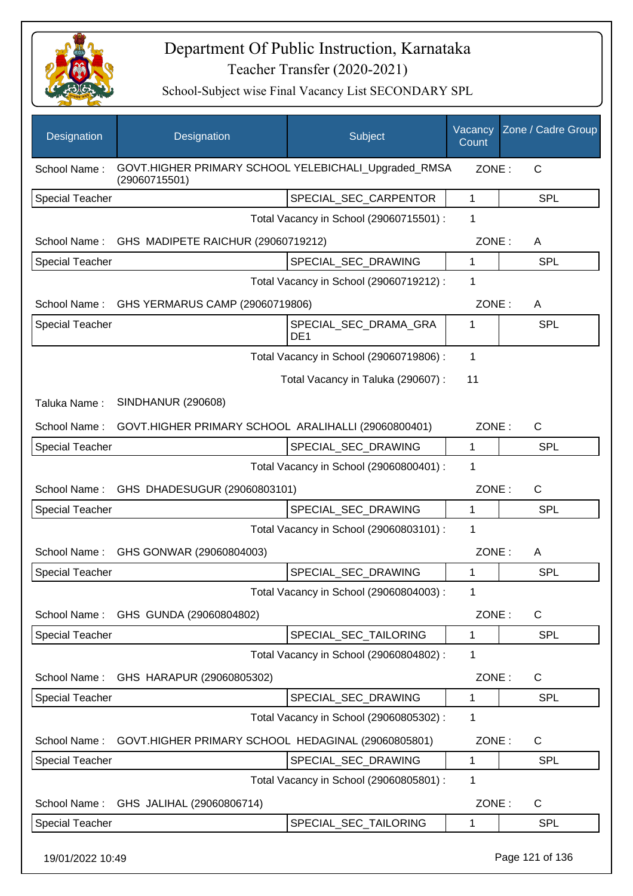

| Designation            | Designation                                                           | Subject                                  | Vacancy<br>Count | Zone / Cadre Group |
|------------------------|-----------------------------------------------------------------------|------------------------------------------|------------------|--------------------|
| School Name:           | GOVT.HIGHER PRIMARY SCHOOL YELEBICHALI_Upgraded_RMSA<br>(29060715501) |                                          | ZONE:            | C                  |
| <b>Special Teacher</b> |                                                                       | SPECIAL_SEC_CARPENTOR                    | 1                | <b>SPL</b>         |
|                        |                                                                       | Total Vacancy in School (29060715501) :  | 1                |                    |
|                        | School Name: GHS MADIPETE RAICHUR (29060719212)                       |                                          | ZONE:            | A                  |
| <b>Special Teacher</b> |                                                                       | SPECIAL_SEC_DRAWING                      | 1                | <b>SPL</b>         |
|                        |                                                                       | Total Vacancy in School (29060719212) :  | 1                |                    |
|                        | School Name: GHS YERMARUS CAMP (29060719806)                          |                                          | ZONE:            | A                  |
| <b>Special Teacher</b> |                                                                       | SPECIAL_SEC_DRAMA_GRA<br>DE <sub>1</sub> | 1                | <b>SPL</b>         |
|                        |                                                                       | Total Vacancy in School (29060719806) :  | $\mathbf 1$      |                    |
|                        |                                                                       | Total Vacancy in Taluka (290607) :       | 11               |                    |
| Taluka Name:           | <b>SINDHANUR (290608)</b>                                             |                                          |                  |                    |
| School Name:           | GOVT.HIGHER PRIMARY SCHOOL ARALIHALLI (29060800401)                   |                                          | ZONE:            | $\mathsf{C}$       |
| <b>Special Teacher</b> |                                                                       | SPECIAL_SEC_DRAWING                      | 1                | <b>SPL</b>         |
|                        |                                                                       | Total Vacancy in School (29060800401) :  | 1                |                    |
| School Name:           | GHS DHADESUGUR (29060803101)                                          |                                          | ZONE:            | $\mathsf{C}$       |
| <b>Special Teacher</b> |                                                                       | SPECIAL_SEC_DRAWING                      | $\mathbf{1}$     | SPL                |
|                        |                                                                       | Total Vacancy in School (29060803101) :  | 1                |                    |
| School Name:           | GHS GONWAR (29060804003)                                              |                                          | ZONE:            | A                  |
| <b>Special Teacher</b> |                                                                       | SPECIAL_SEC_DRAWING                      | 1                | <b>SPL</b>         |
|                        |                                                                       | Total Vacancy in School (29060804003) :  | 1                |                    |
| School Name:           | GHS GUNDA (29060804802)                                               |                                          | ZONE:            | $\mathsf{C}$       |
| <b>Special Teacher</b> |                                                                       | SPECIAL SEC TAILORING                    | 1                | <b>SPL</b>         |
|                        |                                                                       | Total Vacancy in School (29060804802) :  | 1                |                    |
| School Name:           | GHS HARAPUR (29060805302)                                             |                                          | ZONE:            | $\mathsf{C}$       |
| <b>Special Teacher</b> |                                                                       | SPECIAL_SEC_DRAWING                      | 1                | <b>SPL</b>         |
|                        |                                                                       | Total Vacancy in School (29060805302) :  | 1                |                    |
| School Name:           | GOVT.HIGHER PRIMARY SCHOOL HEDAGINAL (29060805801)                    |                                          | ZONE:            | $\mathsf{C}$       |
| <b>Special Teacher</b> |                                                                       | SPECIAL_SEC_DRAWING                      | 1                | <b>SPL</b>         |
|                        |                                                                       | Total Vacancy in School (29060805801) :  | 1                |                    |
| School Name:           | GHS JALIHAL (29060806714)                                             |                                          | ZONE:            | $\mathsf{C}$       |
| Special Teacher        |                                                                       | SPECIAL_SEC_TAILORING                    | 1                | <b>SPL</b>         |
| 19/01/2022 10:49       |                                                                       |                                          |                  | Page 121 of 136    |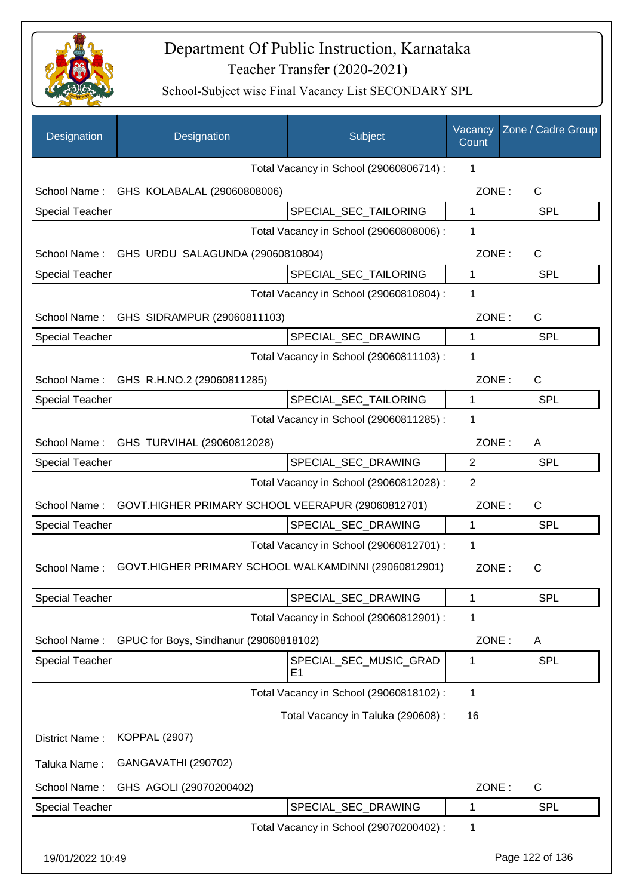

| Designation            | Designation                                          | Subject                                 | Vacancy<br>Count | Zone / Cadre Group |
|------------------------|------------------------------------------------------|-----------------------------------------|------------------|--------------------|
|                        |                                                      | Total Vacancy in School (29060806714) : | 1                |                    |
|                        | School Name: GHS KOLABALAL (29060808006)             |                                         | ZONE:            | $\mathsf{C}$       |
| <b>Special Teacher</b> |                                                      | SPECIAL_SEC_TAILORING                   | $\mathbf{1}$     | <b>SPL</b>         |
|                        |                                                      | Total Vacancy in School (29060808006) : | 1                |                    |
|                        | School Name: GHS URDU SALAGUNDA (29060810804)        |                                         | ZONE:            | C                  |
| <b>Special Teacher</b> |                                                      | SPECIAL_SEC_TAILORING                   | $\mathbf 1$      | SPL                |
|                        |                                                      | Total Vacancy in School (29060810804) : | 1                |                    |
|                        | School Name: GHS SIDRAMPUR (29060811103)             |                                         | ZONE:            | C                  |
| <b>Special Teacher</b> |                                                      | SPECIAL SEC DRAWING                     | 1                | SPL                |
|                        |                                                      | Total Vacancy in School (29060811103) : | 1                |                    |
|                        | School Name: GHS R.H.NO.2 (29060811285)              |                                         | ZONE:            | C                  |
| <b>Special Teacher</b> |                                                      | SPECIAL_SEC_TAILORING                   | 1                | SPL                |
|                        |                                                      | Total Vacancy in School (29060811285) : | 1                |                    |
| School Name:           | GHS TURVIHAL (29060812028)                           |                                         | ZONE:            | A                  |
| <b>Special Teacher</b> |                                                      | SPECIAL_SEC_DRAWING                     | $\overline{2}$   | <b>SPL</b>         |
|                        |                                                      | Total Vacancy in School (29060812028) : | 2                |                    |
| School Name:           | GOVT.HIGHER PRIMARY SCHOOL VEERAPUR (29060812701)    |                                         | ZONE:            | C                  |
| <b>Special Teacher</b> |                                                      | SPECIAL_SEC_DRAWING                     | 1                | <b>SPL</b>         |
|                        |                                                      | Total Vacancy in School (29060812701) : | 1                |                    |
| School Name:           | GOVT.HIGHER PRIMARY SCHOOL WALKAMDINNI (29060812901) |                                         | ZONE:            | C                  |
| <b>Special Teacher</b> |                                                      | SPECIAL_SEC_DRAWING                     | 1                | SPL                |
|                        |                                                      | Total Vacancy in School (29060812901) : | 1                |                    |
| School Name:           | GPUC for Boys, Sindhanur (29060818102)               |                                         | ZONE:            | A                  |
| Special Teacher        |                                                      | SPECIAL SEC MUSIC GRAD<br>E1            | 1                | <b>SPL</b>         |
|                        |                                                      | Total Vacancy in School (29060818102) : | 1                |                    |
|                        |                                                      | Total Vacancy in Taluka (290608) :      | 16               |                    |
| District Name:         | <b>KOPPAL (2907)</b>                                 |                                         |                  |                    |
| Taluka Name:           | GANGAVATHI (290702)                                  |                                         |                  |                    |
| School Name:           | GHS AGOLI (29070200402)                              |                                         | ZONE:            | C                  |
| Special Teacher        |                                                      | SPECIAL_SEC_DRAWING                     | 1                | <b>SPL</b>         |
|                        |                                                      | Total Vacancy in School (29070200402) : | 1                |                    |
| 19/01/2022 10:49       |                                                      |                                         |                  | Page 122 of 136    |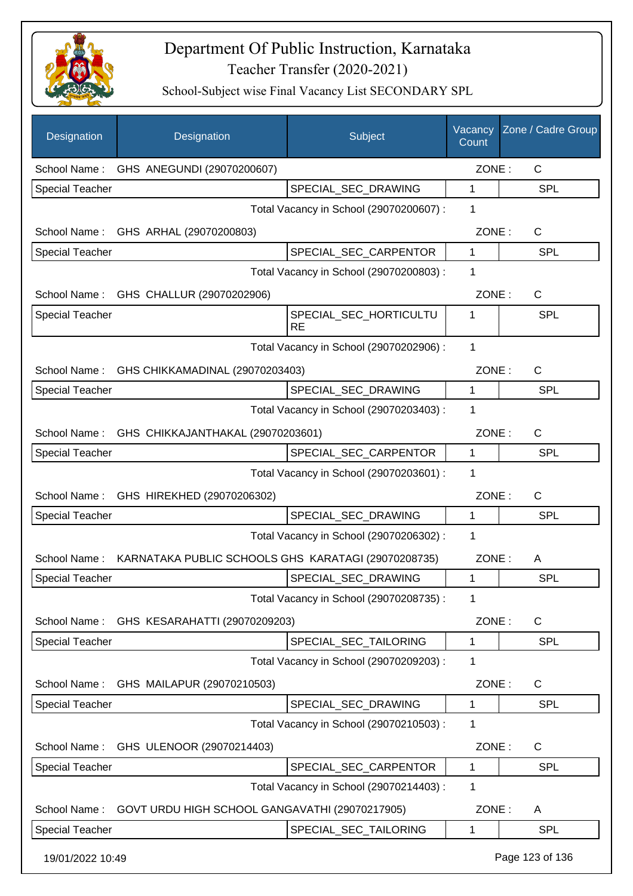

| Designation            | Designation                                         | Subject                                 | Vacancy<br>Count | Zone / Cadre Group |
|------------------------|-----------------------------------------------------|-----------------------------------------|------------------|--------------------|
| School Name:           | GHS ANEGUNDI (29070200607)                          |                                         | ZONE:            | $\mathsf{C}$       |
| <b>Special Teacher</b> |                                                     | SPECIAL SEC DRAWING                     | 1                | <b>SPL</b>         |
|                        |                                                     | Total Vacancy in School (29070200607) : | 1                |                    |
| School Name:           | GHS ARHAL (29070200803)                             |                                         | ZONE:            | C                  |
| <b>Special Teacher</b> |                                                     | SPECIAL_SEC_CARPENTOR                   | 1                | SPL                |
|                        |                                                     | Total Vacancy in School (29070200803) : | 1                |                    |
|                        | School Name: GHS CHALLUR (29070202906)              |                                         | ZONE:            | C                  |
| <b>Special Teacher</b> |                                                     | SPECIAL_SEC_HORTICULTU<br><b>RE</b>     | 1                | SPL                |
|                        |                                                     | Total Vacancy in School (29070202906) : | 1                |                    |
|                        | School Name: GHS CHIKKAMADINAL (29070203403)        |                                         | ZONE:            | C                  |
| <b>Special Teacher</b> |                                                     | SPECIAL_SEC_DRAWING                     | $\mathbf{1}$     | SPL                |
|                        |                                                     | Total Vacancy in School (29070203403) : | 1                |                    |
| School Name:           | GHS CHIKKAJANTHAKAL (29070203601)                   |                                         | ZONE:            | C                  |
| <b>Special Teacher</b> |                                                     | SPECIAL_SEC_CARPENTOR                   | $\mathbf 1$      | SPL                |
|                        |                                                     | Total Vacancy in School (29070203601) : | 1                |                    |
| School Name:           | GHS HIREKHED (29070206302)                          |                                         | ZONE:            | C                  |
| <b>Special Teacher</b> |                                                     | SPECIAL_SEC_DRAWING                     | 1                | <b>SPL</b>         |
|                        |                                                     | Total Vacancy in School (29070206302) : | 1                |                    |
| School Name:           | KARNATAKA PUBLIC SCHOOLS GHS KARATAGI (29070208735) |                                         | ZONE:            | A                  |
| <b>Special Teacher</b> |                                                     | SPECIAL_SEC_DRAWING                     | 1                | <b>SPL</b>         |
|                        |                                                     | Total Vacancy in School (29070208735) : | 1                |                    |
| School Name:           | GHS KESARAHATTI (29070209203)                       |                                         | ZONE:            | $\mathsf C$        |
| <b>Special Teacher</b> |                                                     | SPECIAL_SEC_TAILORING                   | 1                | <b>SPL</b>         |
|                        |                                                     | Total Vacancy in School (29070209203) : | 1                |                    |
| School Name:           | GHS MAILAPUR (29070210503)                          |                                         | ZONE:            | C                  |
| <b>Special Teacher</b> |                                                     | SPECIAL_SEC_DRAWING                     | 1                | <b>SPL</b>         |
|                        |                                                     | Total Vacancy in School (29070210503) : | 1                |                    |
| School Name:           | GHS ULENOOR (29070214403)                           |                                         | ZONE:            | C                  |
| <b>Special Teacher</b> |                                                     | SPECIAL_SEC_CARPENTOR                   | $\mathbf{1}$     | SPL                |
|                        |                                                     | Total Vacancy in School (29070214403) : | 1                |                    |
| School Name:           | GOVT URDU HIGH SCHOOL GANGAVATHI (29070217905)      |                                         | ZONE:            | A                  |
| <b>Special Teacher</b> |                                                     | SPECIAL_SEC_TAILORING                   | 1                | SPL                |
| 19/01/2022 10:49       |                                                     |                                         |                  | Page 123 of 136    |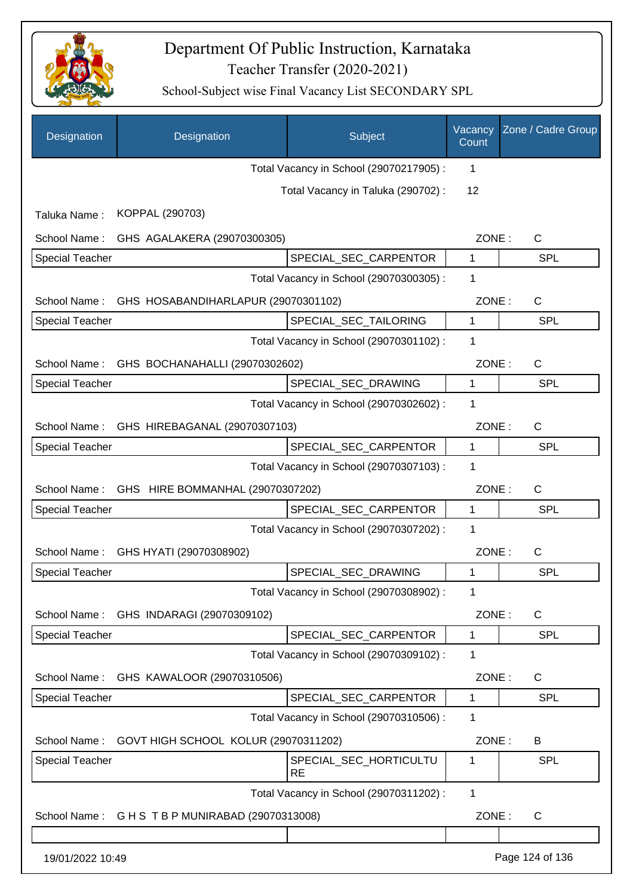

| Designation            | Designation                          | Subject                                 | Vacancy<br>Count | Zone / Cadre Group |
|------------------------|--------------------------------------|-----------------------------------------|------------------|--------------------|
|                        |                                      | Total Vacancy in School (29070217905) : | 1                |                    |
|                        |                                      | Total Vacancy in Taluka (290702) :      | 12               |                    |
| Taluka Name:           | KOPPAL (290703)                      |                                         |                  |                    |
| School Name:           | GHS AGALAKERA (29070300305)          |                                         | ZONE:            | C                  |
| <b>Special Teacher</b> |                                      | SPECIAL_SEC_CARPENTOR                   | 1                | <b>SPL</b>         |
|                        |                                      | Total Vacancy in School (29070300305) : | 1                |                    |
| School Name:           | GHS HOSABANDIHARLAPUR (29070301102)  |                                         | ZONE:            | C                  |
| <b>Special Teacher</b> |                                      | SPECIAL SEC TAILORING                   | 1                | <b>SPL</b>         |
|                        |                                      | Total Vacancy in School (29070301102) : | 1                |                    |
| School Name:           | GHS BOCHANAHALLI (29070302602)       |                                         | ZONE:            | C                  |
| <b>Special Teacher</b> |                                      | SPECIAL_SEC_DRAWING                     | 1                | <b>SPL</b>         |
|                        |                                      | Total Vacancy in School (29070302602) : | $\mathbf 1$      |                    |
| School Name:           | GHS HIREBAGANAL (29070307103)        |                                         | ZONE:            | C                  |
| <b>Special Teacher</b> |                                      | SPECIAL_SEC_CARPENTOR                   | 1                | SPL                |
|                        |                                      | Total Vacancy in School (29070307103) : | 1                |                    |
| School Name:           | GHS HIRE BOMMANHAL (29070307202)     |                                         | ZONE:            | C                  |
| <b>Special Teacher</b> |                                      | SPECIAL_SEC_CARPENTOR                   | 1                | <b>SPL</b>         |
|                        |                                      | Total Vacancy in School (29070307202) : | 1                |                    |
| School Name:           | GHS HYATI (29070308902)              |                                         | ZONE:            | C                  |
| <b>Special Teacher</b> |                                      | SPECIAL SEC DRAWING                     | 1                | <b>SPL</b>         |
|                        |                                      | Total Vacancy in School (29070308902) : | 1                |                    |
| School Name:           | GHS INDARAGI (29070309102)           |                                         | ZONE:            | $\mathsf{C}$       |
| <b>Special Teacher</b> |                                      | SPECIAL_SEC_CARPENTOR                   | 1                | <b>SPL</b>         |
|                        |                                      | Total Vacancy in School (29070309102) : | 1                |                    |
| School Name:           | GHS KAWALOOR (29070310506)           |                                         | ZONE:            | $\mathsf{C}$       |
| <b>Special Teacher</b> |                                      | SPECIAL_SEC_CARPENTOR                   | 1                | <b>SPL</b>         |
|                        |                                      | Total Vacancy in School (29070310506) : | 1                |                    |
| School Name:           | GOVT HIGH SCHOOL KOLUR (29070311202) |                                         | ZONE:            | B                  |
| Special Teacher        |                                      | SPECIAL_SEC_HORTICULTU<br>RE            | 1                | <b>SPL</b>         |
|                        |                                      | Total Vacancy in School (29070311202) : | $\mathbf{1}$     |                    |
| School Name:           | G H S T B P MUNIRABAD (29070313008)  |                                         | ZONE:            | C                  |
|                        |                                      |                                         |                  |                    |
| 19/01/2022 10:49       |                                      |                                         |                  | Page 124 of 136    |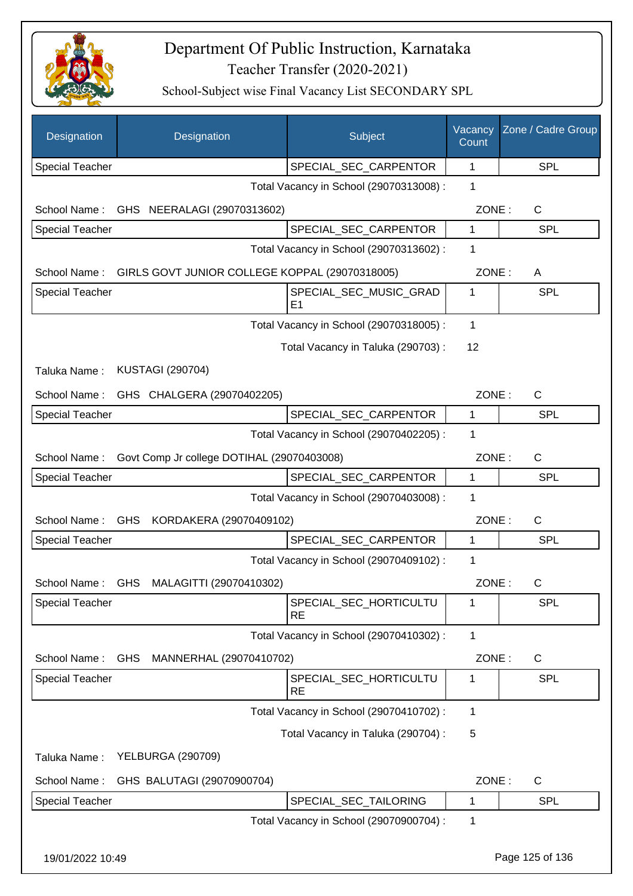

| Designation            | Designation                                    | Subject                                  | Vacancy<br>Count | Zone / Cadre Group |
|------------------------|------------------------------------------------|------------------------------------------|------------------|--------------------|
| <b>Special Teacher</b> |                                                | SPECIAL_SEC_CARPENTOR                    | 1                | <b>SPL</b>         |
|                        |                                                | Total Vacancy in School (29070313008) :  | 1                |                    |
| School Name:           | GHS NEERALAGI (29070313602)                    |                                          | ZONE:            | C                  |
| <b>Special Teacher</b> |                                                | SPECIAL_SEC_CARPENTOR                    | 1                | <b>SPL</b>         |
|                        |                                                | Total Vacancy in School (29070313602) :  | 1                |                    |
| School Name:           | GIRLS GOVT JUNIOR COLLEGE KOPPAL (29070318005) |                                          | ZONE:            | A                  |
| Special Teacher        |                                                | SPECIAL_SEC_MUSIC_GRAD<br>E <sub>1</sub> | 1                | <b>SPL</b>         |
|                        |                                                | Total Vacancy in School (29070318005) :  | 1                |                    |
|                        |                                                | Total Vacancy in Taluka (290703) :       | 12               |                    |
| Taluka Name:           | <b>KUSTAGI (290704)</b>                        |                                          |                  |                    |
| School Name:           | GHS CHALGERA (29070402205)                     |                                          | ZONE:            | C                  |
| <b>Special Teacher</b> |                                                | SPECIAL_SEC_CARPENTOR                    | 1                | <b>SPL</b>         |
|                        |                                                | Total Vacancy in School (29070402205) :  | 1                |                    |
| School Name:           | Govt Comp Jr college DOTIHAL (29070403008)     |                                          | ZONE:            | C                  |
| <b>Special Teacher</b> |                                                | SPECIAL_SEC_CARPENTOR                    | 1                | <b>SPL</b>         |
|                        |                                                | Total Vacancy in School (29070403008) :  | 1                |                    |
| School Name:           | GHS KORDAKERA (29070409102)                    |                                          | ZONE:            | C                  |
| <b>Special Teacher</b> |                                                | SPECIAL_SEC_CARPENTOR                    | 1                | <b>SPL</b>         |
|                        |                                                | Total Vacancy in School (29070409102) :  | 1                |                    |
| School Name:           | GHS MALAGITTI (29070410302)                    |                                          | ZONE:            | C                  |
| <b>Special Teacher</b> |                                                | SPECIAL_SEC_HORTICULTU<br><b>RE</b>      | 1                | <b>SPL</b>         |
|                        |                                                | Total Vacancy in School (29070410302) :  | 1                |                    |
| School Name:           | <b>GHS</b><br>MANNERHAL (29070410702)          |                                          | ZONE:            | C                  |
| <b>Special Teacher</b> |                                                | SPECIAL_SEC_HORTICULTU<br><b>RE</b>      | 1                | <b>SPL</b>         |
|                        |                                                | Total Vacancy in School (29070410702) :  | 1                |                    |
|                        |                                                | Total Vacancy in Taluka (290704) :       | 5                |                    |
| Taluka Name:           | <b>YELBURGA (290709)</b>                       |                                          |                  |                    |
| School Name:           | GHS BALUTAGI (29070900704)                     |                                          | ZONE:            | C                  |
| Special Teacher        |                                                | SPECIAL_SEC_TAILORING                    | 1                | <b>SPL</b>         |
|                        |                                                | Total Vacancy in School (29070900704) :  | 1                |                    |
| 19/01/2022 10:49       |                                                |                                          |                  | Page 125 of 136    |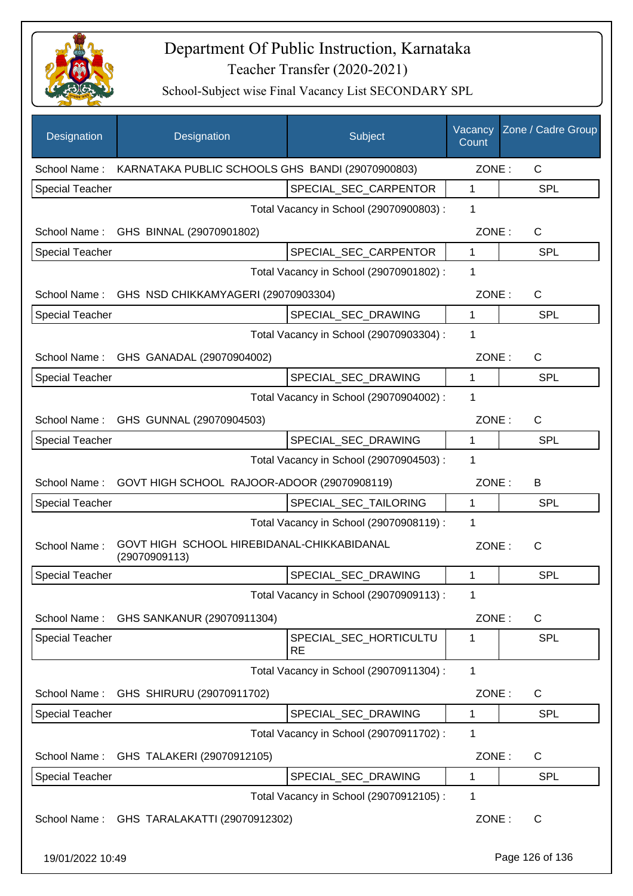

| Designation            | Designation                                                 | Subject                                 | Vacancy<br>Count | Zone / Cadre Group |
|------------------------|-------------------------------------------------------------|-----------------------------------------|------------------|--------------------|
| School Name:           | KARNATAKA PUBLIC SCHOOLS GHS BANDI (29070900803)            |                                         | ZONE:            | C                  |
| <b>Special Teacher</b> |                                                             | SPECIAL_SEC_CARPENTOR                   | 1                | <b>SPL</b>         |
|                        |                                                             | Total Vacancy in School (29070900803) : | 1                |                    |
| School Name:           | GHS BINNAL (29070901802)                                    |                                         | ZONE:            | $\mathsf{C}$       |
| <b>Special Teacher</b> |                                                             | SPECIAL SEC CARPENTOR                   | 1                | <b>SPL</b>         |
|                        |                                                             | Total Vacancy in School (29070901802) : | 1                |                    |
|                        | School Name: GHS NSD CHIKKAMYAGERI (29070903304)            |                                         | ZONE:            | $\mathsf{C}$       |
| <b>Special Teacher</b> |                                                             | SPECIAL_SEC_DRAWING                     | 1                | <b>SPL</b>         |
|                        |                                                             | Total Vacancy in School (29070903304) : | 1                |                    |
|                        | School Name: GHS GANADAL (29070904002)                      |                                         | ZONE:            | $\mathsf{C}$       |
| <b>Special Teacher</b> |                                                             | SPECIAL SEC DRAWING                     | 1                | <b>SPL</b>         |
|                        |                                                             | Total Vacancy in School (29070904002) : | 1                |                    |
|                        | School Name: GHS GUNNAL (29070904503)                       |                                         | ZONE:            | $\mathsf{C}$       |
| <b>Special Teacher</b> |                                                             | SPECIAL_SEC_DRAWING                     | $\mathbf 1$      | <b>SPL</b>         |
|                        |                                                             | Total Vacancy in School (29070904503) : | 1                |                    |
|                        | School Name: GOVT HIGH SCHOOL RAJOOR-ADOOR (29070908119)    |                                         | ZONE:            | B                  |
| <b>Special Teacher</b> |                                                             | SPECIAL_SEC_TAILORING                   | 1                | SPL                |
|                        |                                                             | Total Vacancy in School (29070908119) : | 1                |                    |
| School Name:           | GOVT HIGH SCHOOL HIREBIDANAL-CHIKKABIDANAL<br>(29070909113) |                                         | ZONE:            | $\mathsf{C}$       |
| <b>Special Teacher</b> |                                                             | SPECIAL SEC DRAWING                     | 1                | <b>SPL</b>         |
|                        |                                                             | Total Vacancy in School (29070909113) : | 1                |                    |
|                        | School Name: GHS SANKANUR (29070911304)                     |                                         | ZONE:            | C                  |
| <b>Special Teacher</b> |                                                             | SPECIAL_SEC_HORTICULTU<br>RE            | 1                | <b>SPL</b>         |
|                        |                                                             | Total Vacancy in School (29070911304) : | $\mathbf{1}$     |                    |
| School Name:           | GHS SHIRURU (29070911702)                                   |                                         | ZONE:            | C                  |
| <b>Special Teacher</b> |                                                             | SPECIAL_SEC_DRAWING                     | 1                | <b>SPL</b>         |
|                        |                                                             | Total Vacancy in School (29070911702) : | 1                |                    |
| School Name:           | GHS TALAKERI (29070912105)                                  |                                         | ZONE:            | C                  |
| <b>Special Teacher</b> |                                                             | SPECIAL_SEC_DRAWING                     | 1                | <b>SPL</b>         |
|                        |                                                             | Total Vacancy in School (29070912105) : | 1                |                    |
| School Name:           | GHS TARALAKATTI (29070912302)                               |                                         | ZONE:            | $\mathsf{C}$       |
| 19/01/2022 10:49       |                                                             |                                         |                  | Page 126 of 136    |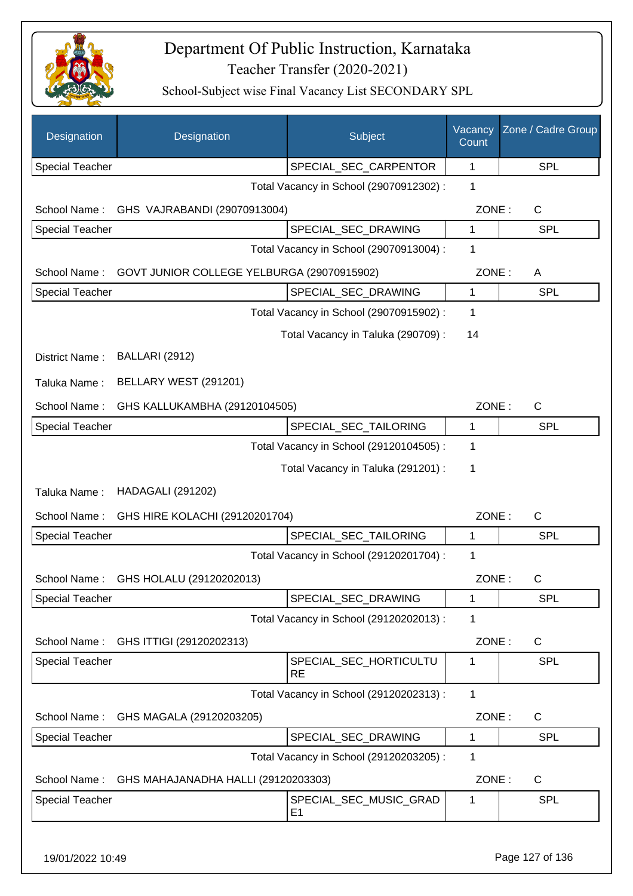

| Designation            | Designation                                | Subject                                  | Vacancy<br>Count | Zone / Cadre Group |
|------------------------|--------------------------------------------|------------------------------------------|------------------|--------------------|
| <b>Special Teacher</b> |                                            | SPECIAL_SEC_CARPENTOR                    | 1                | <b>SPL</b>         |
|                        |                                            | Total Vacancy in School (29070912302) :  | 1                |                    |
| School Name:           | GHS VAJRABANDI (29070913004)               |                                          | ZONE:            | $\mathsf{C}$       |
| Special Teacher        |                                            | SPECIAL_SEC_DRAWING                      | 1                | <b>SPL</b>         |
|                        |                                            | Total Vacancy in School (29070913004) :  | 1                |                    |
| School Name:           | GOVT JUNIOR COLLEGE YELBURGA (29070915902) |                                          | ZONE:            | A                  |
| <b>Special Teacher</b> |                                            | SPECIAL_SEC_DRAWING                      | 1                | <b>SPL</b>         |
|                        |                                            | Total Vacancy in School (29070915902) :  | 1                |                    |
|                        |                                            | Total Vacancy in Taluka (290709) :       | 14               |                    |
| District Name:         | <b>BALLARI (2912)</b>                      |                                          |                  |                    |
| Taluka Name:           | BELLARY WEST (291201)                      |                                          |                  |                    |
| School Name:           | GHS KALLUKAMBHA (29120104505)              |                                          | ZONE:            | $\mathsf{C}$       |
| Special Teacher        |                                            | SPECIAL_SEC_TAILORING                    | 1                | <b>SPL</b>         |
|                        |                                            | Total Vacancy in School (29120104505) :  | 1                |                    |
|                        |                                            | Total Vacancy in Taluka (291201) :       | 1                |                    |
| Taluka Name:           | <b>HADAGALI (291202)</b>                   |                                          |                  |                    |
| School Name:           | GHS HIRE KOLACHI (29120201704)             |                                          | ZONE:            | $\mathsf{C}$       |
| Special Teacher        |                                            | SPECIAL_SEC_TAILORING                    | 1                | <b>SPL</b>         |
|                        |                                            | Total Vacancy in School (29120201704) :  | 1                |                    |
| School Name:           | GHS HOLALU (29120202013)                   |                                          | ZONE:            | $\mathsf{C}$       |
| Special Teacher        |                                            | SPECIAL_SEC_DRAWING                      | 1                | <b>SPL</b>         |
|                        |                                            | Total Vacancy in School (29120202013) :  | 1                |                    |
| School Name:           | GHS ITTIGI (29120202313)                   |                                          | ZONE:            | C                  |
| <b>Special Teacher</b> |                                            | SPECIAL_SEC_HORTICULTU<br><b>RE</b>      | 1                | <b>SPL</b>         |
|                        |                                            | Total Vacancy in School (29120202313) :  | 1                |                    |
| School Name:           | GHS MAGALA (29120203205)                   |                                          | ZONE:            | $\mathsf C$        |
| Special Teacher        |                                            | SPECIAL_SEC_DRAWING                      | 1                | <b>SPL</b>         |
|                        |                                            | Total Vacancy in School (29120203205) :  | 1                |                    |
| School Name:           | GHS MAHAJANADHA HALLI (29120203303)        |                                          | ZONE:            | C                  |
| <b>Special Teacher</b> |                                            | SPECIAL_SEC_MUSIC_GRAD<br>E <sub>1</sub> | 1                | <b>SPL</b>         |
| 19/01/2022 10:49       |                                            |                                          |                  | Page 127 of 136    |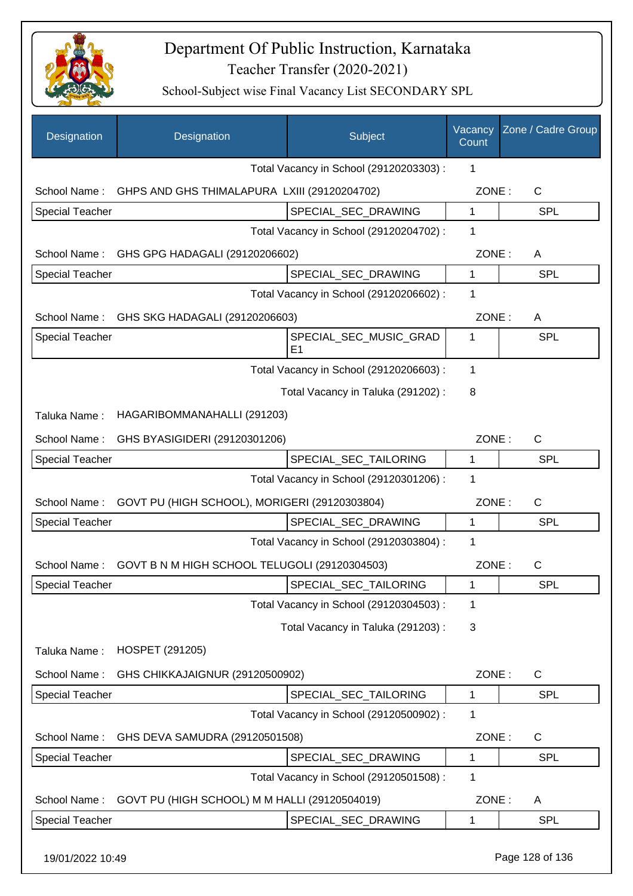

| Total Vacancy in School (29120203303) :<br>1<br>GHPS AND GHS THIMALAPURA LXIII (29120204702)<br>ZONE:<br>$\mathsf{C}$<br>School Name:<br>SPECIAL_SEC_DRAWING<br><b>Special Teacher</b><br>1<br><b>SPL</b><br>Total Vacancy in School (29120204702) :<br>1<br>ZONE:<br>School Name:<br>GHS GPG HADAGALI (29120206602)<br>A<br>$\mathbf{1}$<br><b>Special Teacher</b><br>SPECIAL_SEC_DRAWING<br><b>SPL</b><br>Total Vacancy in School (29120206602) :<br>1<br>ZONE:<br>School Name:<br>GHS SKG HADAGALI (29120206603)<br>Α<br><b>Special Teacher</b><br>SPECIAL_SEC_MUSIC_GRAD<br>SPL<br>1<br>E <sub>1</sub><br>1<br>Total Vacancy in School (29120206603) :<br>Total Vacancy in Taluka (291202):<br>8<br>HAGARIBOMMANAHALLI (291203)<br>Taluka Name:<br>School Name:<br>GHS BYASIGIDERI (29120301206)<br>ZONE:<br>C<br>SPL<br><b>Special Teacher</b><br>SPECIAL_SEC_TAILORING<br>1<br>Total Vacancy in School (29120301206) :<br>1<br>GOVT PU (HIGH SCHOOL), MORIGERI (29120303804)<br>ZONE:<br>$\mathsf{C}$<br>School Name:<br>SPECIAL_SEC_DRAWING<br><b>Special Teacher</b><br>1<br><b>SPL</b><br>Total Vacancy in School (29120303804) :<br>1<br>GOVT B N M HIGH SCHOOL TELUGOLI (29120304503)<br>ZONE:<br>C<br>School Name:<br>Special Teacher<br>SPECIAL_SEC_TAILORING<br><b>SPL</b><br>$\mathbf 1$<br>Total Vacancy in School (29120304503) :<br>1<br>Total Vacancy in Taluka (291203):<br>3<br>HOSPET (291205)<br>Taluka Name:<br>ZONE:<br>C<br>School Name:<br>GHS CHIKKAJAIGNUR (29120500902)<br><b>Special Teacher</b><br>SPECIAL_SEC_TAILORING<br><b>SPL</b><br>1<br>Total Vacancy in School (29120500902) :<br>1<br>GHS DEVA SAMUDRA (29120501508)<br>ZONE:<br>$\mathsf{C}$<br>School Name:<br><b>Special Teacher</b><br>SPECIAL_SEC_DRAWING<br>SPL<br>1<br>Total Vacancy in School (29120501508) :<br>1<br>School Name:<br>GOVT PU (HIGH SCHOOL) M M HALLI (29120504019)<br>ZONE:<br>A<br><b>Special Teacher</b><br>SPECIAL_SEC_DRAWING<br><b>SPL</b><br>1 | Designation | Designation | Subject | Vacancy<br>Count | Zone / Cadre Group |
|------------------------------------------------------------------------------------------------------------------------------------------------------------------------------------------------------------------------------------------------------------------------------------------------------------------------------------------------------------------------------------------------------------------------------------------------------------------------------------------------------------------------------------------------------------------------------------------------------------------------------------------------------------------------------------------------------------------------------------------------------------------------------------------------------------------------------------------------------------------------------------------------------------------------------------------------------------------------------------------------------------------------------------------------------------------------------------------------------------------------------------------------------------------------------------------------------------------------------------------------------------------------------------------------------------------------------------------------------------------------------------------------------------------------------------------------------------------------------------------------------------------------------------------------------------------------------------------------------------------------------------------------------------------------------------------------------------------------------------------------------------------------------------------------------------------------------------------------------------------------------------------------------------------------------------------------------------------------|-------------|-------------|---------|------------------|--------------------|
|                                                                                                                                                                                                                                                                                                                                                                                                                                                                                                                                                                                                                                                                                                                                                                                                                                                                                                                                                                                                                                                                                                                                                                                                                                                                                                                                                                                                                                                                                                                                                                                                                                                                                                                                                                                                                                                                                                                                                                        |             |             |         |                  |                    |
|                                                                                                                                                                                                                                                                                                                                                                                                                                                                                                                                                                                                                                                                                                                                                                                                                                                                                                                                                                                                                                                                                                                                                                                                                                                                                                                                                                                                                                                                                                                                                                                                                                                                                                                                                                                                                                                                                                                                                                        |             |             |         |                  |                    |
|                                                                                                                                                                                                                                                                                                                                                                                                                                                                                                                                                                                                                                                                                                                                                                                                                                                                                                                                                                                                                                                                                                                                                                                                                                                                                                                                                                                                                                                                                                                                                                                                                                                                                                                                                                                                                                                                                                                                                                        |             |             |         |                  |                    |
|                                                                                                                                                                                                                                                                                                                                                                                                                                                                                                                                                                                                                                                                                                                                                                                                                                                                                                                                                                                                                                                                                                                                                                                                                                                                                                                                                                                                                                                                                                                                                                                                                                                                                                                                                                                                                                                                                                                                                                        |             |             |         |                  |                    |
|                                                                                                                                                                                                                                                                                                                                                                                                                                                                                                                                                                                                                                                                                                                                                                                                                                                                                                                                                                                                                                                                                                                                                                                                                                                                                                                                                                                                                                                                                                                                                                                                                                                                                                                                                                                                                                                                                                                                                                        |             |             |         |                  |                    |
|                                                                                                                                                                                                                                                                                                                                                                                                                                                                                                                                                                                                                                                                                                                                                                                                                                                                                                                                                                                                                                                                                                                                                                                                                                                                                                                                                                                                                                                                                                                                                                                                                                                                                                                                                                                                                                                                                                                                                                        |             |             |         |                  |                    |
|                                                                                                                                                                                                                                                                                                                                                                                                                                                                                                                                                                                                                                                                                                                                                                                                                                                                                                                                                                                                                                                                                                                                                                                                                                                                                                                                                                                                                                                                                                                                                                                                                                                                                                                                                                                                                                                                                                                                                                        |             |             |         |                  |                    |
|                                                                                                                                                                                                                                                                                                                                                                                                                                                                                                                                                                                                                                                                                                                                                                                                                                                                                                                                                                                                                                                                                                                                                                                                                                                                                                                                                                                                                                                                                                                                                                                                                                                                                                                                                                                                                                                                                                                                                                        |             |             |         |                  |                    |
|                                                                                                                                                                                                                                                                                                                                                                                                                                                                                                                                                                                                                                                                                                                                                                                                                                                                                                                                                                                                                                                                                                                                                                                                                                                                                                                                                                                                                                                                                                                                                                                                                                                                                                                                                                                                                                                                                                                                                                        |             |             |         |                  |                    |
|                                                                                                                                                                                                                                                                                                                                                                                                                                                                                                                                                                                                                                                                                                                                                                                                                                                                                                                                                                                                                                                                                                                                                                                                                                                                                                                                                                                                                                                                                                                                                                                                                                                                                                                                                                                                                                                                                                                                                                        |             |             |         |                  |                    |
|                                                                                                                                                                                                                                                                                                                                                                                                                                                                                                                                                                                                                                                                                                                                                                                                                                                                                                                                                                                                                                                                                                                                                                                                                                                                                                                                                                                                                                                                                                                                                                                                                                                                                                                                                                                                                                                                                                                                                                        |             |             |         |                  |                    |
|                                                                                                                                                                                                                                                                                                                                                                                                                                                                                                                                                                                                                                                                                                                                                                                                                                                                                                                                                                                                                                                                                                                                                                                                                                                                                                                                                                                                                                                                                                                                                                                                                                                                                                                                                                                                                                                                                                                                                                        |             |             |         |                  |                    |
|                                                                                                                                                                                                                                                                                                                                                                                                                                                                                                                                                                                                                                                                                                                                                                                                                                                                                                                                                                                                                                                                                                                                                                                                                                                                                                                                                                                                                                                                                                                                                                                                                                                                                                                                                                                                                                                                                                                                                                        |             |             |         |                  |                    |
|                                                                                                                                                                                                                                                                                                                                                                                                                                                                                                                                                                                                                                                                                                                                                                                                                                                                                                                                                                                                                                                                                                                                                                                                                                                                                                                                                                                                                                                                                                                                                                                                                                                                                                                                                                                                                                                                                                                                                                        |             |             |         |                  |                    |
|                                                                                                                                                                                                                                                                                                                                                                                                                                                                                                                                                                                                                                                                                                                                                                                                                                                                                                                                                                                                                                                                                                                                                                                                                                                                                                                                                                                                                                                                                                                                                                                                                                                                                                                                                                                                                                                                                                                                                                        |             |             |         |                  |                    |
|                                                                                                                                                                                                                                                                                                                                                                                                                                                                                                                                                                                                                                                                                                                                                                                                                                                                                                                                                                                                                                                                                                                                                                                                                                                                                                                                                                                                                                                                                                                                                                                                                                                                                                                                                                                                                                                                                                                                                                        |             |             |         |                  |                    |
|                                                                                                                                                                                                                                                                                                                                                                                                                                                                                                                                                                                                                                                                                                                                                                                                                                                                                                                                                                                                                                                                                                                                                                                                                                                                                                                                                                                                                                                                                                                                                                                                                                                                                                                                                                                                                                                                                                                                                                        |             |             |         |                  |                    |
|                                                                                                                                                                                                                                                                                                                                                                                                                                                                                                                                                                                                                                                                                                                                                                                                                                                                                                                                                                                                                                                                                                                                                                                                                                                                                                                                                                                                                                                                                                                                                                                                                                                                                                                                                                                                                                                                                                                                                                        |             |             |         |                  |                    |
|                                                                                                                                                                                                                                                                                                                                                                                                                                                                                                                                                                                                                                                                                                                                                                                                                                                                                                                                                                                                                                                                                                                                                                                                                                                                                                                                                                                                                                                                                                                                                                                                                                                                                                                                                                                                                                                                                                                                                                        |             |             |         |                  |                    |
|                                                                                                                                                                                                                                                                                                                                                                                                                                                                                                                                                                                                                                                                                                                                                                                                                                                                                                                                                                                                                                                                                                                                                                                                                                                                                                                                                                                                                                                                                                                                                                                                                                                                                                                                                                                                                                                                                                                                                                        |             |             |         |                  |                    |
|                                                                                                                                                                                                                                                                                                                                                                                                                                                                                                                                                                                                                                                                                                                                                                                                                                                                                                                                                                                                                                                                                                                                                                                                                                                                                                                                                                                                                                                                                                                                                                                                                                                                                                                                                                                                                                                                                                                                                                        |             |             |         |                  |                    |
|                                                                                                                                                                                                                                                                                                                                                                                                                                                                                                                                                                                                                                                                                                                                                                                                                                                                                                                                                                                                                                                                                                                                                                                                                                                                                                                                                                                                                                                                                                                                                                                                                                                                                                                                                                                                                                                                                                                                                                        |             |             |         |                  |                    |
|                                                                                                                                                                                                                                                                                                                                                                                                                                                                                                                                                                                                                                                                                                                                                                                                                                                                                                                                                                                                                                                                                                                                                                                                                                                                                                                                                                                                                                                                                                                                                                                                                                                                                                                                                                                                                                                                                                                                                                        |             |             |         |                  |                    |
|                                                                                                                                                                                                                                                                                                                                                                                                                                                                                                                                                                                                                                                                                                                                                                                                                                                                                                                                                                                                                                                                                                                                                                                                                                                                                                                                                                                                                                                                                                                                                                                                                                                                                                                                                                                                                                                                                                                                                                        |             |             |         |                  |                    |
|                                                                                                                                                                                                                                                                                                                                                                                                                                                                                                                                                                                                                                                                                                                                                                                                                                                                                                                                                                                                                                                                                                                                                                                                                                                                                                                                                                                                                                                                                                                                                                                                                                                                                                                                                                                                                                                                                                                                                                        |             |             |         |                  |                    |
|                                                                                                                                                                                                                                                                                                                                                                                                                                                                                                                                                                                                                                                                                                                                                                                                                                                                                                                                                                                                                                                                                                                                                                                                                                                                                                                                                                                                                                                                                                                                                                                                                                                                                                                                                                                                                                                                                                                                                                        |             |             |         |                  |                    |
|                                                                                                                                                                                                                                                                                                                                                                                                                                                                                                                                                                                                                                                                                                                                                                                                                                                                                                                                                                                                                                                                                                                                                                                                                                                                                                                                                                                                                                                                                                                                                                                                                                                                                                                                                                                                                                                                                                                                                                        |             |             |         |                  |                    |
|                                                                                                                                                                                                                                                                                                                                                                                                                                                                                                                                                                                                                                                                                                                                                                                                                                                                                                                                                                                                                                                                                                                                                                                                                                                                                                                                                                                                                                                                                                                                                                                                                                                                                                                                                                                                                                                                                                                                                                        |             |             |         |                  |                    |
|                                                                                                                                                                                                                                                                                                                                                                                                                                                                                                                                                                                                                                                                                                                                                                                                                                                                                                                                                                                                                                                                                                                                                                                                                                                                                                                                                                                                                                                                                                                                                                                                                                                                                                                                                                                                                                                                                                                                                                        |             |             |         |                  |                    |
|                                                                                                                                                                                                                                                                                                                                                                                                                                                                                                                                                                                                                                                                                                                                                                                                                                                                                                                                                                                                                                                                                                                                                                                                                                                                                                                                                                                                                                                                                                                                                                                                                                                                                                                                                                                                                                                                                                                                                                        |             |             |         |                  |                    |
|                                                                                                                                                                                                                                                                                                                                                                                                                                                                                                                                                                                                                                                                                                                                                                                                                                                                                                                                                                                                                                                                                                                                                                                                                                                                                                                                                                                                                                                                                                                                                                                                                                                                                                                                                                                                                                                                                                                                                                        |             |             |         |                  |                    |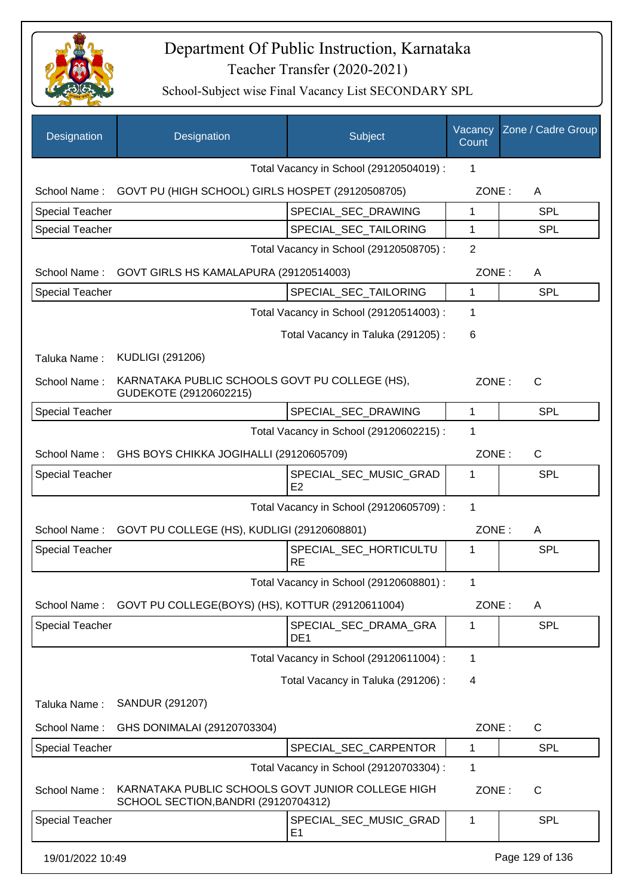

| Designation            | Designation                                                                               | Subject                                  | Vacancy<br>Count        | Zone / Cadre Group |
|------------------------|-------------------------------------------------------------------------------------------|------------------------------------------|-------------------------|--------------------|
|                        |                                                                                           | Total Vacancy in School (29120504019) :  | 1                       |                    |
| School Name:           | GOVT PU (HIGH SCHOOL) GIRLS HOSPET (29120508705)                                          |                                          | ZONE:                   | A                  |
| <b>Special Teacher</b> |                                                                                           | SPECIAL SEC DRAWING                      | 1                       | <b>SPL</b>         |
| <b>Special Teacher</b> |                                                                                           | SPECIAL_SEC_TAILORING                    | 1                       | <b>SPL</b>         |
|                        |                                                                                           | Total Vacancy in School (29120508705) :  | $\overline{2}$          |                    |
| School Name:           | GOVT GIRLS HS KAMALAPURA (29120514003)                                                    |                                          | ZONE:                   | A                  |
| <b>Special Teacher</b> |                                                                                           | SPECIAL_SEC_TAILORING                    | 1                       | <b>SPL</b>         |
|                        |                                                                                           | Total Vacancy in School (29120514003) :  | 1                       |                    |
|                        |                                                                                           | Total Vacancy in Taluka (291205):        | 6                       |                    |
| Taluka Name:           | <b>KUDLIGI (291206)</b>                                                                   |                                          |                         |                    |
| School Name:           | KARNATAKA PUBLIC SCHOOLS GOVT PU COLLEGE (HS),<br>GUDEKOTE (29120602215)                  |                                          | ZONE:                   | C                  |
| Special Teacher        |                                                                                           | SPECIAL_SEC_DRAWING                      | 1                       | SPL                |
|                        |                                                                                           | Total Vacancy in School (29120602215) :  | 1                       |                    |
| School Name:           | GHS BOYS CHIKKA JOGIHALLI (29120605709)                                                   |                                          | ZONE:                   | $\mathsf{C}$       |
| Special Teacher        |                                                                                           | SPECIAL_SEC_MUSIC_GRAD<br>E2             | 1                       | <b>SPL</b>         |
|                        |                                                                                           | Total Vacancy in School (29120605709) :  | 1                       |                    |
| School Name:           | GOVT PU COLLEGE (HS), KUDLIGI (29120608801)                                               |                                          | ZONE:                   | A                  |
| <b>Special Teacher</b> |                                                                                           | SPECIAL_SEC_HORTICULTU<br><b>RE</b>      | 1                       | SPL                |
|                        |                                                                                           | Total Vacancy in School (29120608801) :  | 1.                      |                    |
| School Name:           | GOVT PU COLLEGE(BOYS) (HS), KOTTUR (29120611004)                                          |                                          | ZONE:                   | A                  |
| <b>Special Teacher</b> |                                                                                           | SPECIAL_SEC_DRAMA_GRA<br>DE <sub>1</sub> | 1                       | <b>SPL</b>         |
|                        |                                                                                           | Total Vacancy in School (29120611004) :  | 1                       |                    |
|                        |                                                                                           | Total Vacancy in Taluka (291206) :       | $\overline{\mathbf{4}}$ |                    |
| Taluka Name:           | SANDUR (291207)                                                                           |                                          |                         |                    |
| School Name:           | GHS DONIMALAI (29120703304)                                                               |                                          | ZONE:                   | $\mathsf{C}$       |
| Special Teacher        |                                                                                           | SPECIAL_SEC_CARPENTOR                    | 1                       | <b>SPL</b>         |
|                        |                                                                                           | Total Vacancy in School (29120703304) :  | 1                       |                    |
| School Name:           | KARNATAKA PUBLIC SCHOOLS GOVT JUNIOR COLLEGE HIGH<br>SCHOOL SECTION, BANDRI (29120704312) |                                          | ZONE:                   | $\mathsf{C}$       |
| <b>Special Teacher</b> |                                                                                           | SPECIAL_SEC_MUSIC_GRAD<br>E1             | 1                       | SPL                |
| 19/01/2022 10:49       |                                                                                           |                                          |                         | Page 129 of 136    |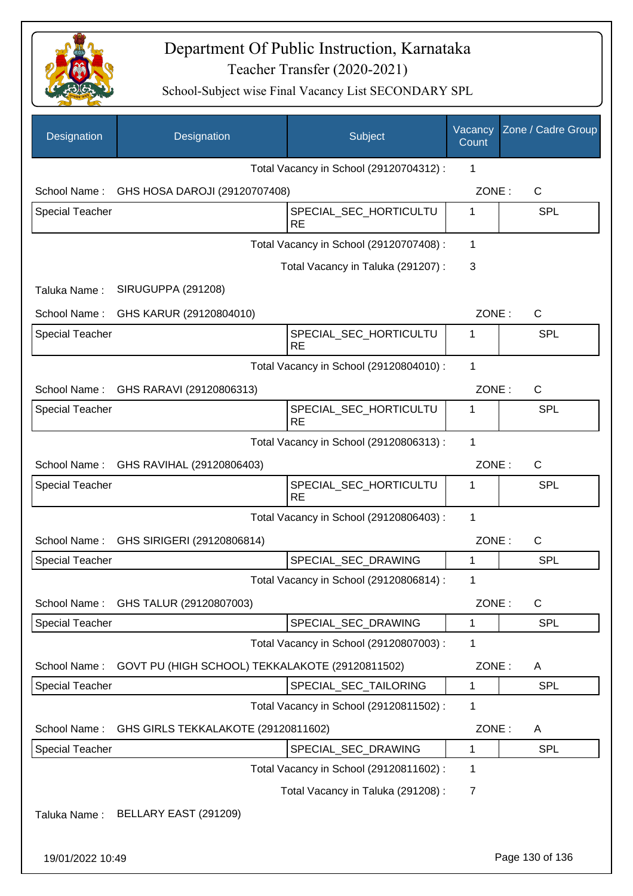

| Designation            | Designation                                     | Subject                                 | Vacancy<br>Count | Zone / Cadre Group |
|------------------------|-------------------------------------------------|-----------------------------------------|------------------|--------------------|
|                        |                                                 | Total Vacancy in School (29120704312) : | 1                |                    |
| School Name:           | GHS HOSA DAROJI (29120707408)                   |                                         | ZONE:            | C                  |
| <b>Special Teacher</b> |                                                 | SPECIAL_SEC_HORTICULTU<br><b>RE</b>     | 1                | <b>SPL</b>         |
|                        |                                                 | Total Vacancy in School (29120707408) : | $\mathbf{1}$     |                    |
|                        |                                                 | Total Vacancy in Taluka (291207):       | 3                |                    |
| Taluka Name:           | <b>SIRUGUPPA (291208)</b>                       |                                         |                  |                    |
| School Name:           | GHS KARUR (29120804010)                         |                                         | ZONE:            | $\mathsf{C}$       |
| <b>Special Teacher</b> |                                                 | SPECIAL SEC HORTICULTU<br><b>RE</b>     | 1                | <b>SPL</b>         |
|                        |                                                 | Total Vacancy in School (29120804010) : | 1                |                    |
| School Name:           | GHS RARAVI (29120806313)                        |                                         | ZONE:            | $\mathsf{C}$       |
| <b>Special Teacher</b> |                                                 | SPECIAL_SEC_HORTICULTU<br><b>RE</b>     | 1                | <b>SPL</b>         |
|                        |                                                 | Total Vacancy in School (29120806313) : | 1                |                    |
| School Name:           | GHS RAVIHAL (29120806403)                       |                                         | ZONE:            | $\mathsf{C}$       |
| <b>Special Teacher</b> |                                                 | SPECIAL_SEC_HORTICULTU<br><b>RE</b>     | 1                | SPL                |
|                        |                                                 | Total Vacancy in School (29120806403) : | $\mathbf{1}$     |                    |
|                        | School Name: GHS SIRIGERI (29120806814)         |                                         | ZONE:            | $\mathsf{C}$       |
| <b>Special Teacher</b> |                                                 | SPECIAL_SEC_DRAWING                     | 1                | <b>SPL</b>         |
|                        |                                                 | Total Vacancy in School (29120806814) : | 1                |                    |
| School Name:           | GHS TALUR (29120807003)                         |                                         | ZONE:            | C                  |
| <b>Special Teacher</b> |                                                 | SPECIAL_SEC_DRAWING                     | 1                | <b>SPL</b>         |
|                        |                                                 | Total Vacancy in School (29120807003) : | 1                |                    |
| School Name:           | GOVT PU (HIGH SCHOOL) TEKKALAKOTE (29120811502) |                                         | ZONE:            | A                  |
| <b>Special Teacher</b> |                                                 | SPECIAL_SEC_TAILORING                   | 1                | SPL                |
|                        |                                                 | Total Vacancy in School (29120811502) : | 1                |                    |
| School Name:           | GHS GIRLS TEKKALAKOTE (29120811602)             |                                         | ZONE:            | A                  |
| <b>Special Teacher</b> |                                                 | SPECIAL_SEC_DRAWING                     | 1                | <b>SPL</b>         |
|                        |                                                 | Total Vacancy in School (29120811602) : | 1                |                    |
|                        |                                                 | Total Vacancy in Taluka (291208) :      | 7                |                    |
| Taluka Name:           | BELLARY EAST (291209)                           |                                         |                  |                    |
| 19/01/2022 10:49       |                                                 |                                         |                  | Page 130 of 136    |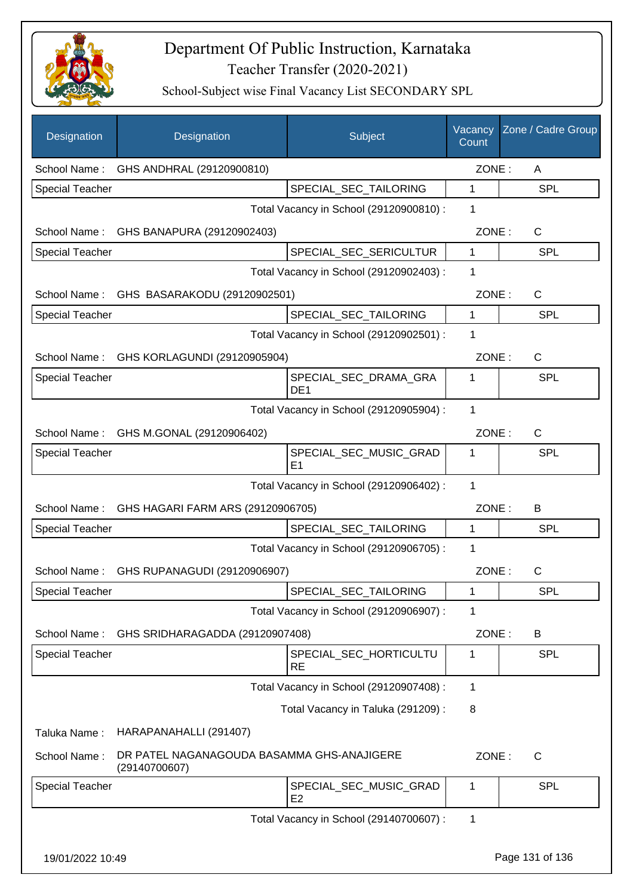

| Designation            | Designation                                                 | Subject                                  | Vacancy<br>Count | Zone / Cadre Group |
|------------------------|-------------------------------------------------------------|------------------------------------------|------------------|--------------------|
| School Name:           | GHS ANDHRAL (29120900810)                                   |                                          | ZONE:            | A                  |
| <b>Special Teacher</b> |                                                             | SPECIAL_SEC_TAILORING                    | 1                | <b>SPL</b>         |
|                        |                                                             | Total Vacancy in School (29120900810) :  | 1                |                    |
| School Name:           | GHS BANAPURA (29120902403)                                  |                                          | ZONE:            | C                  |
| <b>Special Teacher</b> |                                                             | SPECIAL_SEC_SERICULTUR                   | $\mathbf{1}$     | <b>SPL</b>         |
|                        |                                                             | Total Vacancy in School (29120902403) :  | 1                |                    |
|                        | School Name: GHS BASARAKODU (29120902501)                   |                                          | ZONE:            | $\mathsf{C}$       |
| <b>Special Teacher</b> |                                                             | SPECIAL_SEC_TAILORING                    | $\mathbf{1}$     | <b>SPL</b>         |
|                        |                                                             | Total Vacancy in School (29120902501) :  | 1                |                    |
|                        | School Name: GHS KORLAGUNDI (29120905904)                   |                                          | ZONE:            | $\mathsf{C}$       |
| <b>Special Teacher</b> |                                                             | SPECIAL SEC DRAMA GRA<br>DE <sub>1</sub> | 1                | <b>SPL</b>         |
|                        |                                                             | Total Vacancy in School (29120905904) :  | 1                |                    |
|                        | School Name: GHS M.GONAL (29120906402)                      |                                          | ZONE:            | $\mathsf{C}$       |
| <b>Special Teacher</b> |                                                             | SPECIAL_SEC_MUSIC_GRAD<br>E <sub>1</sub> | 1                | SPL                |
|                        |                                                             | Total Vacancy in School (29120906402) :  | 1                |                    |
|                        | School Name: GHS HAGARI FARM ARS (29120906705)              |                                          | ZONE:            | В                  |
| <b>Special Teacher</b> |                                                             | SPECIAL_SEC_TAILORING                    | 1                | <b>SPL</b>         |
|                        |                                                             | Total Vacancy in School (29120906705) :  | 1                |                    |
| School Name:           | GHS RUPANAGUDI (29120906907)                                |                                          | ZONE:            | C                  |
| <b>Special Teacher</b> |                                                             | SPECIAL_SEC_TAILORING                    | 1                | SPL                |
|                        |                                                             | Total Vacancy in School (29120906907) :  | 1                |                    |
| School Name:           | GHS SRIDHARAGADDA (29120907408)                             |                                          | ZONE:            | Β                  |
| <b>Special Teacher</b> |                                                             | SPECIAL SEC HORTICULTU<br><b>RE</b>      | 1                | <b>SPL</b>         |
|                        |                                                             | Total Vacancy in School (29120907408) :  | $\mathbf 1$      |                    |
|                        |                                                             | Total Vacancy in Taluka (291209):        | 8                |                    |
| Taluka Name:           | HARAPANAHALLI (291407)                                      |                                          |                  |                    |
| School Name:           | DR PATEL NAGANAGOUDA BASAMMA GHS-ANAJIGERE<br>(29140700607) |                                          | ZONE:            | $\mathsf{C}$       |
| <b>Special Teacher</b> |                                                             | SPECIAL_SEC_MUSIC_GRAD<br>E <sub>2</sub> | 1                | <b>SPL</b>         |
|                        |                                                             | Total Vacancy in School (29140700607) :  | $\mathbf 1$      |                    |
| 19/01/2022 10:49       |                                                             |                                          |                  | Page 131 of 136    |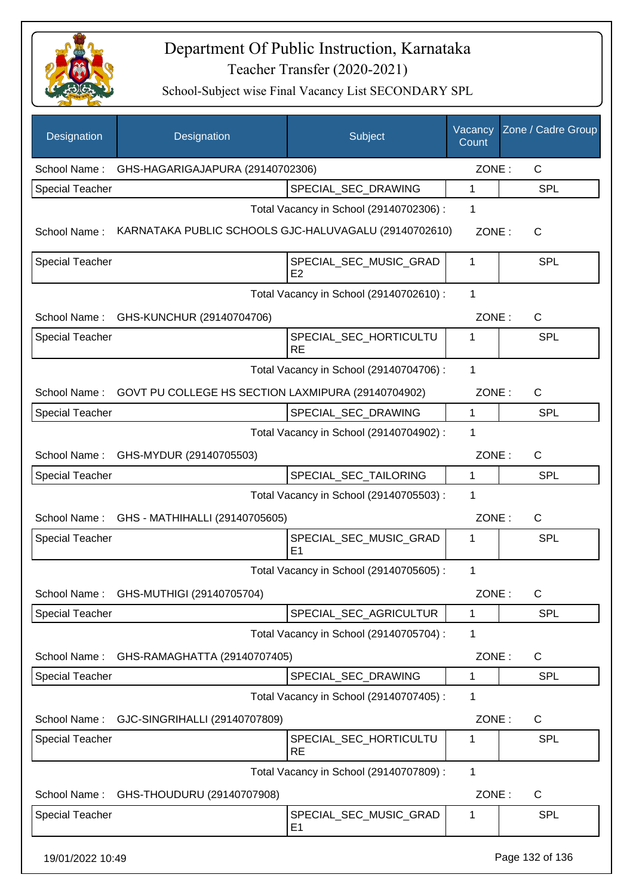

| Designation            | Designation                                           | Subject                                  | Vacancy<br>Count | Zone / Cadre Group |
|------------------------|-------------------------------------------------------|------------------------------------------|------------------|--------------------|
| School Name:           | GHS-HAGARIGAJAPURA (29140702306)                      |                                          | ZONE:            | C                  |
| <b>Special Teacher</b> |                                                       | SPECIAL_SEC_DRAWING                      | 1                | <b>SPL</b>         |
|                        |                                                       | Total Vacancy in School (29140702306) :  | 1                |                    |
| School Name:           | KARNATAKA PUBLIC SCHOOLS GJC-HALUVAGALU (29140702610) |                                          | ZONE:            | C                  |
| <b>Special Teacher</b> |                                                       | SPECIAL_SEC_MUSIC_GRAD<br>E2             | 1                | SPL                |
|                        |                                                       | Total Vacancy in School (29140702610) :  | 1                |                    |
|                        | School Name: GHS-KUNCHUR (29140704706)                |                                          | ZONE:            | C                  |
| <b>Special Teacher</b> |                                                       | SPECIAL_SEC_HORTICULTU<br><b>RE</b>      | 1                | <b>SPL</b>         |
|                        |                                                       | Total Vacancy in School (29140704706) :  | 1                |                    |
| School Name:           | GOVT PU COLLEGE HS SECTION LAXMIPURA (29140704902)    |                                          | ZONE:            | C                  |
| <b>Special Teacher</b> |                                                       | SPECIAL_SEC_DRAWING                      | 1                | <b>SPL</b>         |
|                        |                                                       | Total Vacancy in School (29140704902) :  | 1                |                    |
| School Name:           | GHS-MYDUR (29140705503)                               |                                          | ZONE:            | $\mathsf{C}$       |
| <b>Special Teacher</b> |                                                       | SPECIAL_SEC_TAILORING                    | 1                | <b>SPL</b>         |
|                        |                                                       | Total Vacancy in School (29140705503) :  | 1                |                    |
| School Name:           | GHS - MATHIHALLI (29140705605)                        |                                          | ZONE:            | $\mathsf{C}$       |
| <b>Special Teacher</b> |                                                       | SPECIAL_SEC_MUSIC_GRAD<br>E1             | 1                | <b>SPL</b>         |
|                        |                                                       | Total Vacancy in School (29140705605) :  | 1                |                    |
| School Name:           | GHS-MUTHIGI (29140705704)                             |                                          | ZONE:            | $\mathsf C$        |
| <b>Special Teacher</b> |                                                       | SPECIAL_SEC_AGRICULTUR                   | 1                | <b>SPL</b>         |
|                        |                                                       | Total Vacancy in School (29140705704) :  | 1                |                    |
| School Name:           | GHS-RAMAGHATTA (29140707405)                          |                                          | ZONE:            | C                  |
| <b>Special Teacher</b> |                                                       | SPECIAL SEC DRAWING                      | 1                | <b>SPL</b>         |
|                        |                                                       | Total Vacancy in School (29140707405) :  | 1                |                    |
| School Name:           | GJC-SINGRIHALLI (29140707809)                         |                                          | ZONE:            | C                  |
| <b>Special Teacher</b> |                                                       | SPECIAL_SEC_HORTICULTU<br><b>RE</b>      | 1                | SPL                |
|                        |                                                       | Total Vacancy in School (29140707809) :  | $\mathbf{1}$     |                    |
| School Name:           | GHS-THOUDURU (29140707908)                            |                                          | ZONE:            | C                  |
| <b>Special Teacher</b> |                                                       | SPECIAL_SEC_MUSIC_GRAD<br>E <sub>1</sub> | 1                | <b>SPL</b>         |
| 19/01/2022 10:49       |                                                       |                                          |                  | Page 132 of 136    |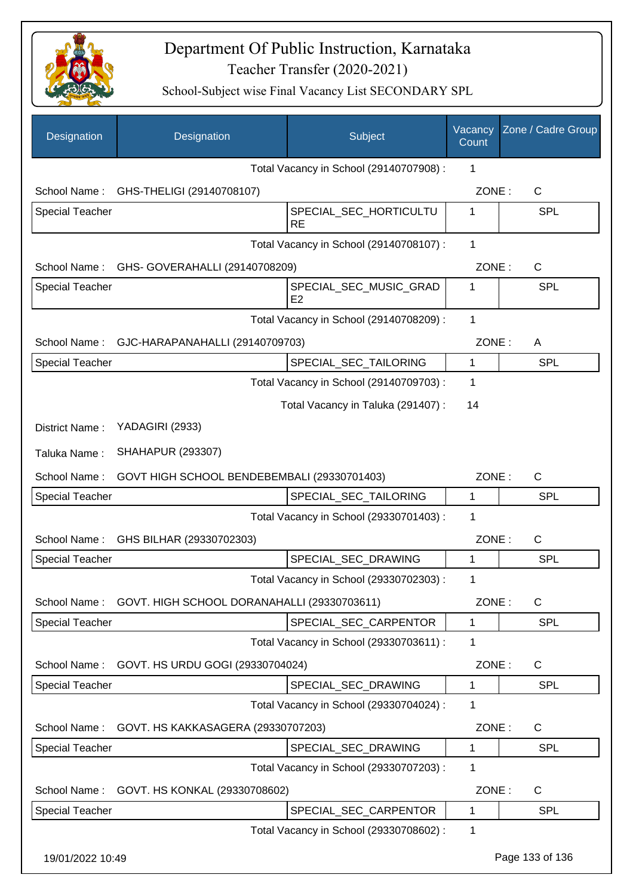

| Designation            | Designation                                              | Subject                                     | Vacancy<br>Count | Zone / Cadre Group    |
|------------------------|----------------------------------------------------------|---------------------------------------------|------------------|-----------------------|
|                        |                                                          | Total Vacancy in School (29140707908) :     | 1                |                       |
| School Name:           | GHS-THELIGI (29140708107)                                |                                             | ZONE:            | C                     |
| Special Teacher        |                                                          | SPECIAL_SEC_HORTICULTU<br><b>RE</b>         | 1                | <b>SPL</b>            |
|                        |                                                          | Total Vacancy in School (29140708107) :     | 1                |                       |
|                        |                                                          | School Name: GHS- GOVERAHALLI (29140708209) |                  | ZONE:<br>$\mathsf{C}$ |
| <b>Special Teacher</b> |                                                          | SPECIAL_SEC_MUSIC_GRAD<br>E <sub>2</sub>    | 1                | <b>SPL</b>            |
|                        |                                                          | Total Vacancy in School (29140708209) :     | $\mathbf 1$      |                       |
| School Name:           | GJC-HARAPANAHALLI (29140709703)                          |                                             | ZONE:            | A                     |
| <b>Special Teacher</b> |                                                          | SPECIAL_SEC_TAILORING                       | $\mathbf{1}$     | <b>SPL</b>            |
|                        |                                                          | Total Vacancy in School (29140709703) :     | 1                |                       |
|                        |                                                          | Total Vacancy in Taluka (291407) :          | 14               |                       |
| District Name:         | YADAGIRI (2933)                                          |                                             |                  |                       |
| Taluka Name:           | <b>SHAHAPUR (293307)</b>                                 |                                             |                  |                       |
| School Name:           | GOVT HIGH SCHOOL BENDEBEMBALI (29330701403)              |                                             | ZONE:            | $\mathsf{C}$          |
| <b>Special Teacher</b> |                                                          | SPECIAL_SEC_TAILORING                       | 1                | <b>SPL</b>            |
|                        |                                                          | Total Vacancy in School (29330701403) :     | 1                |                       |
| School Name:           | GHS BILHAR (29330702303)                                 |                                             | ZONE:            | C                     |
| <b>Special Teacher</b> |                                                          | SPECIAL SEC DRAWING                         | 1                | SPL                   |
|                        |                                                          | Total Vacancy in School (29330702303) :     | 1                |                       |
|                        | School Name: GOVT. HIGH SCHOOL DORANAHALLI (29330703611) |                                             | ZONE:            | C                     |
| Special Teacher        |                                                          | SPECIAL_SEC_CARPENTOR                       | 1                | <b>SPL</b>            |
|                        |                                                          | Total Vacancy in School (29330703611) :     | 1                |                       |
| School Name:           | GOVT. HS URDU GOGI (29330704024)                         |                                             | ZONE:            | C                     |
| Special Teacher        |                                                          | SPECIAL SEC DRAWING                         | 1                | <b>SPL</b>            |
|                        |                                                          | Total Vacancy in School (29330704024) :     | 1                |                       |
| School Name:           | GOVT. HS KAKKASAGERA (29330707203)                       |                                             | ZONE:            | C                     |
| <b>Special Teacher</b> |                                                          | SPECIAL_SEC_DRAWING                         | 1                | <b>SPL</b>            |
|                        |                                                          | Total Vacancy in School (29330707203) :     | 1                |                       |
| School Name:           | GOVT. HS KONKAL (29330708602)                            |                                             | ZONE:            | C                     |
| <b>Special Teacher</b> |                                                          | SPECIAL_SEC_CARPENTOR                       | 1                | <b>SPL</b>            |
|                        |                                                          | Total Vacancy in School (29330708602) :     | 1                |                       |
| 19/01/2022 10:49       |                                                          |                                             |                  | Page 133 of 136       |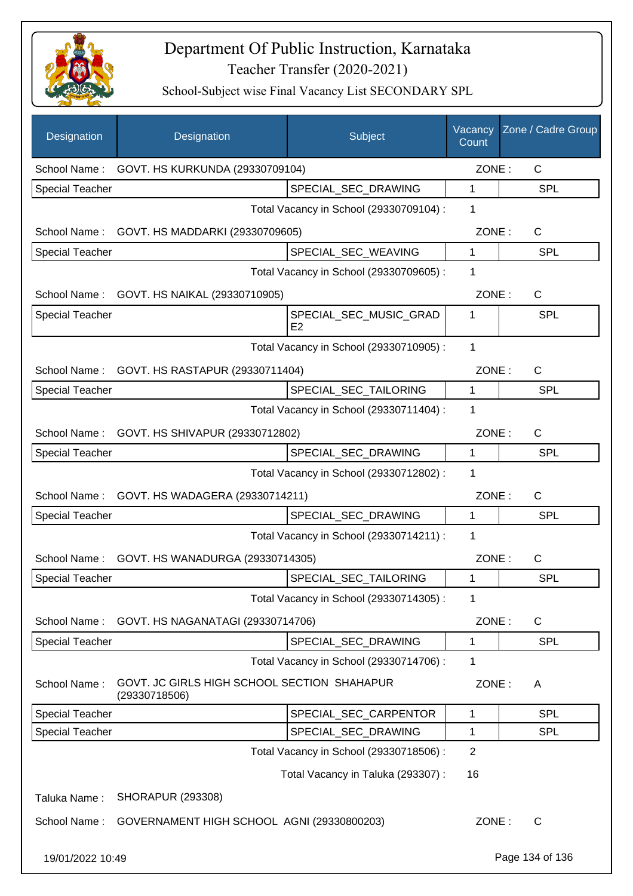

| Designation                             | Designation                                                  | Subject                                  | Vacancy<br>Count | Zone / Cadre Group |
|-----------------------------------------|--------------------------------------------------------------|------------------------------------------|------------------|--------------------|
| School Name:                            |                                                              | GOVT. HS KURKUNDA (29330709104)          |                  | ZONE:<br>C         |
| <b>Special Teacher</b>                  |                                                              | SPECIAL_SEC_DRAWING                      | 1                | <b>SPL</b>         |
|                                         |                                                              | Total Vacancy in School (29330709104) :  | 1                |                    |
| School Name:                            | GOVT. HS MADDARKI (29330709605)                              |                                          | ZONE:            | C                  |
| <b>Special Teacher</b>                  |                                                              | SPECIAL_SEC_WEAVING                      | 1                | <b>SPL</b>         |
|                                         |                                                              | Total Vacancy in School (29330709605) :  | 1                |                    |
| School Name:                            | GOVT. HS NAIKAL (29330710905)                                |                                          | ZONE:            | $\mathsf{C}$       |
| <b>Special Teacher</b>                  |                                                              | SPECIAL_SEC_MUSIC_GRAD<br>E <sub>2</sub> | 1                | <b>SPL</b>         |
|                                         | 1<br>Total Vacancy in School (29330710905) :                 |                                          |                  |                    |
| School Name:                            | GOVT. HS RASTAPUR (29330711404)                              |                                          | ZONE:            | $\mathsf{C}$       |
| <b>Special Teacher</b>                  |                                                              | SPECIAL_SEC_TAILORING                    | 1                | <b>SPL</b>         |
|                                         |                                                              | Total Vacancy in School (29330711404) :  | 1                |                    |
| School Name:                            | GOVT. HS SHIVAPUR (29330712802)                              |                                          | ZONE:            | C                  |
| <b>Special Teacher</b>                  |                                                              | SPECIAL_SEC_DRAWING                      | $\mathbf{1}$     | <b>SPL</b>         |
|                                         |                                                              | Total Vacancy in School (29330712802) :  | 1                |                    |
| School Name:                            | GOVT. HS WADAGERA (29330714211)                              |                                          | ZONE:            | $\mathsf{C}$       |
| <b>Special Teacher</b>                  |                                                              | SPECIAL_SEC_DRAWING                      | 1                | <b>SPL</b>         |
|                                         |                                                              | Total Vacancy in School (29330714211) :  | 1                |                    |
| School Name:                            | GOVT. HS WANADURGA (29330714305)                             |                                          | ZONE:            | $\mathsf{C}$       |
| Special Teacher                         |                                                              | SPECIAL_SEC_TAILORING                    | 1                | <b>SPL</b>         |
|                                         |                                                              | Total Vacancy in School (29330714305) :  | 1                |                    |
| School Name:                            | GOVT. HS NAGANATAGI (29330714706)                            |                                          | ZONE:            | C                  |
| Special Teacher                         |                                                              | SPECIAL_SEC_DRAWING                      | 1                | <b>SPL</b>         |
|                                         |                                                              | Total Vacancy in School (29330714706) :  | 1                |                    |
| School Name:                            | GOVT. JC GIRLS HIGH SCHOOL SECTION SHAHAPUR<br>(29330718506) |                                          | ZONE:            | A                  |
| <b>Special Teacher</b>                  |                                                              | SPECIAL_SEC_CARPENTOR                    | 1                | <b>SPL</b>         |
| Special Teacher                         |                                                              | SPECIAL_SEC_DRAWING                      | 1                | <b>SPL</b>         |
| Total Vacancy in School (29330718506) : |                                                              |                                          | $\overline{2}$   |                    |
|                                         |                                                              | Total Vacancy in Taluka (293307) :       | 16               |                    |
| Taluka Name:                            | <b>SHORAPUR (293308)</b>                                     |                                          |                  |                    |
| School Name:                            | GOVERNAMENT HIGH SCHOOL AGNI (29330800203)                   |                                          | ZONE:            | $\mathsf{C}$       |
| 19/01/2022 10:49                        |                                                              |                                          |                  | Page 134 of 136    |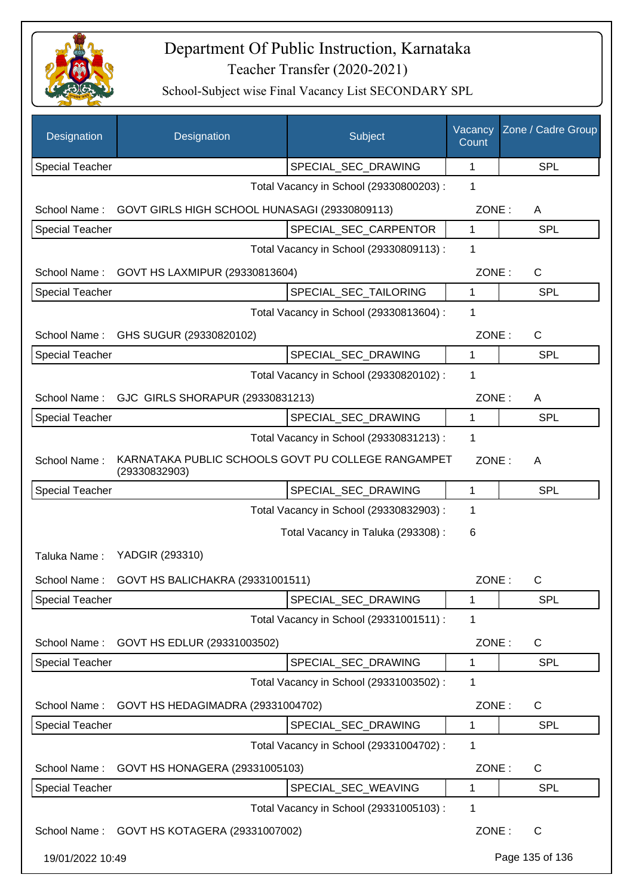

| Designation            | Designation                                                         | Subject                                 | Vacancy<br>Count | Zone / Cadre Group |
|------------------------|---------------------------------------------------------------------|-----------------------------------------|------------------|--------------------|
| <b>Special Teacher</b> |                                                                     | SPECIAL_SEC_DRAWING                     | 1                | <b>SPL</b>         |
|                        | 1<br>Total Vacancy in School (29330800203) :                        |                                         |                  |                    |
| School Name:           | GOVT GIRLS HIGH SCHOOL HUNASAGI (29330809113)                       |                                         |                  | ZONE:<br>A         |
| <b>Special Teacher</b> |                                                                     | SPECIAL SEC CARPENTOR                   | $\mathbf{1}$     | <b>SPL</b>         |
|                        |                                                                     | Total Vacancy in School (29330809113) : | 1                |                    |
| School Name:           | GOVT HS LAXMIPUR (29330813604)                                      |                                         | ZONE:            | C                  |
| <b>Special Teacher</b> |                                                                     | SPECIAL_SEC_TAILORING                   | 1                | <b>SPL</b>         |
|                        |                                                                     | Total Vacancy in School (29330813604) : | 1                |                    |
| School Name:           | GHS SUGUR (29330820102)                                             |                                         | ZONE:            | C                  |
| <b>Special Teacher</b> |                                                                     | SPECIAL_SEC_DRAWING                     | 1                | <b>SPL</b>         |
|                        |                                                                     | Total Vacancy in School (29330820102) : | 1                |                    |
| School Name:           | GJC GIRLS SHORAPUR (29330831213)                                    |                                         | ZONE:            | A                  |
| <b>Special Teacher</b> |                                                                     | SPECIAL SEC DRAWING                     | 1                | <b>SPL</b>         |
|                        |                                                                     | Total Vacancy in School (29330831213) : | 1                |                    |
| School Name:           | KARNATAKA PUBLIC SCHOOLS GOVT PU COLLEGE RANGAMPET<br>(29330832903) |                                         | ZONE:            | A                  |
| <b>Special Teacher</b> |                                                                     | SPECIAL_SEC_DRAWING                     | 1                | <b>SPL</b>         |
|                        |                                                                     | Total Vacancy in School (29330832903) : | 1                |                    |
|                        |                                                                     | Total Vacancy in Taluka (293308):       | 6                |                    |
| Taluka Name:           | YADGIR (293310)                                                     |                                         |                  |                    |
| School Name:           | GOVT HS BALICHAKRA (29331001511)                                    |                                         | ZONE:            | С                  |
| <b>Special Teacher</b> |                                                                     | SPECIAL_SEC_DRAWING                     | 1                | <b>SPL</b>         |
|                        |                                                                     | Total Vacancy in School (29331001511) : | 1                |                    |
| School Name:           | GOVT HS EDLUR (29331003502)                                         |                                         | ZONE:            | C                  |
| Special Teacher        |                                                                     | SPECIAL_SEC_DRAWING                     | 1                | <b>SPL</b>         |
|                        |                                                                     | Total Vacancy in School (29331003502) : | 1                |                    |
| School Name:           | GOVT HS HEDAGIMADRA (29331004702)                                   |                                         | ZONE:            | C                  |
| Special Teacher        |                                                                     | SPECIAL_SEC_DRAWING                     | 1                | <b>SPL</b>         |
|                        |                                                                     | Total Vacancy in School (29331004702) : | 1                |                    |
| School Name:           | GOVT HS HONAGERA (29331005103)                                      |                                         | ZONE:            | C                  |
| <b>Special Teacher</b> |                                                                     | SPECIAL_SEC_WEAVING                     | 1                | <b>SPL</b>         |
|                        |                                                                     | Total Vacancy in School (29331005103) : | 1                |                    |
|                        | School Name: GOVT HS KOTAGERA (29331007002)                         |                                         | ZONE:            | $\mathsf{C}$       |
| 19/01/2022 10:49       |                                                                     |                                         |                  | Page 135 of 136    |